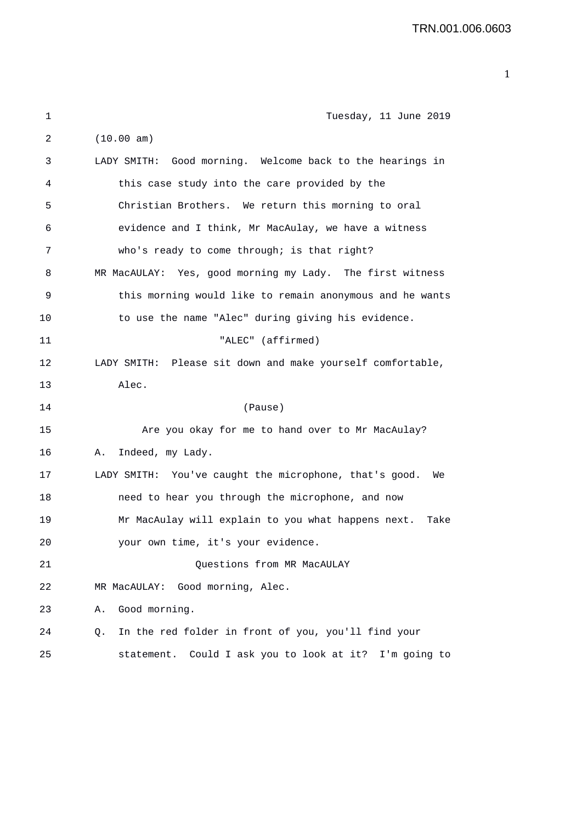| 1  | Tuesday, 11 June 2019                                        |
|----|--------------------------------------------------------------|
| 2  | (10.00 am)                                                   |
| 3  | LADY SMITH: Good morning. Welcome back to the hearings in    |
| 4  | this case study into the care provided by the                |
| 5  | Christian Brothers. We return this morning to oral           |
| 6  | evidence and I think, Mr MacAulay, we have a witness         |
| 7  | who's ready to come through; is that right?                  |
| 8  | MR MacAULAY: Yes, good morning my Lady. The first witness    |
| 9  | this morning would like to remain anonymous and he wants     |
| 10 | to use the name "Alec" during giving his evidence.           |
| 11 | "ALEC" (affirmed)                                            |
| 12 | LADY SMITH: Please sit down and make yourself comfortable,   |
| 13 | Alec.                                                        |
| 14 | (Pause)                                                      |
| 15 | Are you okay for me to hand over to Mr MacAulay?             |
| 16 | Indeed, my Lady.<br>Α.                                       |
| 17 | LADY SMITH: You've caught the microphone, that's good.<br>We |
| 18 | need to hear you through the microphone, and now             |
| 19 | Mr MacAulay will explain to you what happens next.<br>Take   |
| 20 | your own time, it's your evidence.                           |
| 21 | Questions from MR MacAULAY                                   |
| 22 | Good morning, Alec.<br>MR MacAULAY:                          |
| 23 | Good morning.<br>Α.                                          |
| 24 | In the red folder in front of you, you'll find your<br>Q.    |
| 25 | statement. Could I ask you to look at it? I'm going to       |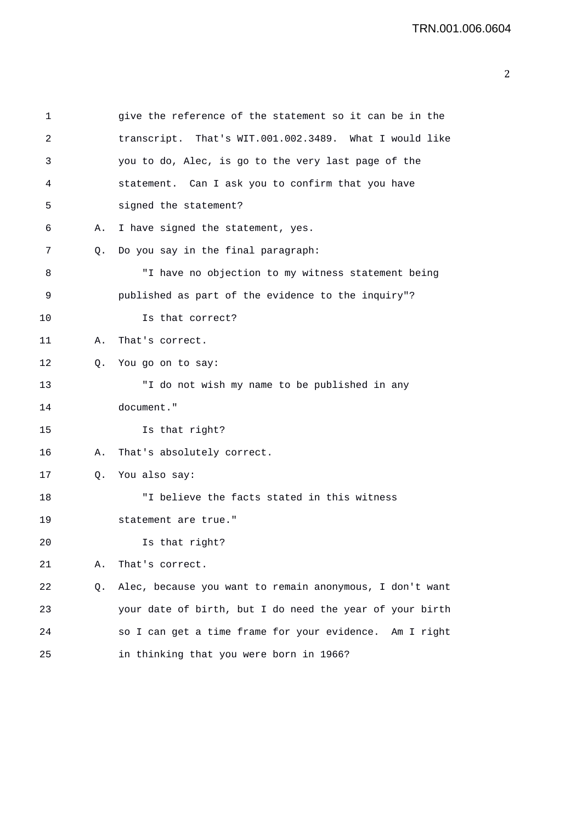| 1  |    | give the reference of the statement so it can be in the  |
|----|----|----------------------------------------------------------|
| 2  |    | transcript. That's WIT.001.002.3489. What I would like   |
| 3  |    | you to do, Alec, is go to the very last page of the      |
| 4  |    | statement. Can I ask you to confirm that you have        |
| 5  |    | signed the statement?                                    |
| 6  | Α. | I have signed the statement, yes.                        |
| 7  | Q. | Do you say in the final paragraph:                       |
| 8  |    | "I have no objection to my witness statement being       |
| 9  |    | published as part of the evidence to the inquiry"?       |
| 10 |    | Is that correct?                                         |
| 11 | Α. | That's correct.                                          |
| 12 | 0. | You go on to say:                                        |
| 13 |    | "I do not wish my name to be published in any            |
| 14 |    | document."                                               |
| 15 |    | Is that right?                                           |
| 16 | А. | That's absolutely correct.                               |
| 17 | Q. | You also say:                                            |
| 18 |    | "I believe the facts stated in this witness              |
| 19 |    | statement are true."                                     |
| 20 |    | Is that right?                                           |
| 21 | Α. | That's correct.                                          |
| 22 | Q. | Alec, because you want to remain anonymous, I don't want |
| 23 |    | your date of birth, but I do need the year of your birth |
| 24 |    | so I can get a time frame for your evidence. Am I right  |
| 25 |    | in thinking that you were born in 1966?                  |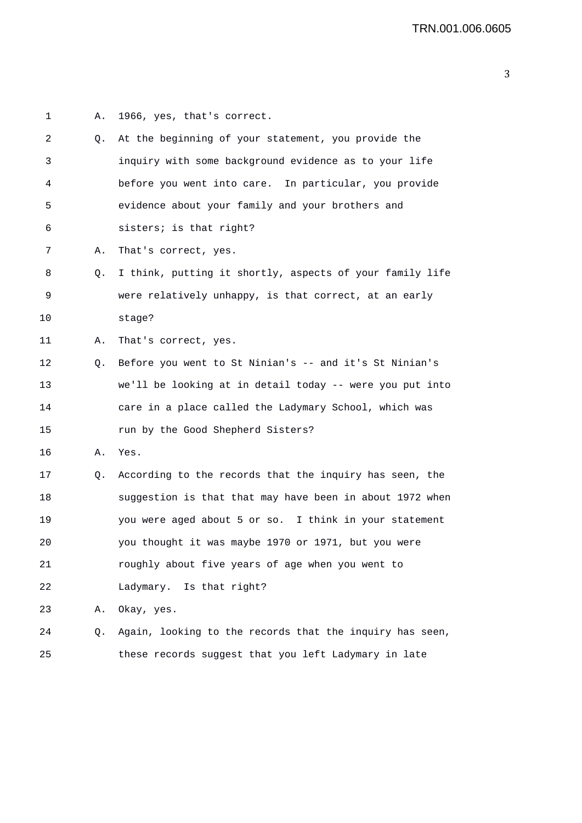| 1  | Α. | 1966, yes, that's correct.                               |
|----|----|----------------------------------------------------------|
| 2  | Q. | At the beginning of your statement, you provide the      |
| 3  |    | inquiry with some background evidence as to your life    |
| 4  |    | before you went into care. In particular, you provide    |
| 5  |    | evidence about your family and your brothers and         |
| 6  |    | sisters; is that right?                                  |
| 7  | Α. | That's correct, yes.                                     |
| 8  | Q. | I think, putting it shortly, aspects of your family life |
| 9  |    | were relatively unhappy, is that correct, at an early    |
| 10 |    | stage?                                                   |
| 11 | Α. | That's correct, yes.                                     |
| 12 | Q. | Before you went to St Ninian's -- and it's St Ninian's   |
| 13 |    | we'll be looking at in detail today -- were you put into |
| 14 |    | care in a place called the Ladymary School, which was    |
| 15 |    | run by the Good Shepherd Sisters?                        |
| 16 | Α. | Yes.                                                     |
| 17 | Q. | According to the records that the inquiry has seen, the  |
| 18 |    | suggestion is that that may have been in about 1972 when |
| 19 |    | you were aged about 5 or so. I think in your statement   |
| 20 |    | you thought it was maybe 1970 or 1971, but you were      |
| 21 |    | roughly about five years of age when you went to         |
| 22 |    | Ladymary. Is that right?                                 |
| 23 | Α. | Okay, yes.                                               |
| 24 | Q. | Again, looking to the records that the inquiry has seen, |
| 25 |    | these records suggest that you left Ladymary in late     |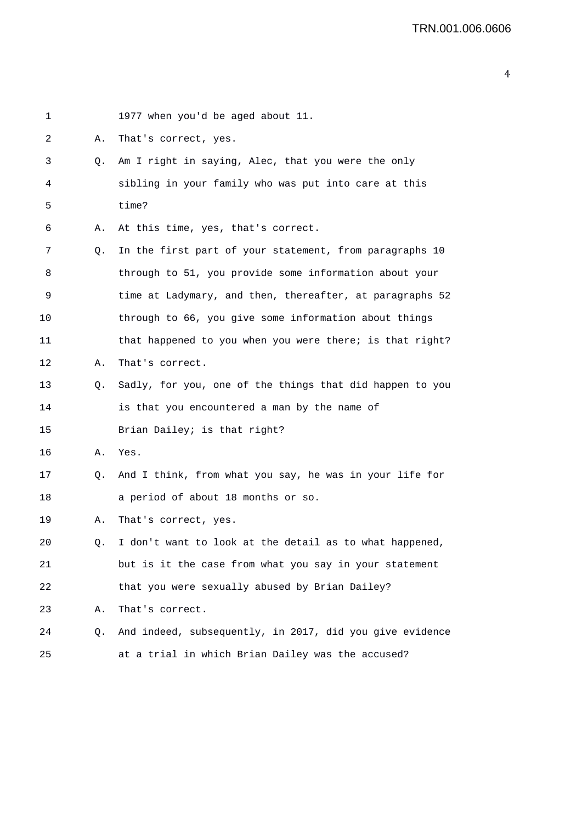| 1  |    | 1977 when you'd be aged about 11.                        |
|----|----|----------------------------------------------------------|
| 2  | Α. | That's correct, yes.                                     |
| 3  | Q. | Am I right in saying, Alec, that you were the only       |
| 4  |    | sibling in your family who was put into care at this     |
| 5  |    | time?                                                    |
| 6  | Α. | At this time, yes, that's correct.                       |
| 7  | Q. | In the first part of your statement, from paragraphs 10  |
| 8  |    | through to 51, you provide some information about your   |
| 9  |    | time at Ladymary, and then, thereafter, at paragraphs 52 |
| 10 |    | through to 66, you give some information about things    |
| 11 |    | that happened to you when you were there; is that right? |
| 12 | А. | That's correct.                                          |
| 13 | Q. | Sadly, for you, one of the things that did happen to you |
| 14 |    | is that you encountered a man by the name of             |
| 15 |    | Brian Dailey; is that right?                             |
| 16 | Α. | Yes.                                                     |
| 17 | Q. | And I think, from what you say, he was in your life for  |
| 18 |    | a period of about 18 months or so.                       |
| 19 | Α. | That's correct, yes.                                     |
| 20 | Q. | I don't want to look at the detail as to what happened,  |
| 21 |    | but is it the case from what you say in your statement   |
| 22 |    | that you were sexually abused by Brian Dailey?           |
| 23 | Α. | That's correct.                                          |
| 24 | Q. | And indeed, subsequently, in 2017, did you give evidence |
| 25 |    | at a trial in which Brian Dailey was the accused?        |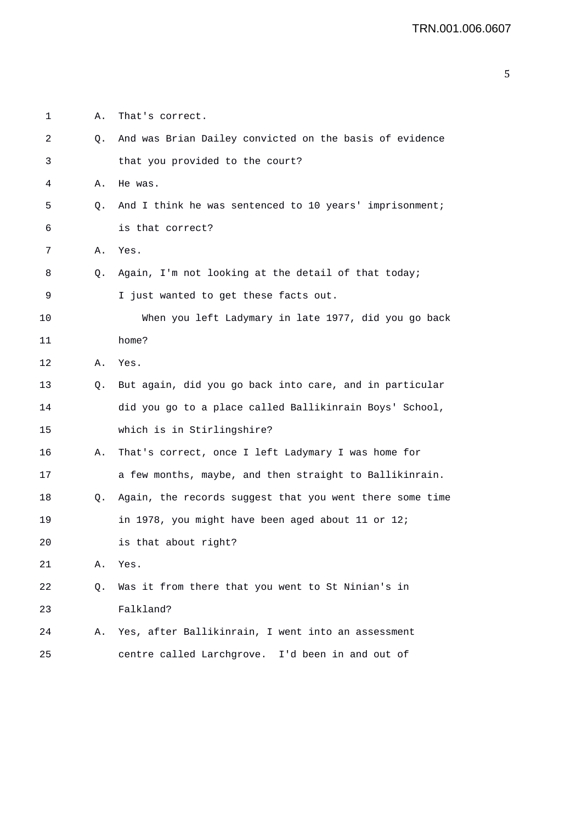| 1  | Α. | That's correct.                                          |
|----|----|----------------------------------------------------------|
| 2  | Q. | And was Brian Dailey convicted on the basis of evidence  |
| 3  |    | that you provided to the court?                          |
| 4  | Α. | He was.                                                  |
| 5  | Q. | And I think he was sentenced to 10 years' imprisonment;  |
| 6  |    | is that correct?                                         |
| 7  | Α. | Yes.                                                     |
| 8  | Q. | Again, I'm not looking at the detail of that today;      |
| 9  |    | I just wanted to get these facts out.                    |
| 10 |    | When you left Ladymary in late 1977, did you go back     |
| 11 |    | home?                                                    |
| 12 | Α. | Yes.                                                     |
| 13 | Q. | But again, did you go back into care, and in particular  |
| 14 |    | did you go to a place called Ballikinrain Boys' School,  |
| 15 |    | which is in Stirlingshire?                               |
| 16 | Α. | That's correct, once I left Ladymary I was home for      |
| 17 |    | a few months, maybe, and then straight to Ballikinrain.  |
| 18 | Q. | Again, the records suggest that you went there some time |
| 19 |    | in 1978, you might have been aged about 11 or 12;        |
| 20 |    | is that about right?                                     |
| 21 | Α. | Yes.                                                     |
| 22 | Q. | Was it from there that you went to St Ninian's in        |
| 23 |    | Falkland?                                                |
| 24 | Α. | Yes, after Ballikinrain, I went into an assessment       |
| 25 |    | centre called Larchgrove. I'd been in and out of         |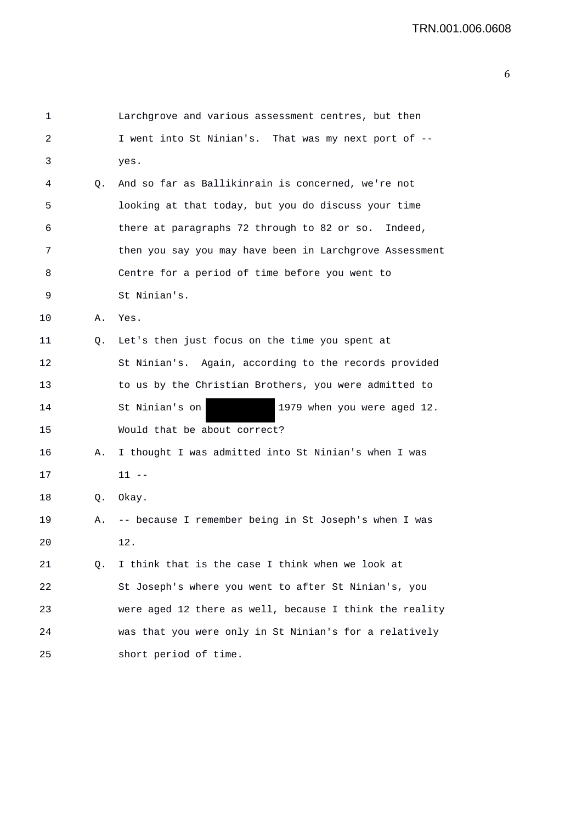```
1 Larchgrove and various assessment centres, but then 
2 I went into St Ninian's. That was my next port of -- 
3 yes. 
4 Q. And so far as Ballikinrain is concerned, we're not 
5 looking at that today, but you do discuss your time 
6 there at paragraphs 72 through to 82 or so. Indeed, 
7 then you say you may have been in Larchgrove Assessment 
8 Centre for a period of time before you went to 
9 St Ninian's. 
10 A. Yes. 
11 Q. Let's then just focus on the time you spent at 
12 St Ninian's. Again, according to the records provided 
13 to us by the Christian Brothers, you were admitted to 
14 St Ninian's on 1979 when you were aged 12. 
15 Would that be about correct? 
16 A. I thought I was admitted into St Ninian's when I was 
17 11 -- 
18 Q. Okay. 
19 A. -- because I remember being in St Joseph's when I was 
20 12. 
21 Q. I think that is the case I think when we look at 
22 St Joseph's where you went to after St Ninian's, you 
23 were aged 12 there as well, because I think the reality 
24 was that you were only in St Ninian's for a relatively 
25 short period of time.
```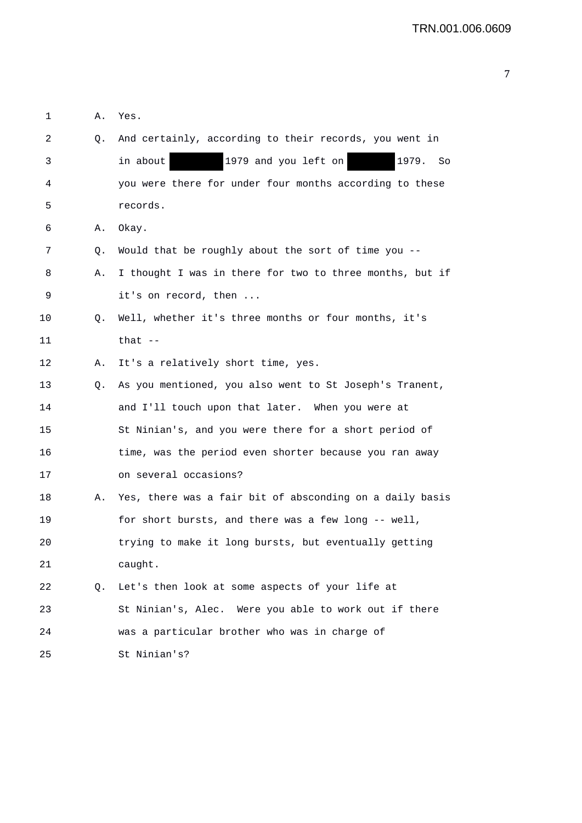| 1       | Α.          | Yes.                                                     |
|---------|-------------|----------------------------------------------------------|
| 2       | Q.          | And certainly, according to their records, you went in   |
| 3       |             | 1979 and you left on<br>1979.<br>in about<br>So          |
| 4       |             | you were there for under four months according to these  |
| 5       |             | records.                                                 |
| 6       | Α.          | Okay.                                                    |
| 7       | Q.          | Would that be roughly about the sort of time you --      |
| 8       | Α.          | I thought I was in there for two to three months, but if |
| 9       |             | it's on record, then                                     |
| $10 \,$ | Q.          | Well, whether it's three months or four months, it's     |
| 11      |             | that $--$                                                |
| 12      | Α.          | It's a relatively short time, yes.                       |
| 13      | Q.          | As you mentioned, you also went to St Joseph's Tranent,  |
| 14      |             | and I'll touch upon that later. When you were at         |
| 15      |             | St Ninian's, and you were there for a short period of    |
| 16      |             | time, was the period even shorter because you ran away   |
| 17      |             | on several occasions?                                    |
| 18      | Α.          | Yes, there was a fair bit of absconding on a daily basis |
| 19      |             | for short bursts, and there was a few long -- well,      |
| 20      |             | trying to make it long bursts, but eventually getting    |
| 21      |             | caught.                                                  |
| 22      | $Q_{\star}$ | Let's then look at some aspects of your life at          |
| 23      |             | St Ninian's, Alec. Were you able to work out if there    |
| 24      |             | was a particular brother who was in charge of            |
| 25      |             | St Ninian's?                                             |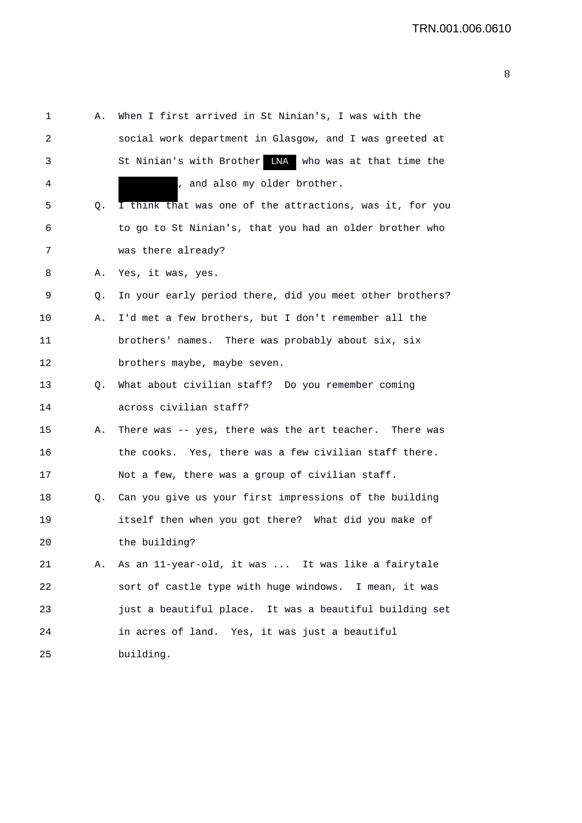1 A. When I first arrived in St Ninian's, I was with the 2 social work department in Glasgow, and I was greeted at 3 5 St Ninian's with Brother LNA who was at that time the 4 , and also my older brother. 5 Q. I think that was one of the attractions, was it, for you 6 to go to St Ninian's, that you had an older brother who 7 was there already? 8 A. Yes, it was, yes. 9 Q. In your early period there, did you meet other brothers? 10 A. I'd met a few brothers, but I don't remember all the 11 brothers' names. There was probably about six, six 12 brothers maybe, maybe seven. 13 Q. What about civilian staff? Do you remember coming 14 across civilian staff? 15 A. There was -- yes, there was the art teacher. There was 16 the cooks. Yes, there was a few civilian staff there. 17 Not a few, there was a group of civilian staff. 18 Q. Can you give us your first impressions of the building 19 itself then when you got there? What did you make of 20 the building? 21 A. As an 11-year-old, it was ... It was like a fairytale 22 sort of castle type with huge windows. I mean, it was 23 just a beautiful place. It was a beautiful building set 24 in acres of land. Yes, it was just a beautiful 25 building.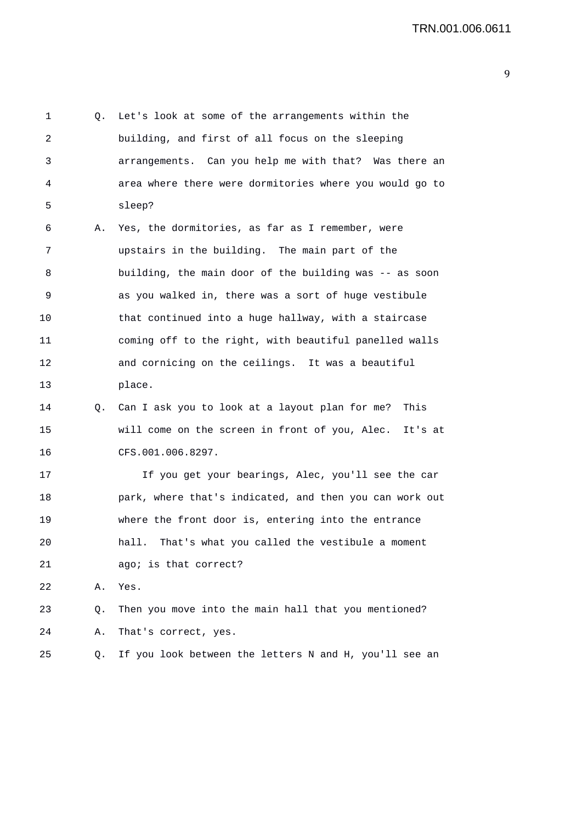1 Q. Let's look at some of the arrangements within the 2 building, and first of all focus on the sleeping 3 arrangements. Can you help me with that? Was there an 4 area where there were dormitories where you would go to 5 sleep? 6 A. Yes, the dormitories, as far as I remember, were 7 upstairs in the building. The main part of the 8 building, the main door of the building was -- as soon 9 as you walked in, there was a sort of huge vestibule 10 that continued into a huge hallway, with a staircase 11 coming off to the right, with beautiful panelled walls 12 and cornicing on the ceilings. It was a beautiful 13 place. 14 Q. Can I ask you to look at a layout plan for me? This 15 will come on the screen in front of you, Alec. It's at 16 CFS.001.006.8297. 17 If you get your bearings, Alec, you'll see the car 18 park, where that's indicated, and then you can work out 19 where the front door is, entering into the entrance 20 hall. That's what you called the vestibule a moment 21 ago; is that correct? 22 A. Yes. 23 Q. Then you move into the main hall that you mentioned? 24 A. That's correct, yes. 25 Q. If you look between the letters N and H, you'll see an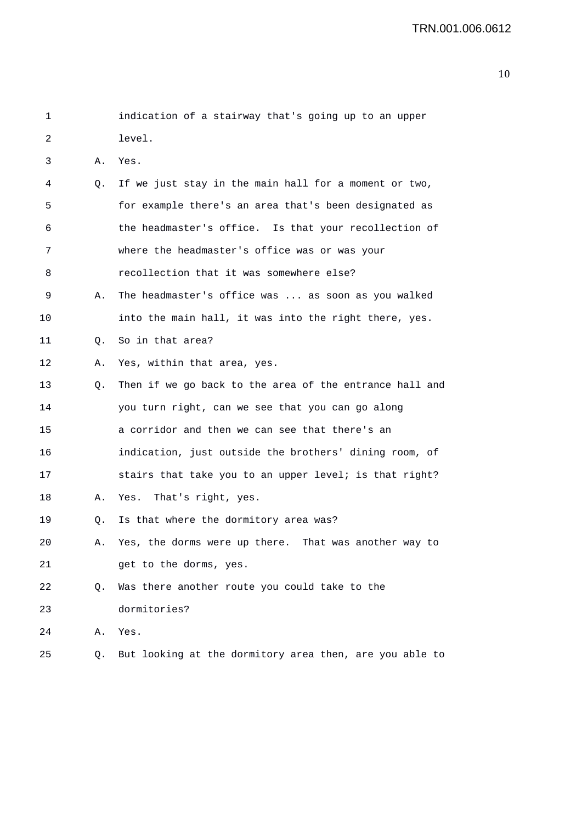| 1  |    | indication of a stairway that's going up to an upper    |
|----|----|---------------------------------------------------------|
| 2  |    | level.                                                  |
| 3  | Α. | Yes.                                                    |
| 4  | Q. | If we just stay in the main hall for a moment or two,   |
| 5  |    | for example there's an area that's been designated as   |
| 6  |    | the headmaster's office. Is that your recollection of   |
| 7  |    | where the headmaster's office was or was your           |
| 8  |    | recollection that it was somewhere else?                |
| 9  | Α. | The headmaster's office was  as soon as you walked      |
| 10 |    | into the main hall, it was into the right there, yes.   |
| 11 | О. | So in that area?                                        |
| 12 | Α. | Yes, within that area, yes.                             |
| 13 | Q. | Then if we go back to the area of the entrance hall and |
| 14 |    | you turn right, can we see that you can go along        |
| 15 |    | a corridor and then we can see that there's an          |
| 16 |    | indication, just outside the brothers' dining room, of  |
| 17 |    | stairs that take you to an upper level; is that right?  |
| 18 | Α. | Yes. That's right, yes.                                 |
| 19 | Q. | Is that where the dormitory area was?                   |
| 20 | Α. | Yes, the dorms were up there. That was another way to   |
| 21 |    | get to the dorms, yes.                                  |
| 22 | Q. | Was there another route you could take to the           |
| 23 |    | dormitories?                                            |
| 24 | Α. | Yes.                                                    |
| 25 | Q. | But looking at the dormitory area then, are you able to |
|    |    |                                                         |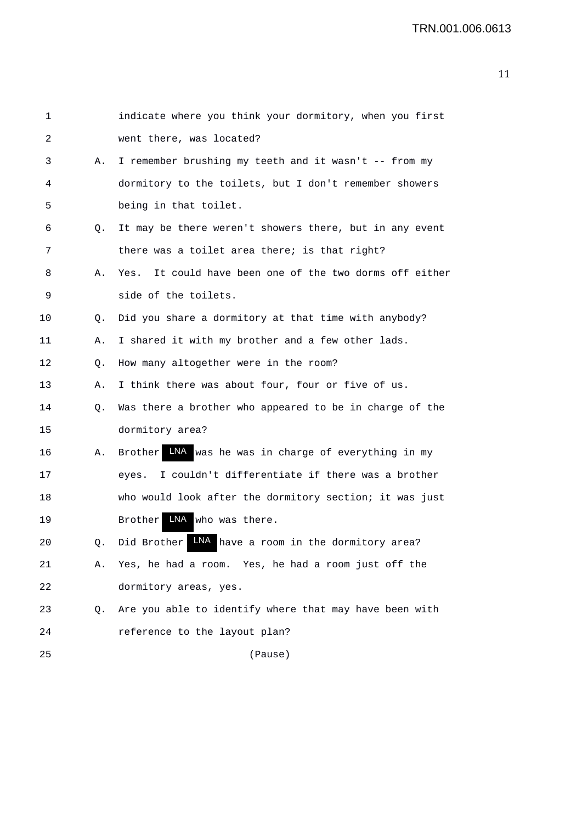| 1  |    | indicate where you think your dormitory, when you first  |
|----|----|----------------------------------------------------------|
| 2  |    | went there, was located?                                 |
| 3  | Α. | I remember brushing my teeth and it wasn't -- from my    |
| 4  |    | dormitory to the toilets, but I don't remember showers   |
| 5  |    | being in that toilet.                                    |
| 6  | Q. | It may be there weren't showers there, but in any event  |
| 7  |    | there was a toilet area there; is that right?            |
| 8  | Α. | Yes. It could have been one of the two dorms off either  |
| 9  |    | side of the toilets.                                     |
| 10 | Q. | Did you share a dormitory at that time with anybody?     |
| 11 | Α. | I shared it with my brother and a few other lads.        |
| 12 | Q. | How many altogether were in the room?                    |
| 13 | Α. | I think there was about four, four or five of us.        |
| 14 | Q. | Was there a brother who appeared to be in charge of the  |
| 15 |    | dormitory area?                                          |
| 16 | Α. | Brother INA was he was in charge of everything in my     |
| 17 |    | I couldn't differentiate if there was a brother<br>eyes. |
| 18 |    | who would look after the dormitory section; it was just  |
| 19 |    | LNA who was there.<br><b>Brother</b>                     |
| 20 | Q. | Did Brother INA have a room in the dormitory area?       |
| 21 | Α. | Yes, he had a room. Yes, he had a room just off the      |
| 22 |    | dormitory areas, yes.                                    |
| 23 | Q. | Are you able to identify where that may have been with   |
| 24 |    | reference to the layout plan?                            |
| 25 |    | (Pause)                                                  |
|    |    |                                                          |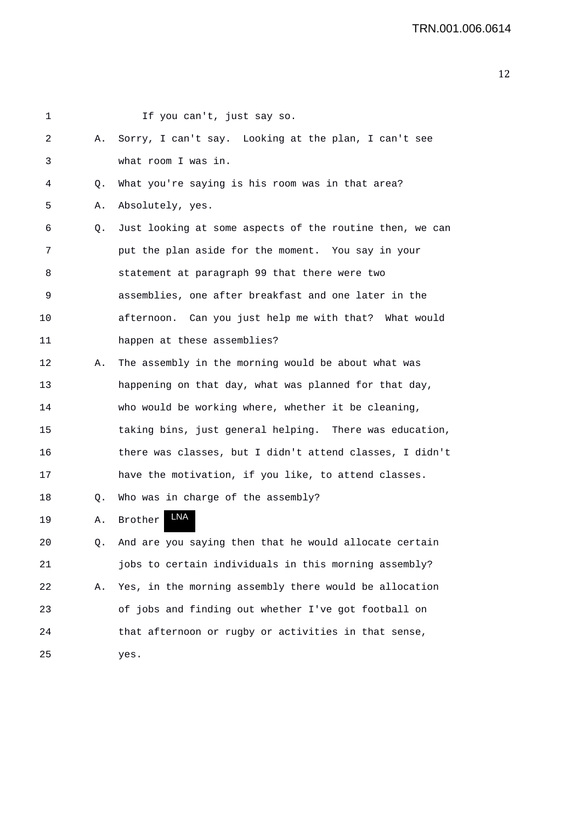| 1  |    | If you can't, just say so.                               |
|----|----|----------------------------------------------------------|
| 2  | Α. | Sorry, I can't say. Looking at the plan, I can't see     |
| 3  |    | what room I was in.                                      |
| 4  | Q. | What you're saying is his room was in that area?         |
| 5  | Α. | Absolutely, yes.                                         |
| 6  | Q. | Just looking at some aspects of the routine then, we can |
| 7  |    | put the plan aside for the moment. You say in your       |
| 8  |    | statement at paragraph 99 that there were two            |
| 9  |    | assemblies, one after breakfast and one later in the     |
| 10 |    | afternoon. Can you just help me with that? What would    |
| 11 |    | happen at these assemblies?                              |
| 12 | Α. | The assembly in the morning would be about what was      |
| 13 |    | happening on that day, what was planned for that day,    |
| 14 |    | who would be working where, whether it be cleaning,      |
| 15 |    | taking bins, just general helping. There was education,  |
| 16 |    | there was classes, but I didn't attend classes, I didn't |
| 17 |    | have the motivation, if you like, to attend classes.     |
| 18 | Q. | Who was in charge of the assembly?                       |
| 19 | Α. | LNA<br>Brother                                           |
| 20 | Q. | And are you saying then that he would allocate certain   |
| 21 |    | jobs to certain individuals in this morning assembly?    |
| 22 | Α. | Yes, in the morning assembly there would be allocation   |
| 23 |    | of jobs and finding out whether I've got football on     |
| 24 |    | that afternoon or rugby or activities in that sense,     |
| 25 |    | yes.                                                     |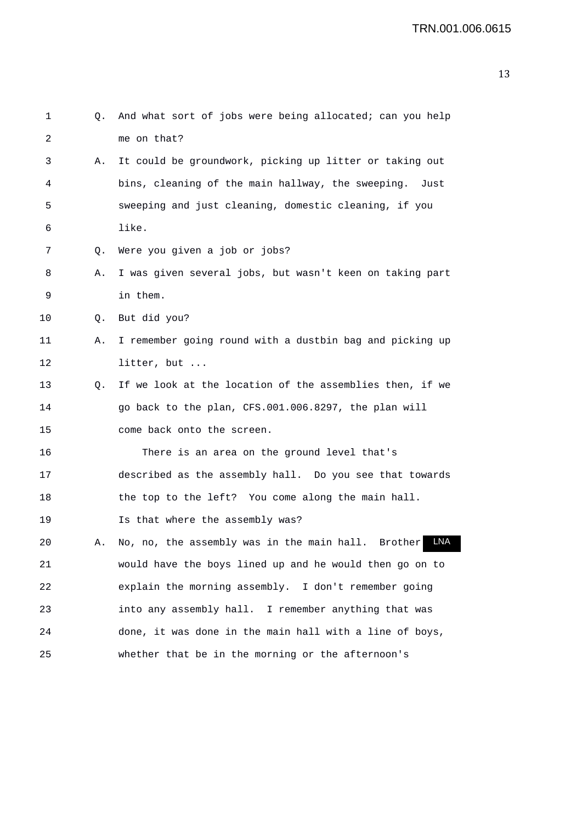| 1  | Q. | And what sort of jobs were being allocated; can you help     |
|----|----|--------------------------------------------------------------|
| 2  |    | me on that?                                                  |
| 3  | Α. | It could be groundwork, picking up litter or taking out      |
| 4  |    | bins, cleaning of the main hallway, the sweeping. Just       |
| 5  |    | sweeping and just cleaning, domestic cleaning, if you        |
| 6  |    | like.                                                        |
| 7  | Q. | Were you given a job or jobs?                                |
| 8  | Α. | I was given several jobs, but wasn't keen on taking part     |
| 9  |    | in them.                                                     |
| 10 | Q. | But did you?                                                 |
| 11 | Α. | I remember going round with a dustbin bag and picking up     |
| 12 |    | litter, but                                                  |
| 13 | Q. | If we look at the location of the assemblies then, if we     |
| 14 |    | go back to the plan, CFS.001.006.8297, the plan will         |
| 15 |    | come back onto the screen.                                   |
| 16 |    | There is an area on the ground level that's                  |
| 17 |    | described as the assembly hall. Do you see that towards      |
| 18 |    | the top to the left? You come along the main hall.           |
| 19 |    | Is that where the assembly was?                              |
| 20 | Α. | LNA<br>No, no, the assembly was in the main hall.<br>Brother |
| 21 |    | would have the boys lined up and he would then go on to      |
| 22 |    | explain the morning assembly. I don't remember going         |
| 23 |    | into any assembly hall. I remember anything that was         |
| 24 |    | done, it was done in the main hall with a line of boys,      |
| 25 |    | whether that be in the morning or the afternoon's            |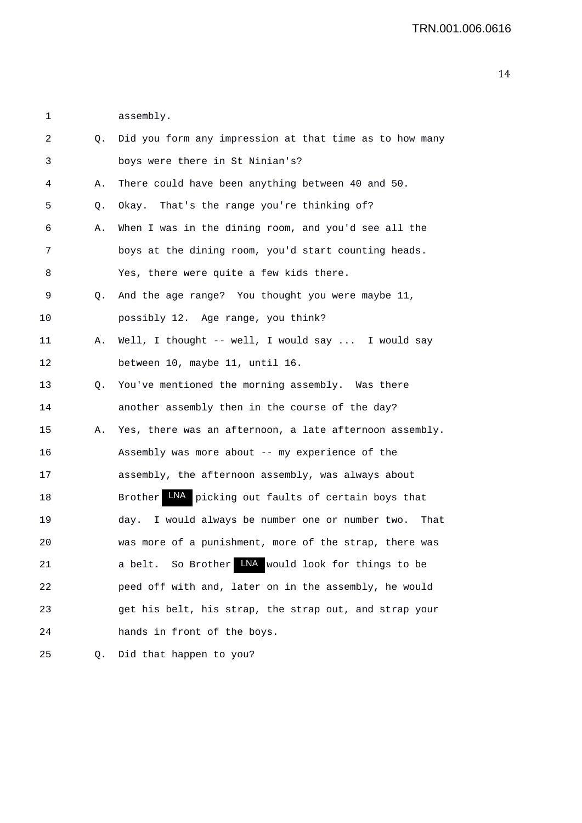1 assembly.

| 2  | Q. | Did you form any impression at that time as to how many          |
|----|----|------------------------------------------------------------------|
| 3  |    | boys were there in St Ninian's?                                  |
| 4  | Α. | There could have been anything between 40 and 50.                |
| 5  | Q. | Okay. That's the range you're thinking of?                       |
| 6  | Α. | When I was in the dining room, and you'd see all the             |
| 7  |    | boys at the dining room, you'd start counting heads.             |
| 8  |    | Yes, there were quite a few kids there.                          |
| 9  | Q. | And the age range? You thought you were maybe 11,                |
| 10 |    | possibly 12. Age range, you think?                               |
| 11 | Α. | Well, I thought -- well, I would say  I would say                |
| 12 |    | between 10, maybe 11, until 16.                                  |
| 13 | Q. | You've mentioned the morning assembly. Was there                 |
| 14 |    | another assembly then in the course of the day?                  |
| 15 | А. | Yes, there was an afternoon, a late afternoon assembly.          |
| 16 |    | Assembly was more about -- my experience of the                  |
| 17 |    | assembly, the afternoon assembly, was always about               |
| 18 |    | LNA<br>picking out faults of certain boys that<br><b>Brother</b> |
| 19 |    | day. I would always be number one or number two.<br>That         |
| 20 |    | was more of a punishment, more of the strap, there was           |
| 21 |    | So Brother LNA would look for things to be<br>a belt.            |
| 22 |    | peed off with and, later on in the assembly, he would            |
| 23 |    | get his belt, his strap, the strap out, and strap your           |
| 24 |    | hands in front of the boys.                                      |
| 25 | Q. | Did that happen to you?                                          |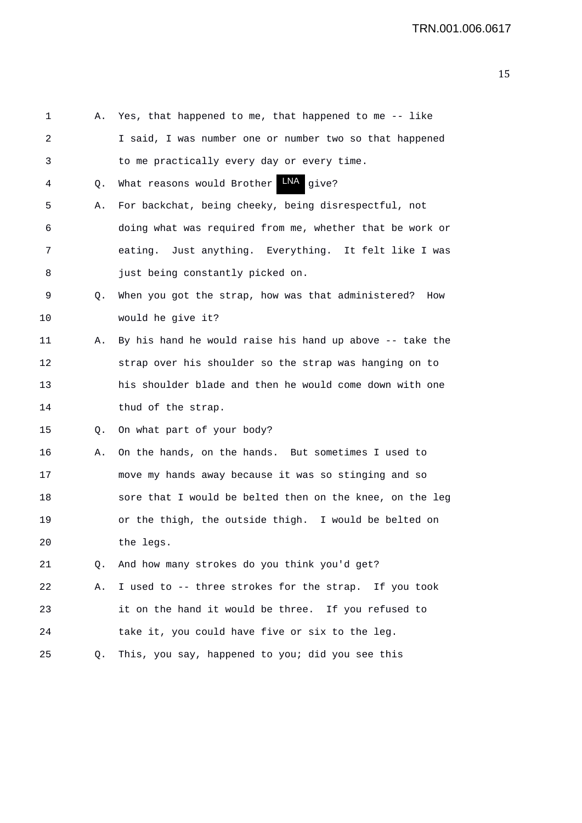1 A. Yes, that happened to me, that happened to me -- like 2 I said, I was number one or number two so that happened 3 to me practically every day or every time. 4 Q. What reasons would Brother LNA give? 5 A. For backchat, being cheeky, being disrespectful, not 6 doing what was required from me, whether that be work or 7 eating. Just anything. Everything. It felt like I was 8 just being constantly picked on. 9 Q. When you got the strap, how was that administered? How 10 would he give it? 11 A. By his hand he would raise his hand up above -- take the 12 strap over his shoulder so the strap was hanging on to 13 his shoulder blade and then he would come down with one 14 thud of the strap. 15 Q. On what part of your body? 16 A. On the hands, on the hands. But sometimes I used to 17 move my hands away because it was so stinging and so 18 sore that I would be belted then on the knee, on the leg 19 or the thigh, the outside thigh. I would be belted on 20 the legs. 21 Q. And how many strokes do you think you'd get? 22 A. I used to -- three strokes for the strap. If you took 23 it on the hand it would be three. If you refused to 24 take it, you could have five or six to the leg. 25 Q. This, you say, happened to you; did you see this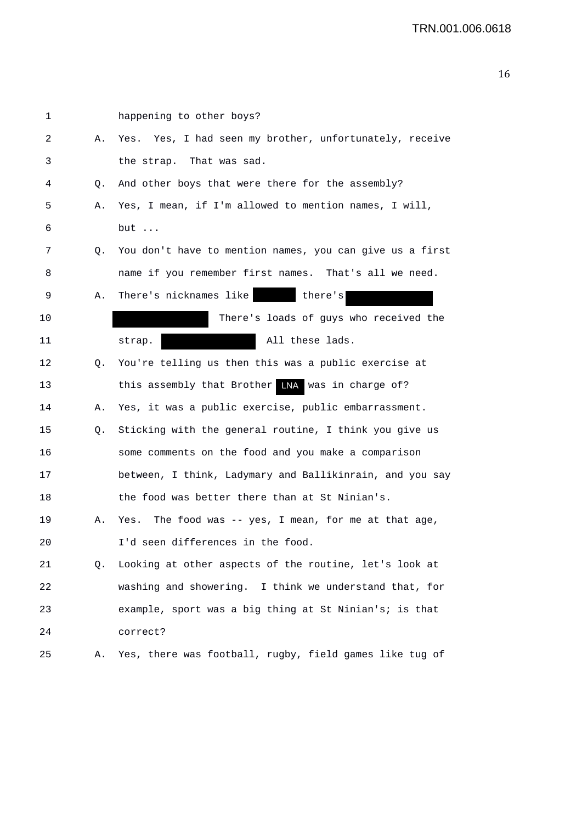| 1  |    | happening to other boys?                                 |
|----|----|----------------------------------------------------------|
| 2  | Α. | Yes. Yes, I had seen my brother, unfortunately, receive  |
| 3  |    | the strap. That was sad.                                 |
| 4  | Q. | And other boys that were there for the assembly?         |
| 5  | Α. | Yes, I mean, if I'm allowed to mention names, I will,    |
| 6  |    | but                                                      |
| 7  | Q. | You don't have to mention names, you can give us a first |
| 8  |    | name if you remember first names. That's all we need.    |
| 9  | Α. | There's nicknames like<br>there's                        |
| 10 |    | There's loads of guys who received the                   |
| 11 |    | All these lads.<br>strap.                                |
| 12 | Q. | You're telling us then this was a public exercise at     |
| 13 |    | this assembly that Brother LNA was in charge of?         |
| 14 | Α. | Yes, it was a public exercise, public embarrassment.     |
| 15 | Q. | Sticking with the general routine, I think you give us   |
| 16 |    | some comments on the food and you make a comparison      |
| 17 |    | between, I think, Ladymary and Ballikinrain, and you say |
| 18 |    | the food was better there than at St Ninian's.           |
| 19 | Α. | The food was -- yes, I mean, for me at that age,<br>Yes. |
| 20 |    | I'd seen differences in the food.                        |
| 21 | Q. | Looking at other aspects of the routine, let's look at   |
| 22 |    | washing and showering. I think we understand that, for   |
| 23 |    | example, sport was a big thing at St Ninian's; is that   |
| 24 |    | correct?                                                 |
| 25 | Α. | Yes, there was football, rugby, field games like tug of  |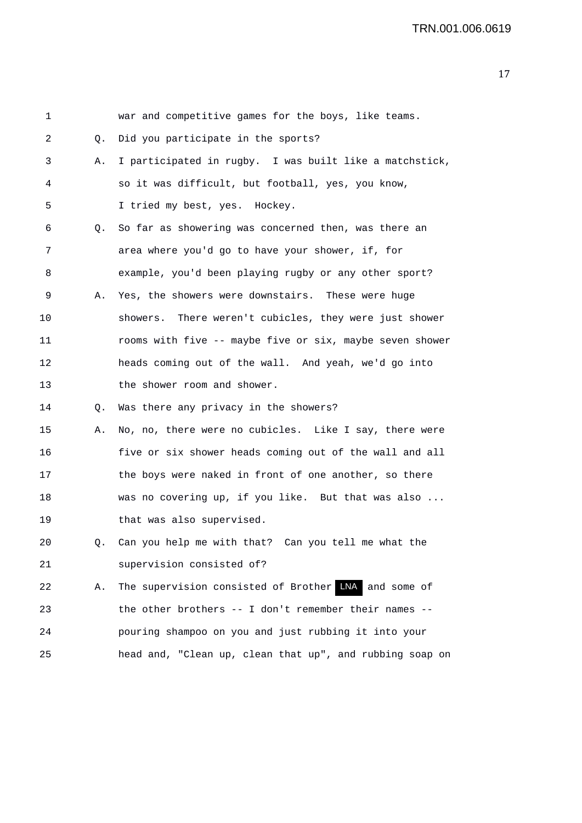| 1  |    | war and competitive games for the boys, like teams.      |
|----|----|----------------------------------------------------------|
| 2  | Q. | Did you participate in the sports?                       |
| 3  | Α. | I participated in rugby. I was built like a matchstick,  |
| 4  |    | so it was difficult, but football, yes, you know,        |
| 5  |    | I tried my best, yes. Hockey.                            |
| 6  | Q. | So far as showering was concerned then, was there an     |
| 7  |    | area where you'd go to have your shower, if, for         |
| 8  |    | example, you'd been playing rugby or any other sport?    |
| 9  | Α. | Yes, the showers were downstairs. These were huge        |
| 10 |    | showers. There weren't cubicles, they were just shower   |
| 11 |    | rooms with five -- maybe five or six, maybe seven shower |
| 12 |    | heads coming out of the wall. And yeah, we'd go into     |
| 13 |    | the shower room and shower.                              |
| 14 | Q. | Was there any privacy in the showers?                    |
| 15 | Α. | No, no, there were no cubicles. Like I say, there were   |
| 16 |    | five or six shower heads coming out of the wall and all  |
| 17 |    | the boys were naked in front of one another, so there    |
| 18 |    | was no covering up, if you like. But that was also       |
| 19 |    | that was also supervised.                                |
| 20 | Q. | Can you help me with that? Can you tell me what the      |
| 21 |    | supervision consisted of?                                |
| 22 | Α. | The supervision consisted of Brother LNA<br>and some of  |
| 23 |    | the other brothers -- I don't remember their names --    |
| 24 |    | pouring shampoo on you and just rubbing it into your     |
| 25 |    | head and, "Clean up, clean that up", and rubbing soap on |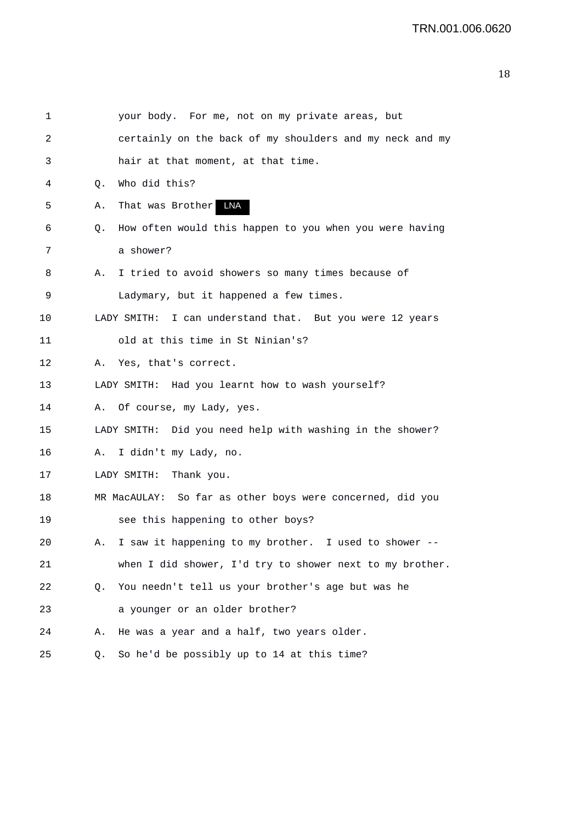| 1  |    | your body. For me, not on my private areas, but             |
|----|----|-------------------------------------------------------------|
| 2  |    | certainly on the back of my shoulders and my neck and my    |
| 3  |    | hair at that moment, at that time.                          |
| 4  | Q. | Who did this?                                               |
| 5  | Α. | That was Brother LNA                                        |
| 6  | Q. | How often would this happen to you when you were having     |
| 7  |    | a shower?                                                   |
| 8  | Α. | I tried to avoid showers so many times because of           |
| 9  |    | Ladymary, but it happened a few times.                      |
| 10 |    | I can understand that. But you were 12 years<br>LADY SMITH: |
| 11 |    | old at this time in St Ninian's?                            |
| 12 | Α. | Yes, that's correct.                                        |
| 13 |    | LADY SMITH: Had you learnt how to wash yourself?            |
| 14 | Α. | Of course, my Lady, yes.                                    |
| 15 |    | LADY SMITH: Did you need help with washing in the shower?   |
| 16 |    | A. I didn't my Lady, no.                                    |
| 17 |    | LADY SMITH: Thank you.                                      |
| 18 |    | MR MacAULAY: So far as other boys were concerned, did you   |
| 19 |    | see this happening to other boys?                           |
| 20 | Α. | I saw it happening to my brother. I used to shower --       |
| 21 |    | when I did shower, I'd try to shower next to my brother.    |
| 22 | Q. | You needn't tell us your brother's age but was he           |
| 23 |    | a younger or an older brother?                              |
| 24 | Α. | He was a year and a half, two years older.                  |
| 25 | Q. | So he'd be possibly up to 14 at this time?                  |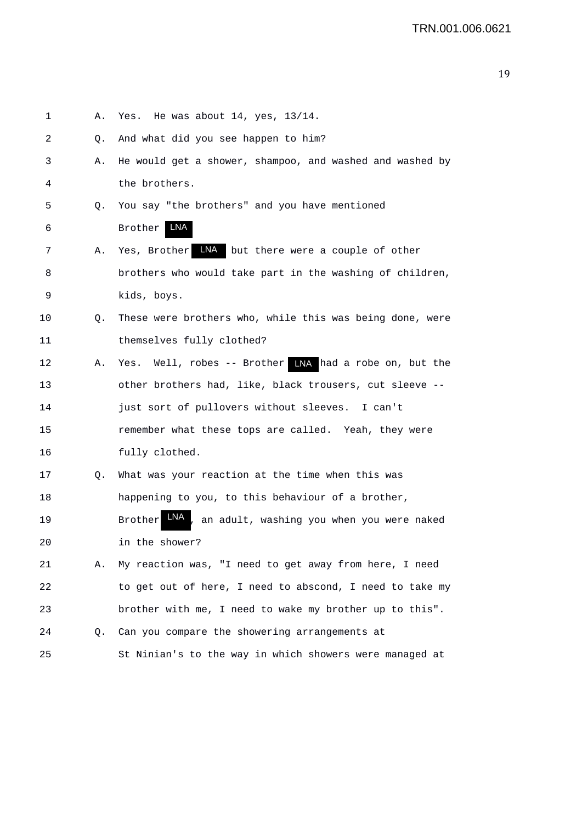| 1  | Α. | Yes. He was about $14$ , yes, $13/14$ .                              |
|----|----|----------------------------------------------------------------------|
| 2  | Q. | And what did you see happen to him?                                  |
| 3  | Α. | He would get a shower, shampoo, and washed and washed by             |
| 4  |    | the brothers.                                                        |
| 5  | Q. | You say "the brothers" and you have mentioned                        |
| 6  |    | LNA<br>Brother                                                       |
| 7  | Α. | LNA but there were a couple of other<br>Yes, Brother                 |
| 8  |    | brothers who would take part in the washing of children,             |
| 9  |    | kids, boys.                                                          |
| 10 | Q. | These were brothers who, while this was being done, were             |
| 11 |    | themselves fully clothed?                                            |
| 12 | Α. | Yes. Well, robes -- Brother LNA had a robe on, but the               |
| 13 |    | other brothers had, like, black trousers, cut sleeve --              |
| 14 |    | just sort of pullovers without sleeves. I can't                      |
| 15 |    | remember what these tops are called. Yeah, they were                 |
| 16 |    | fully clothed.                                                       |
| 17 | Q. | What was your reaction at the time when this was                     |
| 18 |    | happening to you, to this behaviour of a brother,                    |
| 19 |    | LNA<br>, an adult, washing you when you were naked<br><b>Brother</b> |
| 20 |    | in the shower?                                                       |
| 21 | Α. | My reaction was, "I need to get away from here, I need               |
| 22 |    | to get out of here, I need to abscond, I need to take my             |
| 23 |    | brother with me, I need to wake my brother up to this".              |
| 24 | Q. | Can you compare the showering arrangements at                        |
| 25 |    | St Ninian's to the way in which showers were managed at              |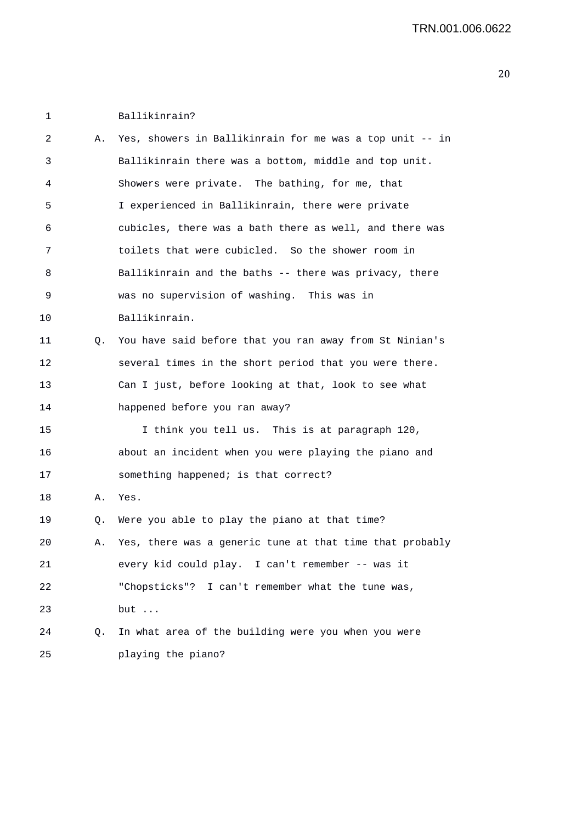1 Ballikinrain?

| 2  | Α. | Yes, showers in Ballikinrain for me was a top unit -- in |
|----|----|----------------------------------------------------------|
| 3  |    | Ballikinrain there was a bottom, middle and top unit.    |
| 4  |    | Showers were private. The bathing, for me, that          |
| 5  |    | I experienced in Ballikinrain, there were private        |
| 6  |    | cubicles, there was a bath there as well, and there was  |
| 7  |    | toilets that were cubicled. So the shower room in        |
| 8  |    | Ballikinrain and the baths -- there was privacy, there   |
| 9  |    | was no supervision of washing. This was in               |
| 10 |    | Ballikinrain.                                            |
| 11 | Q. | You have said before that you ran away from St Ninian's  |
| 12 |    | several times in the short period that you were there.   |
| 13 |    | Can I just, before looking at that, look to see what     |
| 14 |    | happened before you ran away?                            |
| 15 |    | I think you tell us. This is at paragraph 120,           |
| 16 |    | about an incident when you were playing the piano and    |
| 17 |    | something happened; is that correct?                     |
| 18 | Α. | Yes.                                                     |
| 19 | Q. | Were you able to play the piano at that time?            |
| 20 | Α. | Yes, there was a generic tune at that time that probably |
| 21 |    | every kid could play. I can't remember -- was it         |
| 22 |    | "Chopsticks"? I can't remember what the tune was,        |
| 23 |    | but                                                      |
| 24 | Q. | In what area of the building were you when you were      |
| 25 |    | playing the piano?                                       |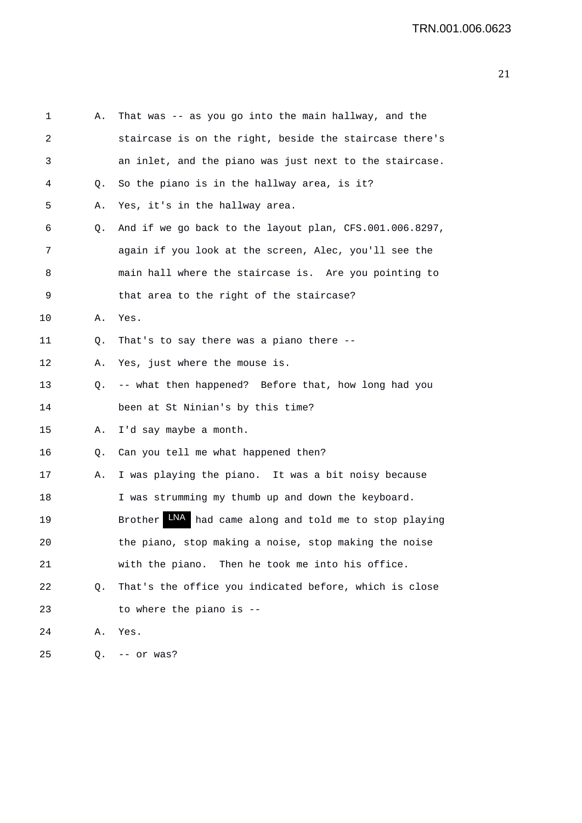| 1  | Α. | That was -- as you go into the main hallway, and the      |
|----|----|-----------------------------------------------------------|
| 2  |    | staircase is on the right, beside the staircase there's   |
| 3  |    | an inlet, and the piano was just next to the staircase.   |
| 4  | Q. | So the piano is in the hallway area, is it?               |
| 5  | Α. | Yes, it's in the hallway area.                            |
| 6  | Q. | And if we go back to the layout plan, CFS.001.006.8297,   |
| 7  |    | again if you look at the screen, Alec, you'll see the     |
| 8  |    | main hall where the staircase is. Are you pointing to     |
| 9  |    | that area to the right of the staircase?                  |
| 10 | Α. | Yes.                                                      |
| 11 | Q. | That's to say there was a piano there --                  |
| 12 | Α. | Yes, just where the mouse is.                             |
| 13 | Q. | -- what then happened? Before that, how long had you      |
| 14 |    | been at St Ninian's by this time?                         |
| 15 | Α. | I'd say maybe a month.                                    |
| 16 | Q. | Can you tell me what happened then?                       |
| 17 | Α. | I was playing the piano. It was a bit noisy because       |
| 18 |    | I was strumming my thumb up and down the keyboard.        |
| 19 |    | LNA had came along and told me to stop playing<br>Brother |
| 20 |    | the piano, stop making a noise, stop making the noise     |
| 21 |    | with the piano. Then he took me into his office.          |
| 22 | Q. | That's the office you indicated before, which is close    |
| 23 |    | to where the piano is --                                  |
| 24 | Α. | Yes.                                                      |
| 25 | Q. | -- or was?                                                |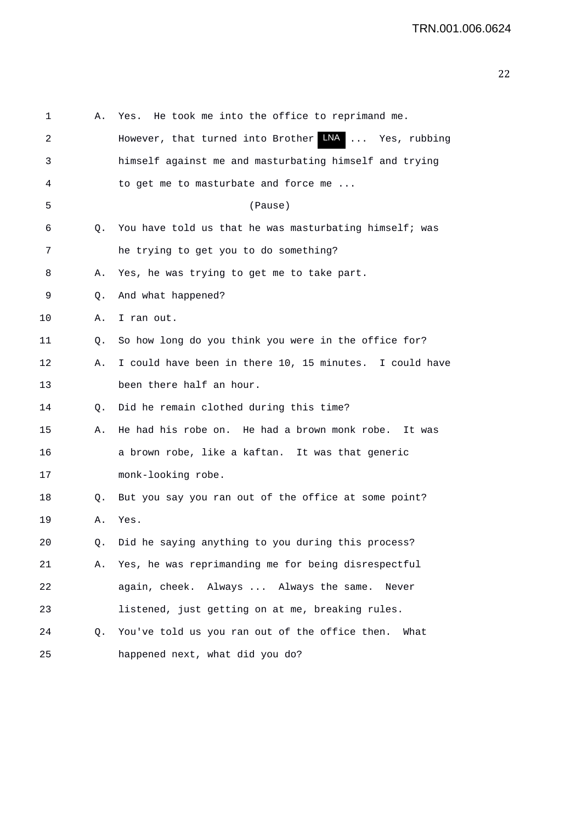| 1  | Α. | He took me into the office to reprimand me.<br>Yes.     |
|----|----|---------------------------------------------------------|
| 2  |    | However, that turned into Brother LNA  Yes, rubbing     |
| 3  |    | himself against me and masturbating himself and trying  |
| 4  |    | to get me to masturbate and force me                    |
| 5  |    | (Pause)                                                 |
| 6  | О. | You have told us that he was masturbating himself; was  |
| 7  |    | he trying to get you to do something?                   |
| 8  | Α. | Yes, he was trying to get me to take part.              |
| 9  | Q. | And what happened?                                      |
| 10 | Α. | I ran out.                                              |
| 11 | Q. | So how long do you think you were in the office for?    |
| 12 | А. | I could have been in there 10, 15 minutes. I could have |
| 13 |    | been there half an hour.                                |
| 14 | Q. | Did he remain clothed during this time?                 |
| 15 | Α. | He had his robe on. He had a brown monk robe.<br>It was |
| 16 |    | a brown robe, like a kaftan. It was that generic        |
| 17 |    | monk-looking robe.                                      |
| 18 | Q. | But you say you ran out of the office at some point?    |
| 19 | А. | Yes.                                                    |
| 20 | Q. | Did he saying anything to you during this process?      |
| 21 | Α. | Yes, he was reprimanding me for being disrespectful     |
| 22 |    | again, cheek. Always  Always the same.<br>Never         |
| 23 |    | listened, just getting on at me, breaking rules.        |
| 24 | Q. | You've told us you ran out of the office then.<br>What  |
| 25 |    | happened next, what did you do?                         |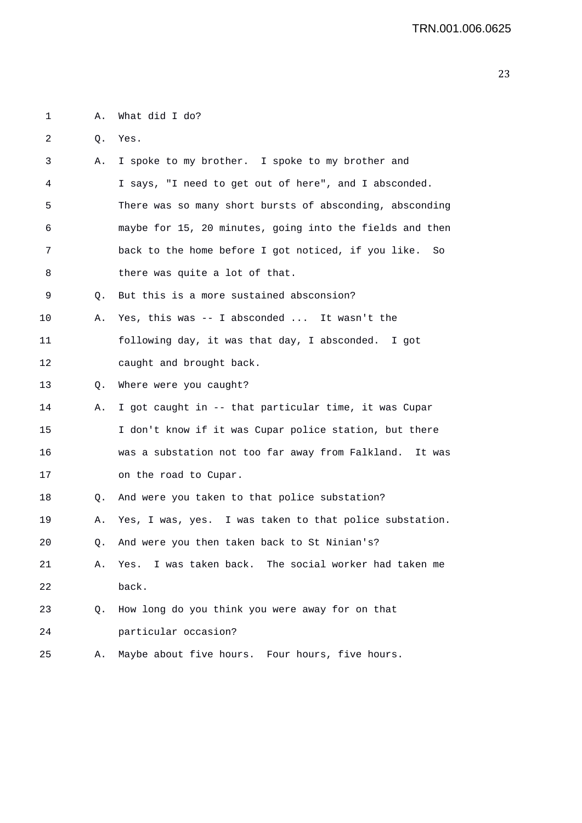1 A. What did I do?

2 Q. Yes.

| 3  | Α. | I spoke to my brother. I spoke to my brother and          |
|----|----|-----------------------------------------------------------|
| 4  |    | I says, "I need to get out of here", and I absconded.     |
| 5  |    | There was so many short bursts of absconding, absconding  |
| 6  |    | maybe for 15, 20 minutes, going into the fields and then  |
| 7  |    | back to the home before I got noticed, if you like.<br>So |
| 8  |    | there was quite a lot of that.                            |
| 9  | Q. | But this is a more sustained absconsion?                  |
| 10 | Α. | Yes, this was -- I absconded  It wasn't the               |
| 11 |    | following day, it was that day, I absconded. I got        |
| 12 |    | caught and brought back.                                  |
| 13 | Q. | Where were you caught?                                    |
| 14 | Α. | I got caught in -- that particular time, it was Cupar     |
| 15 |    | I don't know if it was Cupar police station, but there    |
| 16 |    | was a substation not too far away from Falkland. It was   |
| 17 |    | on the road to Cupar.                                     |
| 18 | Q. | And were you taken to that police substation?             |
| 19 | Α. | Yes, I was, yes. I was taken to that police substation.   |
| 20 | О. | And were you then taken back to St Ninian's?              |
| 21 | Α. | I was taken back. The social worker had taken me<br>Yes.  |
| 22 |    | back.                                                     |
| 23 | Q. | How long do you think you were away for on that           |
| 24 |    | particular occasion?                                      |
| 25 | Α. | Maybe about five hours. Four hours, five hours.           |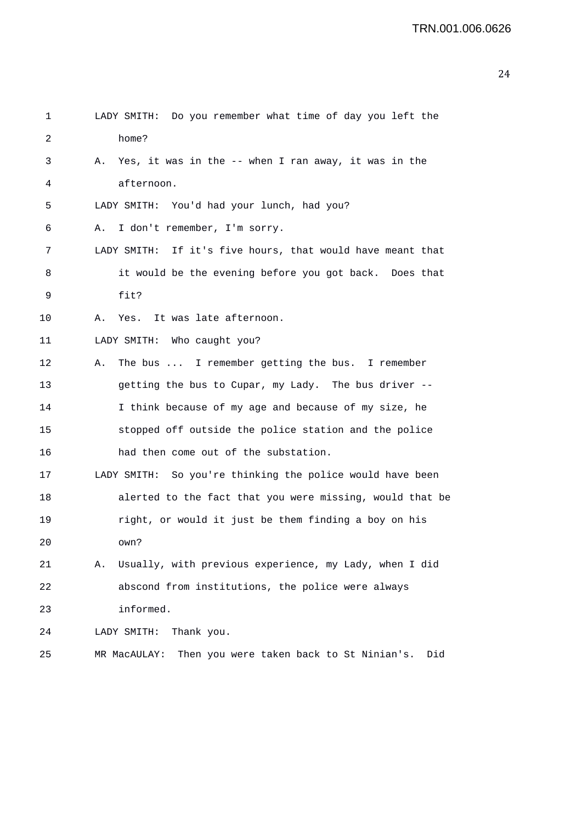| 1  | LADY SMITH: Do you remember what time of day you left the       |
|----|-----------------------------------------------------------------|
| 2  | home?                                                           |
| 3  | Yes, it was in the -- when I ran away, it was in the<br>Α.      |
| 4  | afternoon.                                                      |
| 5  | LADY SMITH: You'd had your lunch, had you?                      |
| 6  | I don't remember, I'm sorry.<br>Α.                              |
| 7  | LADY SMITH: If it's five hours, that would have meant that      |
| 8  | it would be the evening before you got back. Does that          |
| 9  | fit?                                                            |
| 10 | It was late afternoon.<br>Α.<br>Yes.                            |
| 11 | LADY SMITH: Who caught you?                                     |
| 12 | The bus  I remember getting the bus. I remember<br>Α.           |
| 13 | getting the bus to Cupar, my Lady. The bus driver --            |
| 14 | I think because of my age and because of my size, he            |
| 15 | stopped off outside the police station and the police           |
| 16 | had then come out of the substation.                            |
| 17 | LADY SMITH: So you're thinking the police would have been       |
| 18 | alerted to the fact that you were missing, would that be        |
| 19 | right, or would it just be them finding a boy on his            |
| 20 | own?                                                            |
| 21 | Usually, with previous experience, my Lady, when I did<br>Α.    |
| 22 | abscond from institutions, the police were always               |
| 23 | informed.                                                       |
| 24 | Thank you.<br>LADY SMITH:                                       |
| 25 | Then you were taken back to St Ninian's.<br>MR MacAULAY:<br>Did |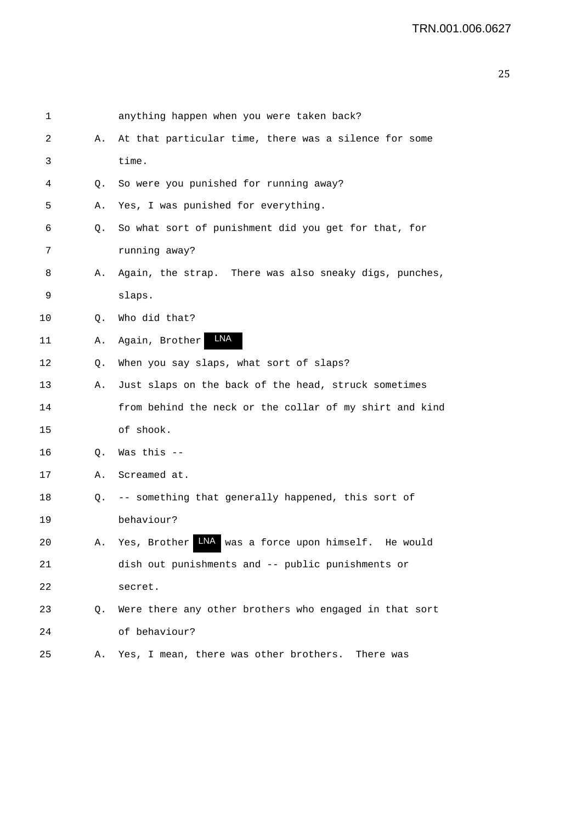| 1       |    | anything happen when you were taken back?               |
|---------|----|---------------------------------------------------------|
| 2       | А. | At that particular time, there was a silence for some   |
| 3       |    | time.                                                   |
| 4       | Q. | So were you punished for running away?                  |
| 5       | А. | Yes, I was punished for everything.                     |
| 6       | Q. | So what sort of punishment did you get for that, for    |
| 7       |    | running away?                                           |
| 8       | А. | Again, the strap. There was also sneaky digs, punches,  |
| 9       |    | slaps.                                                  |
| $10 \,$ | Q. | Who did that?                                           |
| 11      | Α. | LNA<br>Again, Brother                                   |
| 12      | Q. | When you say slaps, what sort of slaps?                 |
| 13      | Α. | Just slaps on the back of the head, struck sometimes    |
| 14      |    | from behind the neck or the collar of my shirt and kind |
| 15      |    | of shook.                                               |
| 16      | Q. | Was this --                                             |
| 17      | А. | Screamed at.                                            |
| 18      | Q. | -- something that generally happened, this sort of      |
| 19      |    | behaviour?                                              |
| 20      | Α. | INA was a force upon himself. He would<br>Yes, Brother  |
| 21      |    | dish out punishments and -- public punishments or       |
| 22      |    | secret.                                                 |
| 23      | Q. | Were there any other brothers who engaged in that sort  |
| 24      |    | of behaviour?                                           |
| 25      | Α. | Yes, I mean, there was other brothers.<br>There was     |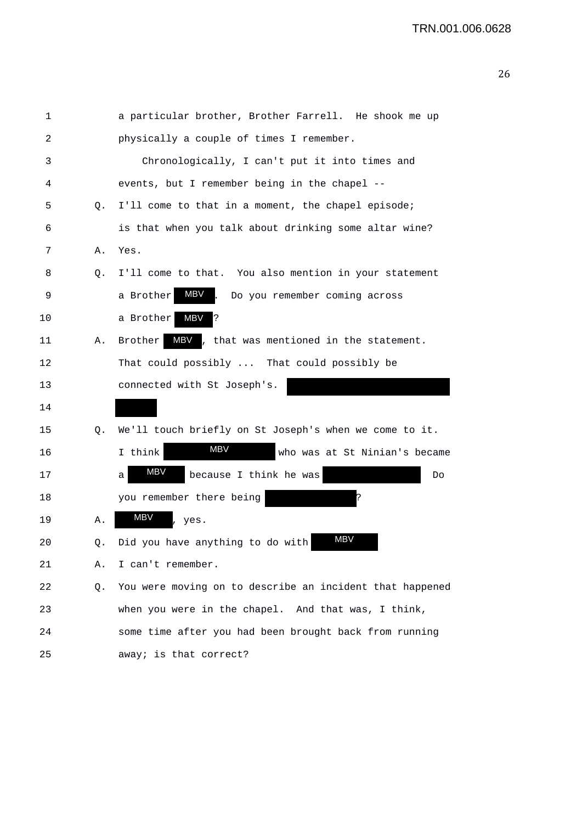```
1 a particular brother, Brother Farrell. He shook me up 
2 physically a couple of times I remember. 
3 Chronologically, I can't put it into times and 
4 events, but I remember being in the chapel -- 
5 Q. I'll come to that in a moment, the chapel episode; 
6 is that when you talk about drinking some altar wine? 
7 A. Yes. 
8 Q. I'll come to that. You also mention in your statement 
9 a Brother MBV. Do you remember coming across
10 a Brother MBV ?
11 A. Brother MBV, that was mentioned in the statement.
12 That could possibly ... That could possibly be 
13 connected with St Joseph's. 
14 
15 Q. We'll touch briefly on St Joseph's when we come to it. 
16 16 I think MBV who was at St Ninian's became
17 a MBV because I think he was Do
18 you remember there being
19 A. MBV, yes.20 Q. Did you have anything to do with
21 A. I can't remember. 
22 Q. You were moving on to describe an incident that happened 
23 when you were in the chapel. And that was, I think, 
24 some time after you had been brought back from running 
25 away; is that correct? 
                       MBV
                   MBV
                                        MBV
                   MB<sub>V</sub>
             MBV
              MBV
```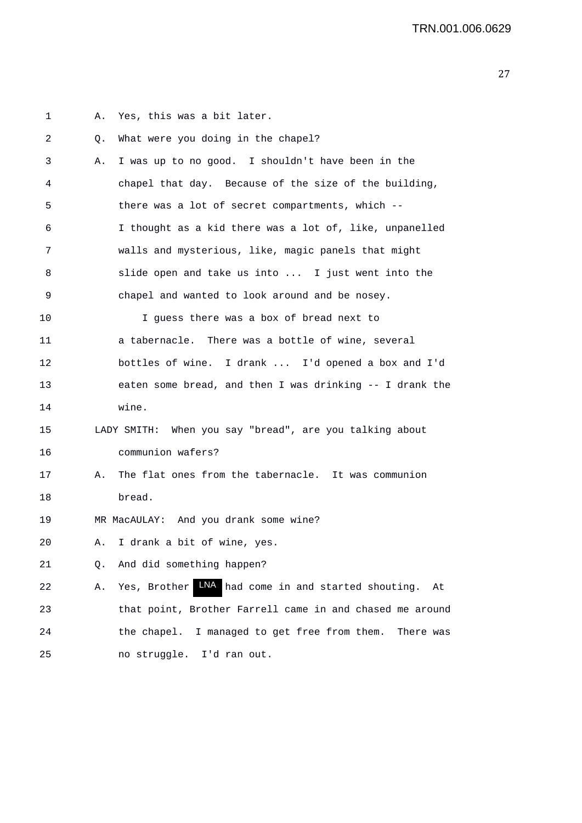1 A. Yes, this was a bit later. 2 Q. What were you doing in the chapel? 3 A. I was up to no good. I shouldn't have been in the 4 chapel that day. Because of the size of the building, 5 there was a lot of secret compartments, which -- 6 I thought as a kid there was a lot of, like, unpanelled 7 walls and mysterious, like, magic panels that might 8 slide open and take us into ... I just went into the 9 chapel and wanted to look around and be nosey. 10 I guess there was a box of bread next to 11 a tabernacle. There was a bottle of wine, several 12 bottles of wine. I drank ... I'd opened a box and I'd 13 eaten some bread, and then I was drinking -- I drank the 14 wine. 15 LADY SMITH: When you say "bread", are you talking about 16 communion wafers? 17 A. The flat ones from the tabernacle. It was communion 18 bread. 19 MR MacAULAY: And you drank some wine? 20 A. I drank a bit of wine, yes. 21 Q. And did something happen? 22 A. Yes, Brother AN had come in and started shouting. At 23 that point, Brother Farrell came in and chased me around 24 the chapel. I managed to get free from them. There was 25 no struggle. I'd ran out.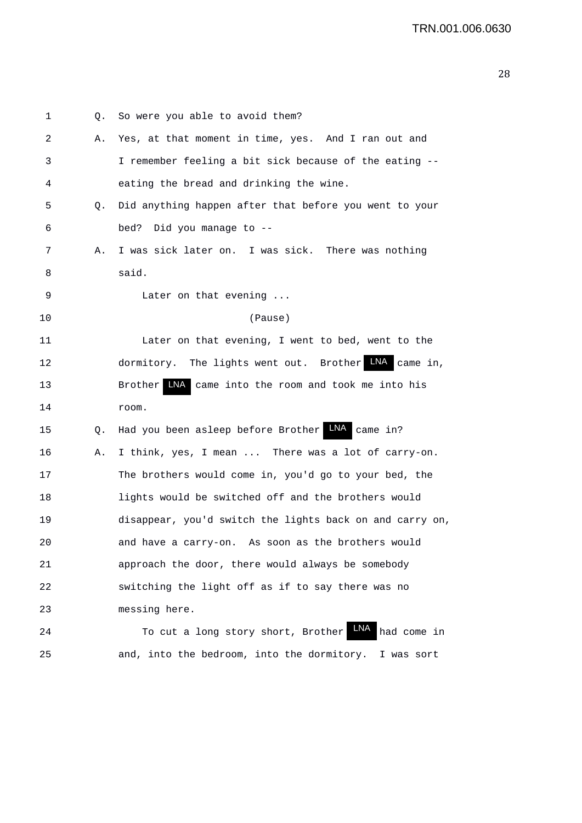| 1  | Q. | So were you able to avoid them?                            |
|----|----|------------------------------------------------------------|
| 2  | Α. | Yes, at that moment in time, yes. And I ran out and        |
| 3  |    | I remember feeling a bit sick because of the eating --     |
| 4  |    | eating the bread and drinking the wine.                    |
| 5  | Q. | Did anything happen after that before you went to your     |
| 6  |    | bed? Did you manage to --                                  |
| 7  | Α. | I was sick later on. I was sick. There was nothing         |
| 8  |    | said.                                                      |
| 9  |    | Later on that evening $\ldots$                             |
| 10 |    | (Pause)                                                    |
| 11 |    | Later on that evening, I went to bed, went to the          |
| 12 |    | LNA<br>dormitory. The lights went out. Brother<br>came in, |
| 13 |    | Brother LNA<br>came into the room and took me into his     |
| 14 |    | room.                                                      |
| 15 | Q. | Had you been asleep before Brother LNA came in?            |
| 16 | Α. | I think, yes, I mean  There was a lot of carry-on.         |
| 17 |    | The brothers would come in, you'd go to your bed, the      |
| 18 |    | lights would be switched off and the brothers would        |
| 19 |    | disappear, you'd switch the lights back on and carry on,   |
| 20 |    | As soon as the brothers would<br>and have a carry-on.      |
| 21 |    | approach the door, there would always be somebody          |
| 22 |    | switching the light off as if to say there was no          |
| 23 |    | messing here.                                              |
| 24 |    | LNA<br>To cut a long story short, Brother<br>had come in   |
| 25 |    | and, into the bedroom, into the dormitory. I was sort      |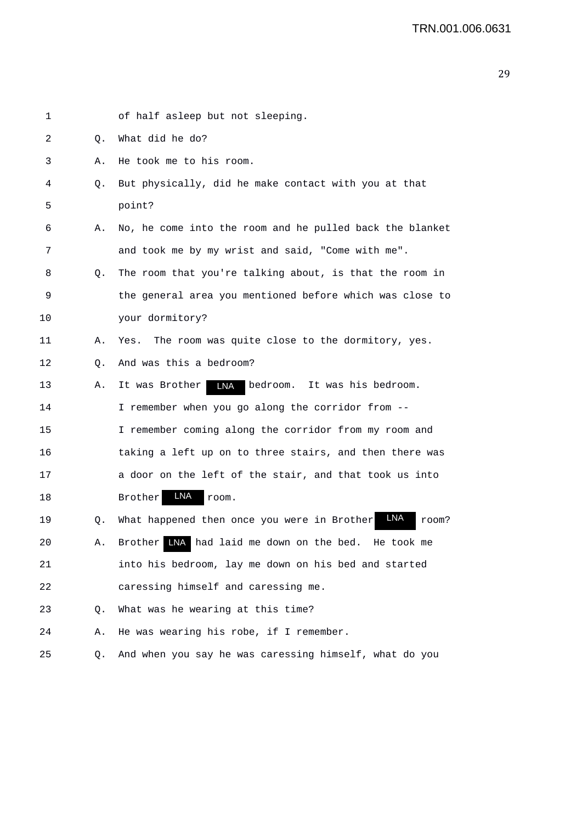| 1  |    | of half asleep but not sleeping.                             |
|----|----|--------------------------------------------------------------|
| 2  | Q. | What did he do?                                              |
| 3  | Α. | He took me to his room.                                      |
| 4  | Q. | But physically, did he make contact with you at that         |
| 5  |    | point?                                                       |
| 6  | Α. | No, he come into the room and he pulled back the blanket     |
| 7  |    | and took me by my wrist and said, "Come with me".            |
| 8  | Q. | The room that you're talking about, is that the room in      |
| 9  |    | the general area you mentioned before which was close to     |
| 10 |    | your dormitory?                                              |
| 11 | Α. | The room was quite close to the dormitory, yes.<br>Yes.      |
| 12 | Q. | And was this a bedroom?                                      |
| 13 | Α. | <b>LNA</b><br>It was Brother<br>bedroom. It was his bedroom. |
| 14 |    | I remember when you go along the corridor from --            |
| 15 |    | I remember coming along the corridor from my room and        |
| 16 |    | taking a left up on to three stairs, and then there was      |
| 17 |    | a door on the left of the stair, and that took us into       |
| 18 |    | LNA<br>Brother<br>room.                                      |
| 19 | Q. | LNA<br>What happened then once you were in Brother<br>room?  |
| 20 | Α. | Brother INA had laid me down on the bed. He took             |
| 21 |    | into his bedroom, lay me down on his bed and started         |
| 22 |    | caressing himself and caressing me.                          |
| 23 | Q. | What was he wearing at this time?                            |
| 24 | Α. | He was wearing his robe, if I remember.                      |
| 25 | Q. | And when you say he was caressing himself, what do you       |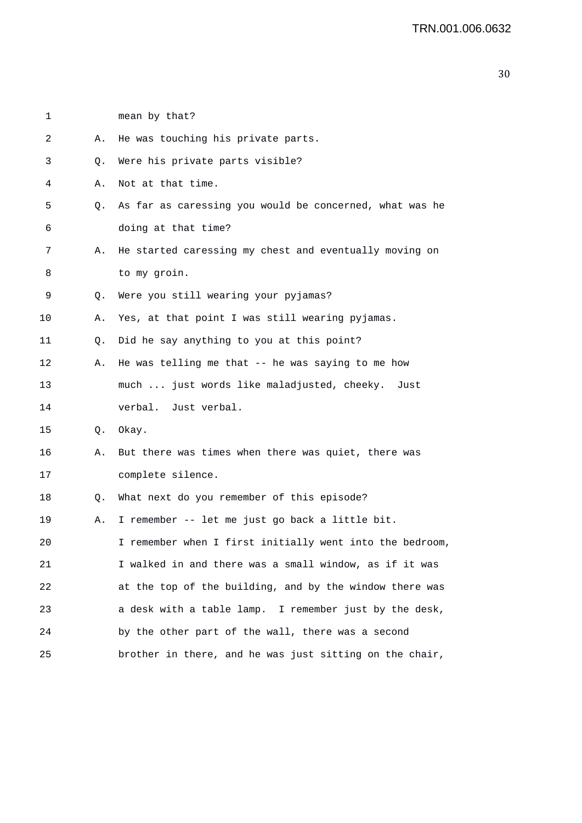3 Q. Were his private parts visible? 4 A. Not at that time. 5 Q. As far as caressing you would be concerned, what was he 6 doing at that time? 7 A. He started caressing my chest and eventually moving on 8 to my groin. 9 Q. Were you still wearing your pyjamas? 10 A. Yes, at that point I was still wearing pyjamas. 11 Q. Did he say anything to you at this point? 12 A. He was telling me that -- he was saying to me how 13 much ... just words like maladjusted, cheeky. Just 14 verbal. Just verbal. 15 Q. Okay. 16 A. But there was times when there was quiet, there was 17 complete silence. 18 Q. What next do you remember of this episode? 19 A. I remember -- let me just go back a little bit. 20 I remember when I first initially went into the bedroom, 21 I walked in and there was a small window, as if it was 22 at the top of the building, and by the window there was 23 a desk with a table lamp. I remember just by the desk, 24 by the other part of the wall, there was a second 25 brother in there, and he was just sitting on the chair,

1 mean by that?

2 A. He was touching his private parts.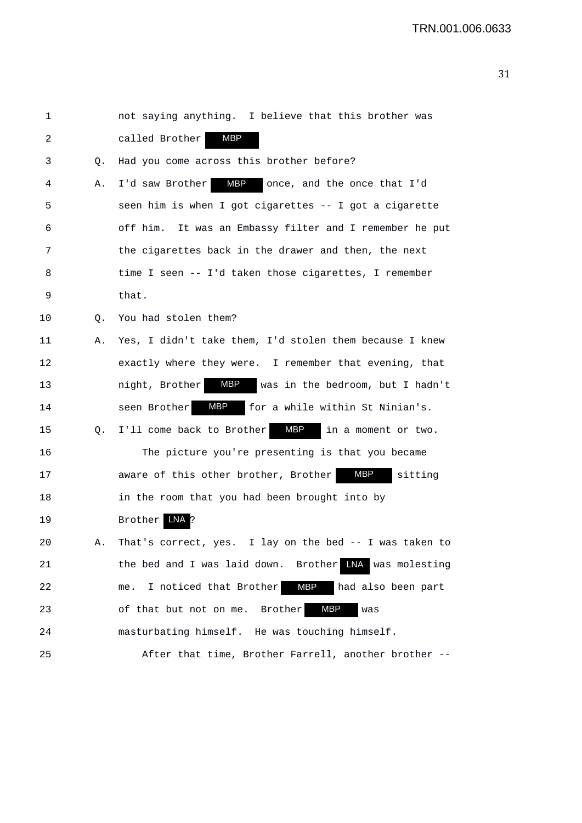| 1  |    | not saying anything. I believe that this brother was             |
|----|----|------------------------------------------------------------------|
| 2  |    | MBP<br>called Brother                                            |
| 3  | Q. | Had you come across this brother before?                         |
| 4  | Α. | MBP<br>I'd saw Brother<br>once, and the once that I'd            |
| 5  |    | seen him is when I got cigarettes -- I got a cigarette           |
| 6  |    | off him. It was an Embassy filter and I remember he put          |
| 7  |    | the cigarettes back in the drawer and then, the next             |
| 8  |    | time I seen -- I'd taken those cigarettes, I remember            |
| 9  |    | that.                                                            |
| 10 | Q. | You had stolen them?                                             |
| 11 | Α. | Yes, I didn't take them, I'd stolen them because I knew          |
| 12 |    | exactly where they were. I remember that evening, that           |
| 13 |    | <b>MBP</b><br>night, Brother<br>was in the bedroom, but I hadn't |
| 14 |    | MBP<br>seen Brother<br>for a while within St Ninian's.           |
| 15 | Q. | MBP<br>I'll come back to Brother<br>in a moment or two.          |
| 16 |    | The picture you're presenting is that you became                 |
| 17 |    | MBP<br>aware of this other brother, Brother<br>sitting           |
| 18 |    | in the room that you had been brought into by                    |
| 19 |    | Brother<br>LNA<br>?                                              |
| 20 | Α. | I lay on the bed -- I was taken to<br>That's correct, yes.       |
| 21 |    | LNA was molesting<br>the bed and I was laid down.<br>Brother     |
| 22 |    | MBP<br>me. I noticed that Brother<br>had also been part          |
| 23 |    | <b>MBP</b><br>of that but not on me. Brother<br>was              |
| 24 |    | masturbating himself. He was touching himself.                   |
| 25 |    | After that time, Brother Farrell, another brother --             |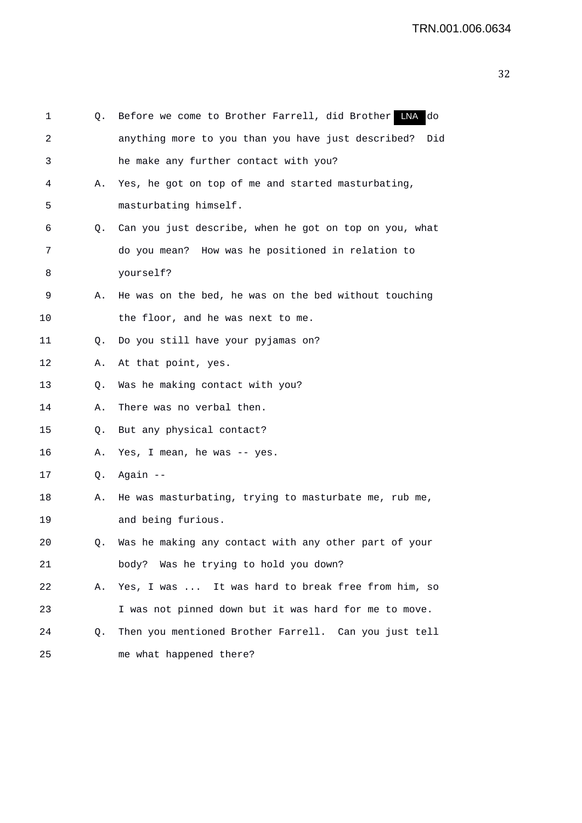| 1  | Q. | Before we come to Brother Farrell, did Brother LNA<br>do  |
|----|----|-----------------------------------------------------------|
| 2  |    | anything more to you than you have just described?<br>Did |
| 3  |    | he make any further contact with you?                     |
| 4  | Α. | Yes, he got on top of me and started masturbating,        |
| 5  |    | masturbating himself.                                     |
| 6  | Q. | Can you just describe, when he got on top on you, what    |
| 7  |    | do you mean? How was he positioned in relation to         |
| 8  |    | yourself?                                                 |
| 9  | Α. | He was on the bed, he was on the bed without touching     |
| 10 |    | the floor, and he was next to me.                         |
| 11 | Q. | Do you still have your pyjamas on?                        |
| 12 | Α. | At that point, yes.                                       |
| 13 | Q. | Was he making contact with you?                           |
| 14 | Α. | There was no verbal then.                                 |
| 15 | Q. | But any physical contact?                                 |
| 16 | Α. | Yes, I mean, he was -- yes.                               |
| 17 | Q. | Again --                                                  |
| 18 | А. | He was masturbating, trying to masturbate me, rub me,     |
| 19 |    | and being furious.                                        |
| 20 | Q. | Was he making any contact with any other part of your     |
| 21 |    | body? Was he trying to hold you down?                     |
| 22 | Α. | Yes, I was  It was hard to break free from him, so        |
| 23 |    | I was not pinned down but it was hard for me to move.     |
| 24 | Q. | Then you mentioned Brother Farrell. Can you just tell     |
| 25 |    | me what happened there?                                   |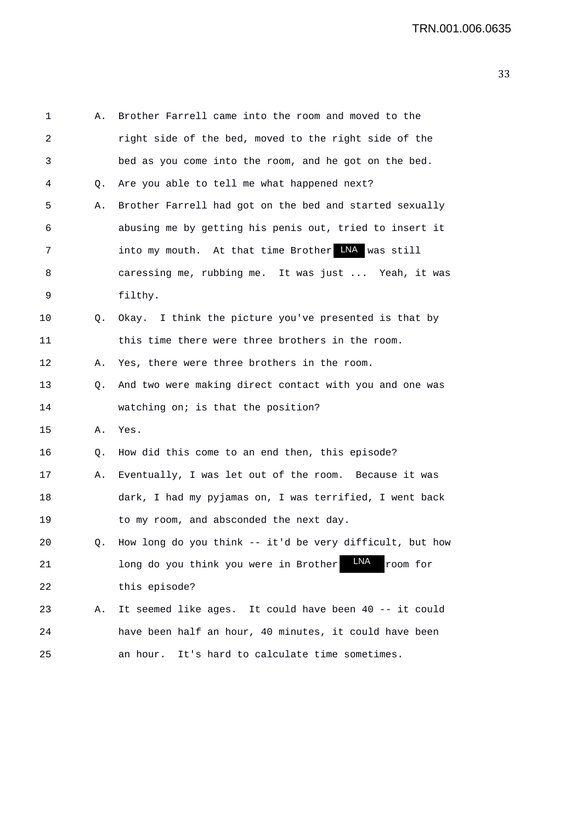| 1  | Α. | Brother Farrell came into the room and moved to the      |
|----|----|----------------------------------------------------------|
| 2  |    | right side of the bed, moved to the right side of the    |
| 3  |    | bed as you come into the room, and he got on the bed.    |
| 4  | Q. | Are you able to tell me what happened next?              |
| 5  | Α. | Brother Farrell had got on the bed and started sexually  |
| 6  |    | abusing me by getting his penis out, tried to insert it  |
| 7  |    | into my mouth. At that time Brother LNA was still        |
| 8  |    | caressing me, rubbing me. It was just  Yeah, it was      |
| 9  |    | filthy.                                                  |
| 10 |    | Q. Okay. I think the picture you've presented is that by |
| 11 |    | this time there were three brothers in the room.         |
| 12 | А. | Yes, there were three brothers in the room.              |
| 13 | Q. | And two were making direct contact with you and one was  |
| 14 |    | watching on; is that the position?                       |
| 15 | Α. | Yes.                                                     |
| 16 | Q. | How did this come to an end then, this episode?          |
| 17 | Α. | Eventually, I was let out of the room. Because it was    |
| 18 |    | dark, I had my pyjamas on, I was terrified, I went back  |
| 19 |    | to my room, and absconded the next day.                  |
| 20 | Q. | How long do you think -- it'd be very difficult, but how |
| 21 |    | LNA<br>long do you think you were in Brother<br>room for |
| 22 |    | this episode?                                            |
| 23 | Α. | It seemed like ages. It could have been 40 -- it could   |
| 24 |    | have been half an hour, 40 minutes, it could have been   |
| 25 |    | It's hard to calculate time sometimes.<br>an hour.       |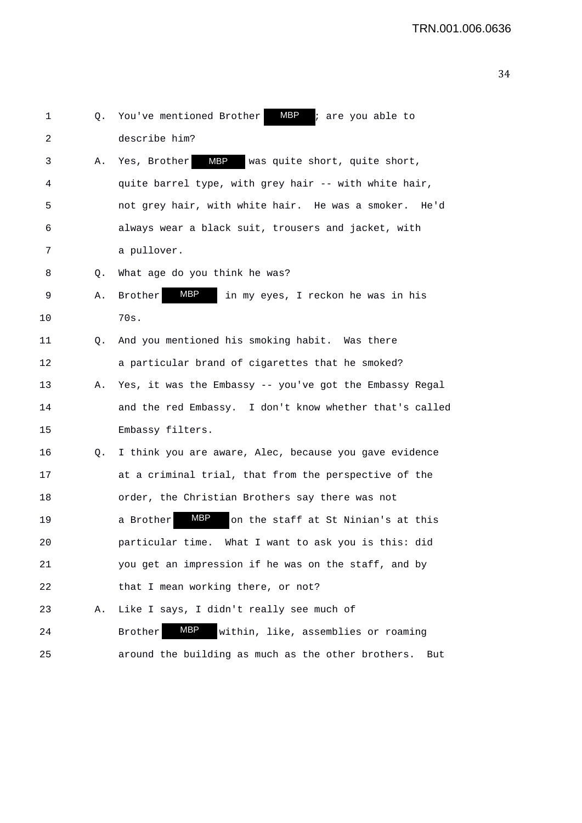|    |    | MBP                                                          |
|----|----|--------------------------------------------------------------|
| 1  | Q. | You've mentioned Brother<br>; are you able to                |
| 2  |    | describe him?                                                |
| 3  | Α. | <b>MBP</b><br>was quite short, quite short,<br>Yes, Brother  |
| 4  |    | quite barrel type, with grey hair -- with white hair,        |
| 5  |    | not grey hair, with white hair. He was a smoker. He'd        |
| 6  |    | always wear a black suit, trousers and jacket, with          |
| 7  |    | a pullover.                                                  |
| 8  | Q. | What age do you think he was?                                |
| 9  | Α. | MBP<br>Brother<br>in my eyes, I reckon he was in his         |
| 10 |    | 70s.                                                         |
| 11 | Q. | And you mentioned his smoking habit. Was there               |
| 12 |    | a particular brand of cigarettes that he smoked?             |
| 13 | Α. | Yes, it was the Embassy -- you've got the Embassy Regal      |
| 14 |    | and the red Embassy. I don't know whether that's called      |
| 15 |    | Embassy filters.                                             |
| 16 | Q. | I think you are aware, Alec, because you gave evidence       |
| 17 |    | at a criminal trial, that from the perspective of the        |
| 18 |    | order, the Christian Brothers say there was not              |
| 19 |    | MBP<br>a Brother<br>on the staff at St Ninian's at this      |
| 20 |    | particular time.<br>What I want to ask you is this: did      |
| 21 |    | you get an impression if he was on the staff, and by         |
| 22 |    | that I mean working there, or not?                           |
| 23 | Α. | Like I says, I didn't really see much of                     |
| 24 |    | MBP<br>within, like, assemblies or roaming<br><b>Brother</b> |
| 25 |    | around the building as much as the other brothers.<br>But    |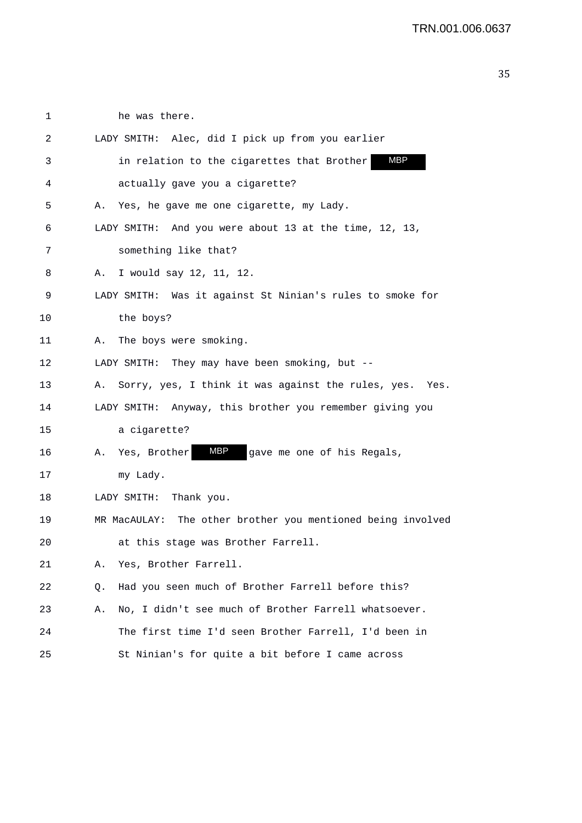| 1  |    | he was there.                                               |
|----|----|-------------------------------------------------------------|
| 2  |    | LADY SMITH: Alec, did I pick up from you earlier            |
| 3  |    | <b>MBP</b><br>in relation to the cigarettes that Brother    |
| 4  |    | actually gave you a cigarette?                              |
| 5  | Α. | Yes, he gave me one cigarette, my Lady.                     |
| 6  |    | LADY SMITH: And you were about 13 at the time, 12, 13,      |
| 7  |    | something like that?                                        |
| 8  | Α. | I would say 12, 11, 12.                                     |
| 9  |    | LADY SMITH: Was it against St Ninian's rules to smoke for   |
| 10 |    | the boys?                                                   |
| 11 | Α. | The boys were smoking.                                      |
| 12 |    | LADY SMITH: They may have been smoking, but --              |
| 13 | Α. | Sorry, yes, I think it was against the rules, yes.<br>Yes.  |
| 14 |    | LADY SMITH: Anyway, this brother you remember giving you    |
| 15 |    | a cigarette?                                                |
| 16 |    | <b>MBP</b><br>A. Yes, Brother<br>gave me one of his Regals, |
| 17 |    | my Lady.                                                    |
| 18 |    | LADY SMITH:<br>Thank you.                                   |
| 19 |    | MR MacAULAY: The other brother you mentioned being involved |
| 20 |    | at this stage was Brother Farrell.                          |
| 21 | Α. | Yes, Brother Farrell.                                       |
| 22 | Q. | Had you seen much of Brother Farrell before this?           |
| 23 | Α. | No, I didn't see much of Brother Farrell whatsoever.        |
| 24 |    | The first time I'd seen Brother Farrell, I'd been in        |
| 25 |    | St Ninian's for quite a bit before I came across            |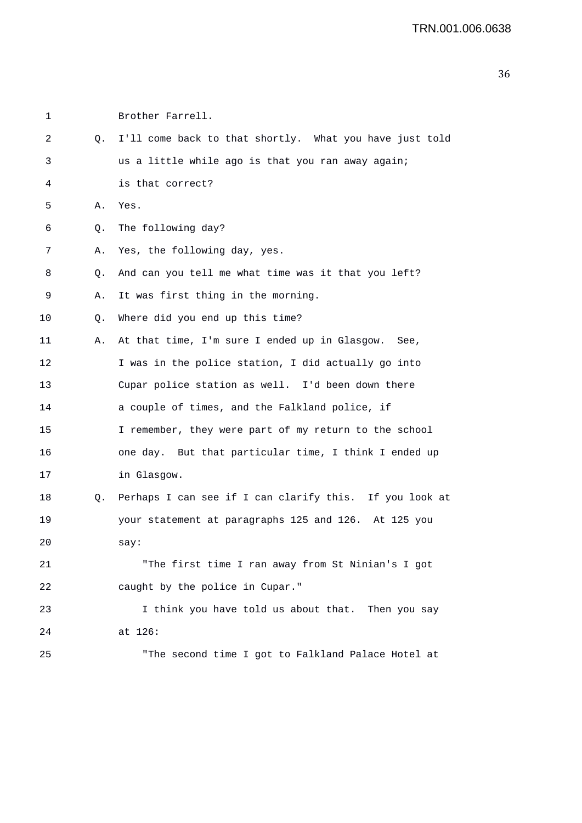```
1 Brother Farrell. 
2 Q. I'll come back to that shortly. What you have just told 
3 us a little while ago is that you ran away again; 
4 is that correct? 
5 A. Yes. 
6 Q. The following day? 
7 A. Yes, the following day, yes. 
8 Q. And can you tell me what time was it that you left? 
9 A. It was first thing in the morning. 
10 0. Where did you end up this time?
11 A. At that time, I'm sure I ended up in Glasgow. See, 
12 I was in the police station, I did actually go into
13 Cupar police station as well. I'd been down there 
14 a couple of times, and the Falkland police, if 
15 I remember, they were part of my return to the school 
16 one day. But that particular time, I think I ended up 
17 in Glasgow. 
18 Q. Perhaps I can see if I can clarify this. If you look at 
19 your statement at paragraphs 125 and 126. At 125 you 
20 say: 
21 "The first time I ran away from St Ninian's I got 
22 caught by the police in Cupar." 
23 I think you have told us about that. Then you say 
24 at 126: 
25 "The second time I got to Falkland Palace Hotel at
```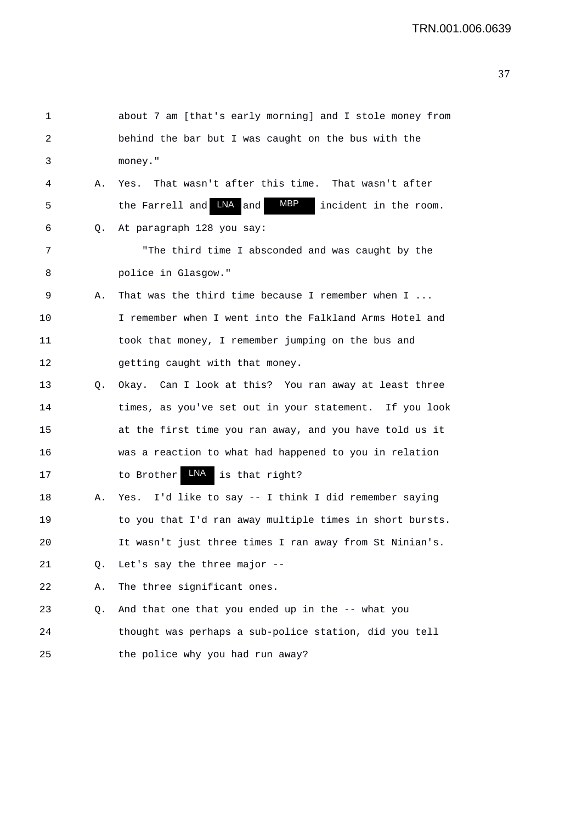| 1  |    | about 7 am [that's early morning] and I stole money from          |
|----|----|-------------------------------------------------------------------|
| 2  |    | behind the bar but I was caught on the bus with the               |
| 3  |    | money."                                                           |
| 4  | Α. | That wasn't after this time. That wasn't after<br>Yes.            |
| 5  |    | <b>MBP</b><br>LNA and<br>the Farrell and<br>incident in the room. |
| 6  | Q. | At paragraph 128 you say:                                         |
| 7  |    | "The third time I absconded and was caught by the                 |
| 8  |    | police in Glasgow."                                               |
| 9  | Α. | That was the third time because I remember when $I \ldots$        |
| 10 |    | I remember when I went into the Falkland Arms Hotel and           |
| 11 |    | took that money, I remember jumping on the bus and                |
| 12 |    | getting caught with that money.                                   |
| 13 | Q. | Okay. Can I look at this? You ran away at least three             |
| 14 |    | times, as you've set out in your statement. If you look           |
| 15 |    | at the first time you ran away, and you have told us it           |
| 16 |    | was a reaction to what had happened to you in relation            |
| 17 |    | LNA<br>to Brother<br>is that right?                               |
| 18 | Α. | I'd like to say -- I think I did remember saying<br>Yes.          |
| 19 |    | to you that I'd ran away multiple times in short bursts.          |
| 20 |    | It wasn't just three times I ran away from St Ninian's.           |
| 21 | Q. | Let's say the three major --                                      |
| 22 | Α. | The three significant ones.                                       |
| 23 | Q. | And that one that you ended up in the -- what you                 |
| 24 |    | thought was perhaps a sub-police station, did you tell            |
| 25 |    | the police why you had run away?                                  |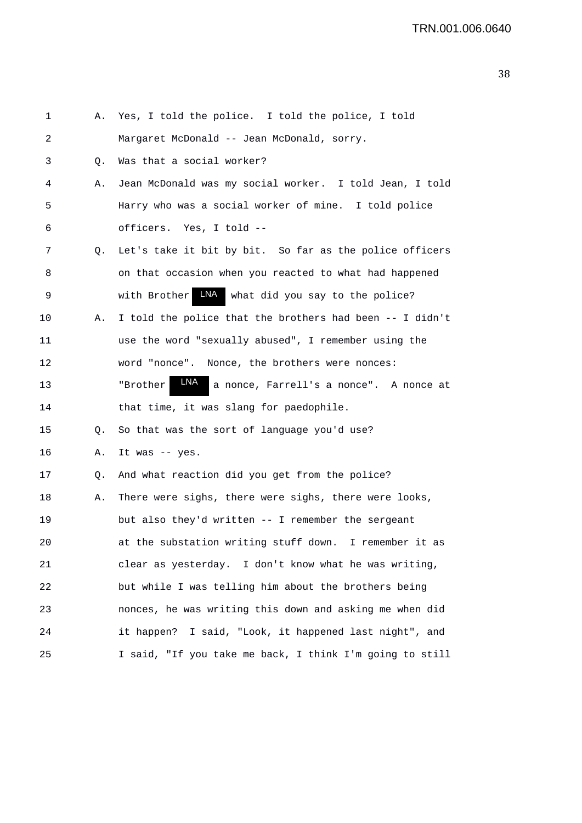| 1  | Α. | Yes, I told the police. I told the police, I told          |
|----|----|------------------------------------------------------------|
| 2  |    | Margaret McDonald -- Jean McDonald, sorry.                 |
| 3  | Q. | Was that a social worker?                                  |
| 4  | Α. | Jean McDonald was my social worker. I told Jean, I told    |
| 5  |    | Harry who was a social worker of mine. I told police       |
| 6  |    | officers. Yes, I told --                                   |
| 7  | Q. | Let's take it bit by bit. So far as the police officers    |
| 8  |    | on that occasion when you reacted to what had happened     |
| 9  |    | LNA what did you say to the police?<br>with Brother        |
| 10 | Α. | I told the police that the brothers had been -- I didn't   |
| 11 |    | use the word "sexually abused", I remember using the       |
| 12 |    | word "nonce". Nonce, the brothers were nonces:             |
| 13 |    | LNA<br>"Brother<br>a nonce, Farrell's a nonce". A nonce at |
| 14 |    | that time, it was slang for paedophile.                    |
| 15 | Q. | So that was the sort of language you'd use?                |
| 16 | Α. | It was -- yes.                                             |
| 17 | Q. | And what reaction did you get from the police?             |
| 18 | Α. | There were sighs, there were sighs, there were looks,      |
| 19 |    | but also they'd written -- I remember the sergeant         |
| 20 |    | at the substation writing stuff down. I remember it as     |
| 21 |    | clear as yesterday. I don't know what he was writing,      |
| 22 |    | but while I was telling him about the brothers being       |
| 23 |    | nonces, he was writing this down and asking me when did    |
| 24 |    | it happen? I said, "Look, it happened last night", and     |
| 25 |    | I said, "If you take me back, I think I'm going to still   |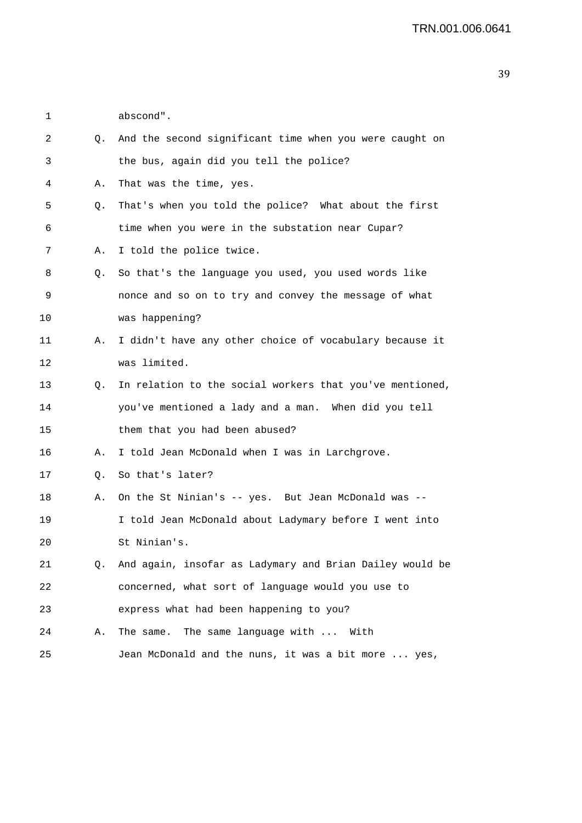1 abscond".

| 2  | Q. | And the second significant time when you were caught on     |
|----|----|-------------------------------------------------------------|
| 3  |    | the bus, again did you tell the police?                     |
| 4  | Α. | That was the time, yes.                                     |
| 5  | Q. | That's when you told the police? What about the first       |
| 6  |    | time when you were in the substation near Cupar?            |
| 7  | Α. | I told the police twice.                                    |
| 8  | Q. | So that's the language you used, you used words like        |
| 9  |    | nonce and so on to try and convey the message of what       |
| 10 |    | was happening?                                              |
| 11 | А. | I didn't have any other choice of vocabulary because it     |
| 12 |    | was limited.                                                |
| 13 | Q. | In relation to the social workers that you've mentioned,    |
| 14 |    | you've mentioned a lady and a man. When did you tell        |
| 15 |    | them that you had been abused?                              |
| 16 | Α. | I told Jean McDonald when I was in Larchgrove.              |
| 17 | Q. | So that's later?                                            |
| 18 | Α. | On the St Ninian's -- yes. But Jean McDonald was --         |
| 19 |    | I told Jean McDonald about Ladymary before I went into      |
| 20 |    | St Ninian's.                                                |
| 21 |    | Q. And again, insofar as Ladymary and Brian Dailey would be |
| 22 |    | concerned, what sort of language would you use to           |
| 23 |    | express what had been happening to you?                     |
| 24 | Α. | The same language with  With<br>The same.                   |
| 25 |    | Jean McDonald and the nuns, it was a bit more  yes,         |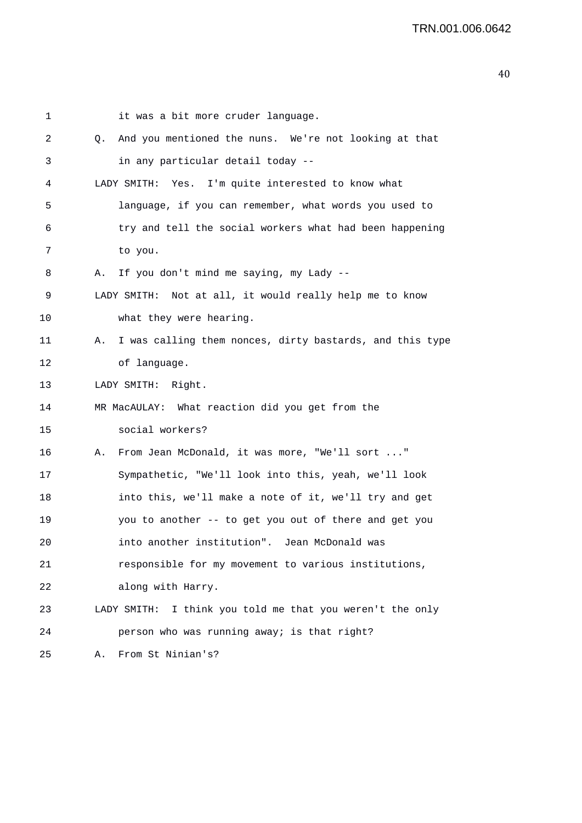| 1       |    | it was a bit more cruder language.                        |
|---------|----|-----------------------------------------------------------|
| 2       | 0. | And you mentioned the nuns. We're not looking at that     |
| 3       |    | in any particular detail today --                         |
| 4       |    | LADY SMITH: Yes. I'm quite interested to know what        |
| 5       |    | language, if you can remember, what words you used to     |
| 6       |    | try and tell the social workers what had been happening   |
| 7       |    | to you.                                                   |
| 8       | Α. | If you don't mind me saying, my Lady --                   |
| 9       |    | LADY SMITH: Not at all, it would really help me to know   |
| $10 \,$ |    | what they were hearing.                                   |
| 11      | Α. | I was calling them nonces, dirty bastards, and this type  |
| 12      |    | of language.                                              |
| 13      |    | LADY SMITH: Right.                                        |
| 14      |    | MR MacAULAY: What reaction did you get from the           |
| 15      |    | social workers?                                           |
| 16      | Α. | From Jean McDonald, it was more, "We'll sort "            |
| 17      |    | Sympathetic, "We'll look into this, yeah, we'll look      |
| 18      |    | into this, we'll make a note of it, we'll try and get     |
| 19      |    | you to another -- to get you out of there and get you     |
| 20      |    | into another institution". Jean McDonald was              |
| 21      |    | responsible for my movement to various institutions,      |
| 22      |    | along with Harry.                                         |
| 23      |    | LADY SMITH: I think you told me that you weren't the only |
| 24      |    | person who was running away; is that right?               |
| 25      | Α. | From St Ninian's?                                         |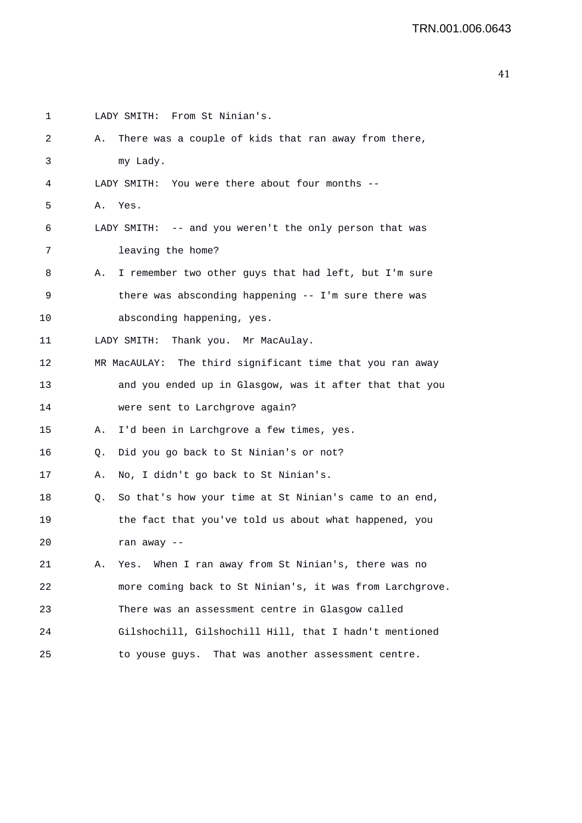```
1 LADY SMITH: From St Ninian's. 
2 A. There was a couple of kids that ran away from there, 
3 my Lady. 
4 LADY SMITH: You were there about four months -- 
5 A. Yes. 
6 LADY SMITH: -- and you weren't the only person that was 
7 leaving the home? 
8 A. I remember two other guys that had left, but I'm sure 
9 there was absconding happening -- I'm sure there was 
10 absconding happening, yes. 
11 LADY SMITH: Thank you. Mr MacAulay. 
12 MR MacAULAY: The third significant time that you ran away 
13 and you ended up in Glasgow, was it after that that you 
14 were sent to Larchgrove again? 
15 A. I'd been in Larchgrove a few times, yes. 
16 Q. Did you go back to St Ninian's or not? 
17 A. No, I didn't go back to St Ninian's. 
18 Q. So that's how your time at St Ninian's came to an end, 
19 the fact that you've told us about what happened, you 
20 ran away -- 
21 A. Yes. When I ran away from St Ninian's, there was no 
22 more coming back to St Ninian's, it was from Larchgrove. 
23 There was an assessment centre in Glasgow called 
24 Gilshochill, Gilshochill Hill, that I hadn't mentioned 
25 to youse guys. That was another assessment centre.
```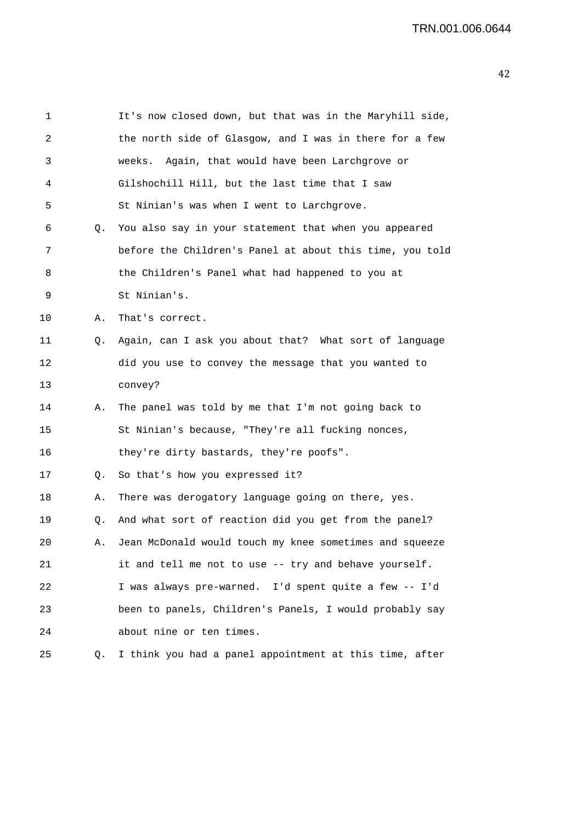1 It's now closed down, but that was in the Maryhill side, 2 the north side of Glasgow, and I was in there for a few 3 weeks. Again, that would have been Larchgrove or 4 Gilshochill Hill, but the last time that I saw 5 St Ninian's was when I went to Larchgrove. 6 Q. You also say in your statement that when you appeared 7 before the Children's Panel at about this time, you told 8 the Children's Panel what had happened to you at 9 St Ninian's. 10 A. That's correct. 11 Q. Again, can I ask you about that? What sort of language 12 did you use to convey the message that you wanted to 13 convey? 14 A. The panel was told by me that I'm not going back to 15 St Ninian's because, "They're all fucking nonces, 16 they're dirty bastards, they're poofs". 17 Q. So that's how you expressed it? 18 A. There was derogatory language going on there, yes. 19 Q. And what sort of reaction did you get from the panel? 20 A. Jean McDonald would touch my knee sometimes and squeeze 21 it and tell me not to use -- try and behave yourself. 22 I was always pre-warned. I'd spent quite a few -- I'd 23 been to panels, Children's Panels, I would probably say 24 about nine or ten times. 25 Q. I think you had a panel appointment at this time, after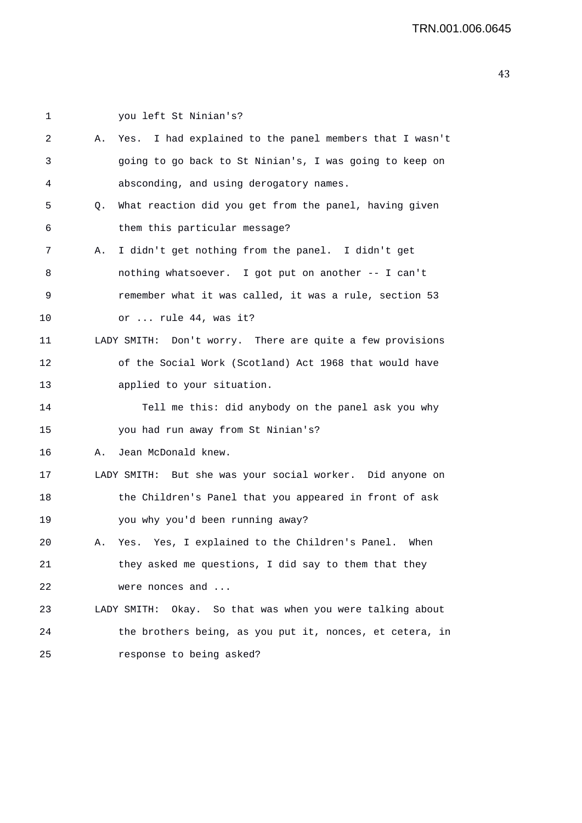| 1  |    | you left St Ninian's?                                      |
|----|----|------------------------------------------------------------|
| 2  | Α. | I had explained to the panel members that I wasn't<br>Yes. |
| 3  |    | going to go back to St Ninian's, I was going to keep on    |
| 4  |    | absconding, and using derogatory names.                    |
| 5  | Q. | What reaction did you get from the panel, having given     |
| 6  |    | them this particular message?                              |
| 7  | Α. | I didn't get nothing from the panel. I didn't get          |
| 8  |    | nothing whatsoever. I got put on another -- I can't        |
| 9  |    | remember what it was called, it was a rule, section 53     |
| 10 |    | or  rule 44, was it?                                       |
| 11 |    | LADY SMITH: Don't worry. There are quite a few provisions  |
| 12 |    | of the Social Work (Scotland) Act 1968 that would have     |
| 13 |    | applied to your situation.                                 |
| 14 |    | Tell me this: did anybody on the panel ask you why         |
| 15 |    | you had run away from St Ninian's?                         |
| 16 | Α. | Jean McDonald knew.                                        |
| 17 |    | LADY SMITH: But she was your social worker. Did anyone on  |
| 18 |    | the Children's Panel that you appeared in front of ask     |
| 19 |    | you why you'd been running away?                           |
| 20 | Α. | Yes. Yes, I explained to the Children's Panel. When        |
| 21 |    | they asked me questions, I did say to them that they       |
| 22 |    | were nonces and                                            |
| 23 |    | LADY SMITH: Okay. So that was when you were talking about  |
| 24 |    | the brothers being, as you put it, nonces, et cetera, in   |
| 25 |    | response to being asked?                                   |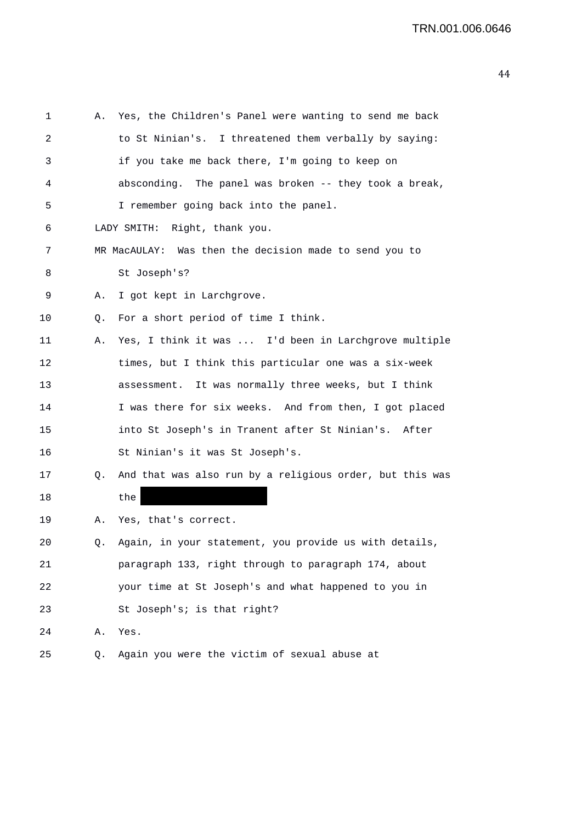| 1  | Α. | Yes, the Children's Panel were wanting to send me back   |
|----|----|----------------------------------------------------------|
| 2  |    | to St Ninian's. I threatened them verbally by saying:    |
| 3  |    | if you take me back there, I'm going to keep on          |
| 4  |    | absconding. The panel was broken -- they took a break,   |
| 5  |    | I remember going back into the panel.                    |
| 6  |    | LADY SMITH: Right, thank you.                            |
| 7  |    | MR MacAULAY: Was then the decision made to send you to   |
| 8  |    | St Joseph's?                                             |
| 9  | Α. | I got kept in Larchgrove.                                |
| 10 | Q. | For a short period of time I think.                      |
| 11 | Α. | Yes, I think it was  I'd been in Larchgrove multiple     |
| 12 |    | times, but I think this particular one was a six-week    |
| 13 |    | assessment. It was normally three weeks, but I think     |
| 14 |    | I was there for six weeks. And from then, I got placed   |
| 15 |    | into St Joseph's in Tranent after St Ninian's. After     |
| 16 |    | St Ninian's it was St Joseph's.                          |
| 17 | Q. | And that was also run by a religious order, but this was |
| 18 |    | the                                                      |
| 19 | Α. | Yes, that's correct.                                     |
| 20 | Q. | Again, in your statement, you provide us with details,   |
| 21 |    | paragraph 133, right through to paragraph 174, about     |
| 22 |    | your time at St Joseph's and what happened to you in     |
| 23 |    | St Joseph's; is that right?                              |
| 24 | Α. | Yes.                                                     |
| 25 | Q. | Again you were the victim of sexual abuse at             |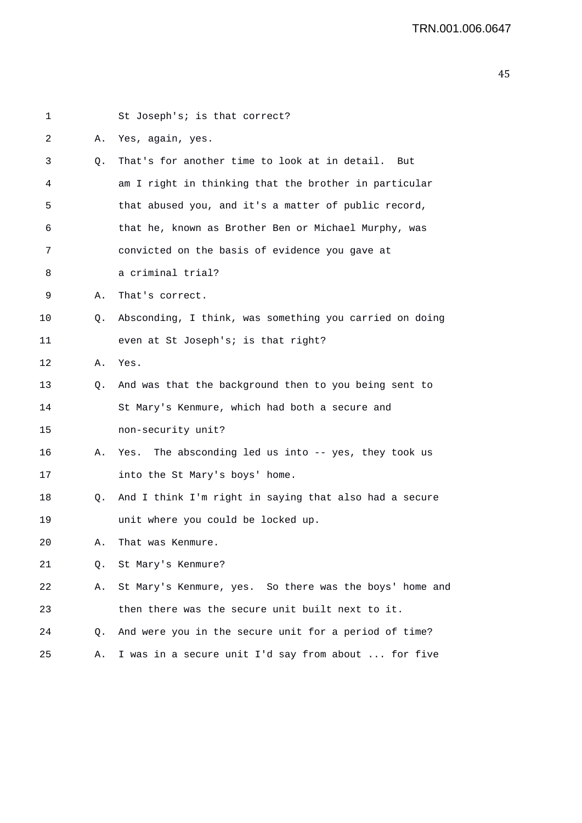| 1  |    | St Joseph's; is that correct?                            |
|----|----|----------------------------------------------------------|
| 2  | Α. | Yes, again, yes.                                         |
| 3  | Q. | That's for another time to look at in detail.<br>But     |
| 4  |    | am I right in thinking that the brother in particular    |
| 5  |    | that abused you, and it's a matter of public record,     |
| 6  |    | that he, known as Brother Ben or Michael Murphy, was     |
| 7  |    | convicted on the basis of evidence you gave at           |
| 8  |    | a criminal trial?                                        |
| 9  | Α. | That's correct.                                          |
| 10 | Q. | Absconding, I think, was something you carried on doing  |
| 11 |    | even at St Joseph's; is that right?                      |
| 12 | Α. | Yes.                                                     |
| 13 | Q. | And was that the background then to you being sent to    |
| 14 |    | St Mary's Kenmure, which had both a secure and           |
| 15 |    | non-security unit?                                       |
| 16 | Α. | The absconding led us into $-$ yes, they took us<br>Yes. |
| 17 |    | into the St Mary's boys' home.                           |
| 18 | Q. | And I think I'm right in saying that also had a secure   |
| 19 |    | unit where you could be locked up.                       |
| 20 | Α. | That was Kenmure.                                        |
| 21 | О. | St Mary's Kenmure?                                       |
| 22 | Α. | St Mary's Kenmure, yes. So there was the boys' home and  |
| 23 |    | then there was the secure unit built next to it.         |
| 24 | Q. | And were you in the secure unit for a period of time?    |
| 25 | Α. | I was in a secure unit I'd say from about  for five      |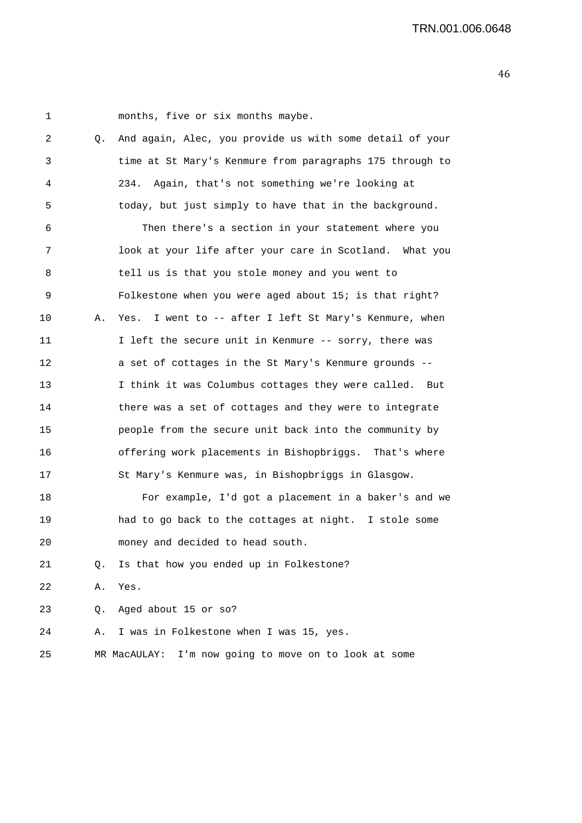1 months, five or six months maybe.

| 2  | Q. | And again, Alec, you provide us with some detail of your  |
|----|----|-----------------------------------------------------------|
| 3  |    | time at St Mary's Kenmure from paragraphs 175 through to  |
| 4  |    | 234. Again, that's not something we're looking at         |
| 5  |    | today, but just simply to have that in the background.    |
| 6  |    | Then there's a section in your statement where you        |
| 7  |    | look at your life after your care in Scotland. What you   |
| 8  |    | tell us is that you stole money and you went to           |
| 9  |    | Folkestone when you were aged about 15; is that right?    |
| 10 | Α. | I went to -- after I left St Mary's Kenmure, when<br>Yes. |
| 11 |    | I left the secure unit in Kenmure -- sorry, there was     |
| 12 |    | a set of cottages in the St Mary's Kenmure grounds --     |
| 13 |    | I think it was Columbus cottages they were called. But    |
| 14 |    | there was a set of cottages and they were to integrate    |
| 15 |    | people from the secure unit back into the community by    |
| 16 |    | offering work placements in Bishopbriggs. That's where    |
| 17 |    | St Mary's Kenmure was, in Bishopbriggs in Glasgow.        |
| 18 |    | For example, I'd got a placement in a baker's and we      |
| 19 |    | had to go back to the cottages at night. I stole some     |
| 20 |    | money and decided to head south.                          |
| 21 | Q. | Is that how you ended up in Folkestone?                   |
| 22 | Α. | Yes.                                                      |
| 23 | Q. | Aged about 15 or so?                                      |
| 24 | Α. | I was in Folkestone when I was 15, yes.                   |
| 25 |    | MR MacAULAY: I'm now going to move on to look at some     |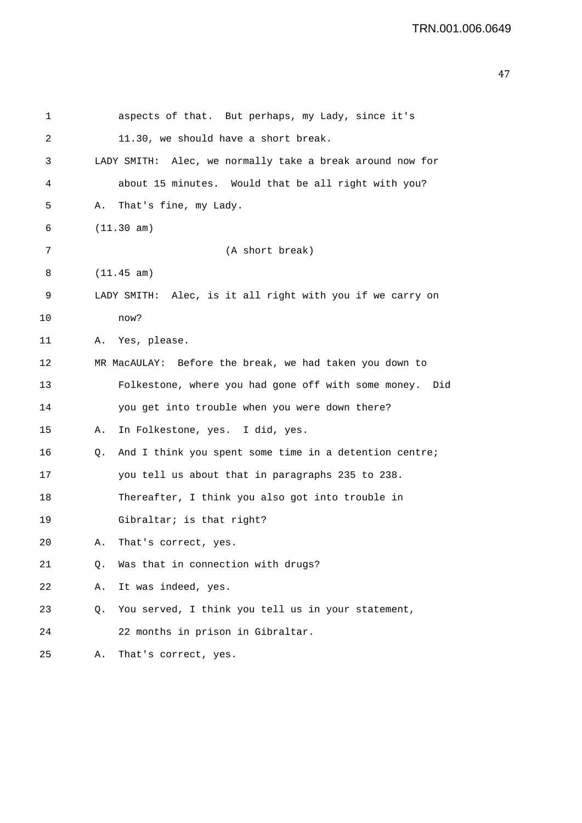| 1  |    | aspects of that. But perhaps, my Lady, since it's          |
|----|----|------------------------------------------------------------|
| 2  |    | 11.30, we should have a short break.                       |
| 3  |    | LADY SMITH: Alec, we normally take a break around now for  |
| 4  |    | about 15 minutes. Would that be all right with you?        |
| 5  | Α. | That's fine, my Lady.                                      |
| 6  |    | (11.30 am)                                                 |
| 7  |    | (A short break)                                            |
| 8  |    | (11.45 am)                                                 |
| 9  |    | LADY SMITH: Alec, is it all right with you if we carry on  |
| 10 |    | now?                                                       |
| 11 | Α. | Yes, please.                                               |
| 12 |    | MR MacAULAY: Before the break, we had taken you down to    |
| 13 |    | Folkestone, where you had gone off with some money.<br>Did |
| 14 |    | you get into trouble when you were down there?             |
| 15 | Α. | In Folkestone, yes. I did, yes.                            |
| 16 | Q. | And I think you spent some time in a detention centre;     |
| 17 |    | you tell us about that in paragraphs 235 to 238.           |
| 18 |    | Thereafter, I think you also got into trouble in           |
| 19 |    | Gibraltar; is that right?                                  |
| 20 | Α. | That's correct, yes.                                       |
| 21 | Q. | Was that in connection with drugs?                         |
| 22 | Α. | It was indeed, yes.                                        |
| 23 | Q. | You served, I think you tell us in your statement,         |
| 24 |    | 22 months in prison in Gibraltar.                          |
| 25 | Α. | That's correct, yes.                                       |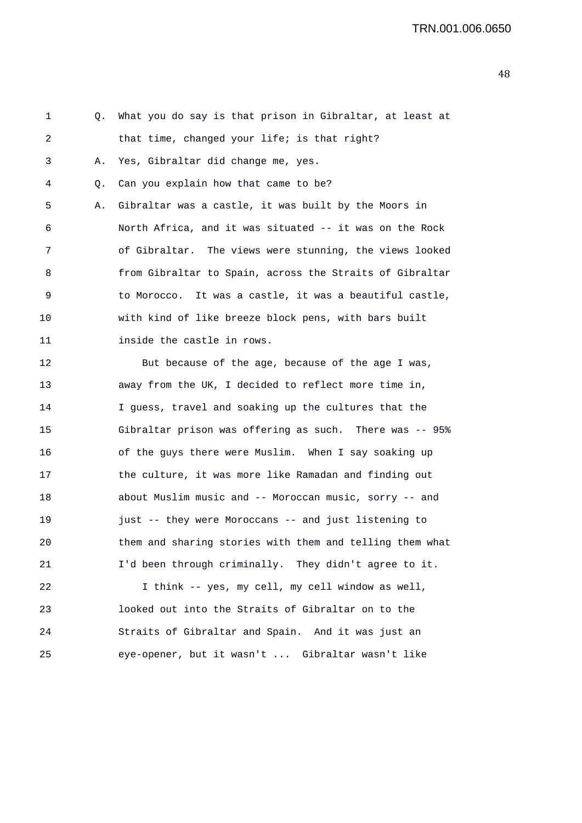1 Q. What you do say is that prison in Gibraltar, at least at 2 that time, changed your life; is that right? 3 A. Yes, Gibraltar did change me, yes. 4 Q. Can you explain how that came to be? 5 A. Gibraltar was a castle, it was built by the Moors in 6 North Africa, and it was situated -- it was on the Rock 7 of Gibraltar. The views were stunning, the views looked 8 from Gibraltar to Spain, across the Straits of Gibraltar 9 to Morocco. It was a castle, it was a beautiful castle, 10 with kind of like breeze block pens, with bars built 11 inside the castle in rows. 12 But because of the age, because of the age I was, 13 away from the UK, I decided to reflect more time in, 14 I guess, travel and soaking up the cultures that the 15 Gibraltar prison was offering as such. There was -- 95% 16 of the guys there were Muslim. When I say soaking up 17 the culture, it was more like Ramadan and finding out 18 about Muslim music and -- Moroccan music, sorry -- and 19 just -- they were Moroccans -- and just listening to 20 them and sharing stories with them and telling them what 21 I'd been through criminally. They didn't agree to it. 22 I think -- yes, my cell, my cell window as well,

23 looked out into the Straits of Gibraltar on to the 24 Straits of Gibraltar and Spain. And it was just an 25 eye-opener, but it wasn't ... Gibraltar wasn't like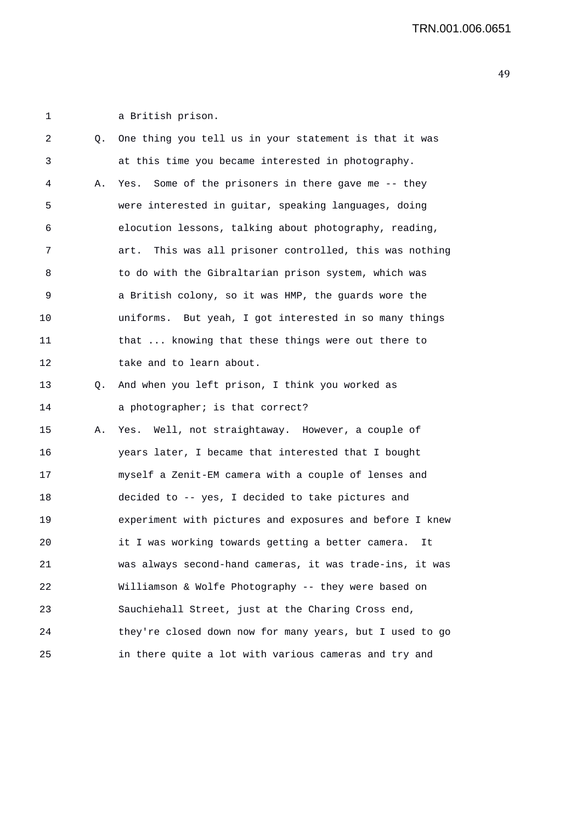1 a British prison.

| 2  | Q. | One thing you tell us in your statement is that it was     |
|----|----|------------------------------------------------------------|
| 3  |    | at this time you became interested in photography.         |
| 4  | Α. | Some of the prisoners in there gave me -- they<br>Yes.     |
| 5  |    | were interested in guitar, speaking languages, doing       |
| 6  |    | elocution lessons, talking about photography, reading,     |
| 7  |    | This was all prisoner controlled, this was nothing<br>art. |
| 8  |    | to do with the Gibraltarian prison system, which was       |
| 9  |    | a British colony, so it was HMP, the guards wore the       |
| 10 |    | uniforms. But yeah, I got interested in so many things     |
| 11 |    | that  knowing that these things were out there to          |
| 12 |    | take and to learn about.                                   |
| 13 | Q. | And when you left prison, I think you worked as            |
| 14 |    | a photographer; is that correct?                           |
| 15 | Α. | Yes. Well, not straightaway. However, a couple of          |
| 16 |    | years later, I became that interested that I bought        |
| 17 |    | myself a Zenit-EM camera with a couple of lenses and       |
| 18 |    | decided to -- yes, I decided to take pictures and          |
| 19 |    | experiment with pictures and exposures and before I knew   |
| 20 |    | it I was working towards getting a better camera.<br>It    |
| 21 |    | was always second-hand cameras, it was trade-ins, it was   |
| 22 |    | Williamson & Wolfe Photography -- they were based on       |
| 23 |    | Sauchiehall Street, just at the Charing Cross end,         |
| 24 |    | they're closed down now for many years, but I used to go   |
| 25 |    | in there quite a lot with various cameras and try and      |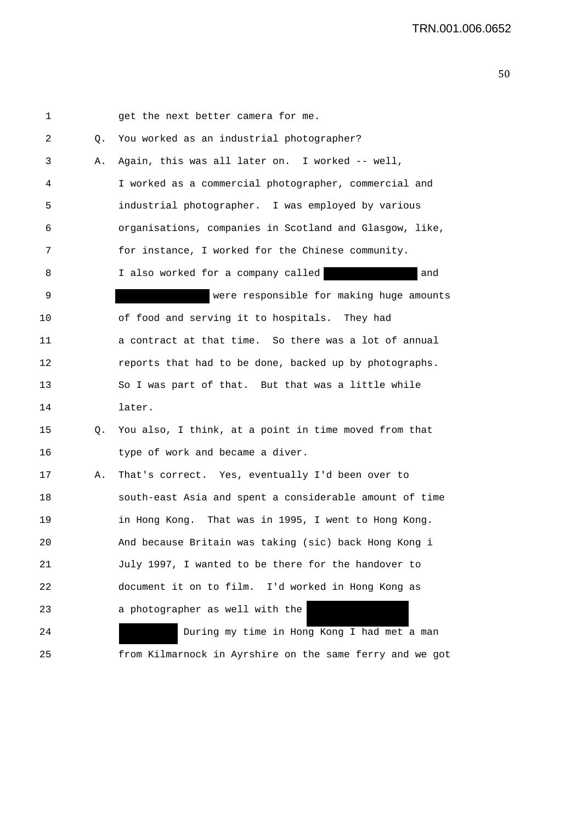| 1  |    | get the next better camera for me.                       |
|----|----|----------------------------------------------------------|
| 2  | Q. | You worked as an industrial photographer?                |
| 3  | Α. | Again, this was all later on. I worked -- well,          |
| 4  |    | I worked as a commercial photographer, commercial and    |
| 5  |    | industrial photographer. I was employed by various       |
| 6  |    | organisations, companies in Scotland and Glasgow, like,  |
| 7  |    | for instance, I worked for the Chinese community.        |
| 8  |    | I also worked for a company called<br>and                |
| 9  |    | were responsible for making huge amounts                 |
| 10 |    | of food and serving it to hospitals. They had            |
| 11 |    | a contract at that time. So there was a lot of annual    |
| 12 |    | reports that had to be done, backed up by photographs.   |
| 13 |    | So I was part of that. But that was a little while       |
| 14 |    | later.                                                   |
| 15 | Q. | You also, I think, at a point in time moved from that    |
| 16 |    | type of work and became a diver.                         |
| 17 | Α. | That's correct. Yes, eventually I'd been over to         |
| 18 |    | south-east Asia and spent a considerable amount of time  |
| 19 |    | in Hong Kong. That was in 1995, I went to Hong Kong.     |
| 20 |    | And because Britain was taking (sic) back Hong Kong i    |
| 21 |    | July 1997, I wanted to be there for the handover to      |
| 22 |    | document it on to film. I'd worked in Hong Kong as       |
| 23 |    | a photographer as well with the                          |
| 24 |    | During my time in Hong Kong I had met a man              |
| 25 |    | from Kilmarnock in Ayrshire on the same ferry and we got |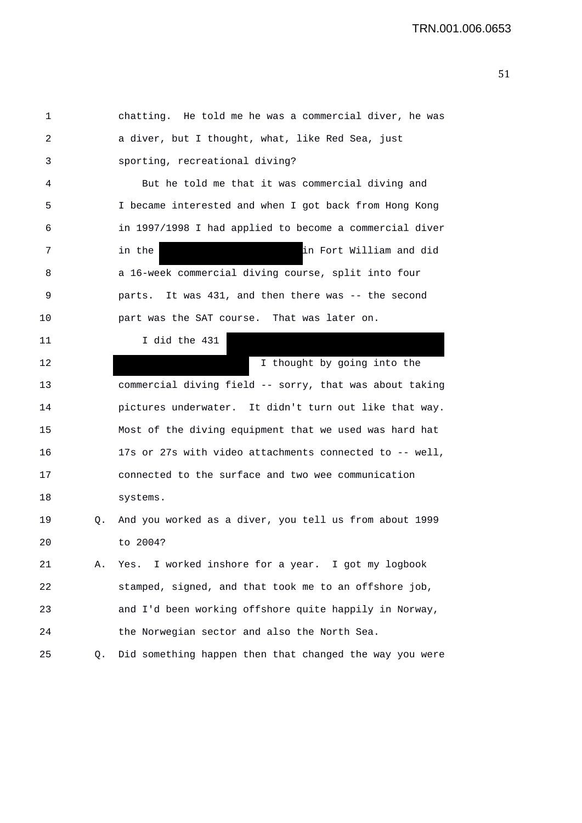1 chatting. He told me he was a commercial diver, he was 2 a diver, but I thought, what, like Red Sea, just 3 sporting, recreational diving? 4 But he told me that it was commercial diving and 5 I became interested and when I got back from Hong Kong 6 in 1997/1998 I had applied to become a commercial diver 7 in the in Fort William and did 8 a 16-week commercial diving course, split into four 9 parts. It was 431, and then there was -- the second 10 part was the SAT course. That was later on. 11 I did the 431 12 I thought by going into the 13 commercial diving field -- sorry, that was about taking 14 pictures underwater. It didn't turn out like that way. 15 Most of the diving equipment that we used was hard hat 16 17s or 27s with video attachments connected to -- well, 17 connected to the surface and two wee communication 18 systems. 19 Q. And you worked as a diver, you tell us from about 1999 20 to 2004? 21 A. Yes. I worked inshore for a year. I got my logbook 22 stamped, signed, and that took me to an offshore job, 23 and I'd been working offshore quite happily in Norway, 24 the Norwegian sector and also the North Sea. 25 Q. Did something happen then that changed the way you were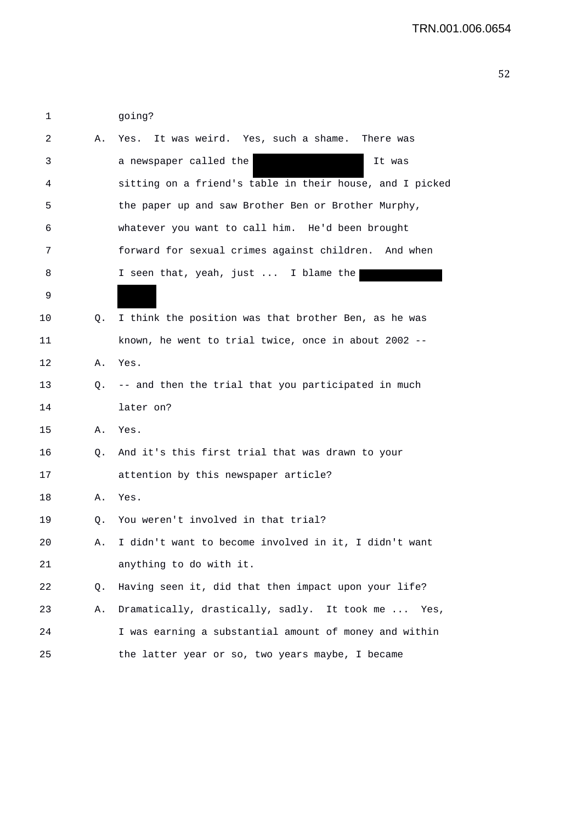| 1  |           | qoing?                                                   |
|----|-----------|----------------------------------------------------------|
| 2  | А.        | Yes. It was weird. Yes, such a shame.<br>There was       |
| 3  |           | a newspaper called the<br>It was                         |
| 4  |           | sitting on a friend's table in their house, and I picked |
| 5  |           | the paper up and saw Brother Ben or Brother Murphy,      |
| 6  |           | whatever you want to call him. He'd been brought         |
| 7  |           | forward for sexual crimes against children. And when     |
| 8  |           | I seen that, yeah, just  I blame the                     |
| 9  |           |                                                          |
| 10 | 0.        | I think the position was that brother Ben, as he was     |
| 11 |           | known, he went to trial twice, once in about 2002 --     |
| 12 |           | A. Yes.                                                  |
| 13 |           | Q. -- and then the trial that you participated in much   |
| 14 |           | later on?                                                |
| 15 | Α.        | Yes.                                                     |
| 16 |           | Q. And it's this first trial that was drawn to your      |
| 17 |           | attention by this newspaper article?                     |
| 18 | Α.        | Yes.                                                     |
| 19 | Q.        | You weren't involved in that trial?                      |
| 20 | А.        | I didn't want to become involved in it, I didn't want    |
| 21 |           | anything to do with it.                                  |
| 22 | $\circ$ . | Having seen it, did that then impact upon your life?     |
| 23 | Α.        | Dramatically, drastically, sadly. It took me<br>Yes,     |
| 24 |           | I was earning a substantial amount of money and within   |
| 25 |           | the latter year or so, two years maybe, I became         |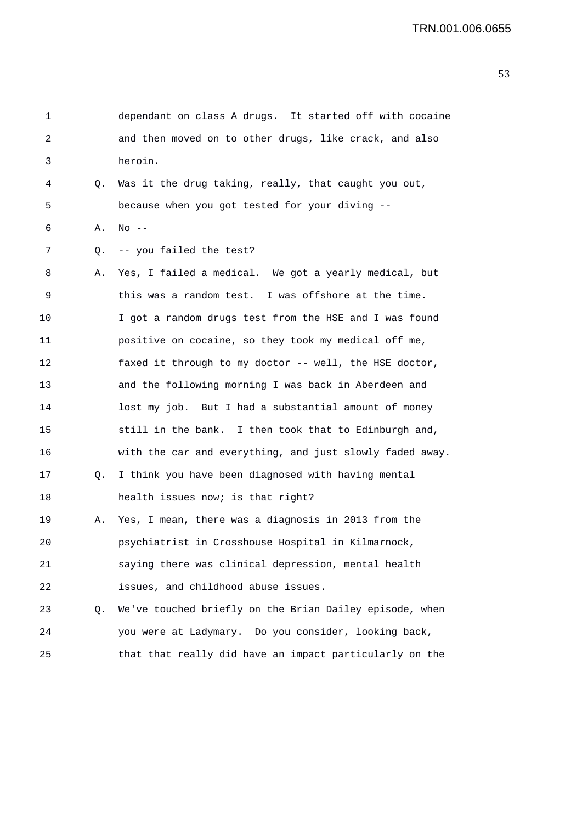| 1  |    | dependant on class A drugs. It started off with cocaine  |
|----|----|----------------------------------------------------------|
| 2  |    | and then moved on to other drugs, like crack, and also   |
| 3  |    | heroin.                                                  |
| 4  | Q. | Was it the drug taking, really, that caught you out,     |
| 5  |    | because when you got tested for your diving --           |
| 6  | Α. | $No$ --                                                  |
| 7  | Q. | -- you failed the test?                                  |
| 8  | Α. | Yes, I failed a medical. We got a yearly medical, but    |
| 9  |    | this was a random test. I was offshore at the time.      |
| 10 |    | I got a random drugs test from the HSE and I was found   |
| 11 |    | positive on cocaine, so they took my medical off me,     |
| 12 |    | faxed it through to my doctor -- well, the HSE doctor,   |
| 13 |    | and the following morning I was back in Aberdeen and     |
| 14 |    | lost my job. But I had a substantial amount of money     |
| 15 |    | still in the bank. I then took that to Edinburgh and,    |
| 16 |    | with the car and everything, and just slowly faded away. |
| 17 | Q. | I think you have been diagnosed with having mental       |
| 18 |    | health issues now; is that right?                        |
| 19 | Α. | Yes, I mean, there was a diagnosis in 2013 from the      |
| 20 |    | psychiatrist in Crosshouse Hospital in Kilmarnock,       |
| 21 |    | saying there was clinical depression, mental health      |
| 22 |    | issues, and childhood abuse issues.                      |
| 23 | Q. | We've touched briefly on the Brian Dailey episode, when  |
| 24 |    | you were at Ladymary. Do you consider, looking back,     |
| 25 |    | that that really did have an impact particularly on the  |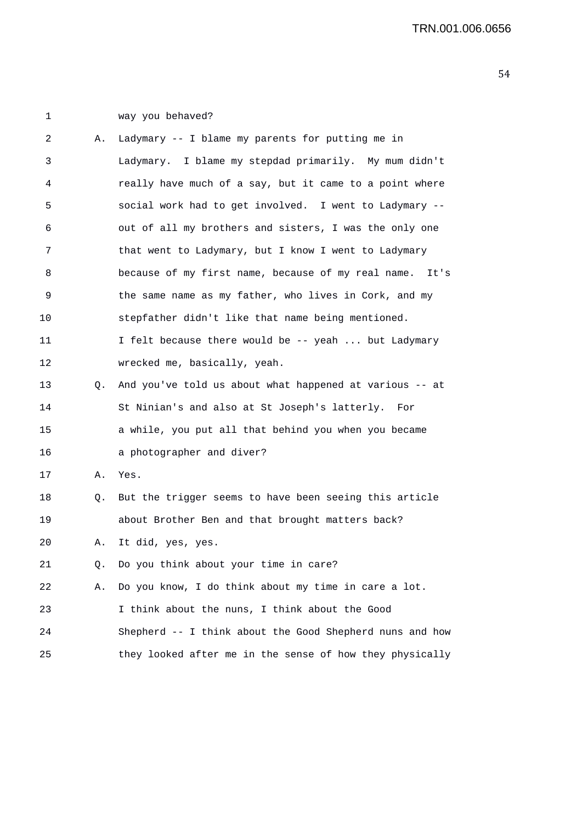1 way you behaved?

| 2  | Α. | Ladymary -- I blame my parents for putting me in         |
|----|----|----------------------------------------------------------|
| 3  |    | Ladymary. I blame my stepdad primarily. My mum didn't    |
| 4  |    | really have much of a say, but it came to a point where  |
| 5  |    | social work had to get involved. I went to Ladymary --   |
| 6  |    | out of all my brothers and sisters, I was the only one   |
| 7  |    | that went to Ladymary, but I know I went to Ladymary     |
| 8  |    | because of my first name, because of my real name. It's  |
| 9  |    | the same name as my father, who lives in Cork, and my    |
| 10 |    | stepfather didn't like that name being mentioned.        |
| 11 |    | I felt because there would be -- yeah  but Ladymary      |
| 12 |    | wrecked me, basically, yeah.                             |
| 13 | Q. | And you've told us about what happened at various -- at  |
| 14 |    | St Ninian's and also at St Joseph's latterly. For        |
| 15 |    | a while, you put all that behind you when you became     |
| 16 |    | a photographer and diver?                                |
| 17 | Α. | Yes.                                                     |
| 18 | Q. | But the trigger seems to have been seeing this article   |
| 19 |    | about Brother Ben and that brought matters back?         |
| 20 | Α. | It did, yes, yes.                                        |
| 21 | Q. | Do you think about your time in care?                    |
| 22 | Α. | Do you know, I do think about my time in care a lot.     |
| 23 |    | I think about the nuns, I think about the Good           |
| 24 |    | Shepherd -- I think about the Good Shepherd nuns and how |
| 25 |    | they looked after me in the sense of how they physically |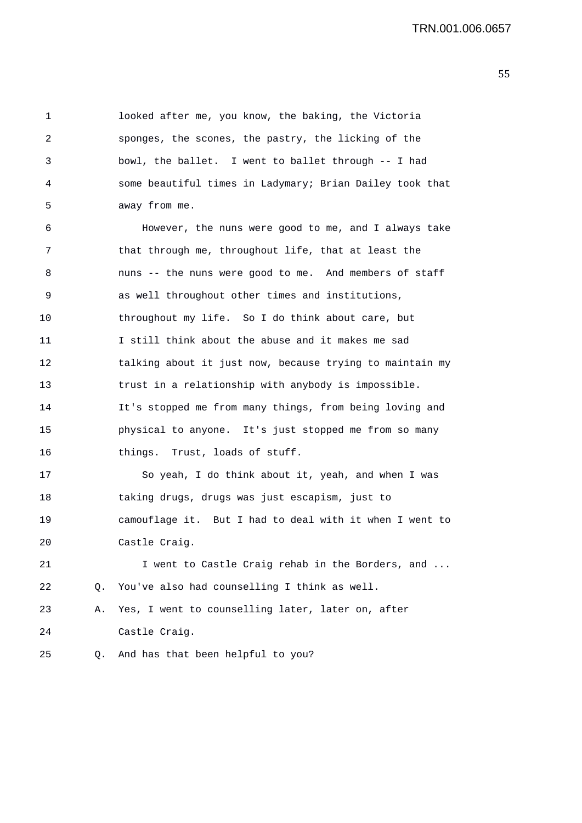1 looked after me, you know, the baking, the Victoria 2 sponges, the scones, the pastry, the licking of the 3 bowl, the ballet. I went to ballet through -- I had 4 some beautiful times in Ladymary; Brian Dailey took that 5 away from me.

6 However, the nuns were good to me, and I always take 7 that through me, throughout life, that at least the 8 nuns -- the nuns were good to me. And members of staff 9 as well throughout other times and institutions, 10 throughout my life. So I do think about care, but 11 I still think about the abuse and it makes me sad 12 talking about it just now, because trying to maintain my 13 trust in a relationship with anybody is impossible. 14 It's stopped me from many things, from being loving and 15 physical to anyone. It's just stopped me from so many 16 things. Trust, loads of stuff.

17 So yeah, I do think about it, yeah, and when I was 18 taking drugs, drugs was just escapism, just to 19 camouflage it. But I had to deal with it when I went to 20 Castle Craig.

21 I went to Castle Craig rehab in the Borders, and ... 22 Q. You've also had counselling I think as well. 23 A. Yes, I went to counselling later, later on, after

24 Castle Craig.

25 Q. And has that been helpful to you?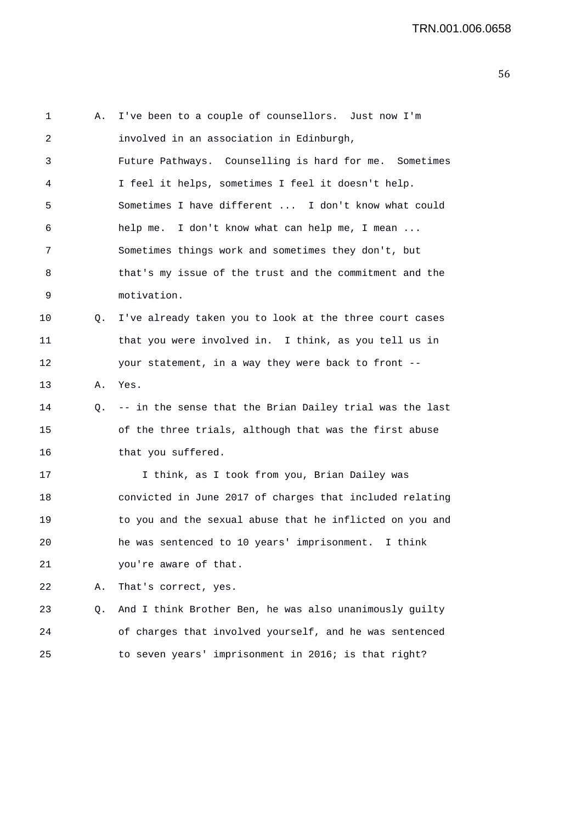1 A. I've been to a couple of counsellors. Just now I'm 2 involved in an association in Edinburgh, 3 Future Pathways. Counselling is hard for me. Sometimes 4 I feel it helps, sometimes I feel it doesn't help. 5 Sometimes I have different ... I don't know what could 6 help me. I don't know what can help me, I mean ... 7 Sometimes things work and sometimes they don't, but 8 that's my issue of the trust and the commitment and the 9 motivation. 10 0. I've already taken you to look at the three court cases 11 that you were involved in. I think, as you tell us in 12 your statement, in a way they were back to front -- 13 A. Yes. 14 Q. -- in the sense that the Brian Dailey trial was the last 15 of the three trials, although that was the first abuse 16 that you suffered. 17 I think, as I took from you, Brian Dailey was 18 convicted in June 2017 of charges that included relating 19 to you and the sexual abuse that he inflicted on you and 20 he was sentenced to 10 years' imprisonment. I think 21 you're aware of that. 22 A. That's correct, yes. 23 Q. And I think Brother Ben, he was also unanimously guilty 24 of charges that involved yourself, and he was sentenced 25 to seven years' imprisonment in 2016; is that right?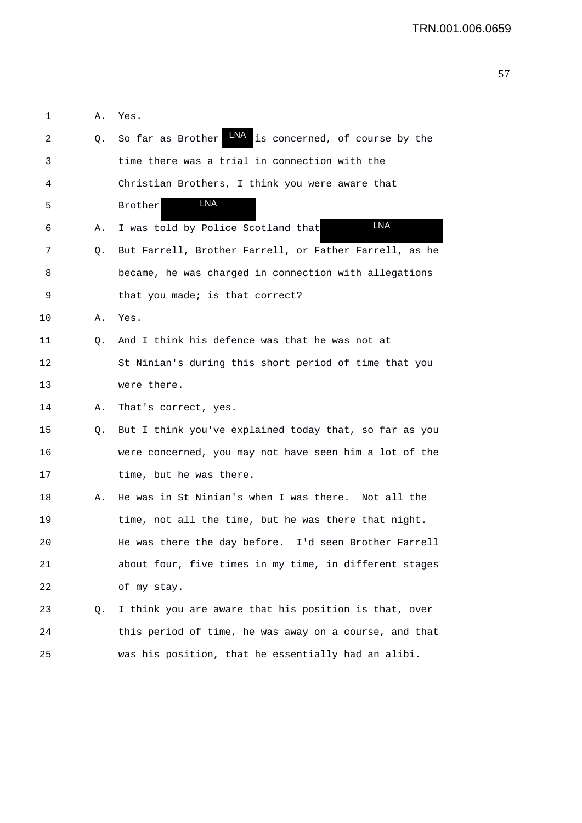| 1  | Α. | Yes.                                                       |
|----|----|------------------------------------------------------------|
| 2  | Q. | LNA<br>is concerned, of course by the<br>So far as Brother |
| 3  |    | time there was a trial in connection with the              |
| 4  |    | Christian Brothers, I think you were aware that            |
| 5  |    | <b>LNA</b><br>Brother                                      |
| 6  | Α. | LNA<br>I was told by Police Scotland that                  |
| 7  | Q. | But Farrell, Brother Farrell, or Father Farrell, as he     |
| 8  |    | became, he was charged in connection with allegations      |
| 9  |    | that you made; is that correct?                            |
| 10 | Α. | Yes.                                                       |
| 11 | Q. | And I think his defence was that he was not at             |
| 12 |    | St Ninian's during this short period of time that you      |
| 13 |    | were there.                                                |
| 14 | Α. | That's correct, yes.                                       |
| 15 | Q. | But I think you've explained today that, so far as you     |
| 16 |    | were concerned, you may not have seen him a lot of the     |
| 17 |    | time, but he was there.                                    |
| 18 | Α. | He was in St Ninian's when I was there. Not all the        |
| 19 |    | time, not all the time, but he was there that night.       |
| 20 |    | He was there the day before. I'd seen Brother Farrell      |
| 21 |    | about four, five times in my time, in different stages     |
| 22 |    | of my stay.                                                |
| 23 | Q. | I think you are aware that his position is that, over      |
| 24 |    | this period of time, he was away on a course, and that     |
| 25 |    | was his position, that he essentially had an alibi.        |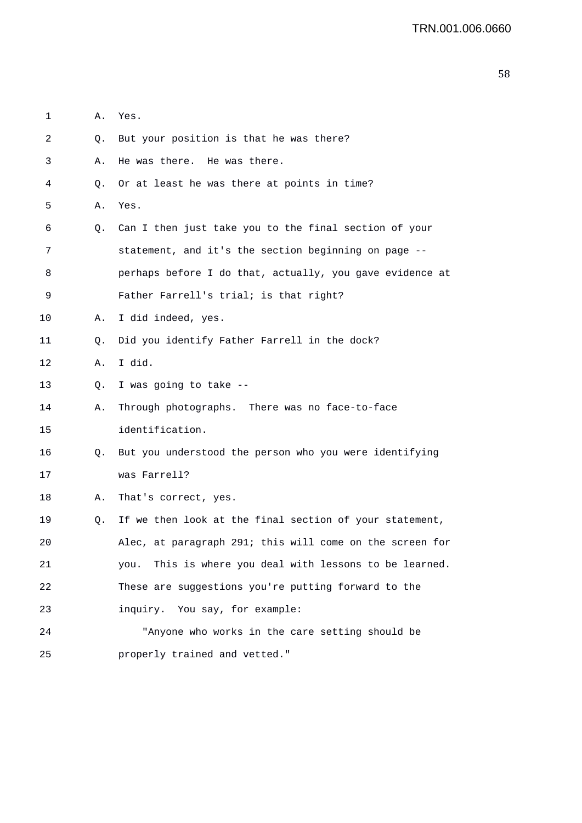| 1  | Α. | Yes.                                                     |
|----|----|----------------------------------------------------------|
| 2  | Q. | But your position is that he was there?                  |
| 3  | Α. | He was there. He was there.                              |
| 4  | Q. | Or at least he was there at points in time?              |
| 5  | Α. | Yes.                                                     |
| 6  | Q. | Can I then just take you to the final section of your    |
| 7  |    | statement, and it's the section beginning on page --     |
| 8  |    | perhaps before I do that, actually, you gave evidence at |
| 9  |    | Father Farrell's trial; is that right?                   |
| 10 | Α. | I did indeed, yes.                                       |
| 11 | Q. | Did you identify Father Farrell in the dock?             |
| 12 | Α. | I did.                                                   |
| 13 | Q. | I was going to take --                                   |
| 14 | Α. | Through photographs. There was no face-to-face           |
| 15 |    | identification.                                          |
| 16 | Q. | But you understood the person who you were identifying   |
| 17 |    | was Farrell?                                             |
| 18 | Α. | That's correct, yes.                                     |
| 19 | Q. | If we then look at the final section of your statement,  |
| 20 |    | Alec, at paragraph 291; this will come on the screen for |
| 21 |    | you. This is where you deal with lessons to be learned.  |
| 22 |    | These are suggestions you're putting forward to the      |
| 23 |    | inquiry. You say, for example:                           |
| 24 |    | "Anyone who works in the care setting should be          |
| 25 |    | properly trained and vetted."                            |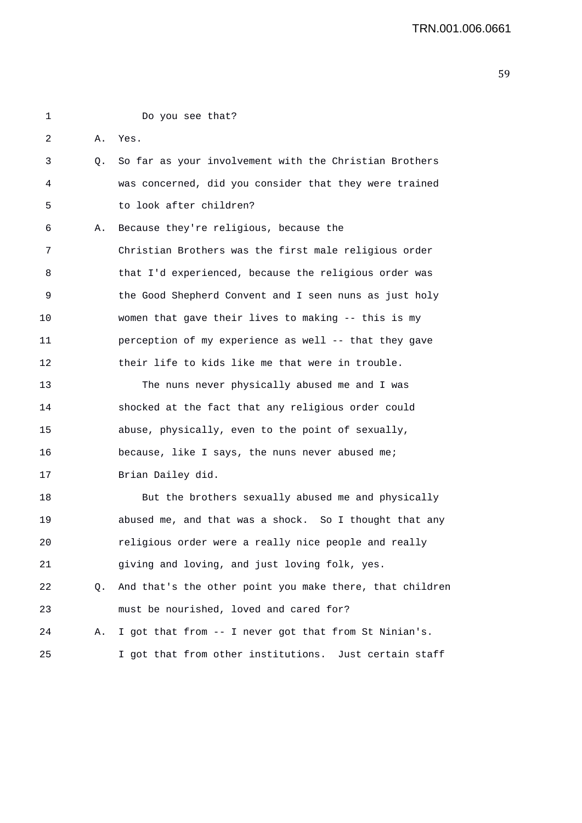1 Do you see that? 2 A. Yes. 3 Q. So far as your involvement with the Christian Brothers 4 was concerned, did you consider that they were trained 5 to look after children? 6 A. Because they're religious, because the 7 Christian Brothers was the first male religious order 8 that I'd experienced, because the religious order was 9 the Good Shepherd Convent and I seen nuns as just holy 10 women that gave their lives to making -- this is my 11 perception of my experience as well -- that they gave 12 their life to kids like me that were in trouble. 13 The nuns never physically abused me and I was 14 shocked at the fact that any religious order could 15 abuse, physically, even to the point of sexually, 16 because, like I says, the nuns never abused me; 17 Brian Dailey did. 18 But the brothers sexually abused me and physically 19 abused me, and that was a shock. So I thought that any 20 religious order were a really nice people and really 21 giving and loving, and just loving folk, yes. 22 Q. And that's the other point you make there, that children 23 must be nourished, loved and cared for? 24 A. I got that from -- I never got that from St Ninian's. 25 I got that from other institutions. Just certain staff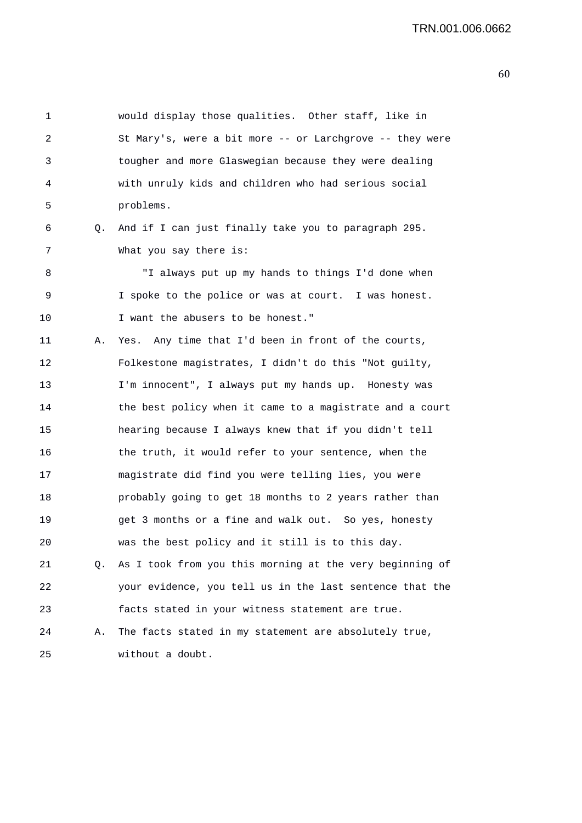| 1  |    | would display those qualities. Other staff, like in      |
|----|----|----------------------------------------------------------|
| 2  |    | St Mary's, were a bit more -- or Larchgrove -- they were |
| 3  |    | tougher and more Glaswegian because they were dealing    |
| 4  |    | with unruly kids and children who had serious social     |
| 5  |    | problems.                                                |
| 6  | Q. | And if I can just finally take you to paragraph 295.     |
| 7  |    | What you say there is:                                   |
| 8  |    | "I always put up my hands to things I'd done when        |
| 9  |    | I spoke to the police or was at court. I was honest.     |
| 10 |    | I want the abusers to be honest."                        |
| 11 | А. | Yes. Any time that I'd been in front of the courts,      |
| 12 |    | Folkestone magistrates, I didn't do this "Not guilty,    |
| 13 |    | I'm innocent", I always put my hands up. Honesty was     |
| 14 |    | the best policy when it came to a magistrate and a court |
| 15 |    | hearing because I always knew that if you didn't tell    |
| 16 |    | the truth, it would refer to your sentence, when the     |
| 17 |    | magistrate did find you were telling lies, you were      |
| 18 |    | probably going to get 18 months to 2 years rather than   |
| 19 |    | get 3 months or a fine and walk out. So yes, honesty     |
| 20 |    | was the best policy and it still is to this day.         |
| 21 | 0. | As I took from you this morning at the very beginning of |
| 22 |    | your evidence, you tell us in the last sentence that the |
| 23 |    | facts stated in your witness statement are true.         |
| 24 | Α. | The facts stated in my statement are absolutely true,    |
| 25 |    | without a doubt.                                         |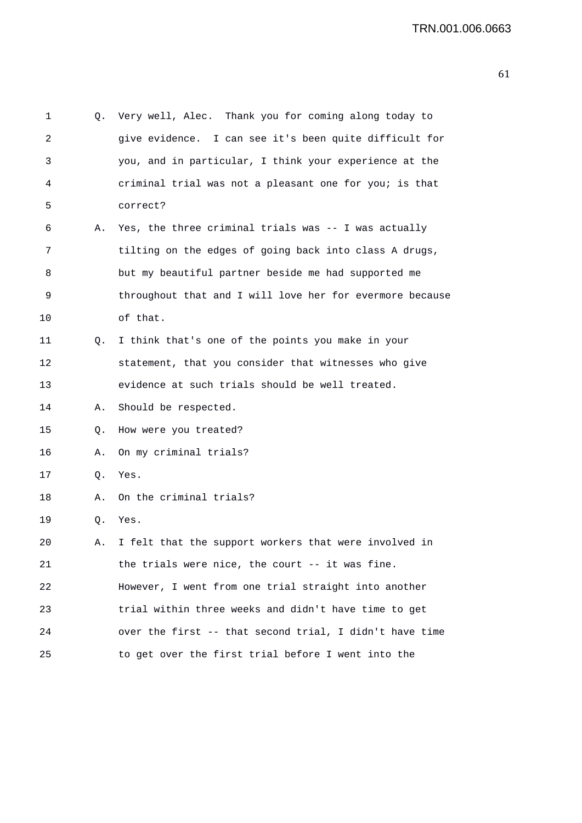```
1 Q. Very well, Alec. Thank you for coming along today to 
2 give evidence. I can see it's been quite difficult for 
3 you, and in particular, I think your experience at the 
4 criminal trial was not a pleasant one for you; is that 
5 correct? 
6 A. Yes, the three criminal trials was -- I was actually 
7 tilting on the edges of going back into class A drugs, 
8 but my beautiful partner beside me had supported me 
9 throughout that and I will love her for evermore because 
10 of that. 
11 Q. I think that's one of the points you make in your 
12 statement, that you consider that witnesses who give 
13 evidence at such trials should be well treated. 
14 A. Should be respected. 
15 Q. How were you treated? 
16 A. On my criminal trials? 
17 Q. Yes. 
18 A. On the criminal trials? 
19 Q. Yes. 
20 A. I felt that the support workers that were involved in 
21 the trials were nice, the court -- it was fine. 
22 However, I went from one trial straight into another 
23 trial within three weeks and didn't have time to get 
24 over the first -- that second trial, I didn't have time 
25 to get over the first trial before I went into the
```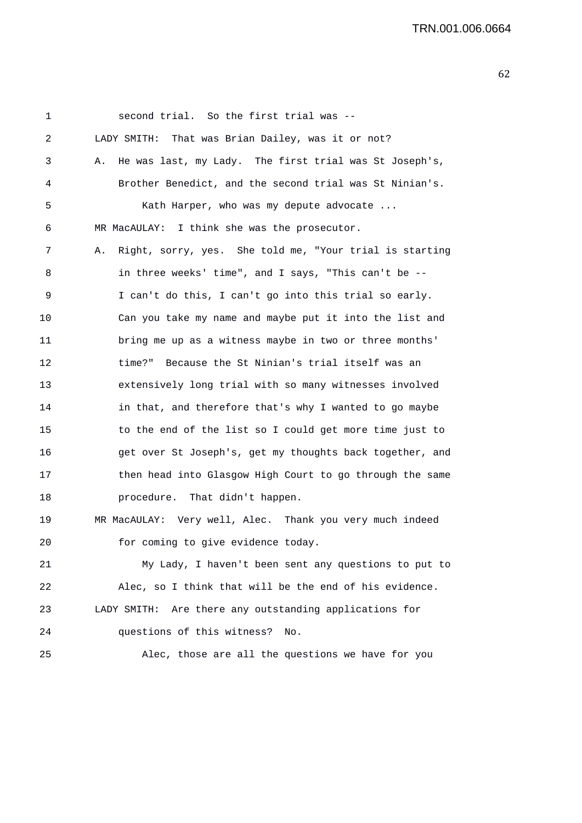| 1       | second trial. So the first trial was --                       |
|---------|---------------------------------------------------------------|
| 2       | LADY SMITH: That was Brian Dailey, was it or not?             |
| 3       | He was last, my Lady. The first trial was St Joseph's,<br>Α.  |
| 4       | Brother Benedict, and the second trial was St Ninian's.       |
| 5       | Kath Harper, who was my depute advocate                       |
| 6       | MR MacAULAY: I think she was the prosecutor.                  |
| 7       | Right, sorry, yes. She told me, "Your trial is starting<br>Α. |
| 8       | in three weeks' time", and I says, "This can't be --          |
| 9       | I can't do this, I can't go into this trial so early.         |
| $10 \,$ | Can you take my name and maybe put it into the list and       |
| 11      | bring me up as a witness maybe in two or three months'        |
| 12      | Because the St Ninian's trial itself was an<br>time?"         |
| 13      | extensively long trial with so many witnesses involved        |
| 14      | in that, and therefore that's why I wanted to go maybe        |
| 15      | to the end of the list so I could get more time just to       |
| 16      | get over St Joseph's, get my thoughts back together, and      |
| 17      | then head into Glasgow High Court to go through the same      |
| 18      | procedure. That didn't happen.                                |
| 19      | MR MacAULAY: Very well, Alec. Thank you very much indeed      |
| 20      | for coming to give evidence today.                            |
| 21      | My Lady, I haven't been sent any questions to put to          |
| 22      | Alec, so I think that will be the end of his evidence.        |
| 23      | Are there any outstanding applications for<br>LADY SMITH:     |
| 24      | questions of this witness?<br>No.                             |
| 25      | Alec, those are all the questions we have for you             |
|         |                                                               |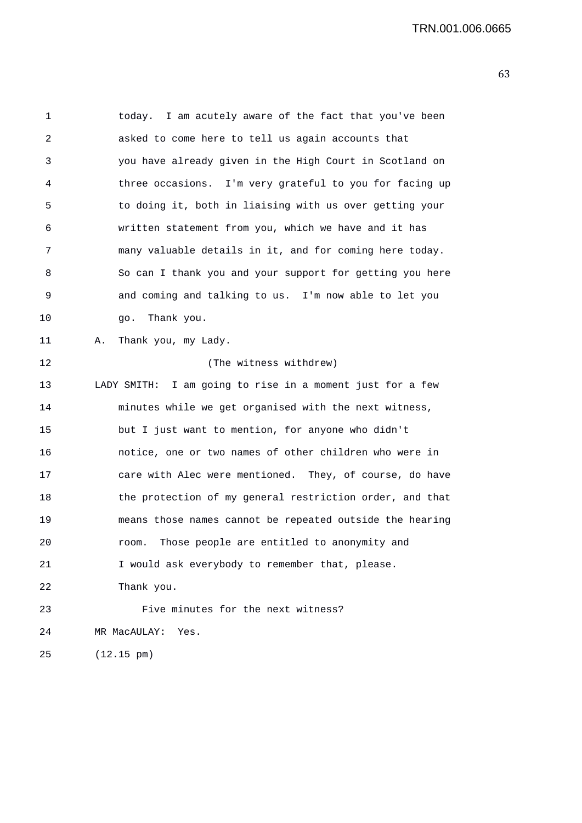1 today. I am acutely aware of the fact that you've been 2 asked to come here to tell us again accounts that 3 you have already given in the High Court in Scotland on 4 three occasions. I'm very grateful to you for facing up 5 to doing it, both in liaising with us over getting your 6 written statement from you, which we have and it has 7 many valuable details in it, and for coming here today. 8 So can I thank you and your support for getting you here 9 and coming and talking to us. I'm now able to let you 10 go. Thank you. 11 A. Thank you, my Lady. 12 (The witness withdrew) 13 LADY SMITH: I am going to rise in a moment just for a few 14 minutes while we get organised with the next witness, 15 but I just want to mention, for anyone who didn't 16 notice, one or two names of other children who were in 17 care with Alec were mentioned. They, of course, do have 18 the protection of my general restriction order, and that 19 means those names cannot be repeated outside the hearing 20 room. Those people are entitled to anonymity and 21 I would ask everybody to remember that, please. 22 Thank you. 23 Five minutes for the next witness? 24 MR MacAULAY: Yes. 25 (12.15 pm)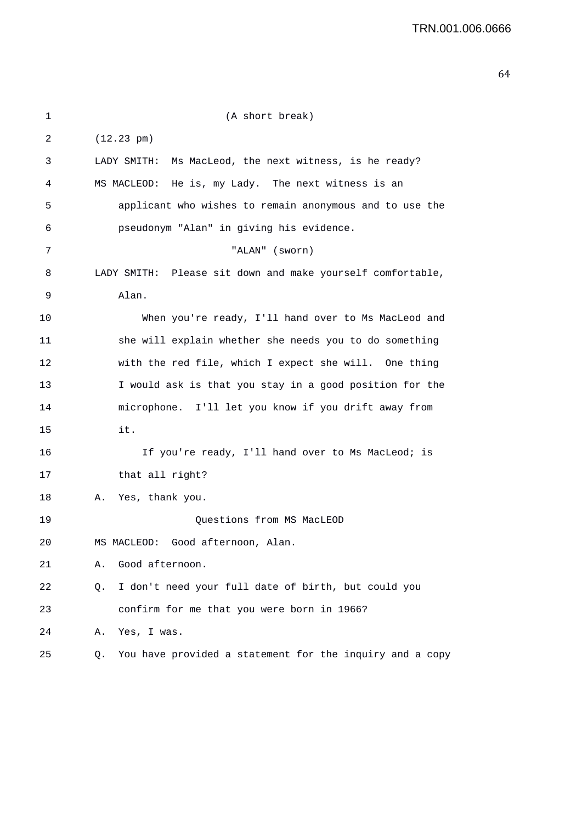| 1  | (A short break)                                                |
|----|----------------------------------------------------------------|
| 2  | $(12.23 \text{ pm})$                                           |
| 3  | LADY SMITH:<br>Ms MacLeod, the next witness, is he ready?      |
| 4  | He is, my Lady. The next witness is an<br>MS MACLEOD:          |
| 5  | applicant who wishes to remain anonymous and to use the        |
| 6  | pseudonym "Alan" in giving his evidence.                       |
| 7  | "ALAN" (sworn)                                                 |
| 8  | LADY SMITH: Please sit down and make yourself comfortable,     |
| 9  | Alan.                                                          |
| 10 | When you're ready, I'll hand over to Ms MacLeod and            |
| 11 | she will explain whether she needs you to do something         |
| 12 | with the red file, which I expect she will. One thing          |
| 13 | I would ask is that you stay in a good position for the        |
| 14 | microphone. I'll let you know if you drift away from           |
| 15 | it.                                                            |
| 16 | If you're ready, I'll hand over to Ms MacLeod; is              |
| 17 | that all right?                                                |
| 18 | Yes, thank you.<br>Α.                                          |
| 19 | Questions from MS MacLEOD                                      |
| 20 | MS MACLEOD: Good afternoon, Alan                               |
| 21 | Good afternoon.<br>Α.                                          |
| 22 | I don't need your full date of birth, but could you<br>Q.      |
| 23 | confirm for me that you were born in 1966?                     |
| 24 | Yes, I was.<br>Α.                                              |
| 25 | You have provided a statement for the inquiry and a copy<br>Q. |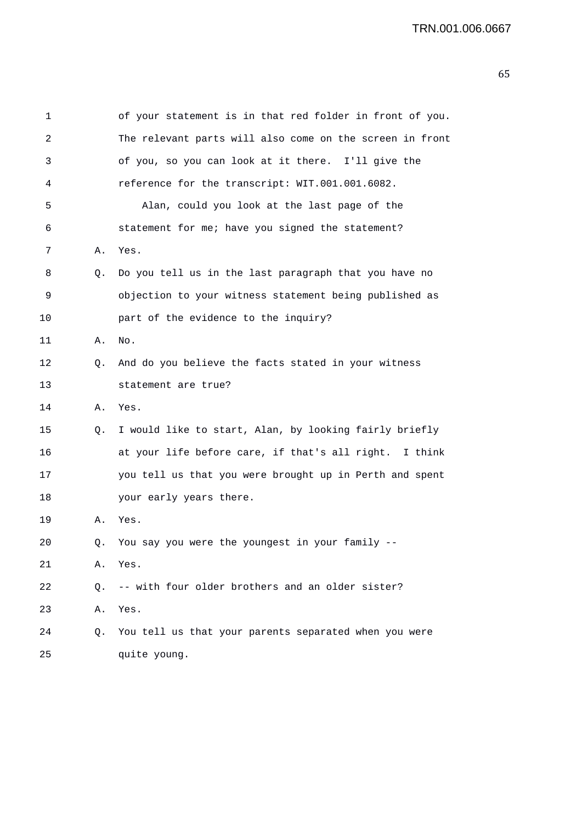| 1  |    | of your statement is in that red folder in front of you. |
|----|----|----------------------------------------------------------|
| 2  |    | The relevant parts will also come on the screen in front |
| 3  |    | of you, so you can look at it there. I'll give the       |
| 4  |    | reference for the transcript: WIT.001.001.6082.          |
| 5  |    | Alan, could you look at the last page of the             |
| 6  |    | statement for me; have you signed the statement?         |
| 7  | Α. | Yes.                                                     |
| 8  | Q. | Do you tell us in the last paragraph that you have no    |
| 9  |    | objection to your witness statement being published as   |
| 10 |    | part of the evidence to the inquiry?                     |
| 11 | Α. | No.                                                      |
| 12 | Q. | And do you believe the facts stated in your witness      |
| 13 |    | statement are true?                                      |
| 14 | Α. | Yes.                                                     |
| 15 | Q. | I would like to start, Alan, by looking fairly briefly   |
| 16 |    | at your life before care, if that's all right. I think   |
| 17 |    | you tell us that you were brought up in Perth and spent  |
| 18 |    | your early years there.                                  |
| 19 | Α. | Yes.                                                     |
| 20 |    | Q. You say you were the youngest in your family --       |
| 21 | Α. | Yes.                                                     |
| 22 | Q. | -- with four older brothers and an older sister?         |
| 23 | Α. | Yes.                                                     |
| 24 | Q. | You tell us that your parents separated when you were    |
| 25 |    | quite young.                                             |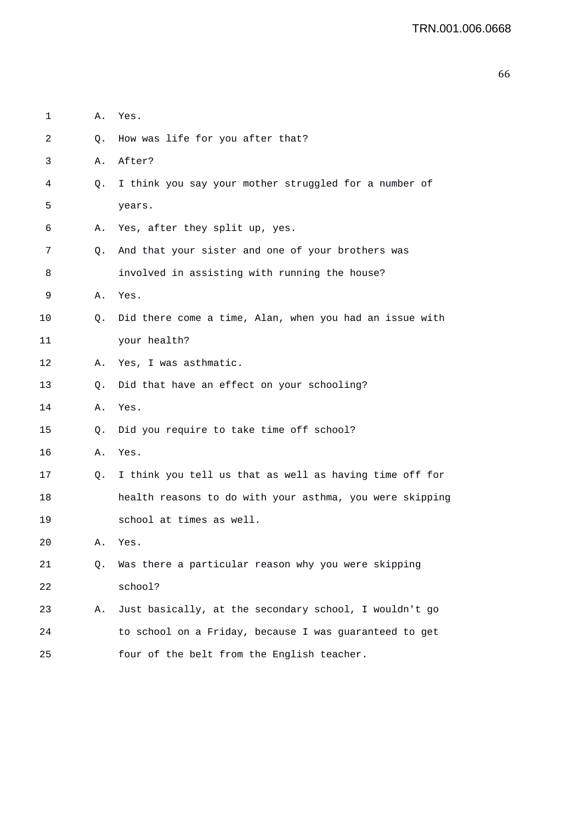| 1  | Α.        | Yes.                                                     |
|----|-----------|----------------------------------------------------------|
| 2  | Q.        | How was life for you after that?                         |
| 3  | Α.        | After?                                                   |
| 4  | О.        | I think you say your mother struggled for a number of    |
| 5  |           | years.                                                   |
| 6  | Α.        | Yes, after they split up, yes.                           |
| 7  | Q.        | And that your sister and one of your brothers was        |
| 8  |           | involved in assisting with running the house?            |
| 9  | Α.        | Yes.                                                     |
| 10 | Q.        | Did there come a time, Alan, when you had an issue with  |
| 11 |           | your health?                                             |
| 12 | А.        | Yes, I was asthmatic.                                    |
| 13 | Q.        | Did that have an effect on your schooling?               |
| 14 | Α.        | Yes.                                                     |
| 15 | $\circ$ . | Did you require to take time off school?                 |
| 16 | Α.        | Yes.                                                     |
| 17 | Q.        | I think you tell us that as well as having time off for  |
| 18 |           | health reasons to do with your asthma, you were skipping |
| 19 |           | school at times as well.                                 |
| 20 | Α.        | Yes.                                                     |
| 21 | Q.        | Was there a particular reason why you were skipping      |
| 22 |           | school?                                                  |
| 23 | Α.        | Just basically, at the secondary school, I wouldn't go   |
| 24 |           | to school on a Friday, because I was guaranteed to get   |
| 25 |           | four of the belt from the English teacher.               |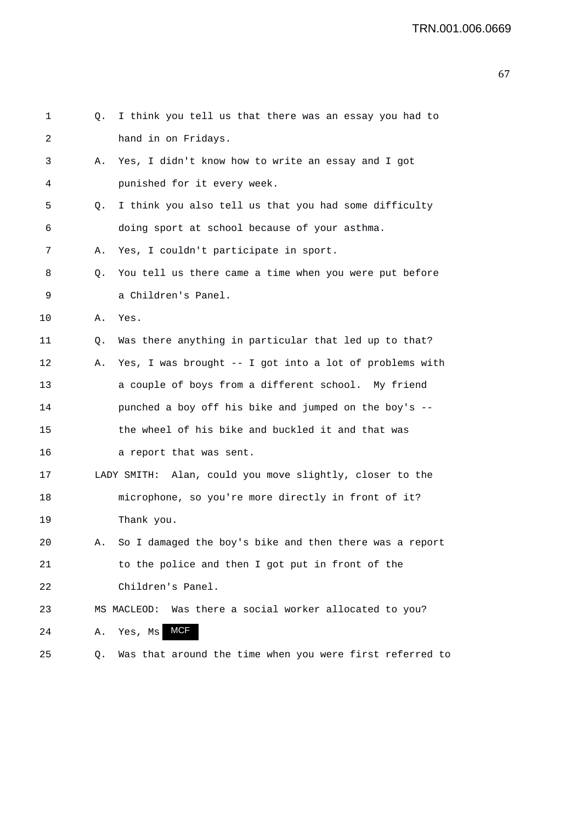| 1  | Q. | I think you tell us that there was an essay you had to   |
|----|----|----------------------------------------------------------|
| 2  |    | hand in on Fridays.                                      |
| 3  | Α. | Yes, I didn't know how to write an essay and I got       |
| 4  |    | punished for it every week.                              |
| 5  | Q. | I think you also tell us that you had some difficulty    |
| 6  |    | doing sport at school because of your asthma.            |
| 7  | Α. | Yes, I couldn't participate in sport.                    |
| 8  | Q. | You tell us there came a time when you were put before   |
| 9  |    | a Children's Panel.                                      |
| 10 | Α. | Yes.                                                     |
| 11 | Q. | Was there anything in particular that led up to that?    |
| 12 | Α. | Yes, I was brought -- I got into a lot of problems with  |
| 13 |    | a couple of boys from a different school. My friend      |
| 14 |    | punched a boy off his bike and jumped on the boy's --    |
| 15 |    | the wheel of his bike and buckled it and that was        |
| 16 |    | a report that was sent.                                  |
| 17 |    | LADY SMITH: Alan, could you move slightly, closer to the |
| 18 |    | microphone, so you're more directly in front of it?      |
| 19 |    | Thank you.                                               |
| 20 | А. | So I damaged the boy's bike and then there was a report  |
| 21 |    | to the police and then I got put in front of the         |
| 22 |    | Children's Panel.                                        |
| 23 |    | MS MACLEOD: Was there a social worker allocated to you?  |
| 24 | Α. | <b>MCF</b><br>Yes, Ms                                    |
| 25 | Q. | Was that around the time when you were first referred to |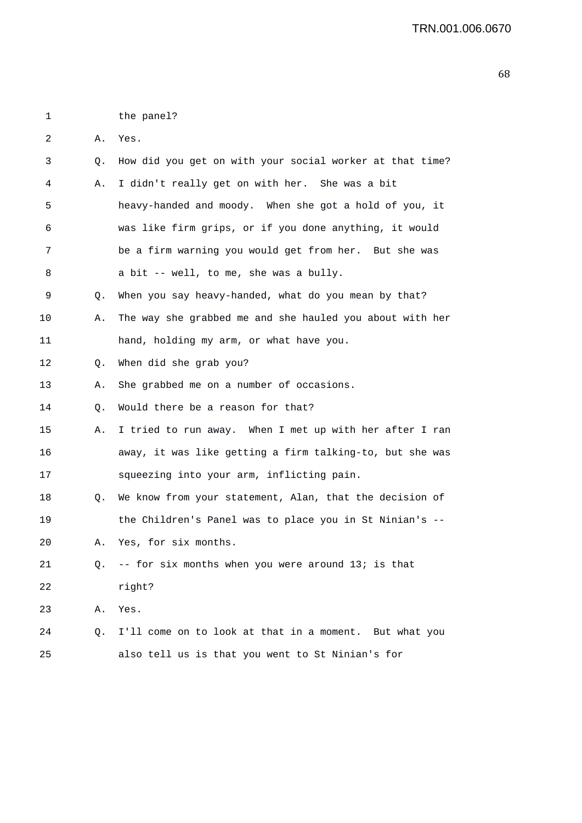1 the panel?

2 A. Yes.

| 3           | Q. | How did you get on with your social worker at that time? |
|-------------|----|----------------------------------------------------------|
| 4           | Α. | I didn't really get on with her. She was a bit           |
| 5           |    | heavy-handed and moody. When she got a hold of you, it   |
| 6           |    | was like firm grips, or if you done anything, it would   |
| 7           |    | be a firm warning you would get from her. But she was    |
| 8           |    | a bit -- well, to me, she was a bully.                   |
| 9           | Q. | When you say heavy-handed, what do you mean by that?     |
| 10          | Α. | The way she grabbed me and she hauled you about with her |
| 11          |    | hand, holding my arm, or what have you.                  |
| 12          | Q. | When did she grab you?                                   |
| 13          | Α. | She grabbed me on a number of occasions.                 |
| 14          | Q. | Would there be a reason for that?                        |
| 15          | Α. | I tried to run away. When I met up with her after I ran  |
| 16          |    | away, it was like getting a firm talking-to, but she was |
| 17          |    | squeezing into your arm, inflicting pain.                |
| 18          | Q. | We know from your statement, Alan, that the decision of  |
| 19          |    | the Children's Panel was to place you in St Ninian's --  |
| 20          | Α. | Yes, for six months.                                     |
| 21          | Q. | -- for six months when you were around 13; is that       |
| $2\sqrt{2}$ |    | right?                                                   |
| 23          | Α. | Yes.                                                     |
| 24          | Q. | I'll come on to look at that in a moment. But what you   |
| 25          |    | also tell us is that you went to St Ninian's for         |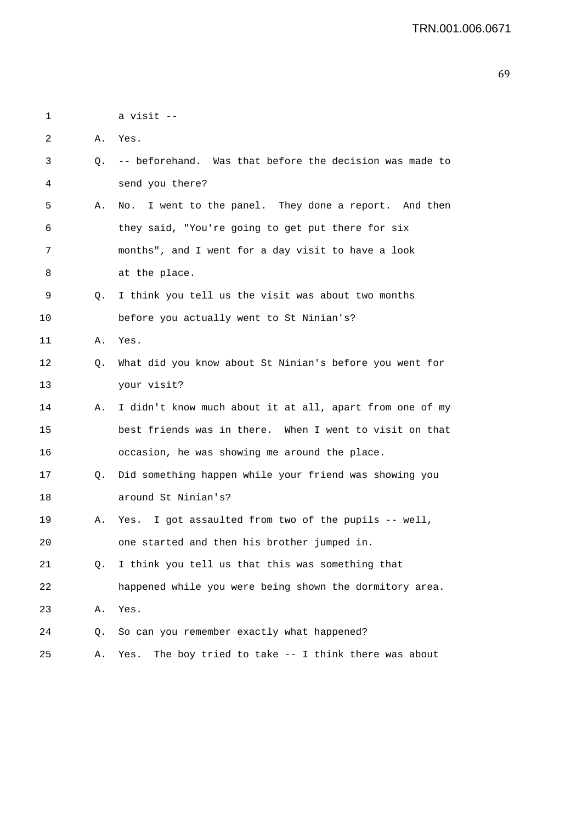1 a visit -- 2 A. Yes. 3 Q. -- beforehand. Was that before the decision was made to 4 send you there? 5 A. No. I went to the panel. They done a report. And then 6 they said, "You're going to get put there for six 7 months", and I went for a day visit to have a look 8 at the place. 9 Q. I think you tell us the visit was about two months 10 before you actually went to St Ninian's? 11 A. Yes. 12 Q. What did you know about St Ninian's before you went for 13 your visit? 14 A. I didn't know much about it at all, apart from one of my 15 best friends was in there. When I went to visit on that 16 occasion, he was showing me around the place. 17 Q. Did something happen while your friend was showing you 18 around St Ninian's? 19 A. Yes. I got assaulted from two of the pupils -- well, 20 one started and then his brother jumped in. 21 Q. I think you tell us that this was something that 22 happened while you were being shown the dormitory area. 23 A. Yes. 24 Q. So can you remember exactly what happened? 25 A. Yes. The boy tried to take -- I think there was about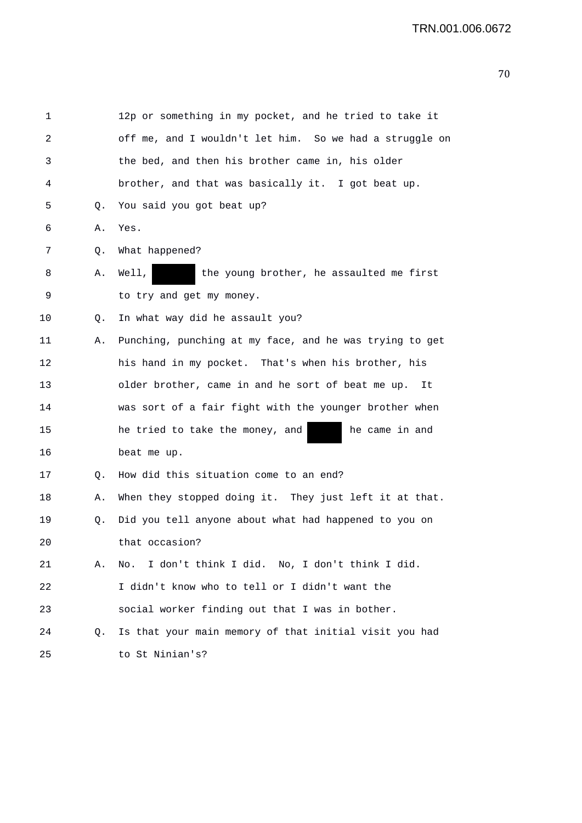```
1 12p or something in my pocket, and he tried to take it 
2 off me, and I wouldn't let him. So we had a struggle on 
3 the bed, and then his brother came in, his older 
4 brother, and that was basically it. I got beat up. 
5 Q. You said you got beat up? 
6 A. Yes. 
7 Q. What happened? 
8 A. Well, the young brother, he assaulted me first 
9 to try and get my money. 
10 0. In what way did he assault you?
11 A. Punching, punching at my face, and he was trying to get 
12 his hand in my pocket. That's when his brother, his 
13 older brother, came in and he sort of beat me up. It 
14 was sort of a fair fight with the younger brother when 
15 he tried to take the money, and he came in and
16 beat me up. 
17 Q. How did this situation come to an end? 
18 A. When they stopped doing it. They just left it at that. 
19 Q. Did you tell anyone about what had happened to you on 
20 that occasion? 
21 A. No. I don't think I did. No, I don't think I did. 
22 I didn't know who to tell or I didn't want the 
23 social worker finding out that I was in bother. 
24 Q. Is that your main memory of that initial visit you had 
25 to St Ninian's?
```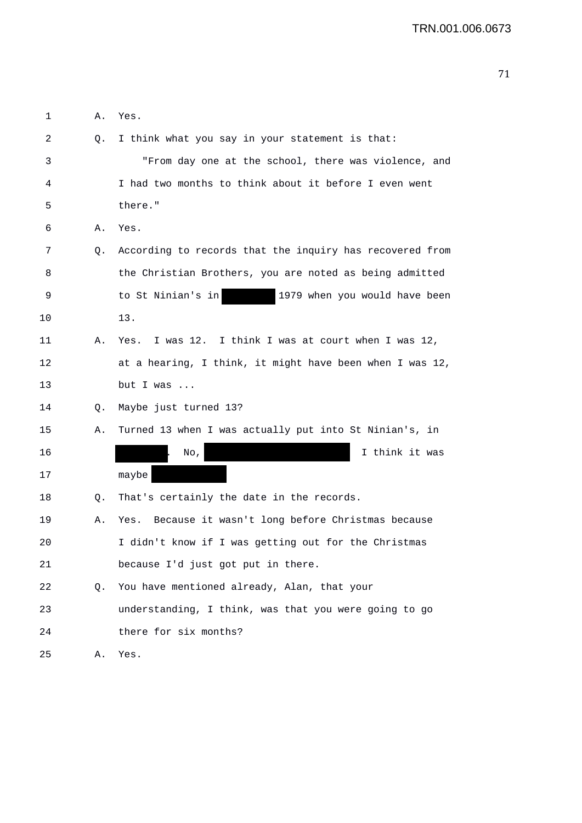| 1  | Α. | Yes.                                                     |
|----|----|----------------------------------------------------------|
| 2  | Q. | I think what you say in your statement is that:          |
| 3  |    | "From day one at the school, there was violence, and     |
| 4  |    | I had two months to think about it before I even went    |
| 5  |    | there."                                                  |
| 6  | Α. | Yes.                                                     |
| 7  | Q. | According to records that the inquiry has recovered from |
| 8  |    | the Christian Brothers, you are noted as being admitted  |
| 9  |    | to St Ninian's in<br>1979 when you would have been       |
| 10 |    | 13.                                                      |
| 11 | Α. | I was 12. I think I was at court when I was 12,<br>Yes.  |
| 12 |    | at a hearing, I think, it might have been when I was 12, |
| 13 |    | but I was $\ldots$                                       |
| 14 | Q. | Maybe just turned 13?                                    |
| 15 | Α. | Turned 13 when I was actually put into St Ninian's, in   |
| 16 |    | I think it was<br>No,                                    |
| 17 |    | maybe                                                    |
| 18 | Q. | That's certainly the date in the records.                |
| 19 | Α. | Because it wasn't long before Christmas because<br>Yes.  |
| 20 |    | I didn't know if I was getting out for the Christmas     |
| 21 |    | because I'd just got put in there.                       |
| 22 | Q. | You have mentioned already, Alan, that your              |
| 23 |    | understanding, I think, was that you were going to go    |
| 24 |    | there for six months?                                    |
| 25 | Α. | Yes.                                                     |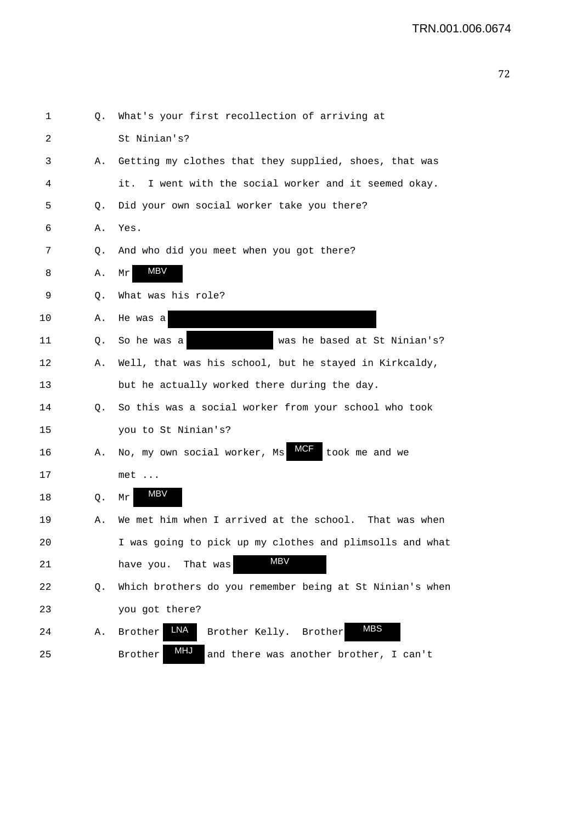| 1  | Q. | What's your first recollection of arriving at                   |
|----|----|-----------------------------------------------------------------|
| 2  |    | St Ninian's?                                                    |
| 3  | Α. | Getting my clothes that they supplied, shoes, that was          |
| 4  |    | I went with the social worker and it seemed okay.<br>it.        |
| 5  | Q. | Did your own social worker take you there?                      |
| 6  | Α. | Yes.                                                            |
| 7  | Q. | And who did you meet when you got there?                        |
| 8  | Α. | MBV<br>Mr                                                       |
| 9  | Q. | What was his role?                                              |
| 10 | Α. | He was a                                                        |
| 11 | Q. | was he based at St Ninian's?<br>So he was a                     |
| 12 | Α. | Well, that was his school, but he stayed in Kirkcaldy,          |
| 13 |    | but he actually worked there during the day.                    |
| 14 | Q. | So this was a social worker from your school who took           |
| 15 |    | you to St Ninian's?                                             |
| 16 | Α. | <b>MCF</b><br>No, my own social worker, Ms<br>took me and we    |
| 17 |    | $met \dots$                                                     |
| 18 | Q. | MBV<br>Mr                                                       |
| 19 | Α. | We met him when I arrived at the school.<br>That was when       |
| 20 |    | I was going to pick up my clothes and plimsolls and what        |
| 21 |    | <b>MBV</b><br>That was<br>have you.                             |
| 22 | Q. | Which brothers do you remember being at St Ninian's when        |
| 23 |    | you got there?                                                  |
| 24 | Α. | <b>MBS</b><br><b>LNA</b><br>Brother Kelly. Brother<br>Brother   |
| 25 |    | <b>MHJ</b><br>Brother<br>and there was another brother, I can't |
|    |    |                                                                 |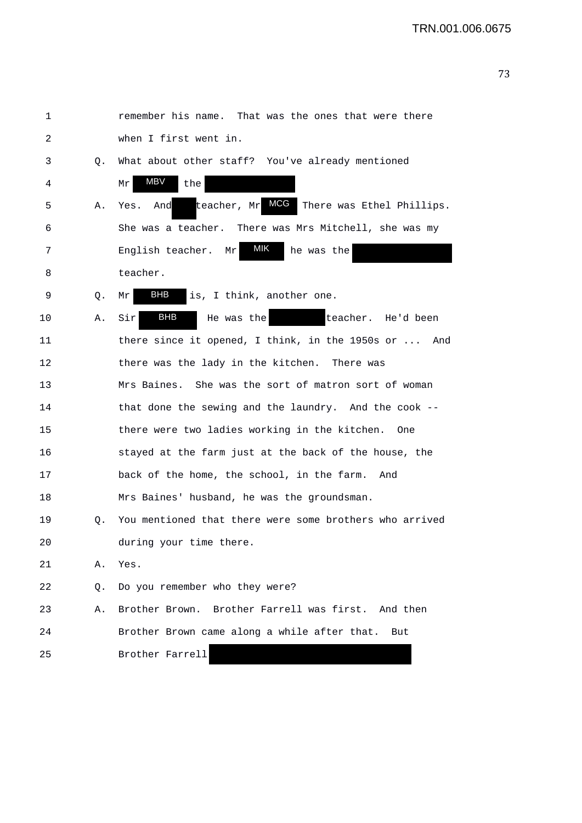```
1 remember his name. That was the ones that were there 
2 when I first went in. 
3 Q. What about other staff? You've already mentioned 
 4 Mr MBV the
 5 A. Yes. And teacher, Mr MCG There was Ethel Phillips.
6 She was a teacher. There was Mrs Mitchell, she was my 
7 English teacher. Mr MIK he was the
8 teacher.
 9 Q. Mr BHB is, I think, another one.
10 A. Sir BHB He was the teacher. He'd been
11 there since it opened, I think, in the 1950s or ... And 
12 there was the lady in the kitchen. There was 
13 Mrs Baines. She was the sort of matron sort of woman 
14 that done the sewing and the laundry. And the cook -- 
15 there were two ladies working in the kitchen. One 
16 stayed at the farm just at the back of the house, the 
17 back of the home, the school, in the farm. And 
18 Mrs Baines' husband, he was the groundsman. 
19 Q. You mentioned that there were some brothers who arrived 
20 during your time there. 
21 A. Yes. 
22 Q. Do you remember who they were? 
23 A. Brother Brown. Brother Farrell was first. And then 
24 Brother Brown came along a while after that. But 
25 Brother Farrell
                BHB
                             MIK
```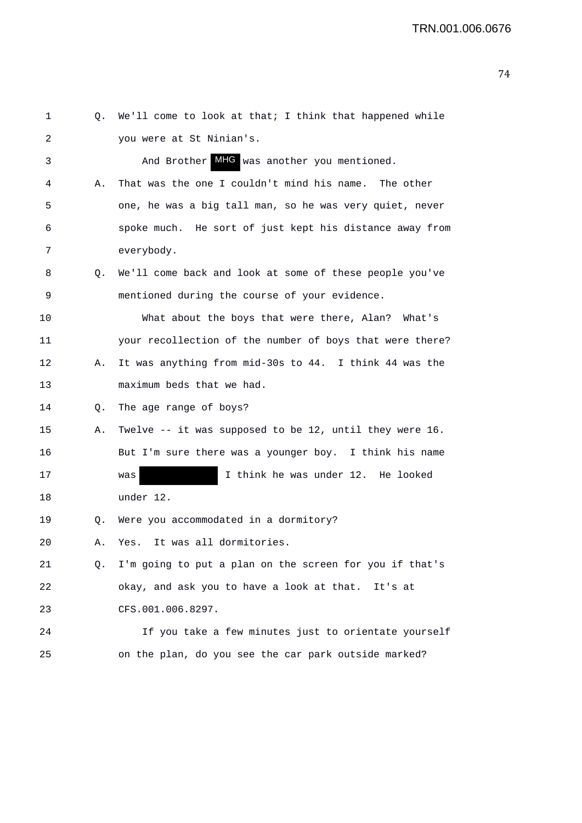| 1  | Q. | We'll come to look at that; I think that happened while  |
|----|----|----------------------------------------------------------|
| 2  |    | you were at St Ninian's.                                 |
| 3  |    | And Brother MHG was another you mentioned.               |
| 4  | Α. | That was the one I couldn't mind his name. The other     |
| 5  |    | one, he was a big tall man, so he was very quiet, never  |
| 6  |    | spoke much. He sort of just kept his distance away from  |
| 7  |    | everybody.                                               |
| 8  | Q. | We'll come back and look at some of these people you've  |
| 9  |    | mentioned during the course of your evidence.            |
| 10 |    | What about the boys that were there, Alan? What's        |
| 11 |    | your recollection of the number of boys that were there? |
| 12 | А. | It was anything from mid-30s to 44. I think 44 was the   |
| 13 |    | maximum beds that we had.                                |
| 14 | Q. | The age range of boys?                                   |
| 15 | Α. | Twelve -- it was supposed to be 12, until they were 16.  |
| 16 |    | But I'm sure there was a younger boy. I think his name   |
| 17 |    | I think he was under 12. He looked<br>was                |
| 18 |    | under 12.                                                |
| 19 | Q. | Were you accommodated in a dormitory?                    |
| 20 | Α. | Yes. It was all dormitories.                             |
| 21 | Q. | I'm going to put a plan on the screen for you if that's  |
| 22 |    | okay, and ask you to have a look at that. It's at        |
| 23 |    | CFS.001.006.8297.                                        |
| 24 |    | If you take a few minutes just to orientate yourself     |
| 25 |    | on the plan, do you see the car park outside marked?     |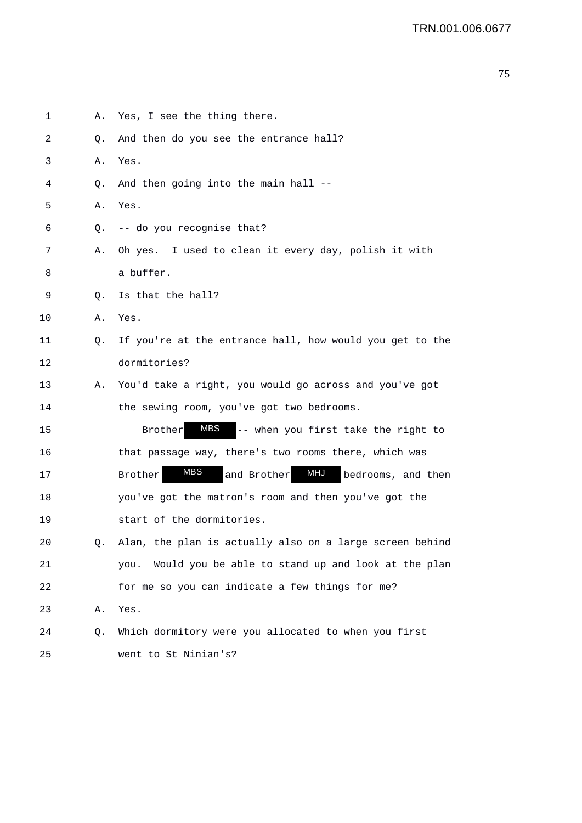| 2  | Q. | And then do you see the entrance hall?                            |
|----|----|-------------------------------------------------------------------|
| 3  | Α. | Yes.                                                              |
| 4  | Q. | And then going into the main hall --                              |
| 5  | Α. | Yes.                                                              |
| 6  | Q. | -- do you recognise that?                                         |
| 7  | Α. | Oh yes. I used to clean it every day, polish it with              |
| 8  |    | a buffer.                                                         |
| 9  | Q. | Is that the hall?                                                 |
| 10 | Α. | Yes.                                                              |
| 11 | Q. | If you're at the entrance hall, how would you get to the          |
| 12 |    | dormitories?                                                      |
| 13 | Α. | You'd take a right, you would go across and you've got            |
| 14 |    | the sewing room, you've got two bedrooms.                         |
| 15 |    | -- when you first take the right to<br>MBS<br><b>Brother</b>      |
| 16 |    | that passage way, there's two rooms there, which was              |
| 17 |    | <b>MBS</b><br>MHJ<br>bedrooms, and then<br>and Brother<br>Brother |
| 18 |    | you've got the matron's room and then you've got the              |
| 19 |    | start of the dormitories.                                         |
| 20 | Q. | Alan, the plan is actually also on a large screen behind          |
| 21 |    | Would you be able to stand up and look at the plan<br>you.        |
| 22 |    | for me so you can indicate a few things for me?                   |
| 23 | Α. | Yes.                                                              |
| 24 | Q. | Which dormitory were you allocated to when you first              |
| 25 |    | went to St Ninian's?                                              |

1 A. Yes, I see the thing there.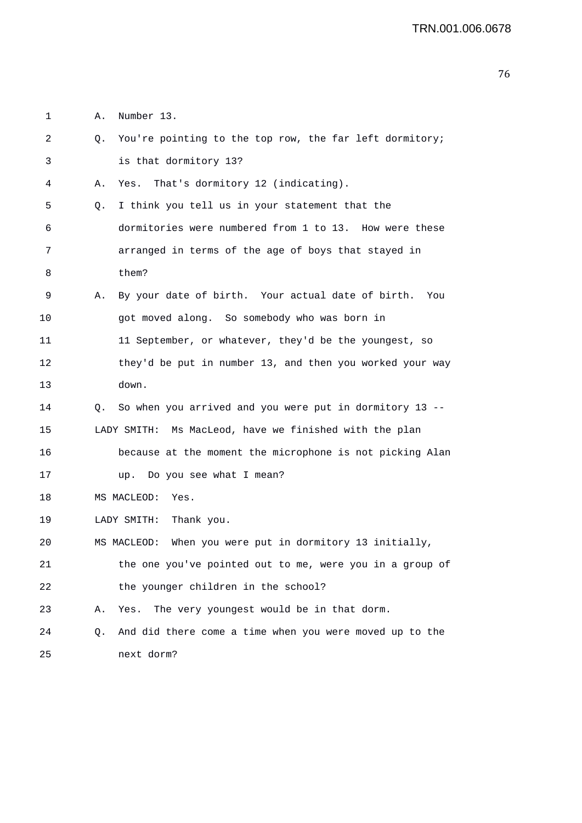1 A. Number 13.

| 2  | You're pointing to the top row, the far left dormitory;<br>Q.        |
|----|----------------------------------------------------------------------|
| 3  | is that dormitory 13?                                                |
| 4  | That's dormitory 12 (indicating).<br>Yes.<br>Α.                      |
| 5  | I think you tell us in your statement that the<br>Q.                 |
| 6  | dormitories were numbered from 1 to 13. How were these               |
| 7  | arranged in terms of the age of boys that stayed in                  |
| 8  | them?                                                                |
| 9  | By your date of birth. Your actual date of birth.<br>Α.<br>You       |
| 10 | got moved along. So somebody who was born in                         |
| 11 | 11 September, or whatever, they'd be the youngest, so                |
| 12 | they'd be put in number 13, and then you worked your way             |
| 13 | down.                                                                |
| 14 | So when you arrived and you were put in dormitory 13 --<br>Q.        |
| 15 | Ms MacLeod, have we finished with the plan<br>LADY SMITH:            |
| 16 | because at the moment the microphone is not picking Alan             |
| 17 | Do you see what I mean?<br>up.                                       |
| 18 | MS MACLEOD:<br>Yes.                                                  |
| 19 | LADY SMITH:<br>Thank you.                                            |
| 20 | When you were put in dormitory 13 initially,<br>MS MACLEOD:          |
| 21 | the one you've pointed out to me, were you in a group of             |
| 22 | the younger children in the school?                                  |
| 23 | The very youngest would be in that dorm.<br>Yes.<br>Α.               |
| 24 | And did there come a time when you were moved up to the<br>$\circ$ . |
| 25 | next dorm?                                                           |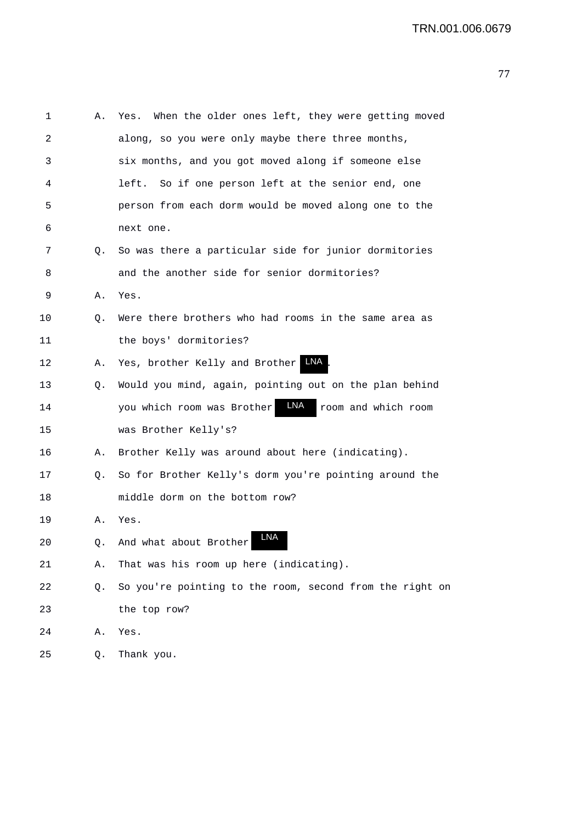| 1  | Α. | When the older ones left, they were getting moved<br>Yes. |
|----|----|-----------------------------------------------------------|
| 2  |    | along, so you were only maybe there three months,         |
| 3  |    | six months, and you got moved along if someone else       |
| 4  |    | So if one person left at the senior end, one<br>left.     |
| 5  |    | person from each dorm would be moved along one to the     |
| 6  |    | next one.                                                 |
| 7  | Q. | So was there a particular side for junior dormitories     |
| 8  |    | and the another side for senior dormitories?              |
| 9  | Α. | Yes.                                                      |
| 10 | Q. | Were there brothers who had rooms in the same area as     |
| 11 |    | the boys' dormitories?                                    |
| 12 | Α. | LNA<br>Yes, brother Kelly and Brother                     |
| 13 | Q. | Would you mind, again, pointing out on the plan behind    |
| 14 |    | LNA<br>you which room was Brother<br>room and which room  |
| 15 |    | was Brother Kelly's?                                      |
| 16 | Α. | Brother Kelly was around about here (indicating).         |
| 17 | Q. | So for Brother Kelly's dorm you're pointing around the    |
| 18 |    | middle dorm on the bottom row?                            |
| 19 | Α. | Yes.                                                      |
| 20 | Q. | <b>LNA</b><br>And what about Brother                      |
| 21 | Α. | That was his room up here (indicating).                   |
| 22 | Q. | So you're pointing to the room, second from the right on  |
| 23 |    | the top row?                                              |
| 24 | Α. | Yes.                                                      |
| 25 | Q. | Thank you.                                                |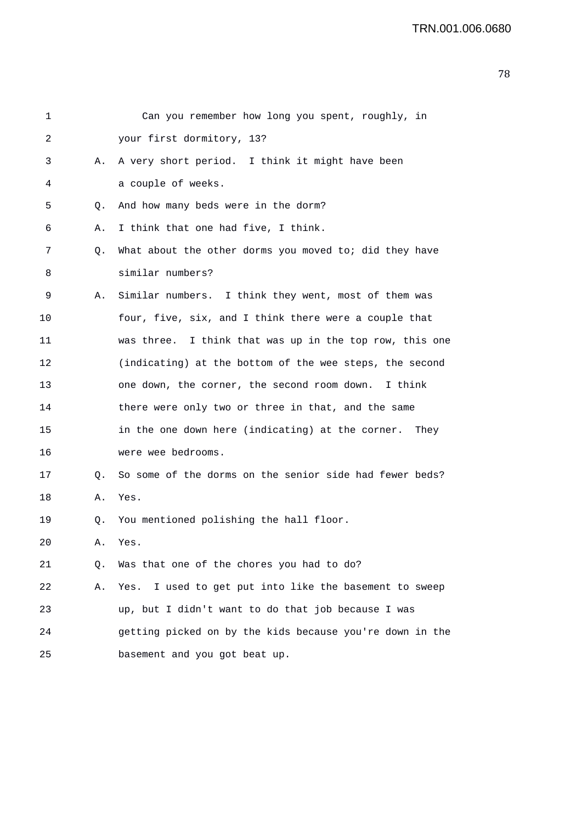| 1  |    | Can you remember how long you spent, roughly, in          |
|----|----|-----------------------------------------------------------|
| 2  |    | your first dormitory, 13?                                 |
| 3  | Α. | A very short period. I think it might have been           |
| 4  |    | a couple of weeks.                                        |
| 5  | Q. | And how many beds were in the dorm?                       |
| 6  | Α. | I think that one had five, I think.                       |
| 7  | Q. | What about the other dorms you moved to; did they have    |
| 8  |    | similar numbers?                                          |
| 9  | А. | Similar numbers. I think they went, most of them was      |
| 10 |    | four, five, six, and I think there were a couple that     |
| 11 |    | was three. I think that was up in the top row, this one   |
| 12 |    | (indicating) at the bottom of the wee steps, the second   |
| 13 |    | one down, the corner, the second room down. I think       |
| 14 |    | there were only two or three in that, and the same        |
| 15 |    | in the one down here (indicating) at the corner.<br>They  |
| 16 |    | were wee bedrooms.                                        |
| 17 | Q. | So some of the dorms on the senior side had fewer beds?   |
| 18 | Α. | Yes.                                                      |
| 19 | Q. | You mentioned polishing the hall floor.                   |
| 20 | А. | Yes.                                                      |
| 21 | Q. | Was that one of the chores you had to do?                 |
| 22 | Α. | I used to get put into like the basement to sweep<br>Yes. |
| 23 |    | up, but I didn't want to do that job because I was        |
| 24 |    | getting picked on by the kids because you're down in the  |
| 25 |    | basement and you got beat up.                             |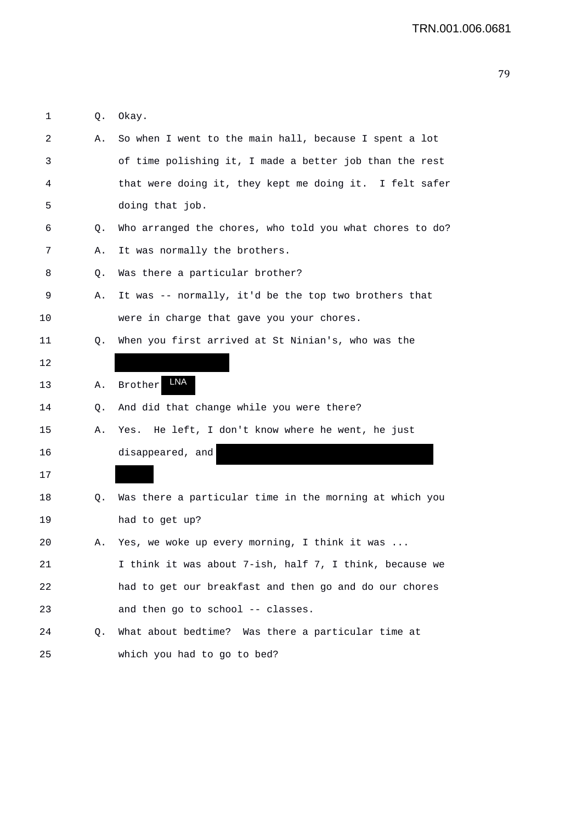| Okay. |  |
|-------|--|

| 2  | Α. | So when I went to the main hall, because I spent a lot   |
|----|----|----------------------------------------------------------|
| 3  |    | of time polishing it, I made a better job than the rest  |
| 4  |    | that were doing it, they kept me doing it. I felt safer  |
| 5  |    | doing that job.                                          |
| 6  | Q. | Who arranged the chores, who told you what chores to do? |
| 7  | Α. | It was normally the brothers.                            |
| 8  | Q. | Was there a particular brother?                          |
| 9  | Α. | It was -- normally, it'd be the top two brothers that    |
| 10 |    | were in charge that gave you your chores.                |
| 11 | Q. | When you first arrived at St Ninian's, who was the       |
| 12 |    |                                                          |
| 13 | Α. | LNA<br><b>Brother</b>                                    |
| 14 | Q. | And did that change while you were there?                |
| 15 | Α. | He left, I don't know where he went, he just<br>Yes.     |
| 16 |    | disappeared, and                                         |
| 17 |    |                                                          |
| 18 | Q. | Was there a particular time in the morning at which you  |
| 19 |    | had to get up?                                           |
| 20 | Α. | Yes, we woke up every morning, I think it was            |
| 21 |    | I think it was about 7-ish, half 7, I think, because we  |
| 22 |    | had to get our breakfast and then go and do our chores   |
| 23 |    | and then go to school -- classes.                        |
| 24 | Q. | What about bedtime? Was there a particular time at       |
| 25 |    | which you had to go to bed?                              |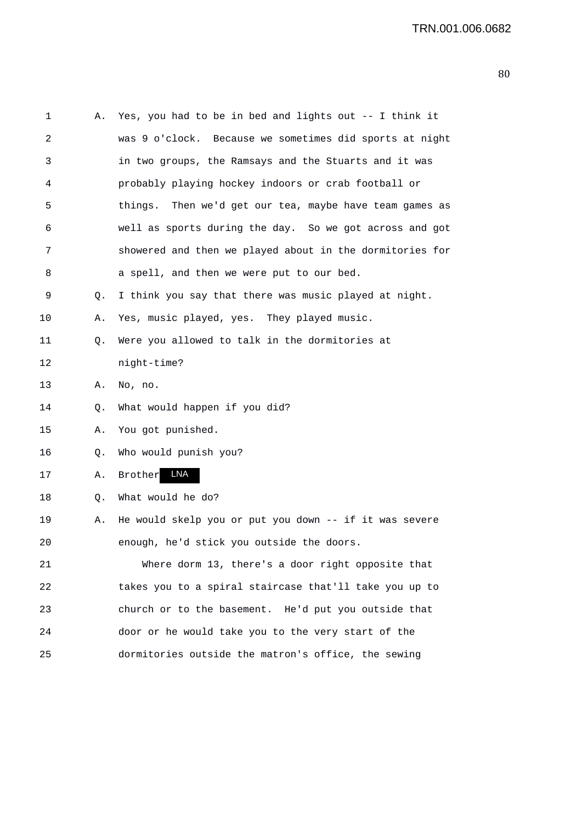| 1  | Α. | Yes, you had to be in bed and lights out -- I think it   |
|----|----|----------------------------------------------------------|
| 2  |    | was 9 o'clock. Because we sometimes did sports at night  |
| 3  |    | in two groups, the Ramsays and the Stuarts and it was    |
| 4  |    | probably playing hockey indoors or crab football or      |
| 5  |    | things. Then we'd get our tea, maybe have team games as  |
| 6  |    | well as sports during the day. So we got across and got  |
| 7  |    | showered and then we played about in the dormitories for |
| 8  |    | a spell, and then we were put to our bed.                |
| 9  | Q. | I think you say that there was music played at night.    |
| 10 | Α. | Yes, music played, yes. They played music.               |
| 11 | Q. | Were you allowed to talk in the dormitories at           |
| 12 |    | night-time?                                              |
| 13 | Α. | No, no.                                                  |
| 14 | Q. | What would happen if you did?                            |
| 15 | Α. | You got punished.                                        |
| 16 | Q. | Who would punish you?                                    |
| 17 | Α. | LNA<br>Brother                                           |
| 18 | Q. | What would he do?                                        |
| 19 | Α. | He would skelp you or put you down -- if it was severe   |
| 20 |    | enough, he'd stick you outside the doors.                |
| 21 |    | Where dorm 13, there's a door right opposite that        |
| 22 |    | takes you to a spiral staircase that'll take you up to   |
| 23 |    | church or to the basement. He'd put you outside that     |
| 24 |    | door or he would take you to the very start of the       |
| 25 |    | dormitories outside the matron's office, the sewing      |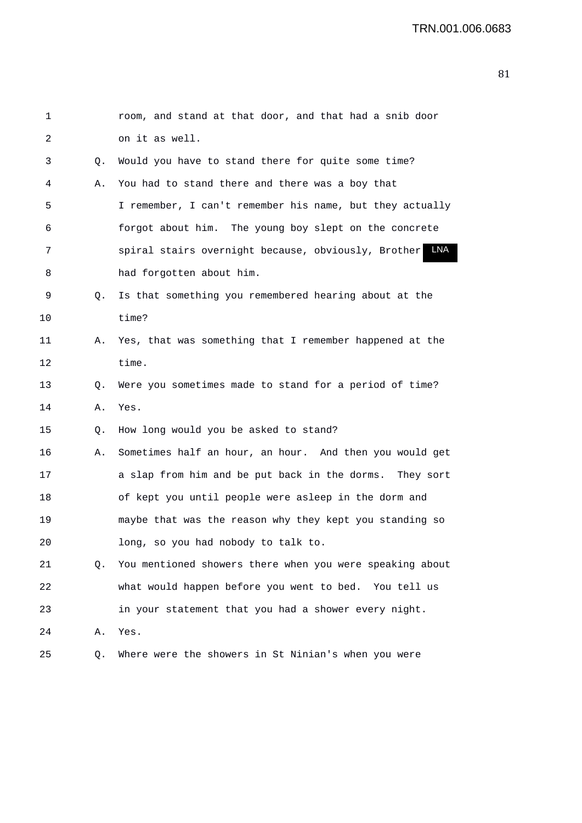| $\mathbf{1}$ |    | room, and stand at that door, and that had a snib door     |
|--------------|----|------------------------------------------------------------|
| 2            |    | on it as well.                                             |
| 3            | Q. | Would you have to stand there for quite some time?         |
| 4            | Α. | You had to stand there and there was a boy that            |
| 5            |    | I remember, I can't remember his name, but they actually   |
| 6            |    | forgot about him. The young boy slept on the concrete      |
| 7            |    | LNA<br>spiral stairs overnight because, obviously, Brother |
| 8            |    | had forgotten about him.                                   |
| 9            | Q. | Is that something you remembered hearing about at the      |
| 10           |    | time?                                                      |
| 11           | Α. | Yes, that was something that I remember happened at the    |
| 12           |    | time.                                                      |
| 13           | Q. | Were you sometimes made to stand for a period of time?     |
| 14           | Α. | Yes.                                                       |
| 15           | Q. | How long would you be asked to stand?                      |
| 16           | Α. | Sometimes half an hour, an hour. And then you would get    |
| 17           |    | a slap from him and be put back in the dorms. They sort    |
| 18           |    | of kept you until people were asleep in the dorm and       |
| 19           |    | maybe that was the reason why they kept you standing so    |
| 20           |    | long, so you had nobody to talk to.                        |
| 21           | О. | You mentioned showers there when you were speaking about   |
| 22           |    | what would happen before you went to bed. You tell us      |
| 23           |    | in your statement that you had a shower every night.       |
| 24           | Α. | Yes.                                                       |
| 25           | Q. | Where were the showers in St Ninian's when you were        |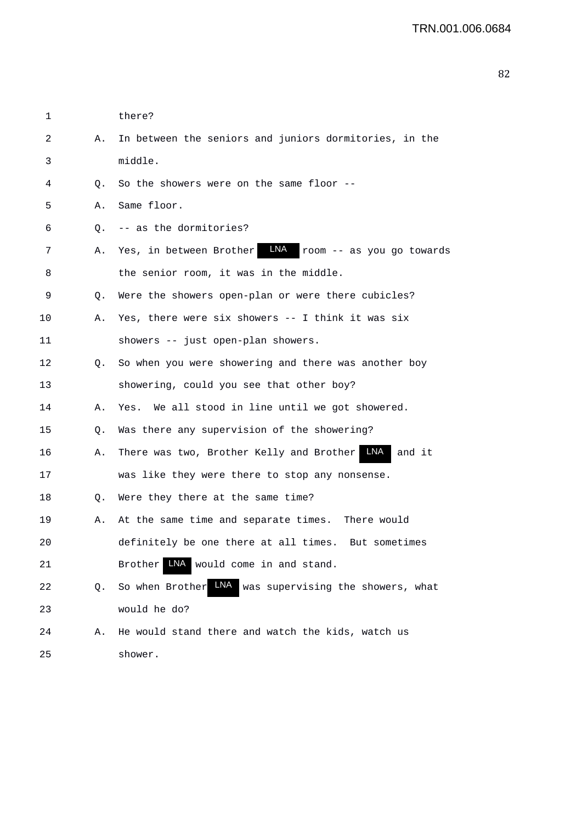| 1  |    | there?                                                      |
|----|----|-------------------------------------------------------------|
| 2  | А. | In between the seniors and juniors dormitories, in the      |
| 3  |    | middle.                                                     |
| 4  | Q. | So the showers were on the same floor --                    |
| 5  | Α. | Same floor.                                                 |
| 6  | Q. | -- as the dormitories?                                      |
| 7  | А. | LNA room -- as you go towards<br>Yes, in between Brother    |
| 8  |    | the senior room, it was in the middle.                      |
| 9  | Q. | Were the showers open-plan or were there cubicles?          |
| 10 | А. | Yes, there were six showers -- I think it was six           |
| 11 |    | showers -- just open-plan showers.                          |
| 12 | Q. | So when you were showering and there was another boy        |
| 13 |    | showering, could you see that other boy?                    |
| 14 | Α. | Yes. We all stood in line until we got showered.            |
| 15 | Q. | Was there any supervision of the showering?                 |
| 16 | Α. | There was two, Brother Kelly and Brother MA<br>and it       |
| 17 |    | was like they were there to stop any nonsense.              |
| 18 | Q. | Were they there at the same time?                           |
| 19 | Α. | At the same time and separate times. There would            |
| 20 |    | definitely be one there at all times. But sometimes         |
| 21 |    | LNA would come in and stand.<br><b>Brother</b>              |
| 22 | Q. | LNA<br>So when Brother<br>was supervising the showers, what |
| 23 |    | would he do?                                                |
| 24 | Α. | He would stand there and watch the kids, watch us           |
| 25 |    | shower.                                                     |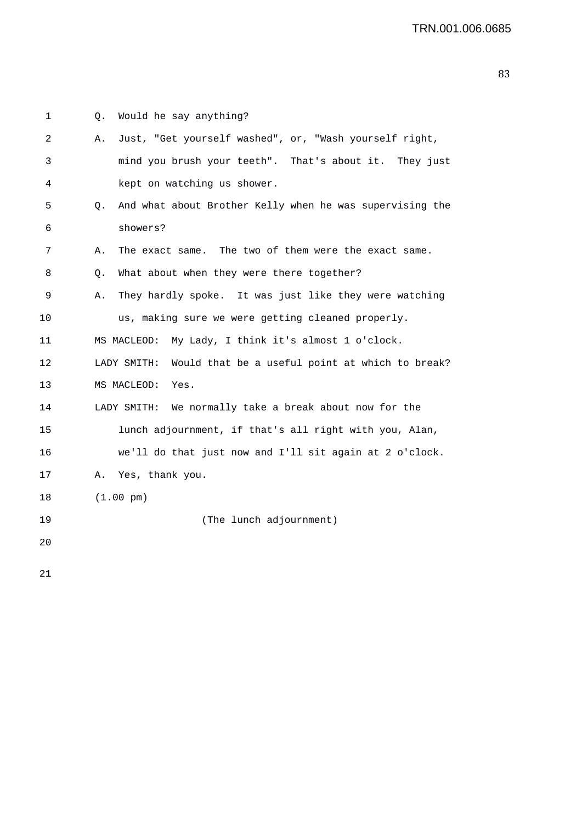| 1  | Q. | Would he say anything?                                         |
|----|----|----------------------------------------------------------------|
| 2  | Α. | Just, "Get yourself washed", or, "Wash yourself right,         |
| 3  |    | mind you brush your teeth". That's about it. They just         |
| 4  |    | kept on watching us shower.                                    |
| 5  | О. | And what about Brother Kelly when he was supervising the       |
| 6  |    | showers?                                                       |
| 7  | Α. | The exact same. The two of them were the exact same.           |
| 8  | О. | What about when they were there together?                      |
| 9  | Α. | They hardly spoke. It was just like they were watching         |
| 10 |    | us, making sure we were getting cleaned properly.              |
| 11 |    | My Lady, I think it's almost 1 o'clock.<br>MS MACLEOD:         |
| 12 |    | LADY SMITH:<br>Would that be a useful point at which to break? |
| 13 |    | MS MACLEOD:<br>Yes.                                            |
| 14 |    | We normally take a break about now for the<br>LADY SMITH:      |
| 15 |    | lunch adjournment, if that's all right with you, Alan,         |
| 16 |    | we'll do that just now and I'll sit again at 2 o'clock.        |
| 17 | Α. | Yes, thank you.                                                |
| 18 |    | $(1.00 \text{ pm})$                                            |
| 19 |    | (The lunch adjournment)                                        |
| 20 |    |                                                                |
|    |    |                                                                |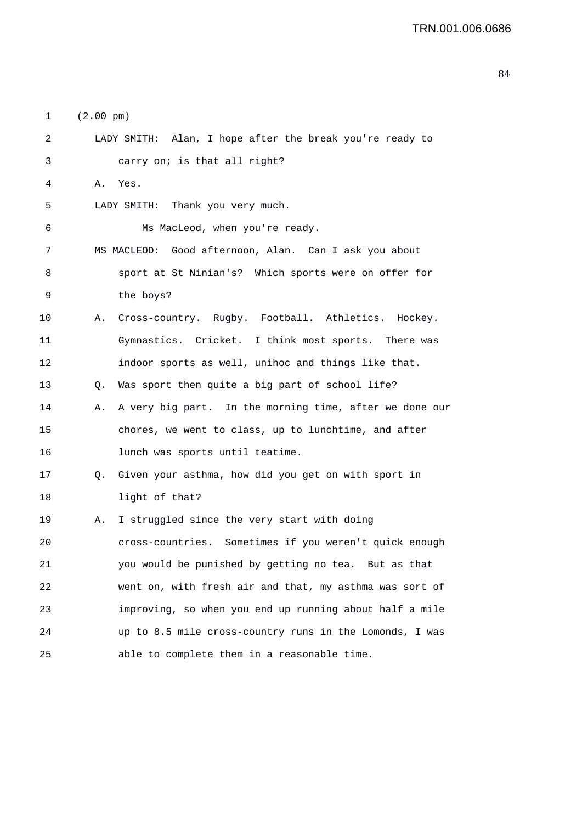1 (2.00 pm)

| 2       |    | LADY SMITH: Alan, I hope after the break you're ready to |
|---------|----|----------------------------------------------------------|
| 3       |    | carry on; is that all right?                             |
| 4       |    | A. Yes.                                                  |
| 5       |    | LADY SMITH: Thank you very much.                         |
| 6       |    | Ms MacLeod, when you're ready.                           |
| 7       |    | MS MACLEOD: Good afternoon, Alan. Can I ask you about    |
| 8       |    | sport at St Ninian's? Which sports were on offer for     |
| 9       |    | the boys?                                                |
| $10 \,$ | Α. | Cross-country. Rugby. Football. Athletics. Hockey.       |
| 11      |    | Gymnastics. Cricket. I think most sports. There was      |
| 12      |    | indoor sports as well, unihoc and things like that.      |
| 13      | Q. | Was sport then quite a big part of school life?          |
| 14      | Α. | A very big part. In the morning time, after we done our  |
| 15      |    | chores, we went to class, up to lunchtime, and after     |
| 16      |    | lunch was sports until teatime.                          |
| 17      | Q. | Given your asthma, how did you get on with sport in      |
| 18      |    | light of that?                                           |
| 19      | Α. | I struggled since the very start with doing              |
| 20      |    | cross-countries. Sometimes if you weren't quick enough   |
| 21      |    | you would be punished by getting no tea. But as that     |
| 22      |    | went on, with fresh air and that, my asthma was sort of  |
| 23      |    | improving, so when you end up running about half a mile  |
| 24      |    | up to 8.5 mile cross-country runs in the Lomonds, I was  |
| 25      |    | able to complete them in a reasonable time.              |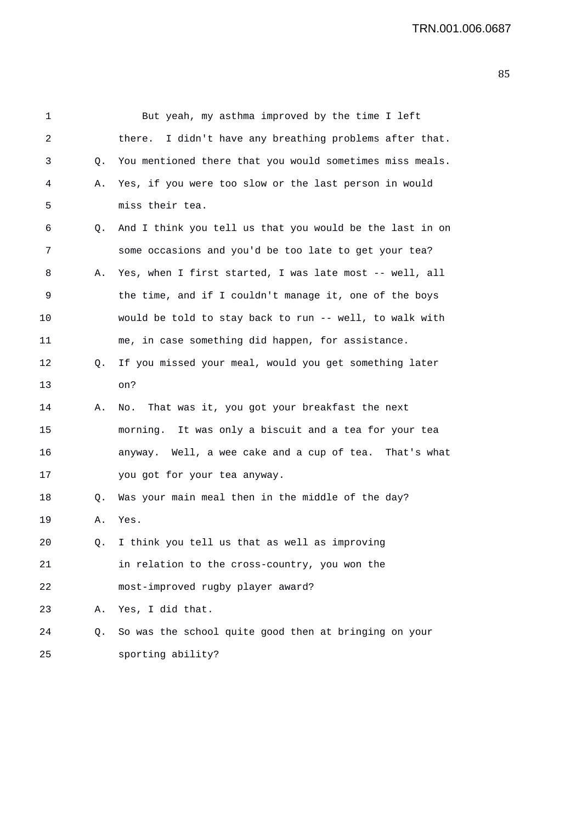1 But yeah, my asthma improved by the time I left 2 there. I didn't have any breathing problems after that. 3 Q. You mentioned there that you would sometimes miss meals. 4 A. Yes, if you were too slow or the last person in would 5 miss their tea. 6 Q. And I think you tell us that you would be the last in on 7 some occasions and you'd be too late to get your tea? 8 A. Yes, when I first started, I was late most -- well, all 9 the time, and if I couldn't manage it, one of the boys 10 would be told to stay back to run -- well, to walk with 11 me, in case something did happen, for assistance. 12 Q. If you missed your meal, would you get something later 13 on? 14 A. No. That was it, you got your breakfast the next 15 morning. It was only a biscuit and a tea for your tea 16 anyway. Well, a wee cake and a cup of tea. That's what 17 you got for your tea anyway. 18 Q. Was your main meal then in the middle of the day? 19 A. Yes. 20 Q. I think you tell us that as well as improving 21 in relation to the cross-country, you won the 22 most-improved rugby player award? 23 A. Yes, I did that. 24 Q. So was the school quite good then at bringing on your 25 sporting ability?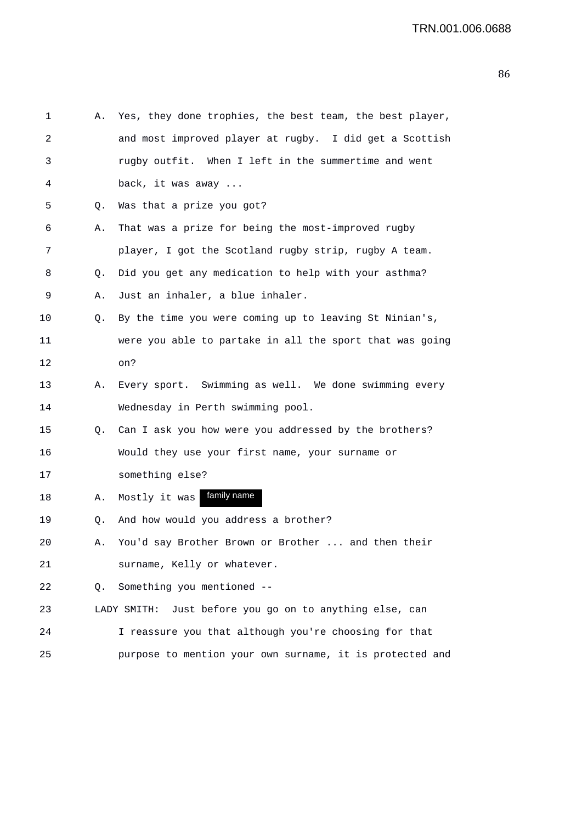| 1  | Α.          | Yes, they done trophies, the best team, the best player, |
|----|-------------|----------------------------------------------------------|
| 2  |             | and most improved player at rugby. I did get a Scottish  |
| 3  |             | rugby outfit. When I left in the summertime and went     |
| 4  |             | back, it was away                                        |
| 5  | Q.          | Was that a prize you got?                                |
| 6  | Α.          | That was a prize for being the most-improved rugby       |
| 7  |             | player, I got the Scotland rugby strip, rugby A team.    |
| 8  | Q.          | Did you get any medication to help with your asthma?     |
| 9  | Α.          | Just an inhaler, a blue inhaler.                         |
| 10 | Q.          | By the time you were coming up to leaving St Ninian's,   |
| 11 |             | were you able to partake in all the sport that was going |
| 12 |             | on?                                                      |
| 13 | Α.          | Every sport. Swimming as well. We done swimming every    |
| 14 |             | Wednesday in Perth swimming pool.                        |
| 15 | Q.          | Can I ask you how were you addressed by the brothers?    |
| 16 |             | Would they use your first name, your surname or          |
| 17 |             | something else?                                          |
| 18 | Α.          | family name<br>Mostly it was                             |
| 19 | Q.          | And how would you address a brother?                     |
| 20 | А.          | You'd say Brother Brown or Brother<br>and then their     |
| 21 |             | surname, Kelly or whatever.                              |
| 22 | $Q_{\star}$ | Something you mentioned --                               |
| 23 |             | LADY SMITH: Just before you go on to anything else, can  |
| 24 |             | I reassure you that although you're choosing for that    |
| 25 |             | purpose to mention your own surname, it is protected and |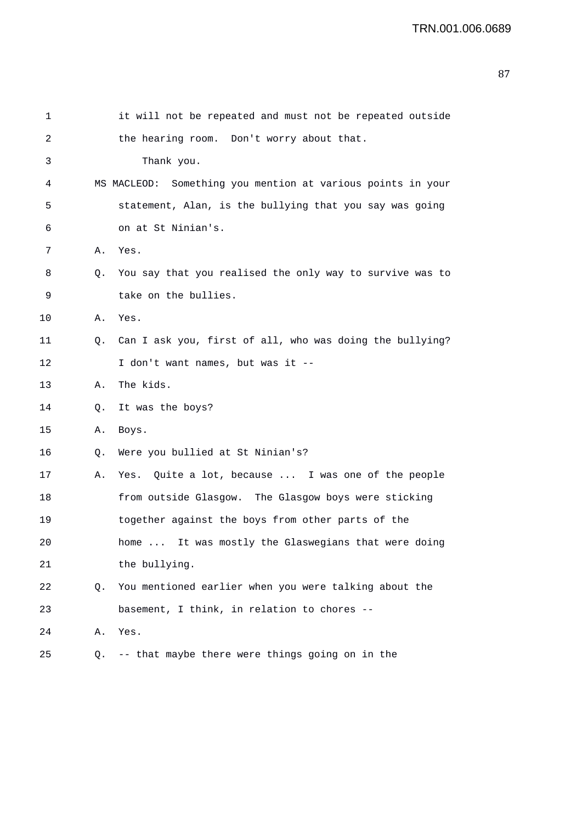| 1       |    | it will not be repeated and must not be repeated outside    |
|---------|----|-------------------------------------------------------------|
| 2       |    | the hearing room. Don't worry about that.                   |
| 3       |    | Thank you.                                                  |
| 4       |    | MS MACLEOD: Something you mention at various points in your |
| 5       |    | statement, Alan, is the bullying that you say was going     |
| 6       |    | on at St Ninian's.                                          |
| 7       | Α. | Yes.                                                        |
| 8       | Q. | You say that you realised the only way to survive was to    |
| 9       |    | take on the bullies.                                        |
| $10 \,$ | Α. | Yes.                                                        |
| 11      | Q. | Can I ask you, first of all, who was doing the bullying?    |
| 12      |    | I don't want names, but was it --                           |
| 13      | Α. | The kids.                                                   |
| 14      | О. | It was the boys?                                            |
| 15      | Α. | Boys.                                                       |
| 16      | Q. | Were you bullied at St Ninian's?                            |
| 17      | Α. | Yes. Quite a lot, because  I was one of the people          |
| 18      |    | from outside Glasgow. The Glasgow boys were sticking        |
| 19      |    | together against the boys from other parts of the           |
| 20      |    | It was mostly the Glaswegians that were doing<br>home       |
| 21      |    | the bullying.                                               |
| 22      | Q. | You mentioned earlier when you were talking about the       |
| 23      |    | basement, I think, in relation to chores --                 |
| 24      | Α. | Yes.                                                        |
| 25      |    | Q. -- that maybe there were things going on in the          |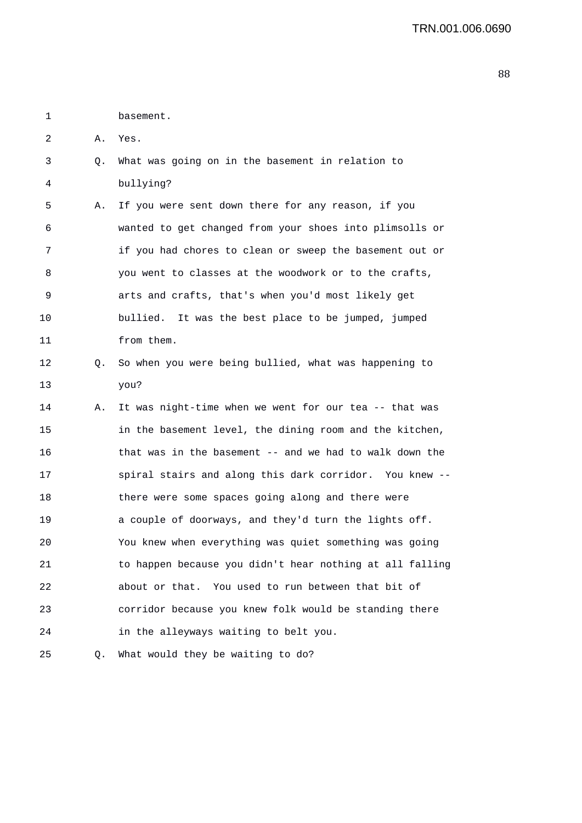1 basement.

2 A. Yes.

3 Q. What was going on in the basement in relation to 4 bullying?

5 A. If you were sent down there for any reason, if you 6 wanted to get changed from your shoes into plimsolls or 7 if you had chores to clean or sweep the basement out or 8 you went to classes at the woodwork or to the crafts, 9 arts and crafts, that's when you'd most likely get 10 bullied. It was the best place to be jumped, jumped 11 from them.

- 12 Q. So when you were being bullied, what was happening to 13 you?
- 14 A. It was night-time when we went for our tea -- that was 15 in the basement level, the dining room and the kitchen, 16 that was in the basement -- and we had to walk down the 17 spiral stairs and along this dark corridor. You knew -- 18 there were some spaces going along and there were 19 a couple of doorways, and they'd turn the lights off. 20 You knew when everything was quiet something was going 21 to happen because you didn't hear nothing at all falling 22 about or that. You used to run between that bit of 23 corridor because you knew folk would be standing there 24 in the alleyways waiting to belt you.
- 25 Q. What would they be waiting to do?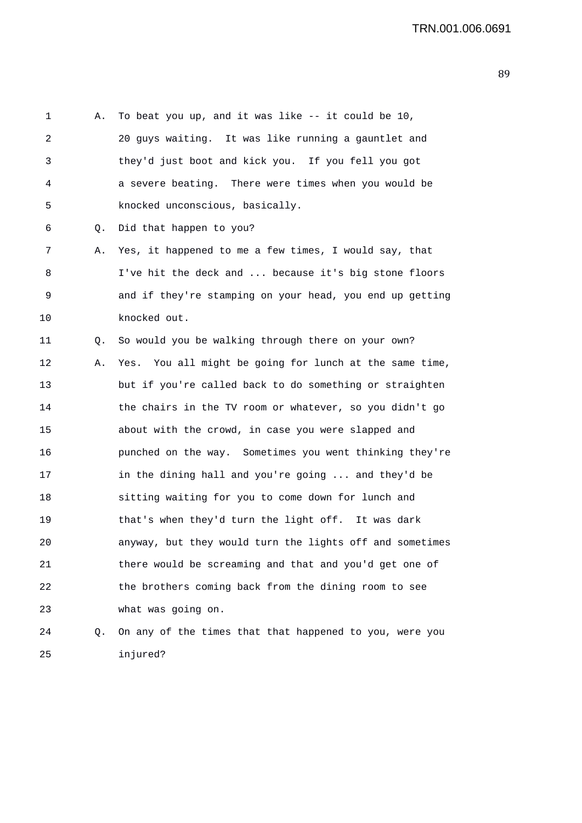| 1  | Α. | To beat you up, and it was like -- it could be 10,       |
|----|----|----------------------------------------------------------|
| 2  |    | 20 guys waiting. It was like running a gauntlet and      |
| 3  |    | they'd just boot and kick you. If you fell you got       |
| 4  |    | a severe beating. There were times when you would be     |
| 5  |    | knocked unconscious, basically.                          |
| 6  | Q. | Did that happen to you?                                  |
| 7  | Α. | Yes, it happened to me a few times, I would say, that    |
| 8  |    | I've hit the deck and  because it's big stone floors     |
| 9  |    | and if they're stamping on your head, you end up getting |
| 10 |    | knocked out.                                             |
| 11 | Q. | So would you be walking through there on your own?       |
| 12 | Α. | Yes. You all might be going for lunch at the same time,  |
| 13 |    | but if you're called back to do something or straighten  |
| 14 |    | the chairs in the TV room or whatever, so you didn't go  |
| 15 |    | about with the crowd, in case you were slapped and       |
| 16 |    | punched on the way. Sometimes you went thinking they're  |
| 17 |    | in the dining hall and you're going  and they'd be       |
| 18 |    | sitting waiting for you to come down for lunch and       |
| 19 |    | that's when they'd turn the light off. It was dark       |
| 20 |    | anyway, but they would turn the lights off and sometimes |
| 21 |    | there would be screaming and that and you'd get one of   |
| 22 |    | the brothers coming back from the dining room to see     |
| 23 |    | what was going on.                                       |
| 24 | Q. | On any of the times that that happened to you, were you  |
| 25 |    | injured?                                                 |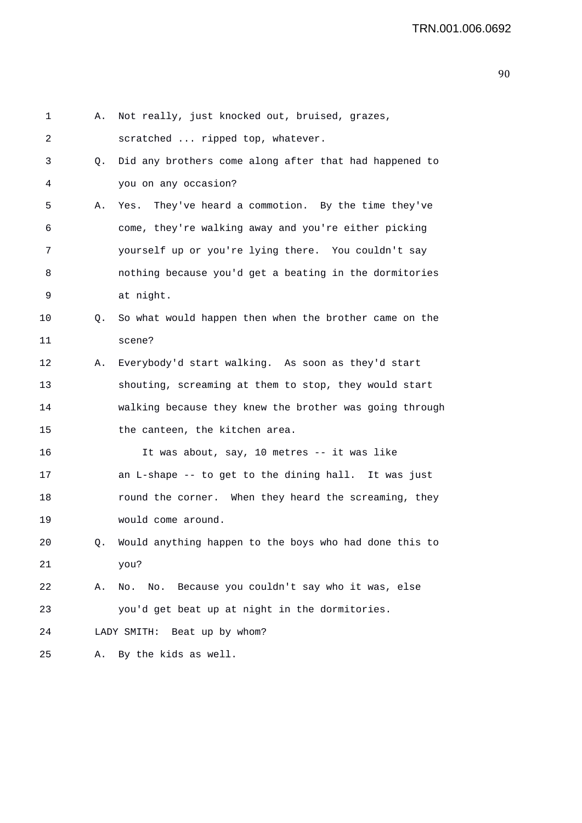| 1       | Α. | Not really, just knocked out, bruised, grazes,          |
|---------|----|---------------------------------------------------------|
| 2       |    | scratched  ripped top, whatever.                        |
| 3       | Q. | Did any brothers come along after that had happened to  |
| 4       |    | you on any occasion?                                    |
| 5       | Α. | Yes. They've heard a commotion. By the time they've     |
| 6       |    | come, they're walking away and you're either picking    |
| 7       |    | yourself up or you're lying there. You couldn't say     |
| 8       |    | nothing because you'd get a beating in the dormitories  |
| 9       |    | at night.                                               |
| $10 \,$ | Q. | So what would happen then when the brother came on the  |
| 11      |    | scene?                                                  |
| 12      | Α. | Everybody'd start walking. As soon as they'd start      |
| 13      |    | shouting, screaming at them to stop, they would start   |
| 14      |    | walking because they knew the brother was going through |
| 15      |    | the canteen, the kitchen area.                          |
| 16      |    | It was about, say, 10 metres -- it was like             |
| 17      |    | an L-shape -- to get to the dining hall. It was just    |
| 18      |    | round the corner. When they heard the screaming, they   |
| 19      |    | would come around.                                      |
| 20      | Q. | Would anything happen to the boys who had done this to  |
| 21      |    | you?                                                    |
| 22      | Α. | No. No. Because you couldn't say who it was, else       |
| 23      |    | you'd get beat up at night in the dormitories.          |
| 24      |    | Beat up by whom?<br>LADY SMITH:                         |
| 25      | Α. | By the kids as well.                                    |
|         |    |                                                         |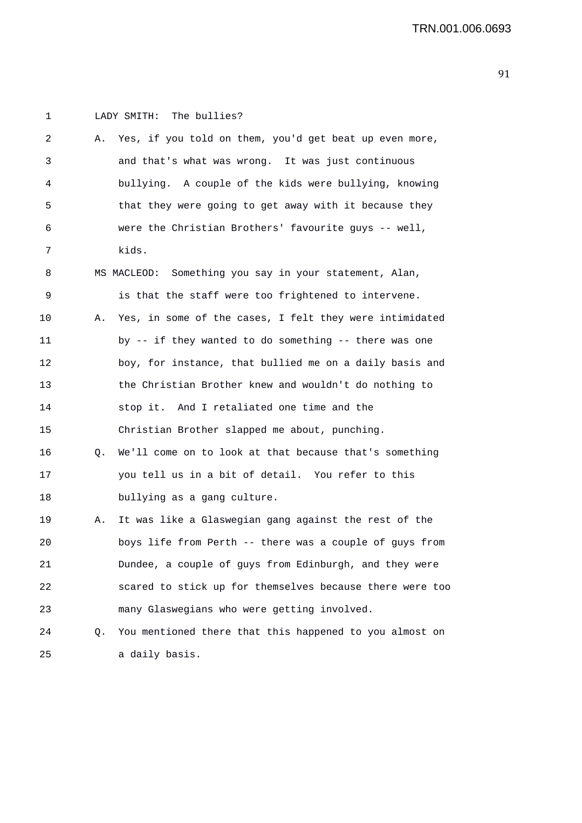| 1  |    | The bullies?<br>LADY SMITH:                              |
|----|----|----------------------------------------------------------|
| 2  | Α. | Yes, if you told on them, you'd get beat up even more,   |
| 3  |    | and that's what was wrong. It was just continuous        |
| 4  |    | bullying. A couple of the kids were bullying, knowing    |
| 5  |    | that they were going to get away with it because they    |
| 6  |    | were the Christian Brothers' favourite guys -- well,     |
| 7  |    | kids.                                                    |
| 8  |    | MS MACLEOD: Something you say in your statement, Alan,   |
| 9  |    | is that the staff were too frightened to intervene.      |
| 10 | Α. | Yes, in some of the cases, I felt they were intimidated  |
| 11 |    | by -- if they wanted to do something -- there was one    |
| 12 |    | boy, for instance, that bullied me on a daily basis and  |
| 13 |    | the Christian Brother knew and wouldn't do nothing to    |
| 14 |    | stop it. And I retaliated one time and the               |
| 15 |    | Christian Brother slapped me about, punching.            |
| 16 | Q. | We'll come on to look at that because that's something   |
| 17 |    | you tell us in a bit of detail. You refer to this        |
| 18 |    | bullying as a gang culture.                              |
| 19 | Α. | It was like a Glaswegian gang against the rest of the    |
| 20 |    | boys life from Perth -- there was a couple of guys from  |
| 21 |    | Dundee, a couple of guys from Edinburgh, and they were   |
| 22 |    | scared to stick up for themselves because there were too |
| 23 |    | many Glaswegians who were getting involved.              |
| 24 | Q. | You mentioned there that this happened to you almost on  |
| 25 |    | a daily basis.                                           |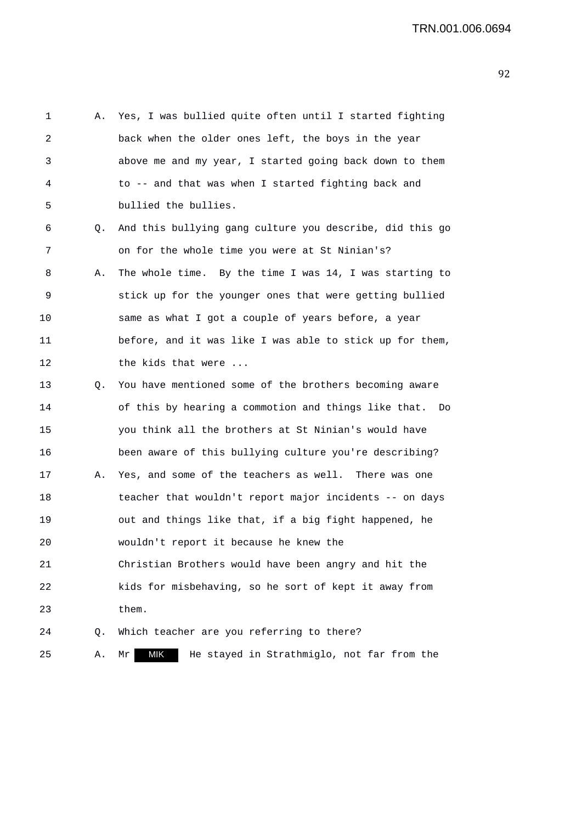1 A. Yes, I was bullied quite often until I started fighting 2 back when the older ones left, the boys in the year 3 above me and my year, I started going back down to them 4 to -- and that was when I started fighting back and 5 bullied the bullies. 6 Q. And this bullying gang culture you describe, did this go 7 on for the whole time you were at St Ninian's? 8 A. The whole time. By the time I was 14, I was starting to 9 stick up for the younger ones that were getting bullied 10 same as what I got a couple of years before, a year 11 before, and it was like I was able to stick up for them, 12 the kids that were ... 13 Q. You have mentioned some of the brothers becoming aware 14 of this by hearing a commotion and things like that. Do 15 you think all the brothers at St Ninian's would have 16 been aware of this bullying culture you're describing? 17 A. Yes, and some of the teachers as well. There was one 18 teacher that wouldn't report major incidents -- on days 19 out and things like that, if a big fight happened, he 20 wouldn't report it because he knew the 21 Christian Brothers would have been angry and hit the 22 kids for misbehaving, so he sort of kept it away from 23 them. 24 Q. Which teacher are you referring to there? 25 A. Mr MIK He stayed in Strathmiglo, not far from the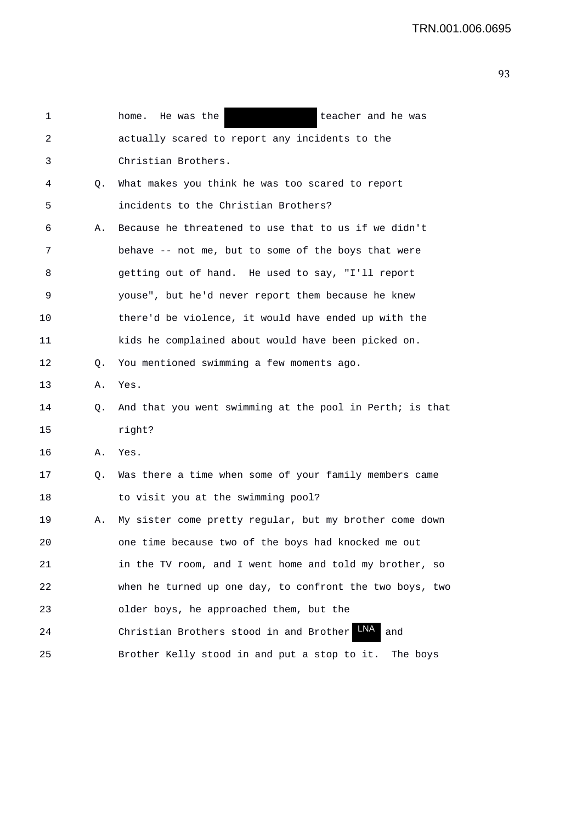| 1  |    | home. He was the<br>teacher and he was                   |
|----|----|----------------------------------------------------------|
| 2  |    | actually scared to report any incidents to the           |
| 3  |    | Christian Brothers.                                      |
| 4  | Q. | What makes you think he was too scared to report         |
| 5  |    | incidents to the Christian Brothers?                     |
| 6  | Α. | Because he threatened to use that to us if we didn't     |
| 7  |    | behave -- not me, but to some of the boys that were      |
| 8  |    | getting out of hand. He used to say, "I'll report        |
| 9  |    | youse", but he'd never report them because he knew       |
| 10 |    | there'd be violence, it would have ended up with the     |
| 11 |    | kids he complained about would have been picked on.      |
| 12 | Q. | You mentioned swimming a few moments ago.                |
| 13 | Α. | Yes.                                                     |
| 14 | Q. | And that you went swimming at the pool in Perth; is that |
| 15 |    | right?                                                   |
| 16 | Α. | Yes.                                                     |
| 17 | Q. | Was there a time when some of your family members came   |
| 18 |    | to visit you at the swimming pool?                       |
| 19 | Α. | My sister come pretty regular, but my brother come down  |
| 20 |    | one time because two of the boys had knocked me out      |
| 21 |    | in the TV room, and I went home and told my brother, so  |
| 22 |    | when he turned up one day, to confront the two boys, two |
| 23 |    | older boys, he approached them, but the                  |
| 24 |    | Christian Brothers stood in and Brother<br>and           |
| 25 |    | Brother Kelly stood in and put a stop to it.<br>The boys |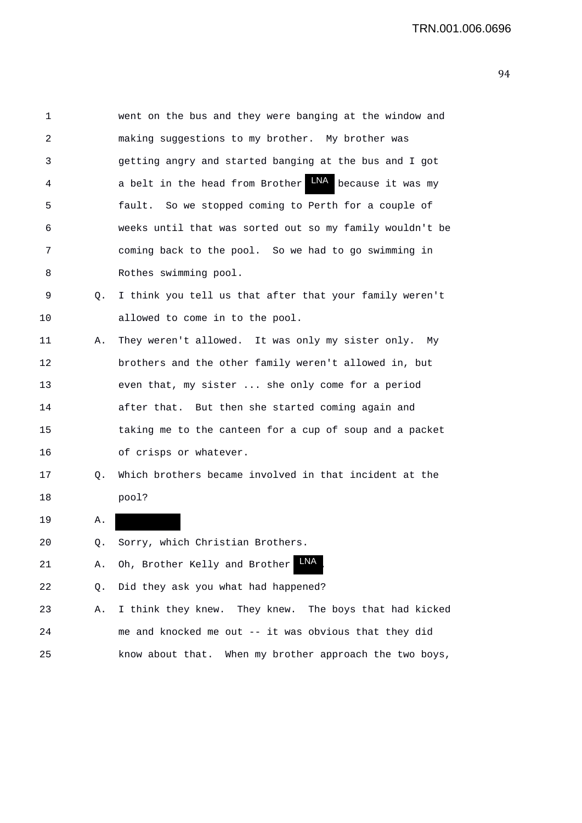| 1  |    | went on the bus and they were banging at the window and     |
|----|----|-------------------------------------------------------------|
| 2  |    | making suggestions to my brother. My brother was            |
| 3  |    | getting angry and started banging at the bus and I got      |
| 4  |    | LNA<br>a belt in the head from Brother<br>because it was my |
| 5  |    | fault. So we stopped coming to Perth for a couple of        |
| 6  |    | weeks until that was sorted out so my family wouldn't be    |
| 7  |    | coming back to the pool. So we had to go swimming in        |
| 8  |    | Rothes swimming pool.                                       |
| 9  | Q. | I think you tell us that after that your family weren't     |
| 10 |    | allowed to come in to the pool.                             |
| 11 | Α. | They weren't allowed. It was only my sister only.<br>Мv     |
| 12 |    | brothers and the other family weren't allowed in, but       |
| 13 |    | even that, my sister  she only come for a period            |
| 14 |    | after that. But then she started coming again and           |
| 15 |    | taking me to the canteen for a cup of soup and a packet     |
| 16 |    | of crisps or whatever.                                      |
| 17 | Q. | Which brothers became involved in that incident at the      |
| 18 |    | pool?                                                       |
| 19 | Α. |                                                             |

- 20 Q. Sorry, which Christian Brothers.
- 21 A. Oh, Brother Kelly and Brother LNA.

22 Q. Did they ask you what had happened?

23 A. I think they knew. They knew. The boys that had kicked 24 me and knocked me out -- it was obvious that they did 25 know about that. When my brother approach the two boys,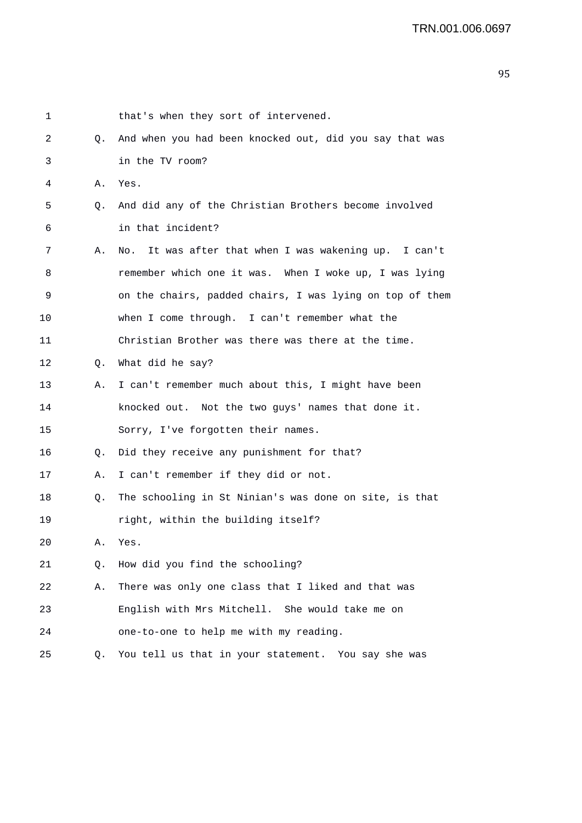| 1  |           | that's when they sort of intervened.                     |
|----|-----------|----------------------------------------------------------|
| 2  | Q.        | And when you had been knocked out, did you say that was  |
| 3  |           | in the TV room?                                          |
| 4  | Α.        | Yes.                                                     |
| 5  | Q.        | And did any of the Christian Brothers become involved    |
| 6  |           | in that incident?                                        |
| 7  | Α.        | It was after that when I was wakening up. I can't<br>No. |
| 8  |           | remember which one it was. When I woke up, I was lying   |
| 9  |           | on the chairs, padded chairs, I was lying on top of them |
| 10 |           | when I come through. I can't remember what the           |
| 11 |           | Christian Brother was there was there at the time.       |
| 12 | Q.        | What did he say?                                         |
| 13 | Α.        | I can't remember much about this, I might have been      |
| 14 |           | knocked out. Not the two guys' names that done it.       |
| 15 |           | Sorry, I've forgotten their names.                       |
| 16 | $\circ$ . | Did they receive any punishment for that?                |
| 17 | Α.        | I can't remember if they did or not.                     |
| 18 | Q.        | The schooling in St Ninian's was done on site, is that   |
| 19 |           | right, within the building itself?                       |
| 20 | А.        | Yes.                                                     |
| 21 | Q.        | How did you find the schooling?                          |
| 22 | Α.        | There was only one class that I liked and that was       |
| 23 |           | English with Mrs Mitchell. She would take me on          |
| 24 |           | one-to-one to help me with my reading.                   |
| 25 | Q.        | You tell us that in your statement. You say she was      |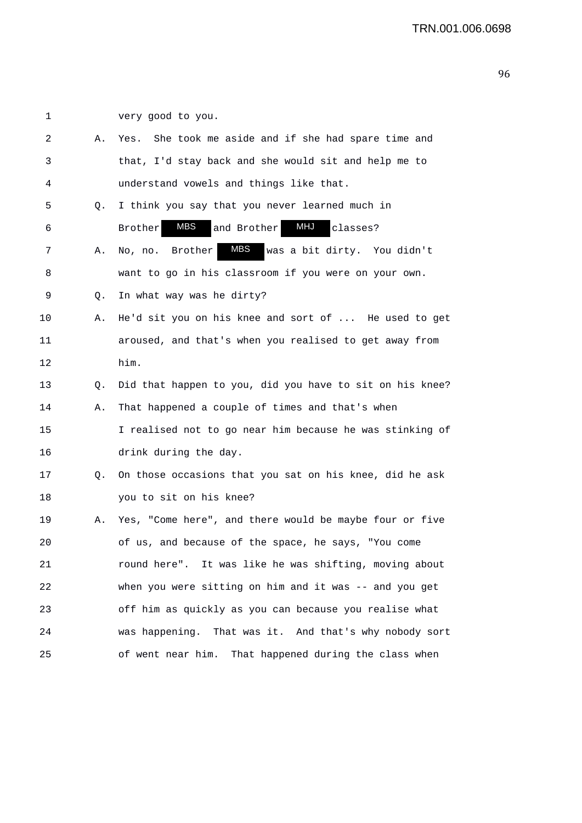2 A. Yes. She took me aside and if she had spare time and 3 that, I'd stay back and she would sit and help me to 4 understand vowels and things like that. 5 Q. I think you say that you never learned much in 6 Brother MBS and Brother MHJ classes? 7 A. No, no. Brother MBS was a bit dirty. You didn't 8 want to go in his classroom if you were on your own. 9 Q. In what way was he dirty? 10 A. He'd sit you on his knee and sort of ... He used to get 11 aroused, and that's when you realised to get away from 12 him. 13 Q. Did that happen to you, did you have to sit on his knee? 14 A. That happened a couple of times and that's when 15 I realised not to go near him because he was stinking of 16 drink during the day. 17 Q. On those occasions that you sat on his knee, did he ask 18 you to sit on his knee? 19 A. Yes, "Come here", and there would be maybe four or five 20 of us, and because of the space, he says, "You come 21 round here". It was like he was shifting, moving about 22 when you were sitting on him and it was -- and you get 23 off him as quickly as you can because you realise what 24 was happening. That was it. And that's why nobody sort 25 of went near him. That happened during the class when MBS

1 very good to you.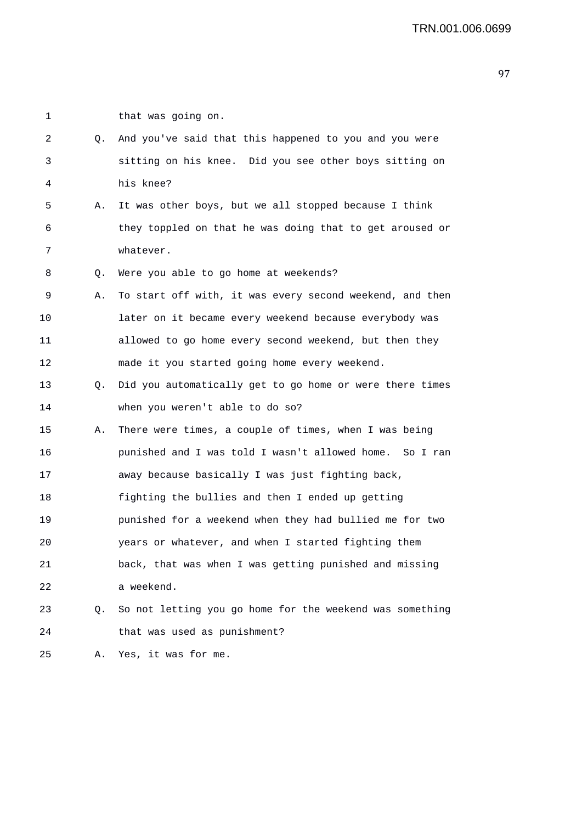1 that was going on.

| 2  | Q. | And you've said that this happened to you and you were   |
|----|----|----------------------------------------------------------|
| 3  |    | sitting on his knee. Did you see other boys sitting on   |
| 4  |    | his knee?                                                |
| 5  | Α. | It was other boys, but we all stopped because I think    |
| 6  |    | they toppled on that he was doing that to get aroused or |
| 7  |    | whatever.                                                |
| 8  | Q. | Were you able to go home at weekends?                    |
| 9  | Α. | To start off with, it was every second weekend, and then |
| 10 |    | later on it became every weekend because everybody was   |
| 11 |    | allowed to go home every second weekend, but then they   |
| 12 |    | made it you started going home every weekend.            |
| 13 | Q. | Did you automatically get to go home or were there times |
| 14 |    | when you weren't able to do so?                          |
| 15 | Α. | There were times, a couple of times, when I was being    |
| 16 |    | punished and I was told I wasn't allowed home. So I ran  |
| 17 |    | away because basically I was just fighting back,         |
| 18 |    | fighting the bullies and then I ended up getting         |
| 19 |    | punished for a weekend when they had bullied me for two  |
| 20 |    | years or whatever, and when I started fighting them      |
| 21 |    | back, that was when I was getting punished and missing   |
| 22 |    | a weekend.                                               |
| 23 | Q. | So not letting you go home for the weekend was something |
| 24 |    | that was used as punishment?                             |
| 25 | Α. | Yes, it was for me.                                      |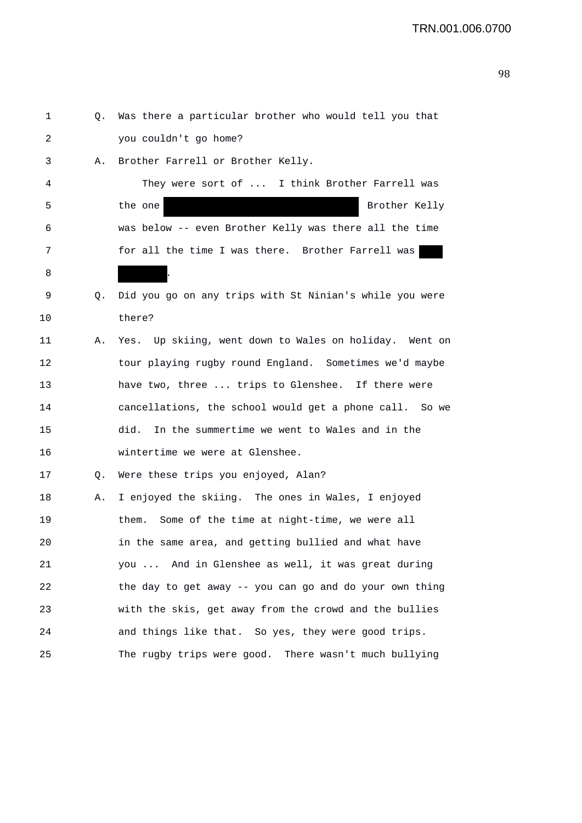| 1  | Q. | Was there a particular brother who would tell you that  |
|----|----|---------------------------------------------------------|
| 2  |    | you couldn't go home?                                   |
| 3  | Α. | Brother Farrell or Brother Kelly.                       |
| 4  |    | They were sort of  I think Brother Farrell was          |
| 5  |    | Brother Kelly<br>the one                                |
| 6  |    | was below -- even Brother Kelly was there all the time  |
| 7  |    | for all the time I was there. Brother Farrell was       |
| 8  |    |                                                         |
| 9  | Q. | Did you go on any trips with St Ninian's while you were |
| 10 |    | there?                                                  |
| 11 | Α. | Yes. Up skiing, went down to Wales on holiday. Went on  |
| 12 |    | tour playing rugby round England. Sometimes we'd maybe  |
| 13 |    | have two, three  trips to Glenshee. If there were       |
| 14 |    | cancellations, the school would get a phone call. So we |
| 15 |    | In the summertime we went to Wales and in the<br>did.   |
| 16 |    | wintertime we were at Glenshee.                         |
| 17 | Q. | Were these trips you enjoyed, Alan?                     |
| 18 | Α. | I enjoyed the skiing. The ones in Wales, I enjoyed      |
| 19 |    | Some of the time at night-time, we were all<br>them.    |
| 20 |    | in the same area, and getting bullied and what have     |
| 21 |    | you  And in Glenshee as well, it was great during       |
| 22 |    | the day to get away -- you can go and do your own thing |
| 23 |    | with the skis, get away from the crowd and the bullies  |
| 24 |    | and things like that. So yes, they were good trips.     |
| 25 |    | The rugby trips were good. There wasn't much bullying   |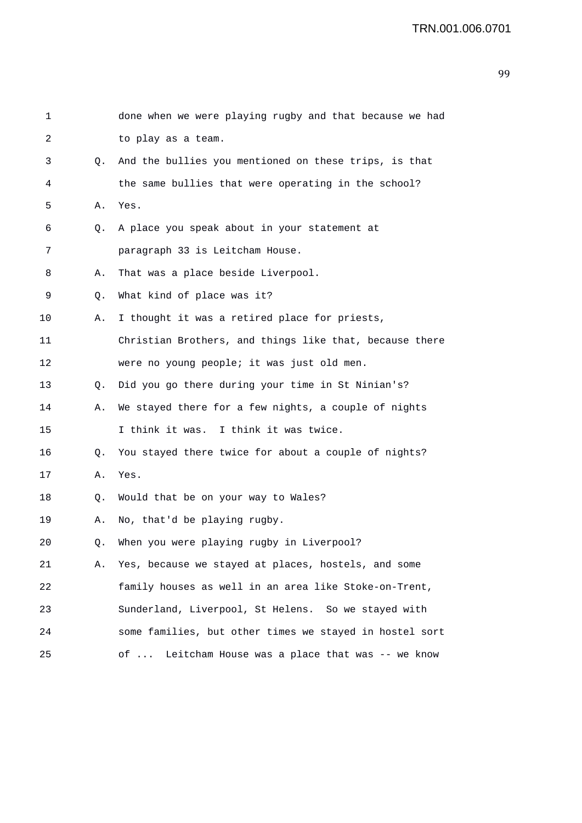| 1       |    | done when we were playing rugby and that because we had |
|---------|----|---------------------------------------------------------|
| 2       |    | to play as a team.                                      |
| 3       | 0. | And the bullies you mentioned on these trips, is that   |
| 4       |    | the same bullies that were operating in the school?     |
| 5       | Α. | Yes.                                                    |
| 6       | Q. | A place you speak about in your statement at            |
| 7       |    | paragraph 33 is Leitcham House.                         |
| 8       | Α. | That was a place beside Liverpool.                      |
| 9       | Q. | What kind of place was it?                              |
| $10 \,$ | Α. | I thought it was a retired place for priests,           |
| 11      |    | Christian Brothers, and things like that, because there |
| 12      |    | were no young people; it was just old men.              |
| 13      | Q. | Did you go there during your time in St Ninian's?       |
| 14      | Α. | We stayed there for a few nights, a couple of nights    |
| 15      |    | I think it was. I think it was twice.                   |
| 16      | Q. | You stayed there twice for about a couple of nights?    |
| 17      | Α. | Yes.                                                    |
| 18      | Q. | Would that be on your way to Wales?                     |
| 19      | Α. | No, that'd be playing rugby.                            |
| 20      |    | Q. When you were playing rugby in Liverpool?            |
| 21      | Α. | Yes, because we stayed at places, hostels, and some     |
| 22      |    | family houses as well in an area like Stoke-on-Trent,   |
| 23      |    | Sunderland, Liverpool, St Helens. So we stayed with     |
| 24      |    | some families, but other times we stayed in hostel sort |
| 25      |    | Leitcham House was a place that was -- we know<br>of    |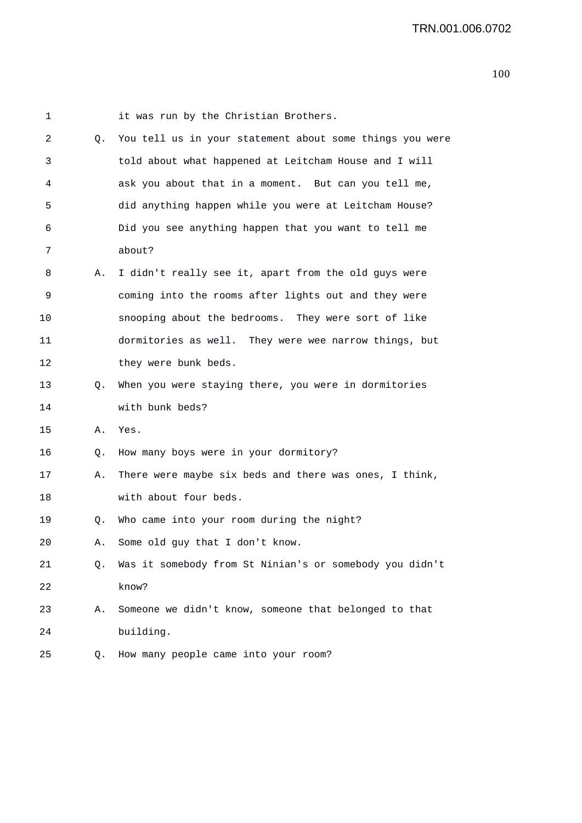| 1  |    | it was run by the Christian Brothers.                    |
|----|----|----------------------------------------------------------|
| 2  | Q. | You tell us in your statement about some things you were |
| 3  |    | told about what happened at Leitcham House and I will    |
| 4  |    | ask you about that in a moment. But can you tell me,     |
| 5  |    | did anything happen while you were at Leitcham House?    |
| 6  |    | Did you see anything happen that you want to tell me     |
| 7  |    | about?                                                   |
| 8  | А. | I didn't really see it, apart from the old guys were     |
| 9  |    | coming into the rooms after lights out and they were     |
| 10 |    | snooping about the bedrooms. They were sort of like      |
| 11 |    | dormitories as well. They were wee narrow things, but    |
| 12 |    | they were bunk beds.                                     |
| 13 | Q. | When you were staying there, you were in dormitories     |
| 14 |    | with bunk beds?                                          |
| 15 | Α. | Yes.                                                     |
| 16 | Q. | How many boys were in your dormitory?                    |
| 17 | Α. | There were maybe six beds and there was ones, I think,   |
| 18 |    | with about four beds.                                    |
| 19 | Q. | Who came into your room during the night?                |
| 20 | Α. | Some old guy that I don't know.                          |
| 21 | Q. | Was it somebody from St Ninian's or somebody you didn't  |
| 22 |    | know?                                                    |
| 23 | Α. | Someone we didn't know, someone that belonged to that    |
| 24 |    | building.                                                |
| 25 | Q. | How many people came into your room?                     |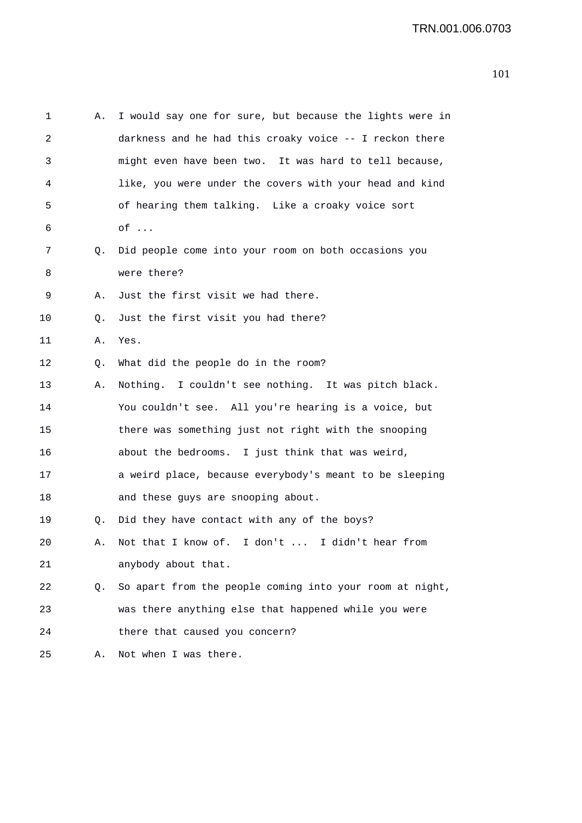| 1  | Α. | I would say one for sure, but because the lights were in |
|----|----|----------------------------------------------------------|
| 2  |    | darkness and he had this croaky voice -- I reckon there  |
| 3  |    | might even have been two. It was hard to tell because,   |
| 4  |    | like, you were under the covers with your head and kind  |
| 5  |    | of hearing them talking. Like a croaky voice sort        |
| 6  |    | $of \ldots$                                              |
| 7  | Q. | Did people come into your room on both occasions you     |
| 8  |    | were there?                                              |
| 9  | Α. | Just the first visit we had there.                       |
| 10 | Q. | Just the first visit you had there?                      |
| 11 | Α. | Yes.                                                     |
| 12 | Q. | What did the people do in the room?                      |
| 13 | Α. | Nothing. I couldn't see nothing. It was pitch black.     |
| 14 |    | You couldn't see. All you're hearing is a voice, but     |
| 15 |    | there was something just not right with the snooping     |
| 16 |    | about the bedrooms. I just think that was weird,         |
| 17 |    | a weird place, because everybody's meant to be sleeping  |
| 18 |    | and these guys are snooping about.                       |
| 19 | Q. | Did they have contact with any of the boys?              |
| 20 | Α. | Not that I know of. I don't  I didn't hear from          |
| 21 |    | anybody about that.                                      |
| 22 | Q. | So apart from the people coming into your room at night, |
| 23 |    | was there anything else that happened while you were     |
| 24 |    | there that caused you concern?                           |
| 25 | Α. | Not when I was there.                                    |
|    |    |                                                          |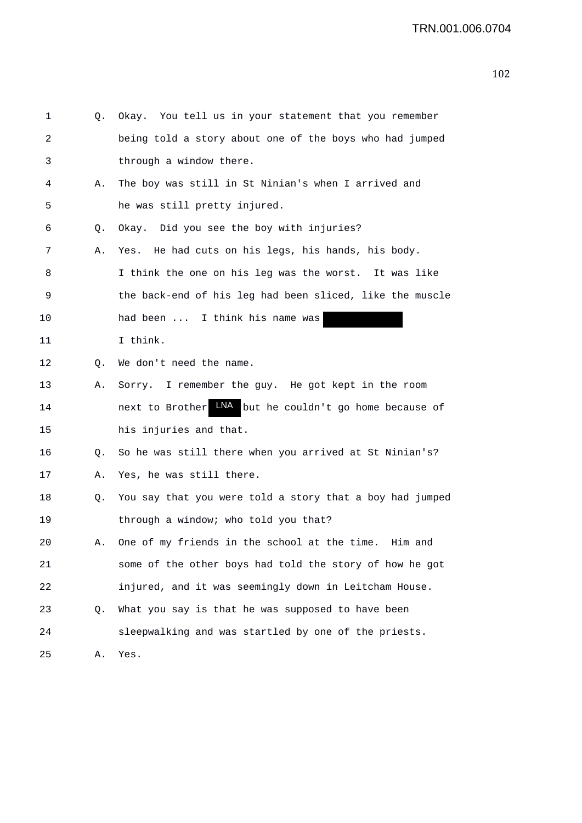| 1  | Q. | Okay. You tell us in your statement that you remember    |
|----|----|----------------------------------------------------------|
| 2  |    | being told a story about one of the boys who had jumped  |
| 3  |    | through a window there.                                  |
| 4  | Α. | The boy was still in St Ninian's when I arrived and      |
| 5  |    | he was still pretty injured.                             |
| 6  | Q. | Okay. Did you see the boy with injuries?                 |
| 7  | Α. | He had cuts on his legs, his hands, his body.<br>Yes.    |
| 8  |    | I think the one on his leg was the worst. It was like    |
| 9  |    | the back-end of his leg had been sliced, like the muscle |
| 10 |    | had been  I think his name was                           |
| 11 |    | I think.                                                 |
| 12 | Q. | We don't need the name.                                  |
| 13 | Α. | Sorry. I remember the guy. He got kept in the room       |
| 14 |    | next to Brother WA but he couldn't go home because of    |
| 15 |    | his injuries and that.                                   |
| 16 | Q. | So he was still there when you arrived at St Ninian's?   |
| 17 | Α. | Yes, he was still there.                                 |
| 18 | Q. | You say that you were told a story that a boy had jumped |
| 19 |    | through a window; who told you that?                     |
| 20 |    | One of my friends in the school at the time.<br>Him and  |
| 21 |    | some of the other boys had told the story of how he got  |
| 22 |    | injured, and it was seemingly down in Leitcham House.    |
| 23 | Q. | What you say is that he was supposed to have been        |
| 24 |    | sleepwalking and was startled by one of the priests.     |
| 25 | Α. | Yes.                                                     |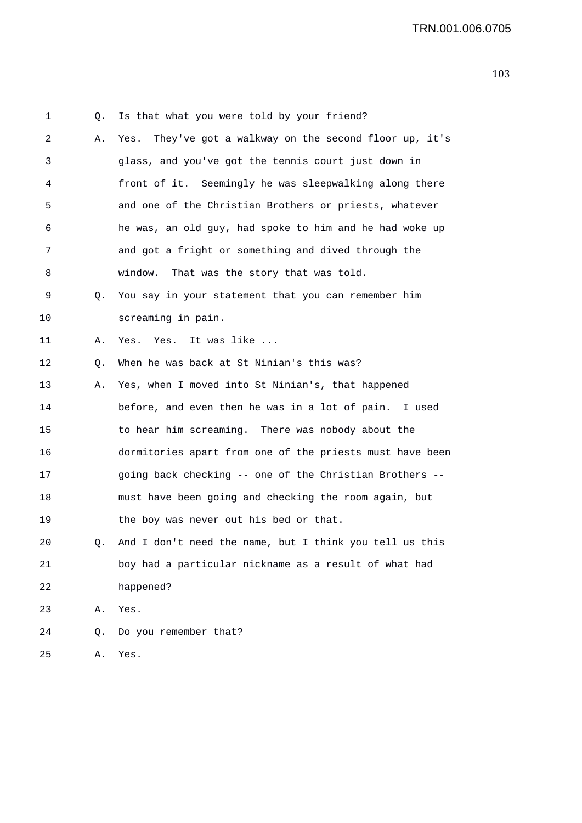1 Q. Is that what you were told by your friend? 2 A. Yes. They've got a walkway on the second floor up, it's 3 glass, and you've got the tennis court just down in 4 front of it. Seemingly he was sleepwalking along there 5 and one of the Christian Brothers or priests, whatever 6 he was, an old guy, had spoke to him and he had woke up 7 and got a fright or something and dived through the 8 window. That was the story that was told. 9 Q. You say in your statement that you can remember him 10 screaming in pain. 11 A. Yes. Yes. It was like ... 12 Q. When he was back at St Ninian's this was? 13 A. Yes, when I moved into St Ninian's, that happened 14 before, and even then he was in a lot of pain. I used 15 to hear him screaming. There was nobody about the 16 dormitories apart from one of the priests must have been 17 going back checking -- one of the Christian Brothers -- 18 must have been going and checking the room again, but 19 the boy was never out his bed or that. 20 Q. And I don't need the name, but I think you tell us this 21 boy had a particular nickname as a result of what had 22 happened? 23 A. Yes. 24 Q. Do you remember that? 25 A. Yes.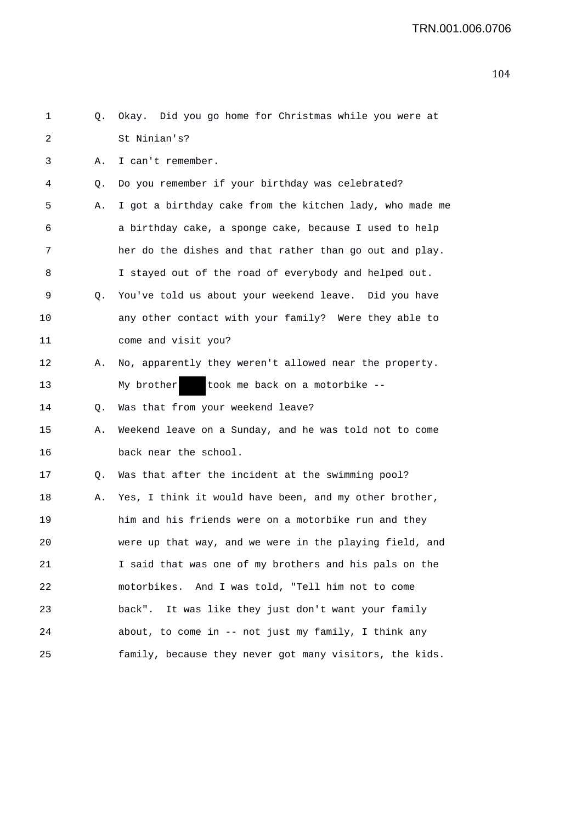| 1       | Q. | Okay. Did you go home for Christmas while you were at    |
|---------|----|----------------------------------------------------------|
| 2       |    | St Ninian's?                                             |
| 3       | Α. | I can't remember.                                        |
| 4       | Q. | Do you remember if your birthday was celebrated?         |
| 5       | Α. | I got a birthday cake from the kitchen lady, who made me |
| 6       |    | a birthday cake, a sponge cake, because I used to help   |
| 7       |    | her do the dishes and that rather than go out and play.  |
| 8       |    | I stayed out of the road of everybody and helped out.    |
| 9       | Q. | You've told us about your weekend leave. Did you have    |
| $10 \,$ |    | any other contact with your family? Were they able to    |
| 11      |    | come and visit you?                                      |
| 12      | Α. | No, apparently they weren't allowed near the property.   |
| 13      |    | took me back on a motorbike --<br>My brother             |
| 14      | Q. | Was that from your weekend leave?                        |
| 15      | Α. | Weekend leave on a Sunday, and he was told not to come   |
| 16      |    | back near the school.                                    |
| 17      | Q. | Was that after the incident at the swimming pool?        |
| 18      | Α. | Yes, I think it would have been, and my other brother,   |
| 19      |    | him and his friends were on a motorbike run and they     |
| 20      |    | were up that way, and we were in the playing field, and  |
| 21      |    | I said that was one of my brothers and his pals on the   |
| 22      |    | motorbikes. And I was told, "Tell him not to come        |
| 23      |    | back". It was like they just don't want your family      |
| 24      |    | about, to come in -- not just my family, I think any     |
| 25      |    | family, because they never got many visitors, the kids.  |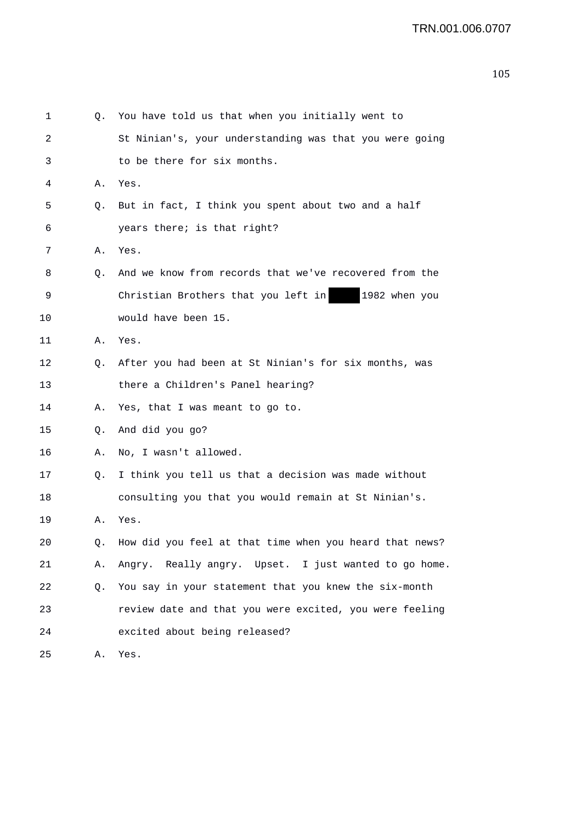| 1  | Q. | You have told us that when you initially went to        |
|----|----|---------------------------------------------------------|
| 2  |    | St Ninian's, your understanding was that you were going |
| 3  |    | to be there for six months.                             |
| 4  | Α. | Yes.                                                    |
| 5  | Q. | But in fact, I think you spent about two and a half     |
| 6  |    | years there; is that right?                             |
| 7  | Α. | Yes.                                                    |
| 8  | Q. | And we know from records that we've recovered from the  |
| 9  |    | Christian Brothers that you left in<br>1982 when you    |
| 10 |    | would have been 15.                                     |
| 11 | Α. | Yes.                                                    |
| 12 | Q. | After you had been at St Ninian's for six months, was   |
| 13 |    | there a Children's Panel hearing?                       |
| 14 | Α. | Yes, that I was meant to go to.                         |
| 15 | Q. | And did you go?                                         |
| 16 | Α. | No, I wasn't allowed.                                   |
| 17 | Q. | I think you tell us that a decision was made without    |
| 18 |    | consulting you that you would remain at St Ninian's.    |
| 19 | Α. | Yes.                                                    |
| 20 | Q. | How did you feel at that time when you heard that news? |
| 21 | Α. | Angry. Really angry. Upset. I just wanted to go home.   |
| 22 | Q. | You say in your statement that you knew the six-month   |
| 23 |    | review date and that you were excited, you were feeling |
| 24 |    | excited about being released?                           |
| 25 | Α. | Yes.                                                    |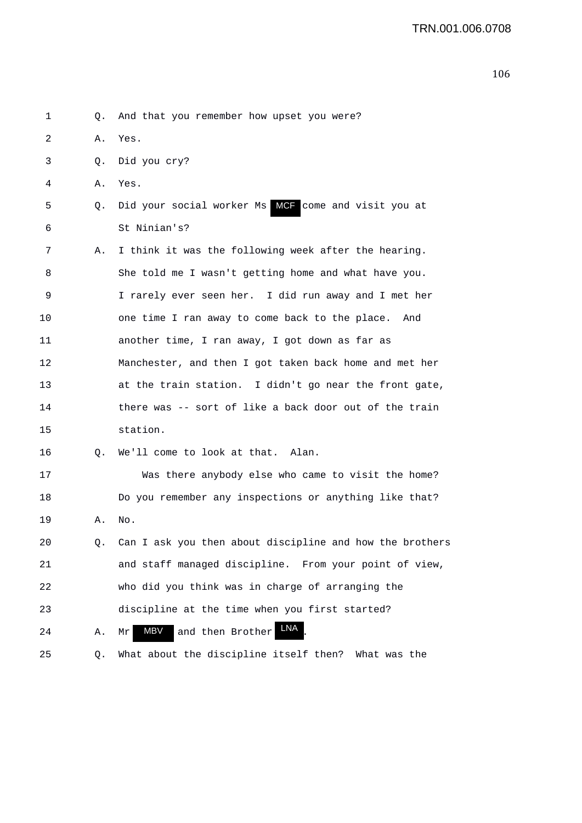1 Q. And that you remember how upset you were? 2 A. Yes. 3 Q. Did you cry? 4 A. Yes. 5 9. Did your social worker Ms MCF come and visit you at 6 St Ninian's? 7 A. I think it was the following week after the hearing. 8 She told me I wasn't getting home and what have you. 9 I rarely ever seen her. I did run away and I met her 10 one time I ran away to come back to the place. And 11 another time, I ran away, I got down as far as 12 Manchester, and then I got taken back home and met her 13 at the train station. I didn't go near the front gate, 14 there was -- sort of like a back door out of the train 15 station. 16 Q. We'll come to look at that. Alan. 17 Was there anybody else who came to visit the home? 18 Do you remember any inspections or anything like that? 19 A. No. 20 Q. Can I ask you then about discipline and how the brothers 21 and staff managed discipline. From your point of view, 22 who did you think was in charge of arranging the 23 discipline at the time when you first started? 24 A. Mr MBV and then Brother LNA. 25 Q. What about the discipline itself then? What was the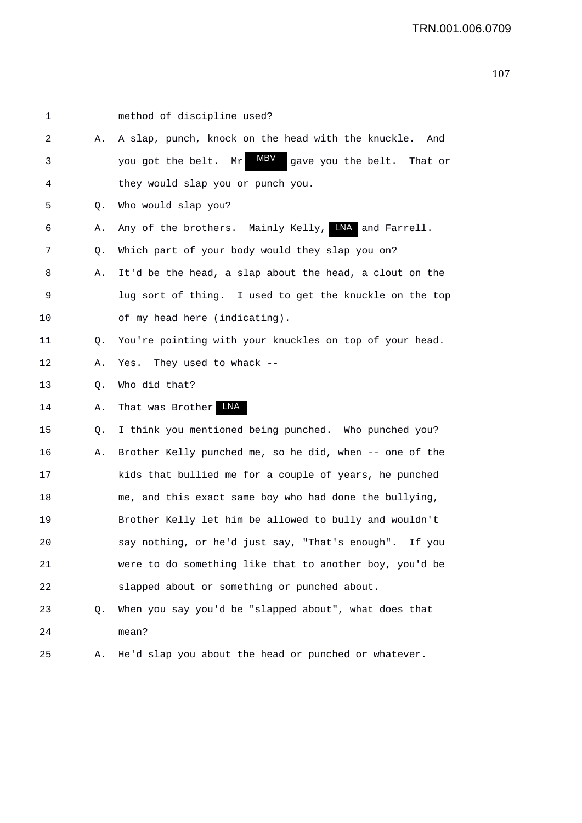| 1       |    | method of discipline used?                                   |
|---------|----|--------------------------------------------------------------|
| 2       | Α. | A slap, punch, knock on the head with the knuckle.<br>And    |
| 3       |    | MBV<br>gave you the belt. That or<br>you got the belt.<br>Mr |
| 4       |    | they would slap you or punch you.                            |
| 5       | Q. | Who would slap you?                                          |
| 6       | Α. | Any of the brothers. Mainly Kelly, WA and Farrell.           |
| 7       | Q. | Which part of your body would they slap you on?              |
| 8       | Α. | It'd be the head, a slap about the head, a clout on the      |
| 9       |    | lug sort of thing. I used to get the knuckle on the top      |
| 10      |    | of my head here (indicating).                                |
| 11      | Q. | You're pointing with your knuckles on top of your head.      |
| 12      | Α. | Yes.<br>They used to whack $-$ -                             |
| 13      | Q. | Who did that?                                                |
| 14      | Α. | That was Brother LNA                                         |
| 15      | Q. | I think you mentioned being punched. Who punched you?        |
| 16      | Α. | Brother Kelly punched me, so he did, when -- one of the      |
| 17      |    | kids that bullied me for a couple of years, he punched       |
| 18      |    | me, and this exact same boy who had done the bullying,       |
| 19      |    | Brother Kelly let him be allowed to bully and wouldn't       |
| $20 \,$ |    | say nothing, or he'd just say, "That's enough". If you       |
| 21      |    | were to do something like that to another boy, you'd be      |
| 22      |    | slapped about or something or punched about.                 |
| 23      | Q. | When you say you'd be "slapped about", what does that        |
| 24      |    | mean?                                                        |
| 25      | Α. | He'd slap you about the head or punched or whatever.         |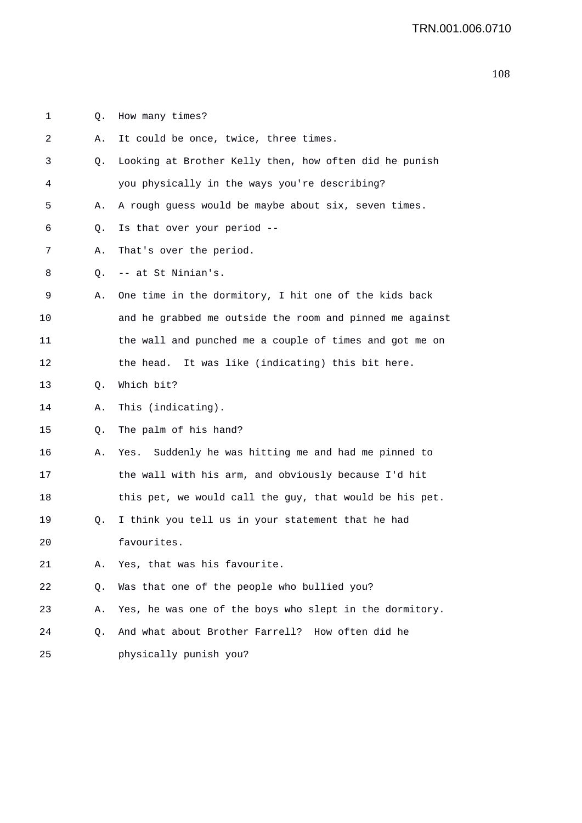1 Q. How many times?

| 2  | Α. | It could be once, twice, three times.                    |
|----|----|----------------------------------------------------------|
| 3  | Q. | Looking at Brother Kelly then, how often did he punish   |
| 4  |    | you physically in the ways you're describing?            |
| 5  | Α. | A rough guess would be maybe about six, seven times.     |
| 6  | Q. | Is that over your period --                              |
| 7  | Α. | That's over the period.                                  |
| 8  | Q. | -- at St Ninian's.                                       |
| 9  | Α. | One time in the dormitory, I hit one of the kids back    |
| 10 |    | and he grabbed me outside the room and pinned me against |
| 11 |    | the wall and punched me a couple of times and got me on  |
| 12 |    | the head. It was like (indicating) this bit here.        |
| 13 | Q. | Which bit?                                               |
| 14 | Α. | This (indicating).                                       |
| 15 | Q. | The palm of his hand?                                    |
| 16 | Α. | Suddenly he was hitting me and had me pinned to<br>Yes.  |
| 17 |    | the wall with his arm, and obviously because I'd hit     |
| 18 |    | this pet, we would call the guy, that would be his pet.  |
| 19 | Q. | I think you tell us in your statement that he had        |
| 20 |    | favourites.                                              |
| 21 |    | Yes, that was his favourite.                             |
| 22 | Q. | Was that one of the people who bullied you?              |
| 23 | Α. | Yes, he was one of the boys who slept in the dormitory.  |
| 24 | Q. | And what about Brother Farrell? How often did he         |
| 25 |    | physically punish you?                                   |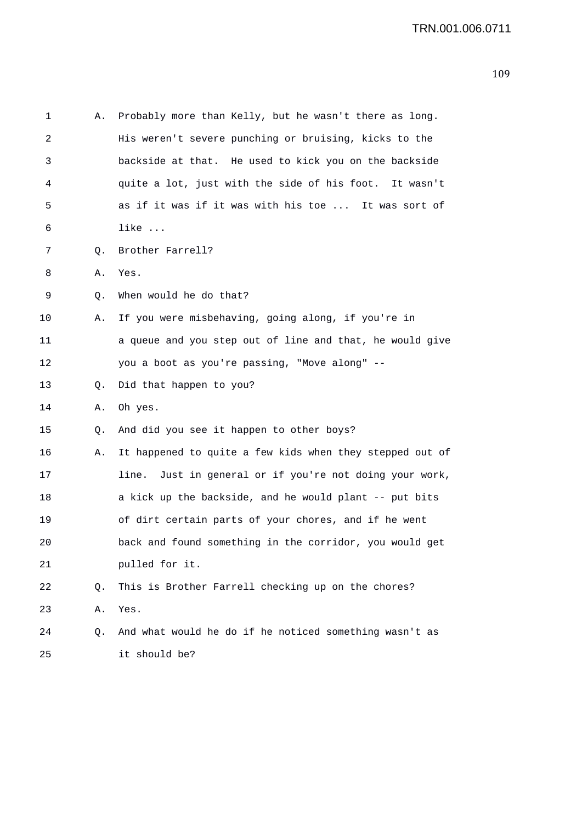| 1  | Α. | Probably more than Kelly, but he wasn't there as long.     |
|----|----|------------------------------------------------------------|
| 2  |    | His weren't severe punching or bruising, kicks to the      |
| 3  |    | backside at that. He used to kick you on the backside      |
| 4  |    | quite a lot, just with the side of his foot. It wasn't     |
| 5  |    | as if it was if it was with his toe  It was sort of        |
| 6  |    | like                                                       |
| 7  | Q. | Brother Farrell?                                           |
| 8  | Α. | Yes.                                                       |
| 9  | Q. | When would he do that?                                     |
| 10 | Α. | If you were misbehaving, going along, if you're in         |
| 11 |    | a queue and you step out of line and that, he would give   |
| 12 |    | you a boot as you're passing, "Move along" --              |
| 13 | Q. | Did that happen to you?                                    |
| 14 | Α. | Oh yes.                                                    |
| 15 | Q. | And did you see it happen to other boys?                   |
| 16 | Α. | It happened to quite a few kids when they stepped out of   |
| 17 |    | Just in general or if you're not doing your work,<br>line. |
| 18 |    | a kick up the backside, and he would plant -- put bits     |
| 19 |    | of dirt certain parts of your chores, and if he went       |
| 20 |    | back and found something in the corridor, you would get    |
| 21 |    | pulled for it.                                             |
| 22 | Q. | This is Brother Farrell checking up on the chores?         |
| 23 | Α. | Yes.                                                       |
| 24 | Q. | And what would he do if he noticed something wasn't as     |
| 25 |    | it should be?                                              |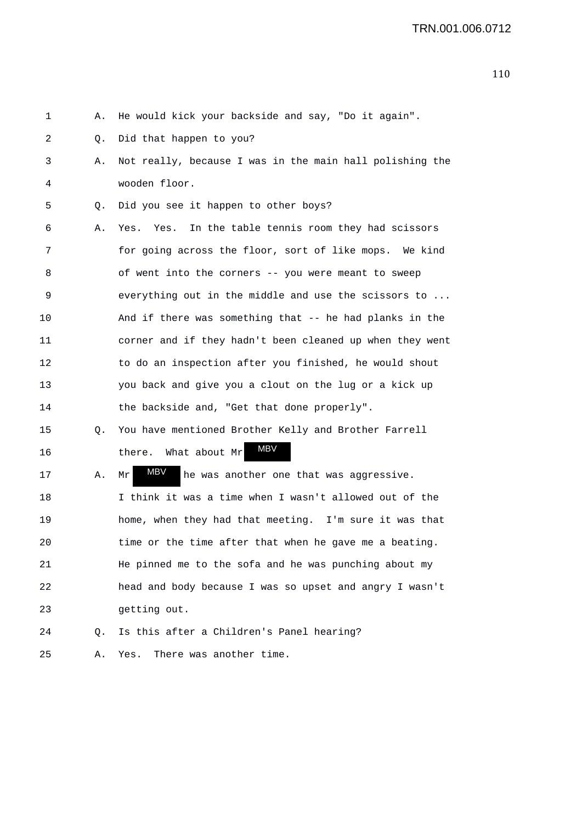| 1  | Α. | He would kick your backside and say, "Do it again".      |
|----|----|----------------------------------------------------------|
| 2  | Q. | Did that happen to you?                                  |
| 3  | Α. | Not really, because I was in the main hall polishing the |
| 4  |    | wooden floor.                                            |
| 5  | Q. | Did you see it happen to other boys?                     |
| 6  | Α. | In the table tennis room they had scissors<br>Yes. Yes.  |
| 7  |    | for going across the floor, sort of like mops. We kind   |
| 8  |    | of went into the corners -- you were meant to sweep      |
| 9  |    | everything out in the middle and use the scissors to     |
| 10 |    | And if there was something that -- he had planks in the  |
| 11 |    | corner and if they hadn't been cleaned up when they went |
| 12 |    | to do an inspection after you finished, he would shout   |
| 13 |    | you back and give you a clout on the lug or a kick up    |
| 14 |    | the backside and, "Get that done properly".              |
| 15 | Q. | You have mentioned Brother Kelly and Brother Farrell     |
| 16 |    | MBV<br>What about Mr<br>there.                           |
| 17 | Α. | MBV<br>he was another one that was aggressive.<br>Mr     |
| 18 |    | I think it was a time when I wasn't allowed out of the   |
| 19 |    | home, when they had that meeting. I'm sure it was that   |
| 20 |    | time or the time after that when he gave me a beating.   |
| 21 |    | He pinned me to the sofa and he was punching about my    |
| 22 |    | head and body because I was so upset and angry I wasn't  |
| 23 |    | getting out.                                             |
| 24 | Q. | Is this after a Children's Panel hearing?                |
| 25 | Α. | There was another time.<br>Yes.                          |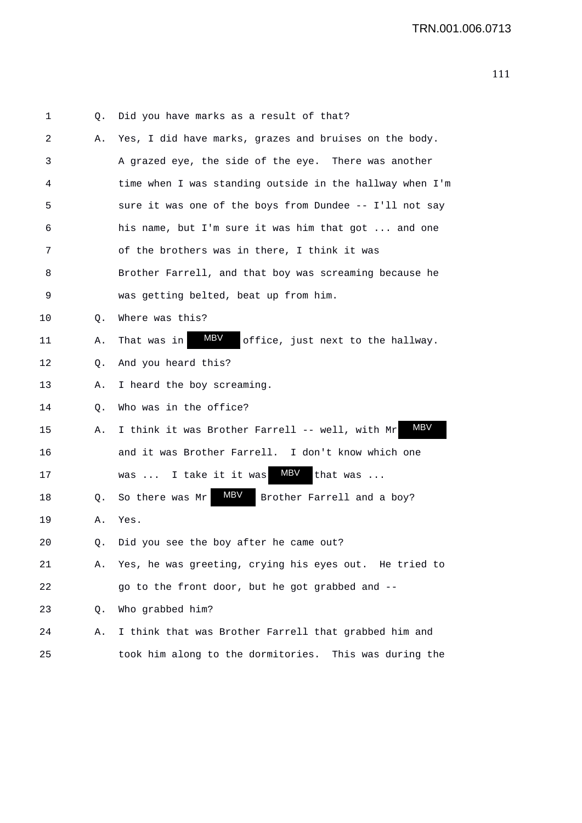| 1  | Q. | Did you have marks as a result of that?                  |
|----|----|----------------------------------------------------------|
| 2  | Α. | Yes, I did have marks, grazes and bruises on the body.   |
| 3  |    | A grazed eye, the side of the eye. There was another     |
| 4  |    | time when I was standing outside in the hallway when I'm |
| 5  |    | sure it was one of the boys from Dundee -- I'll not say  |
| 6  |    | his name, but I'm sure it was him that got  and one      |
| 7  |    | of the brothers was in there, I think it was             |
| 8  |    | Brother Farrell, and that boy was screaming because he   |
| 9  |    | was getting belted, beat up from him.                    |
| 10 | Q. | Where was this?                                          |
| 11 | Α. | MBV<br>That was in<br>office, just next to the hallway.  |
| 12 | Q. | And you heard this?                                      |
| 13 | Α. | I heard the boy screaming.                               |
| 14 | Q. | Who was in the office?                                   |
| 15 | А. | MBV<br>I think it was Brother Farrell -- well, with Mr   |
| 16 |    | and it was Brother Farrell. I don't know which one       |
| 17 |    | MBV<br>I take it it was<br>that was<br>was               |
| 18 | Q. | MBV<br>So there was Mr<br>Brother Farrell and a boy?     |
| 19 | Α. | Yes.                                                     |
| 20 | Q. | Did you see the boy after he came out?                   |
| 21 | Α. | Yes, he was greeting, crying his eyes out. He tried to   |
| 22 |    | go to the front door, but he got grabbed and --          |
| 23 | Q. | Who grabbed him?                                         |
| 24 | Α. | I think that was Brother Farrell that grabbed him and    |
| 25 |    | took him along to the dormitories. This was during the   |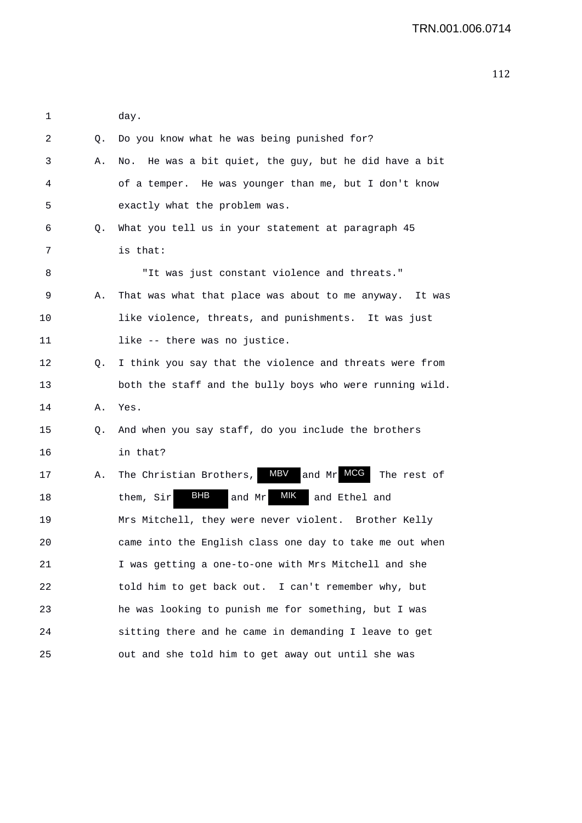| 1  |    | day.                                                        |
|----|----|-------------------------------------------------------------|
| 2  | Q. | Do you know what he was being punished for?                 |
| 3  | Α. | No. He was a bit quiet, the guy, but he did have a bit      |
| 4  |    | of a temper. He was younger than me, but I don't know       |
| 5  |    | exactly what the problem was.                               |
| 6  | Q. | What you tell us in your statement at paragraph 45          |
| 7  |    | is that:                                                    |
| 8  |    | "It was just constant violence and threats."                |
| 9  | Α. | That was what that place was about to me anyway.<br>It was  |
| 10 |    | like violence, threats, and punishments. It was just        |
| 11 |    | like -- there was no justice.                               |
| 12 | Q. | I think you say that the violence and threats were from     |
| 13 |    | both the staff and the bully boys who were running wild.    |
| 14 | Α. | Yes.                                                        |
| 15 | Q. | And when you say staff, do you include the brothers         |
| 16 |    | in that?                                                    |
| 17 | Α. | MBV<br>and Mr MCG<br>The Christian Brothers,<br>The rest of |
| 18 |    | BHB<br>MIK<br>them, Sir<br>and Mr<br>and Ethel and          |
| 19 |    | Mrs Mitchell, they were never violent. Brother Kelly        |
| 20 |    | came into the English class one day to take me out when     |
| 21 |    | I was getting a one-to-one with Mrs Mitchell and she        |
| 22 |    | told him to get back out. I can't remember why, but         |
| 23 |    | he was looking to punish me for something, but I was        |
| 24 |    | sitting there and he came in demanding I leave to get       |
| 25 |    | out and she told him to get away out until she was          |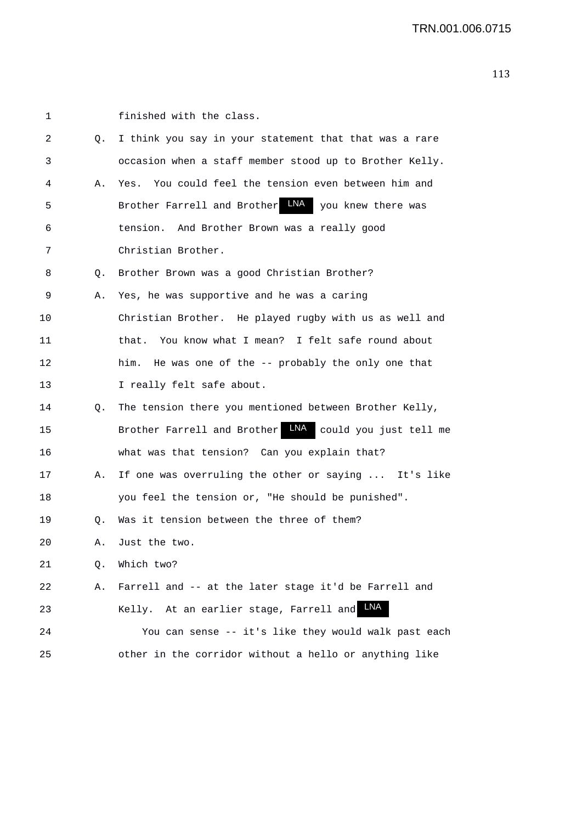| 1  |    | finished with the class.                                |
|----|----|---------------------------------------------------------|
| 2  | Q. | I think you say in your statement that that was a rare  |
| 3  |    | occasion when a staff member stood up to Brother Kelly. |
| 4  | Α. | You could feel the tension even between him and<br>Yes. |
| 5  |    | Brother Farrell and Brother LNA you knew there was      |
| 6  |    | tension. And Brother Brown was a really good            |
| 7  |    | Christian Brother.                                      |
| 8  | Q. | Brother Brown was a good Christian Brother?             |
| 9  | Α. | Yes, he was supportive and he was a caring              |
| 10 |    | Christian Brother. He played rugby with us as well and  |
| 11 |    | that. You know what I mean? I felt safe round about     |
| 12 |    | him. He was one of the -- probably the only one that    |
| 13 |    | I really felt safe about.                               |
| 14 | Q. | The tension there you mentioned between Brother Kelly,  |
| 15 |    | Brother Farrell and Brother LNA could you just tell me  |
| 16 |    | what was that tension? Can you explain that?            |
| 17 | Α. | If one was overruling the other or saying  It's like    |
| 18 |    | you feel the tension or, "He should be punished".       |
| 19 | Q. | Was it tension between the three of them?               |
| 20 |    | A. Just the two                                         |
| 21 | Q. | Which two?                                              |
| 22 | Α. | Farrell and -- at the later stage it'd be Farrell and   |
| 23 |    | <b>LNA</b><br>Kelly. At an earlier stage, Farrell and   |
| 24 |    | You can sense -- it's like they would walk past each    |
| 25 |    | other in the corridor without a hello or anything like  |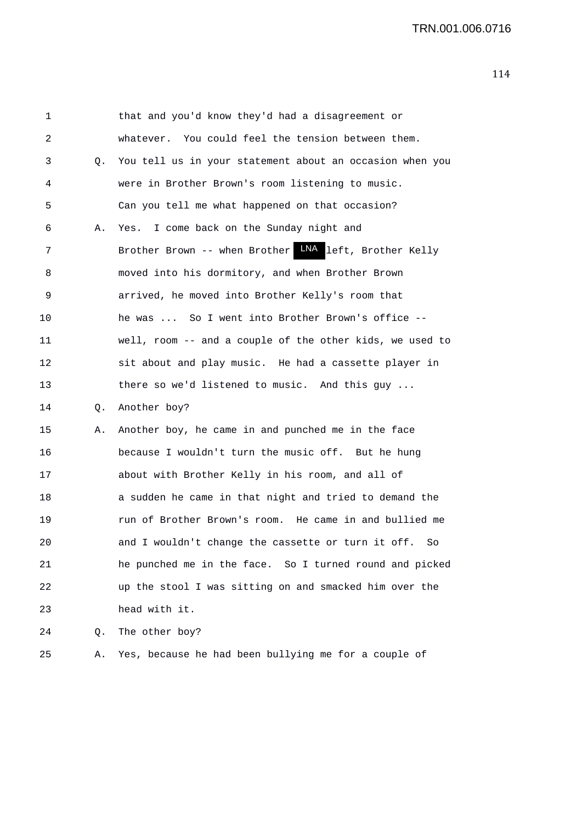1 that and you'd know they'd had a disagreement or 2 whatever. You could feel the tension between them. 3 Q. You tell us in your statement about an occasion when you 4 were in Brother Brown's room listening to music. 5 Can you tell me what happened on that occasion? 6 A. Yes. I come back on the Sunday night and 7 Brother Brown -- when Brother LNA left, Brother Kelly 8 moved into his dormitory, and when Brother Brown 9 arrived, he moved into Brother Kelly's room that 10 he was ... So I went into Brother Brown's office -- 11 well, room -- and a couple of the other kids, we used to 12 sit about and play music. He had a cassette player in 13 there so we'd listened to music. And this guy ... 14 Q. Another boy? 15 A. Another boy, he came in and punched me in the face 16 because I wouldn't turn the music off. But he hung 17 about with Brother Kelly in his room, and all of 18 a sudden he came in that night and tried to demand the 19 run of Brother Brown's room. He came in and bullied me 20 and I wouldn't change the cassette or turn it off. So 21 he punched me in the face. So I turned round and picked 22 up the stool I was sitting on and smacked him over the 23 head with it. 24 Q. The other boy?

25 A. Yes, because he had been bullying me for a couple of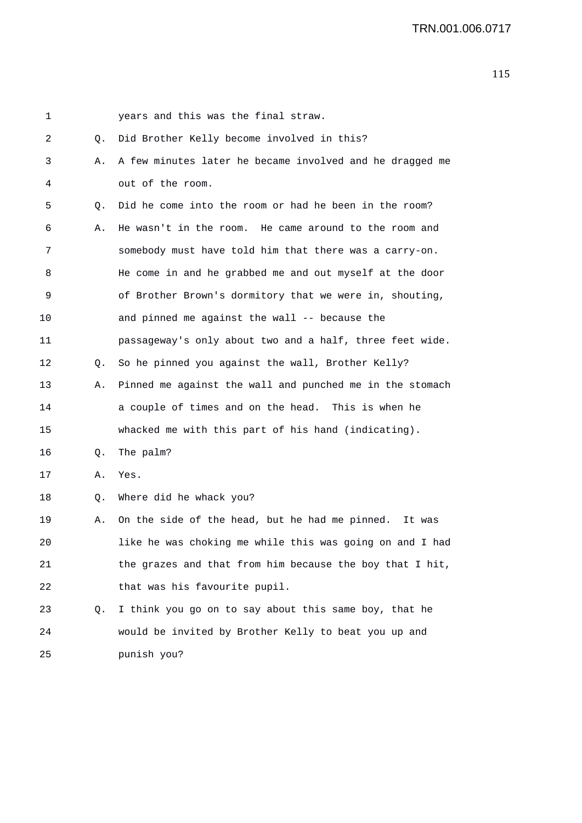| 1  |    | years and this was the final straw.                      |
|----|----|----------------------------------------------------------|
| 2  | Q. | Did Brother Kelly become involved in this?               |
| 3  | Α. | A few minutes later he became involved and he dragged me |
| 4  |    | out of the room.                                         |
| 5  | Q. | Did he come into the room or had he been in the room?    |
| 6  | Α. | He wasn't in the room. He came around to the room and    |
| 7  |    | somebody must have told him that there was a carry-on.   |
| 8  |    | He come in and he grabbed me and out myself at the door  |
| 9  |    | of Brother Brown's dormitory that we were in, shouting,  |
| 10 |    | and pinned me against the wall -- because the            |
| 11 |    | passageway's only about two and a half, three feet wide. |
| 12 | Q. | So he pinned you against the wall, Brother Kelly?        |
| 13 | Α. | Pinned me against the wall and punched me in the stomach |
| 14 |    | a couple of times and on the head. This is when he       |
| 15 |    | whacked me with this part of his hand (indicating).      |
| 16 | Q. | The palm?                                                |
| 17 | Α. | Yes.                                                     |
| 18 | Q. | Where did he whack you?                                  |
| 19 | Α. | On the side of the head, but he had me pinned.<br>It was |
| 20 |    | like he was choking me while this was going on and I had |
| 21 |    | the grazes and that from him because the boy that I hit, |
| 22 |    | that was his favourite pupil.                            |
| 23 | Q. | I think you go on to say about this same boy, that he    |
| 24 |    | would be invited by Brother Kelly to beat you up and     |
| 25 |    | punish you?                                              |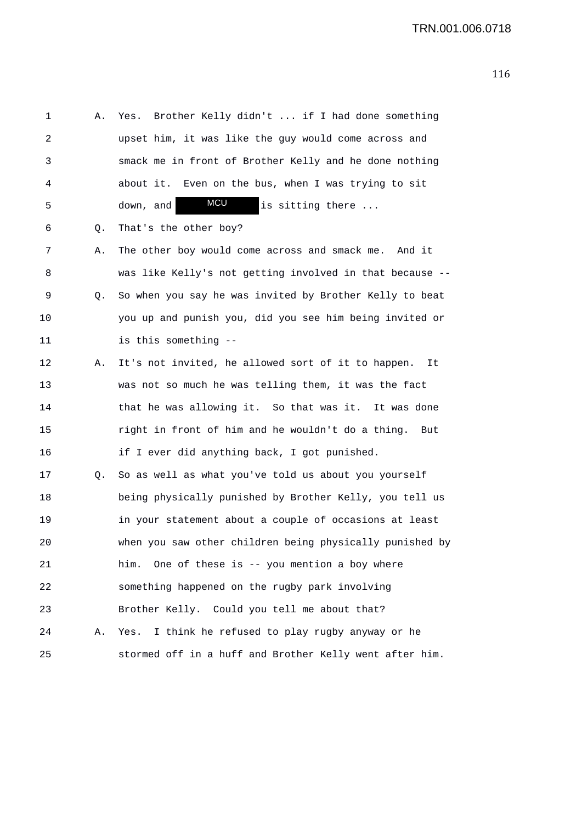1 A. Yes. Brother Kelly didn't ... if I had done something 2 upset him, it was like the guy would come across and 3 smack me in front of Brother Kelly and he done nothing 4 about it. Even on the bus, when I was trying to sit 5 down, and **MCU** is sitting there ... 6 Q. That's the other boy? 7 A. The other boy would come across and smack me. And it 8 was like Kelly's not getting involved in that because -- 9 Q. So when you say he was invited by Brother Kelly to beat 10 you up and punish you, did you see him being invited or 11 is this something -- 12 A. It's not invited, he allowed sort of it to happen. It 13 was not so much he was telling them, it was the fact 14 that he was allowing it. So that was it. It was done 15 right in front of him and he wouldn't do a thing. But 16 if I ever did anything back, I got punished. 17 Q. So as well as what you've told us about you yourself 18 being physically punished by Brother Kelly, you tell us 19 in your statement about a couple of occasions at least 20 when you saw other children being physically punished by 21 him. One of these is -- you mention a boy where 22 something happened on the rugby park involving 23 Brother Kelly. Could you tell me about that? 24 A. Yes. I think he refused to play rugby anyway or he 25 stormed off in a huff and Brother Kelly went after him. MCU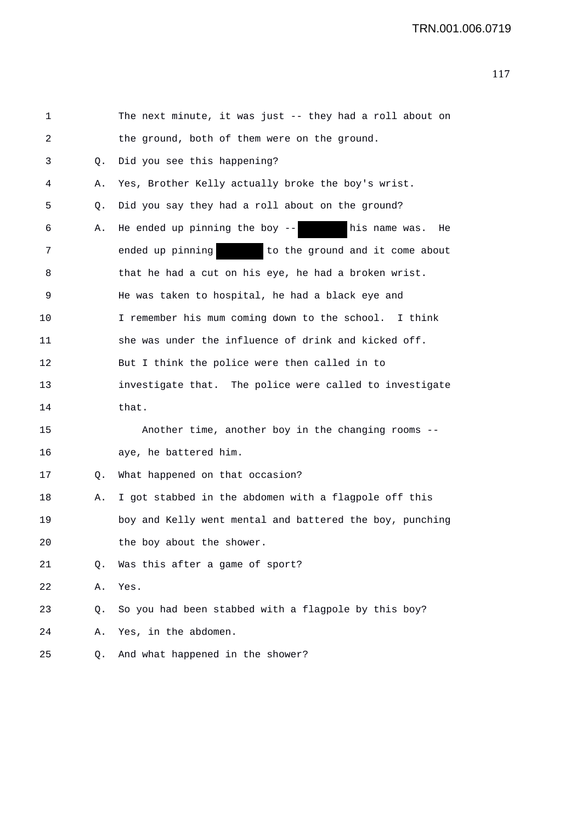| 1  |    | The next minute, it was just -- they had a roll about on |
|----|----|----------------------------------------------------------|
| 2  |    | the ground, both of them were on the ground.             |
| 3  | Q. | Did you see this happening?                              |
| 4  | Α. | Yes, Brother Kelly actually broke the boy's wrist.       |
| 5  | Q. | Did you say they had a roll about on the ground?         |
| 6  | Α. | He ended up pinning the boy $--$ his name was.<br>He     |
| 7  |    | ended up pinning<br>to the ground and it come about      |
| 8  |    | that he had a cut on his eye, he had a broken wrist.     |
| 9  |    | He was taken to hospital, he had a black eye and         |
| 10 |    | I remember his mum coming down to the school. I think    |
| 11 |    | she was under the influence of drink and kicked off.     |
| 12 |    | But I think the police were then called in to            |
| 13 |    | investigate that. The police were called to investigate  |
| 14 |    | that.                                                    |
| 15 |    | Another time, another boy in the changing rooms --       |
| 16 |    | aye, he battered him.                                    |
| 17 | Q. | What happened on that occasion?                          |
| 18 | Α. | I got stabbed in the abdomen with a flagpole off this    |
| 19 |    | boy and Kelly went mental and battered the boy, punching |
| 20 |    | the boy about the shower                                 |
| 21 | Q. | Was this after a game of sport?                          |
| 22 | Α. | Yes.                                                     |
| 23 | Q. | So you had been stabbed with a flagpole by this boy?     |
| 24 | Α. | Yes, in the abdomen.                                     |
| 25 | Q. | And what happened in the shower?                         |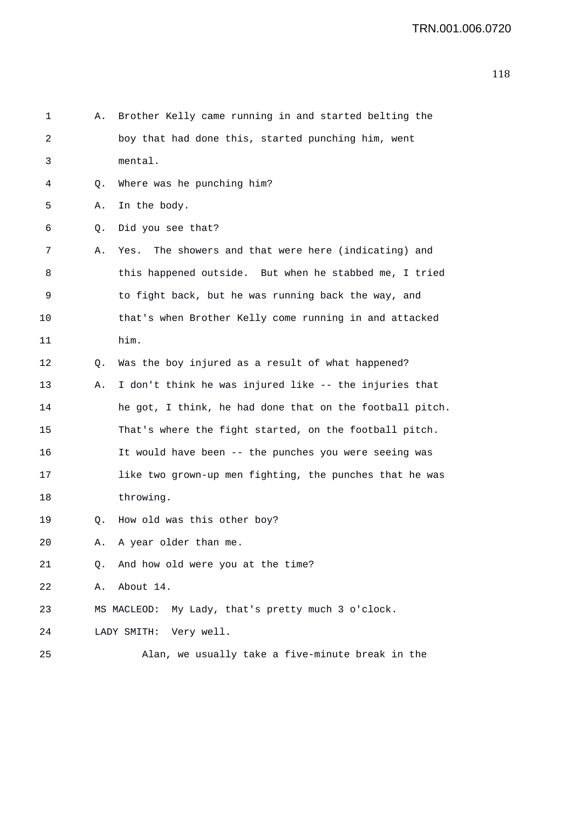| 1  | Α. | Brother Kelly came running in and started belting the    |
|----|----|----------------------------------------------------------|
| 2  |    | boy that had done this, started punching him, went       |
| 3  |    | mental.                                                  |
| 4  | Q. | Where was he punching him?                               |
| 5  | Α. | In the body.                                             |
| 6  | Q. | Did you see that?                                        |
| 7  | Α. | The showers and that were here (indicating) and<br>Yes.  |
| 8  |    | this happened outside. But when he stabbed me, I tried   |
| 9  |    | to fight back, but he was running back the way, and      |
| 10 |    | that's when Brother Kelly come running in and attacked   |
| 11 |    | him.                                                     |
| 12 | Q. | Was the boy injured as a result of what happened?        |
| 13 | Α. | I don't think he was injured like -- the injuries that   |
| 14 |    | he got, I think, he had done that on the football pitch. |
| 15 |    | That's where the fight started, on the football pitch.   |
| 16 |    | It would have been -- the punches you were seeing was    |
| 17 |    | like two grown-up men fighting, the punches that he was  |
| 18 |    | throwing.                                                |
| 19 | Q. | How old was this other boy?                              |
| 20 | Α. | A year older than me.                                    |
| 21 | Q. | And how old were you at the time?                        |
| 22 | Α. | About 14.                                                |
| 23 |    | My Lady, that's pretty much 3 o'clock.<br>MS MACLEOD:    |
| 24 |    | Very well.<br>LADY SMITH:                                |
| 25 |    | Alan, we usually take a five-minute break in the         |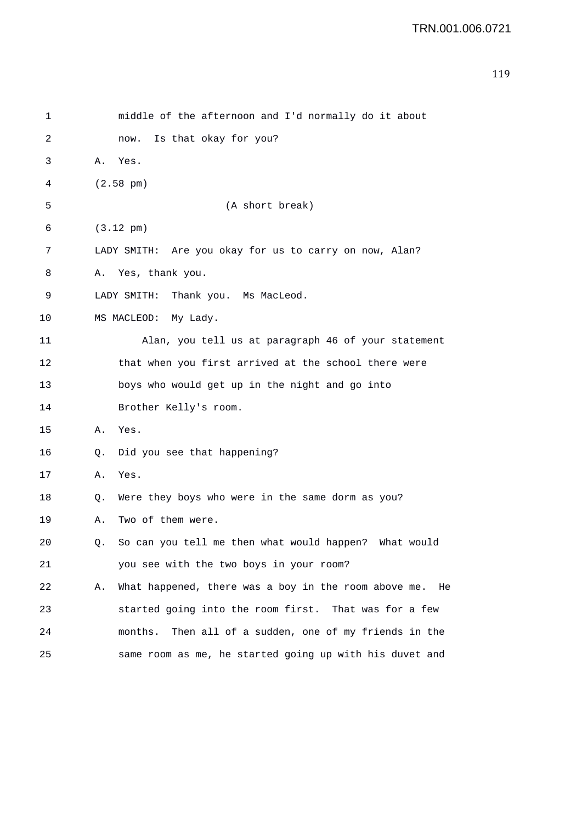```
119
```

| 1  | middle of the afternoon and I'd normally do it about             |
|----|------------------------------------------------------------------|
| 2  | Is that okay for you?<br>now.                                    |
| 3  | Α.<br>Yes.                                                       |
| 4  | $(2.58 \text{ pm})$                                              |
| 5  | (A short break)                                                  |
| 6  | $(3.12 \text{ pm})$                                              |
| 7  | LADY SMITH: Are you okay for us to carry on now, Alan?           |
| 8  | Yes, thank you.<br>Α.                                            |
| 9  | Thank you. Ms MacLeod.<br>LADY SMITH:                            |
| 10 | MS MACLEOD: My Lady.                                             |
| 11 | Alan, you tell us at paragraph 46 of your statement              |
| 12 | that when you first arrived at the school there were             |
| 13 | boys who would get up in the night and go into                   |
| 14 | Brother Kelly's room.                                            |
| 15 | Yes.<br>Α.                                                       |
| 16 | Did you see that happening?<br>Q.                                |
| 17 | Yes.<br>Α.                                                       |
| 18 | Were they boys who were in the same dorm as you?<br>Q.           |
| 19 | Two of them were.<br>Α.                                          |
| 20 | So can you tell me then what would happen? What would<br>Q.      |
| 21 | you see with the two boys in your room?                          |
| 22 | What happened, there was a boy in the room above me.<br>Α.<br>He |
| 23 | started going into the room first. That was for a few            |
| 24 | Then all of a sudden, one of my friends in the<br>months.        |
| 25 | same room as me, he started going up with his duvet and          |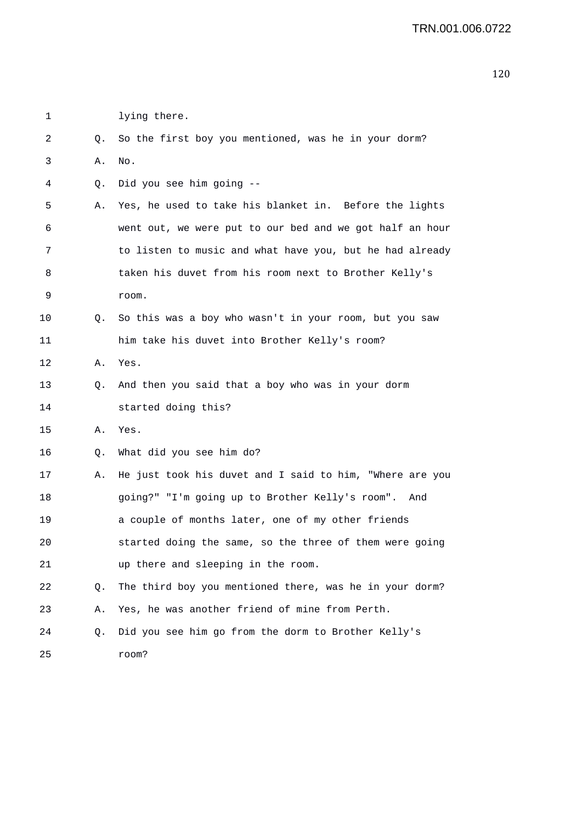| 1  |    | lying there.                                             |
|----|----|----------------------------------------------------------|
| 2  | Q. | So the first boy you mentioned, was he in your dorm?     |
| 3  | Α. | No.                                                      |
| 4  | Q. | Did you see him going --                                 |
| 5  | Α. | Yes, he used to take his blanket in. Before the lights   |
| 6  |    | went out, we were put to our bed and we got half an hour |
| 7  |    | to listen to music and what have you, but he had already |
| 8  |    | taken his duvet from his room next to Brother Kelly's    |
| 9  |    | room.                                                    |
| 10 | Q. | So this was a boy who wasn't in your room, but you saw   |
| 11 |    | him take his duvet into Brother Kelly's room?            |
| 12 | Α. | Yes.                                                     |
| 13 | Q. | And then you said that a boy who was in your dorm        |
| 14 |    | started doing this?                                      |
| 15 | Α. | Yes.                                                     |
| 16 | Q. | What did you see him do?                                 |
| 17 | Α. | He just took his duvet and I said to him, "Where are you |
| 18 |    | going?" "I'm going up to Brother Kelly's room". And      |
| 19 |    | a couple of months later, one of my other friends        |
| 20 |    | started doing the same, so the three of them were going  |
| 21 |    | up there and sleeping in the room.                       |
| 22 | Q. | The third boy you mentioned there, was he in your dorm?  |
| 23 | Α. | Yes, he was another friend of mine from Perth.           |
| 24 | Q. | Did you see him go from the dorm to Brother Kelly's      |
| 25 |    | room?                                                    |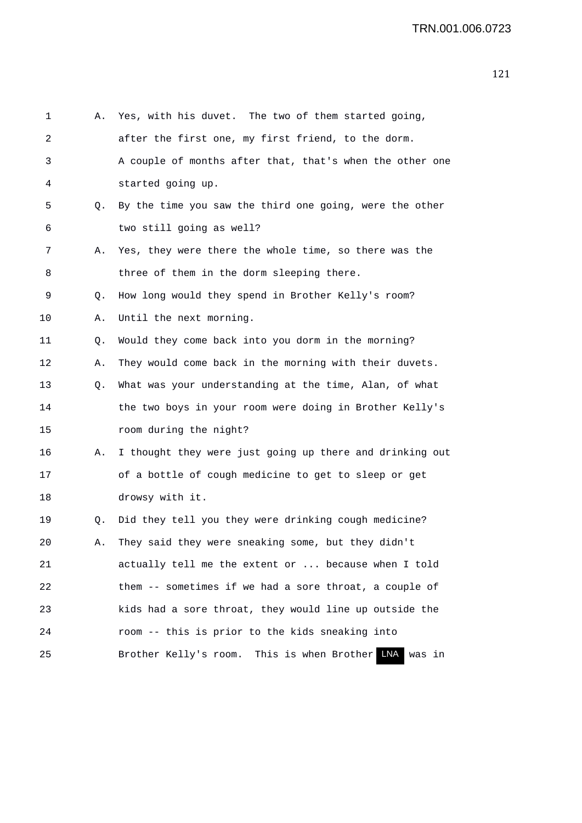```
1 A. Yes, with his duvet. The two of them started going, 
2 after the first one, my first friend, to the dorm. 
3 A couple of months after that, that's when the other one 
4 started going up. 
5 Q. By the time you saw the third one going, were the other 
6 two still going as well? 
7 A. Yes, they were there the whole time, so there was the 
8 three of them in the dorm sleeping there.
9 Q. How long would they spend in Brother Kelly's room? 
10 A. Until the next morning. 
11 Q. Would they come back into you dorm in the morning? 
12 A. They would come back in the morning with their duvets. 
13 Q. What was your understanding at the time, Alan, of what 
14 the two boys in your room were doing in Brother Kelly's 
15 room during the night? 
16 A. I thought they were just going up there and drinking out 
17 of a bottle of cough medicine to get to sleep or get 
18 drowsy with it. 
19 Q. Did they tell you they were drinking cough medicine? 
20 A. They said they were sneaking some, but they didn't 
21 actually tell me the extent or ... because when I told 
22 them -- sometimes if we had a sore throat, a couple of 
23 kids had a sore throat, they would line up outside the 
24 room -- this is prior to the kids sneaking into 
25 Brother Kelly's room. This is when Brother LNA was in
```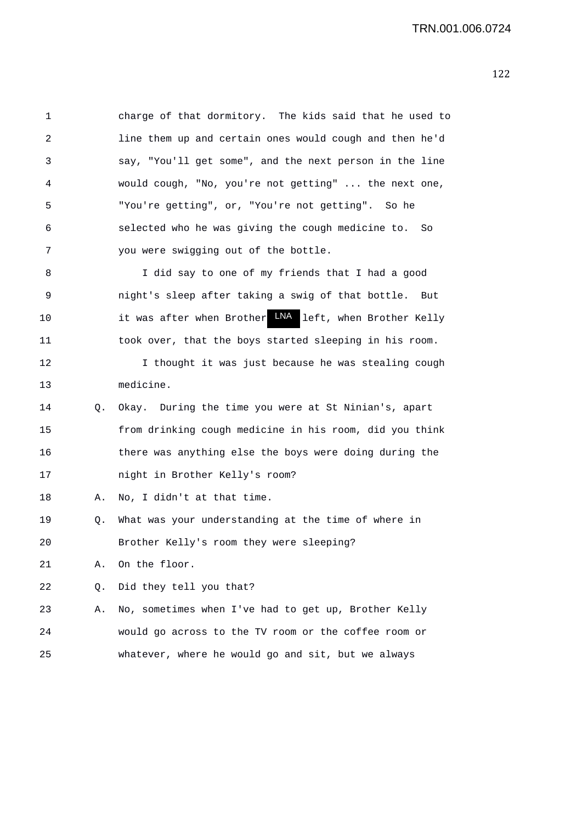1 charge of that dormitory. The kids said that he used to 2 line them up and certain ones would cough and then he'd 3 say, "You'll get some", and the next person in the line 4 would cough, "No, you're not getting" ... the next one, 5 "You're getting", or, "You're not getting". So he 6 selected who he was giving the cough medicine to. So 7 you were swigging out of the bottle. 8 I did say to one of my friends that I had a good 9 night's sleep after taking a swig of that bottle. But 10 10 it was after when Brother LNA left, when Brother Kelly 11 took over, that the boys started sleeping in his room. 12 I thought it was just because he was stealing cough 13 medicine. 14 Q. Okay. During the time you were at St Ninian's, apart 15 from drinking cough medicine in his room, did you think 16 there was anything else the boys were doing during the 17 night in Brother Kelly's room? 18 A. No, I didn't at that time. 19 Q. What was your understanding at the time of where in 20 Brother Kelly's room they were sleeping? 21 A. On the floor. 22 0. Did they tell you that? 23 A. No, sometimes when I've had to get up, Brother Kelly 24 would go across to the TV room or the coffee room or 25 whatever, where he would go and sit, but we always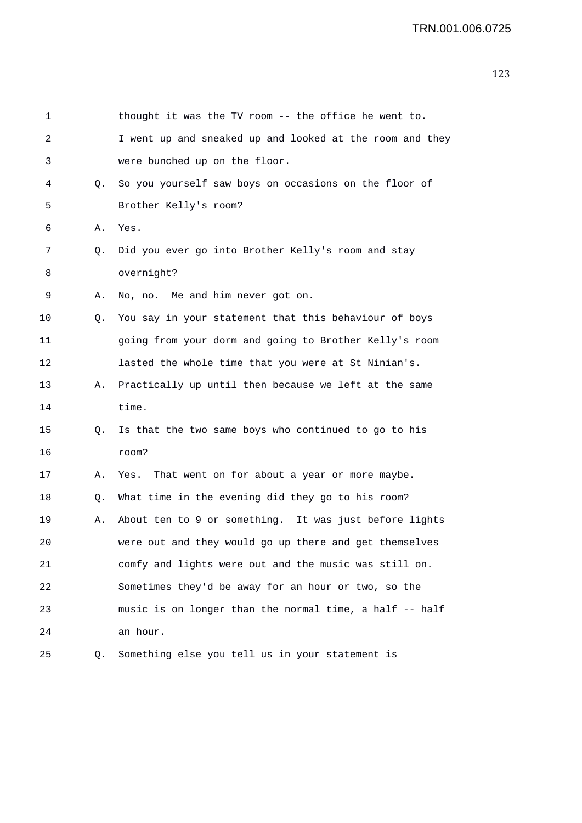| 1  |    | thought it was the TV room -- the office he went to.     |
|----|----|----------------------------------------------------------|
| 2  |    | I went up and sneaked up and looked at the room and they |
| 3  |    | were bunched up on the floor.                            |
| 4  | Q. | So you yourself saw boys on occasions on the floor of    |
| 5  |    | Brother Kelly's room?                                    |
| 6  | Α. | Yes.                                                     |
| 7  | Q. | Did you ever go into Brother Kelly's room and stay       |
| 8  |    | overnight?                                               |
| 9  | Α. | No, no. Me and him never got on.                         |
| 10 | Q. | You say in your statement that this behaviour of boys    |
| 11 |    | going from your dorm and going to Brother Kelly's room   |
| 12 |    | lasted the whole time that you were at St Ninian's.      |
| 13 | Α. | Practically up until then because we left at the same    |
| 14 |    | time.                                                    |
| 15 | Q. | Is that the two same boys who continued to go to his     |
| 16 |    | room?                                                    |
| 17 | Α. | That went on for about a year or more maybe.<br>Yes.     |
| 18 | Q. | What time in the evening did they go to his room?        |
| 19 | Α. | About ten to 9 or something. It was just before lights   |
| 20 |    | were out and they would go up there and get themselves   |
| 21 |    | comfy and lights were out and the music was still on.    |
| 22 |    | Sometimes they'd be away for an hour or two, so the      |
| 23 |    | music is on longer than the normal time, a half -- half  |
| 24 |    | an hour.                                                 |
| 25 | Q. | Something else you tell us in your statement is          |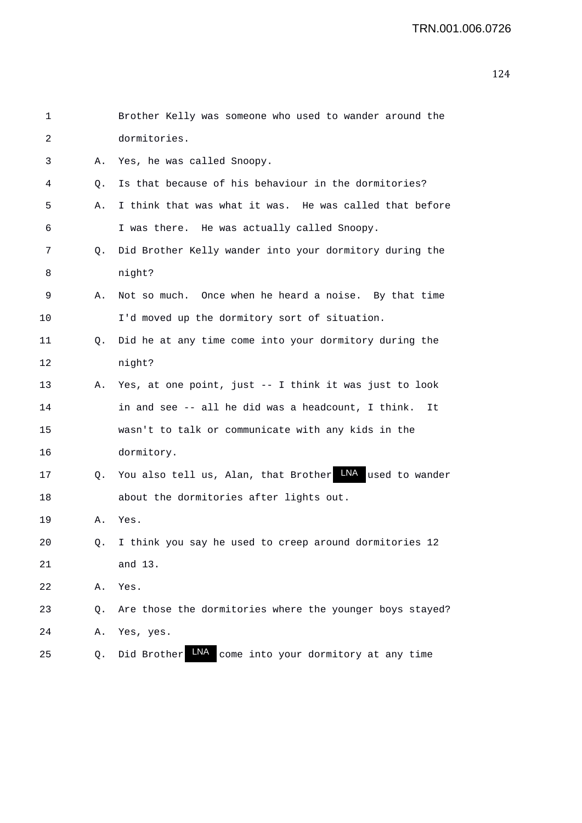| 1  |    | Brother Kelly was someone who used to wander around the           |
|----|----|-------------------------------------------------------------------|
| 2  |    | dormitories.                                                      |
| 3  | Α. | Yes, he was called Snoopy.                                        |
| 4  | Q. | Is that because of his behaviour in the dormitories?              |
| 5  | Α. | I think that was what it was. He was called that before           |
| 6  |    | I was there. He was actually called Snoopy.                       |
| 7  | Q. | Did Brother Kelly wander into your dormitory during the           |
| 8  |    | night?                                                            |
| 9  | Α. | Not so much. Once when he heard a noise. By that time             |
| 10 |    | I'd moved up the dormitory sort of situation.                     |
| 11 | Q. | Did he at any time come into your dormitory during the            |
| 12 |    | night?                                                            |
| 13 | А. | Yes, at one point, just -- I think it was just to look            |
| 14 |    | in and see -- all he did was a headcount, I think.<br>It          |
| 15 |    | wasn't to talk or communicate with any kids in the                |
| 16 |    | dormitory.                                                        |
| 17 | Q. | You also tell us, Alan, that Brother LNA used to wander           |
| 18 |    | about the dormitories after lights out.                           |
| 19 | Α. | Yes.                                                              |
| 20 |    | Q. I think you say he used to creep around dormitories 12         |
| 21 |    | and 13.                                                           |
| 22 | Α. | Yes.                                                              |
| 23 | Q. | Are those the dormitories where the younger boys stayed?          |
| 24 | Α. | Yes, yes.                                                         |
| 25 | Q. | <b>LNA</b><br>Did Brother<br>come into your dormitory at any time |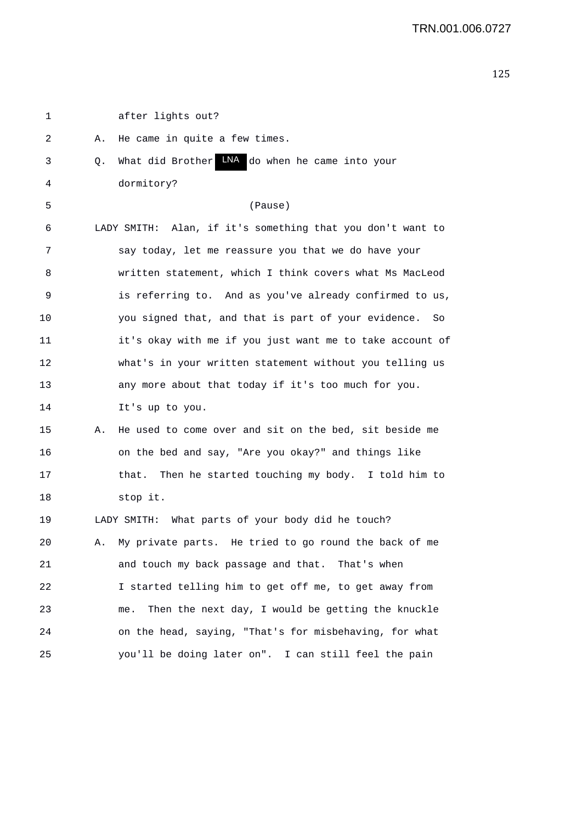| 1  |    | after lights out?                                          |
|----|----|------------------------------------------------------------|
| 2  | Α. | He came in quite a few times.                              |
| 3  | Q. | LNA do when he came into your<br>What did Brother          |
| 4  |    | dormitory?                                                 |
| 5  |    | (Pause)                                                    |
| 6  |    | LADY SMITH: Alan, if it's something that you don't want to |
| 7  |    | say today, let me reassure you that we do have your        |
| 8  |    | written statement, which I think covers what Ms MacLeod    |
| 9  |    | is referring to. And as you've already confirmed to us,    |
| 10 |    | you signed that, and that is part of your evidence.<br>So  |
| 11 |    | it's okay with me if you just want me to take account of   |
| 12 |    | what's in your written statement without you telling us    |
| 13 |    | any more about that today if it's too much for you.        |
| 14 |    | It's up to you.                                            |
| 15 | Α. | He used to come over and sit on the bed, sit beside me     |
| 16 |    | on the bed and say, "Are you okay?" and things like        |
| 17 |    | that. Then he started touching my body. I told him to      |
| 18 |    | stop it.                                                   |
| 19 |    | LADY SMITH: What parts of your body did he touch?          |
| 20 | Α. | My private parts. He tried to go round the back of me      |
| 21 |    | and touch my back passage and that. That's when            |
| 22 |    | I started telling him to get off me, to get away from      |
| 23 |    | Then the next day, I would be getting the knuckle<br>me.   |
| 24 |    | on the head, saying, "That's for misbehaving, for what     |
| 25 |    | you'll be doing later on". I can still feel the pain       |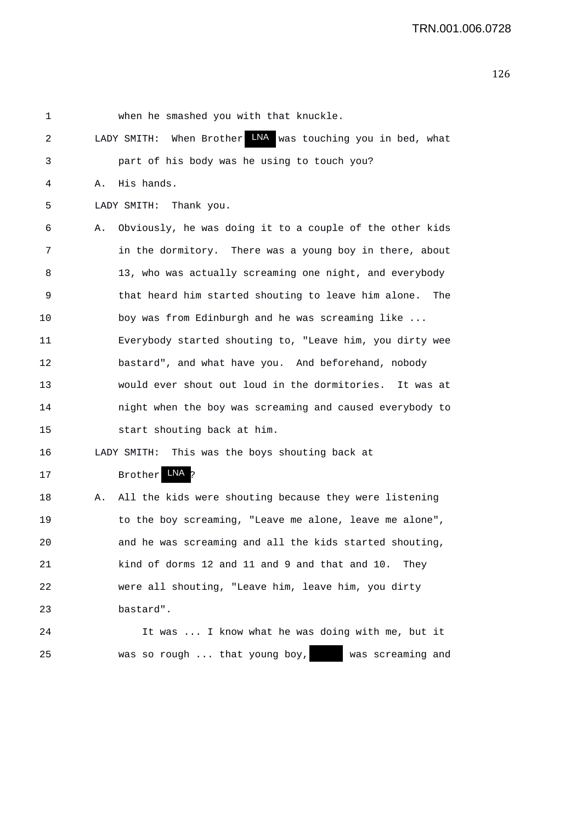| $\mathbf 1$ |    | when he smashed you with that knuckle.                     |
|-------------|----|------------------------------------------------------------|
| 2           |    | LADY SMITH: When Brother MA was touching you in bed, what  |
| 3           |    | part of his body was he using to touch you?                |
| 4           | Α. | His hands.                                                 |
| 5           |    | LADY SMITH: Thank you.                                     |
| 6           | Α. | Obviously, he was doing it to a couple of the other kids   |
| 7           |    | in the dormitory. There was a young boy in there, about    |
| 8           |    | 13, who was actually screaming one night, and everybody    |
| 9           |    | that heard him started shouting to leave him alone.<br>The |
| 10          |    | boy was from Edinburgh and he was screaming like           |
| 11          |    | Everybody started shouting to, "Leave him, you dirty wee   |
| 12          |    | bastard", and what have you. And beforehand, nobody        |
| 13          |    | would ever shout out loud in the dormitories. It was at    |
| 14          |    | night when the boy was screaming and caused everybody to   |
| 15          |    | start shouting back at him.                                |
| 16          |    | LADY SMITH: This was the boys shouting back at             |
| 17          |    | LNA<br><b>Brother</b>                                      |
| 18          | Α. | All the kids were shouting because they were listening     |
| 19          |    | to the boy screaming, "Leave me alone, leave me alone",    |
| 20          |    | and he was screaming and all the kids started shouting,    |
| 21          |    | kind of dorms 12 and 11 and 9 and that and 10. They        |
| 22          |    | were all shouting, "Leave him, leave him, you dirty        |
| 23          |    | bastard".                                                  |
| 24          |    | It was  I know what he was doing with me, but it           |
| 25          |    | was so rough  that young boy,<br>was screaming and         |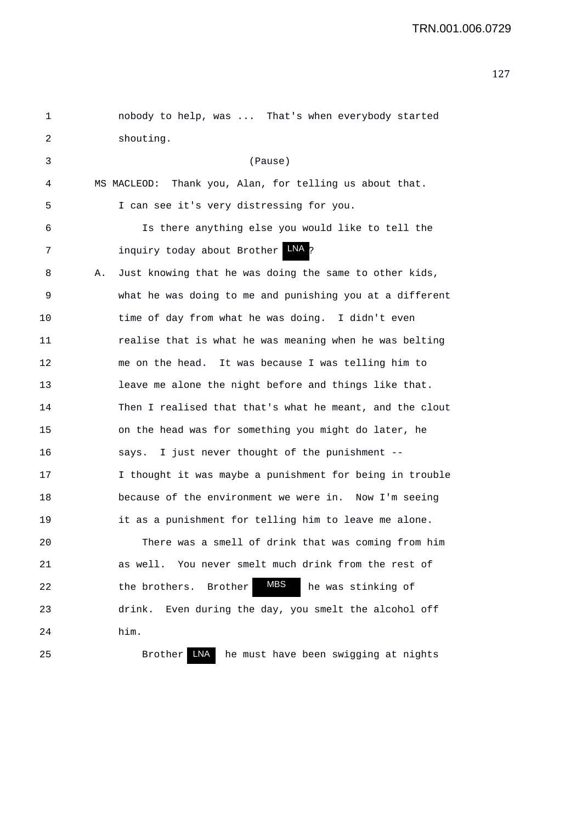1 nobody to help, was ... That's when everybody started 2 shouting. 3 (Pause) 4 MS MACLEOD: Thank you, Alan, for telling us about that. 5 I can see it's very distressing for you. 6 Is there anything else you would like to tell the 7 111 inquiry today about Brother TAM 8 A. Just knowing that he was doing the same to other kids, 9 what he was doing to me and punishing you at a different 10 time of day from what he was doing. I didn't even 11 realise that is what he was meaning when he was belting 12 me on the head. It was because I was telling him to 13 leave me alone the night before and things like that. 14 Then I realised that that's what he meant, and the clout 15 on the head was for something you might do later, he 16 says. I just never thought of the punishment -- 17 I thought it was maybe a punishment for being in trouble 18 because of the environment we were in. Now I'm seeing 19 it as a punishment for telling him to leave me alone. 20 There was a smell of drink that was coming from him 21 as well. You never smelt much drink from the rest of 22 the brothers. Brother **MBS** he was stinking of 23 drink. Even during the day, you smelt the alcohol off 24 him. 25 Brother LNA he must have been swigging at nights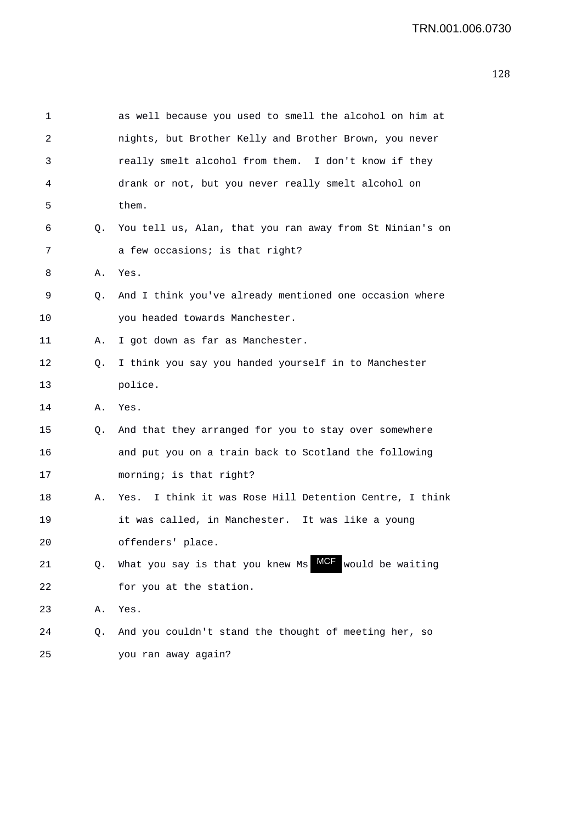| 1  |    | as well because you used to smell the alcohol on him at    |
|----|----|------------------------------------------------------------|
| 2  |    | nights, but Brother Kelly and Brother Brown, you never     |
| 3  |    | really smelt alcohol from them. I don't know if they       |
| 4  |    | drank or not, but you never really smelt alcohol on        |
| 5  |    | them.                                                      |
| 6  | Q. | You tell us, Alan, that you ran away from St Ninian's on   |
| 7  |    | a few occasions; is that right?                            |
| 8  | Α. | Yes.                                                       |
| 9  | Q. | And I think you've already mentioned one occasion where    |
| 10 |    | you headed towards Manchester.                             |
| 11 | Α. | I got down as far as Manchester.                           |
| 12 | Q. | I think you say you handed yourself in to Manchester       |
| 13 |    | police.                                                    |
| 14 | Α. | Yes.                                                       |
| 15 | Q. | And that they arranged for you to stay over somewhere      |
| 16 |    | and put you on a train back to Scotland the following      |
| 17 |    | morning; is that right?                                    |
| 18 | Α. | I think it was Rose Hill Detention Centre, I think<br>Yes. |
| 19 |    | it was called, in Manchester. It was like a young          |
| 20 |    | offenders' place.                                          |
| 21 | Q. | would be waiting<br>What you say is that you knew Ms       |
| 22 |    | for you at the station.                                    |
| 23 | Α. | Yes.                                                       |
| 24 | Q. | And you couldn't stand the thought of meeting her, so      |
|    |    |                                                            |

25 you ran away again?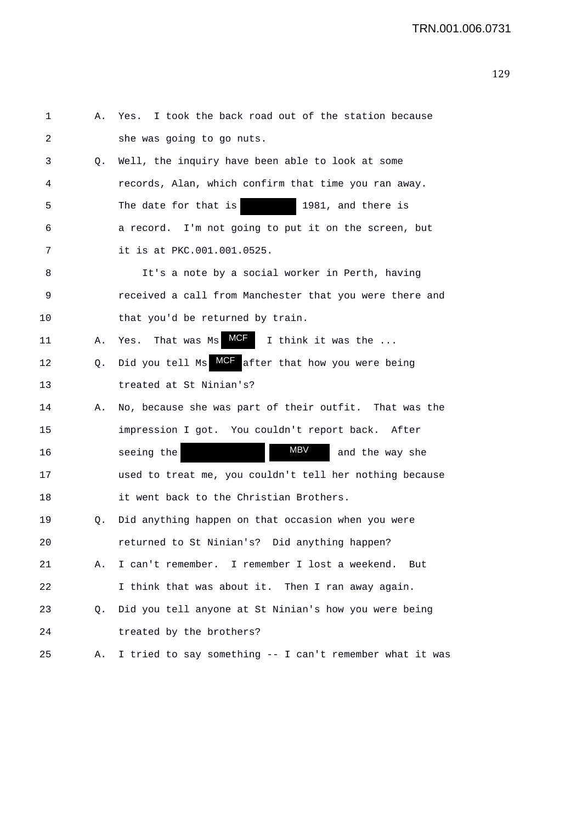| 1  | Α. | I took the back road out of the station because<br>Yes.        |
|----|----|----------------------------------------------------------------|
| 2  |    | she was going to go nuts.                                      |
| 3  | Q. | Well, the inquiry have been able to look at some               |
| 4  |    | records, Alan, which confirm that time you ran away.           |
| 5  |    | The date for that is<br>1981, and there is                     |
| 6  |    | a record. I'm not going to put it on the screen, but           |
| 7  |    | it is at PKC.001.001.0525.                                     |
| 8  |    | It's a note by a social worker in Perth, having                |
| 9  |    | received a call from Manchester that you were there and        |
| 10 |    | that you'd be returned by train.                               |
| 11 | Α. | MCF<br>That was Ms<br>I think it was the<br>Yes.               |
| 12 | Q. | <b>MCF</b><br>after that how you were being<br>Did you tell Ms |
| 13 |    | treated at St Ninian's?                                        |
| 14 | Α. | No, because she was part of their outfit. That was the         |
| 15 |    | impression I got. You couldn't report back. After              |
| 16 |    | MBV<br>seeing the<br>and the way she                           |
| 17 |    | used to treat me, you couldn't tell her nothing because        |
| 18 |    | it went back to the Christian Brothers.                        |
| 19 | Q. | Did anything happen on that occasion when you were             |
| 20 |    | returned to St Ninian's? Did anything happen?                  |
| 21 | Α. | I can't remember. I remember I lost a weekend. But             |
| 22 |    | I think that was about it. Then I ran away again.              |
| 23 | Q. | Did you tell anyone at St Ninian's how you were being          |
| 24 |    | treated by the brothers?                                       |
| 25 | Α. | I tried to say something -- I can't remember what it was       |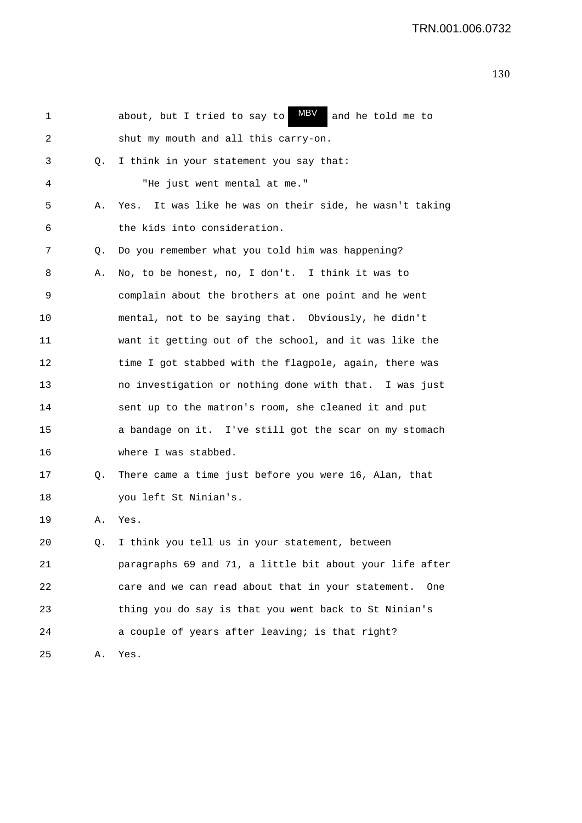| 1  |    | MBV<br>about, but I tried to say to<br>and he told me to   |
|----|----|------------------------------------------------------------|
| 2  |    | shut my mouth and all this carry-on.                       |
| 3  | Q. | I think in your statement you say that:                    |
| 4  |    | "He just went mental at me."                               |
| 5  | Α. | It was like he was on their side, he wasn't taking<br>Yes. |
| 6  |    | the kids into consideration.                               |
| 7  | Q. | Do you remember what you told him was happening?           |
| 8  | Α. | No, to be honest, no, I don't. I think it was to           |
| 9  |    | complain about the brothers at one point and he went       |
| 10 |    | mental, not to be saying that. Obviously, he didn't        |
| 11 |    | want it getting out of the school, and it was like the     |
| 12 |    | time I got stabbed with the flagpole, again, there was     |
| 13 |    | no investigation or nothing done with that. I was just     |
| 14 |    | sent up to the matron's room, she cleaned it and put       |
| 15 |    | a bandage on it. I've still got the scar on my stomach     |
| 16 |    | where I was stabbed.                                       |
| 17 | Q. | There came a time just before you were 16, Alan, that      |
| 18 |    | you left St Ninian's.                                      |
| 19 | Α. | Yes.                                                       |
| 20 | Q. | I think you tell us in your statement, between             |
| 21 |    | paragraphs 69 and 71, a little bit about your life after   |
| 22 |    | care and we can read about that in your statement.<br>One  |
| 23 |    | thing you do say is that you went back to St Ninian's      |
| 24 |    | a couple of years after leaving; is that right?            |
| 25 | Α. | Yes.                                                       |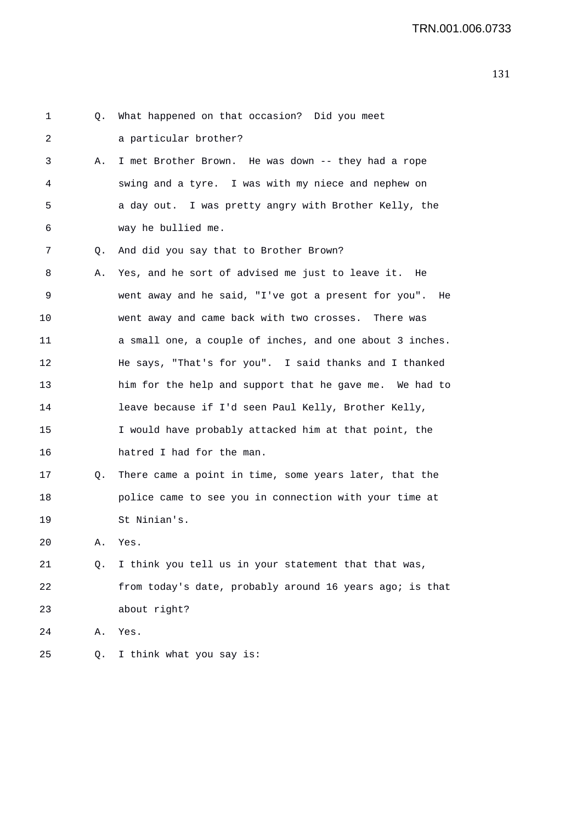| 1  | Q. | What happened on that occasion? Did you meet               |
|----|----|------------------------------------------------------------|
| 2  |    | a particular brother?                                      |
| 3  | Α. | I met Brother Brown. He was down -- they had a rope        |
| 4  |    | swing and a tyre. I was with my niece and nephew on        |
| 5  |    | a day out. I was pretty angry with Brother Kelly, the      |
| 6  |    | way he bullied me.                                         |
| 7  | Q. | And did you say that to Brother Brown?                     |
| 8  | Α. | Yes, and he sort of advised me just to leave it. He        |
| 9  |    | went away and he said, "I've got a present for you".<br>He |
| 10 |    | went away and came back with two crosses. There was        |
| 11 |    | a small one, a couple of inches, and one about 3 inches.   |
| 12 |    | He says, "That's for you". I said thanks and I thanked     |
| 13 |    | him for the help and support that he gave me. We had to    |
| 14 |    | leave because if I'd seen Paul Kelly, Brother Kelly,       |
| 15 |    | I would have probably attacked him at that point, the      |
| 16 |    | hatred I had for the man.                                  |
| 17 | Q. | There came a point in time, some years later, that the     |
| 18 |    | police came to see you in connection with your time at     |
| 19 |    | St Ninian's.                                               |
| 20 | Α. | Yes.                                                       |
| 21 | Q. | I think you tell us in your statement that that was,       |
| 22 |    | from today's date, probably around 16 years ago; is that   |
| 23 |    | about right?                                               |
| 24 | Α. | Yes.                                                       |
| 25 | Q. | I think what you say is:                                   |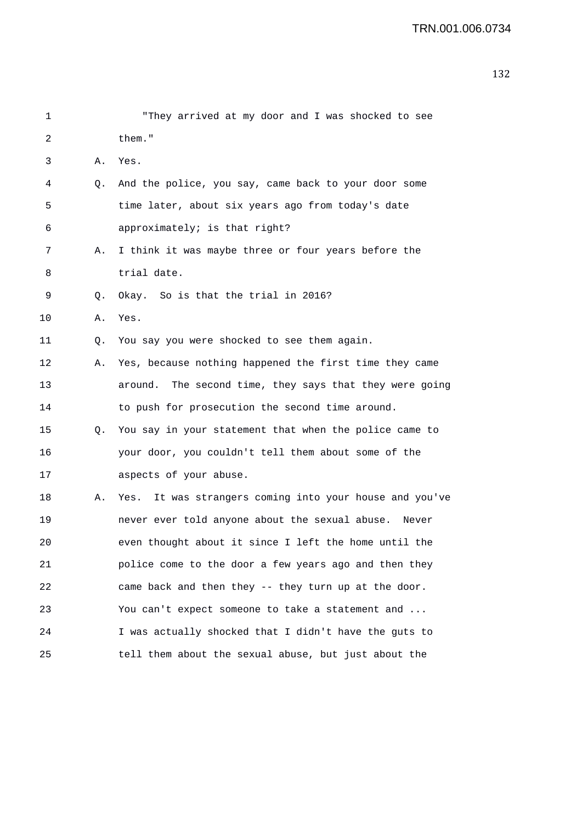| 1  |    | "They arrived at my door and I was shocked to see          |
|----|----|------------------------------------------------------------|
| 2  |    | them."                                                     |
| 3  | Α. | Yes.                                                       |
| 4  | Q. | And the police, you say, came back to your door some       |
| 5  |    | time later, about six years ago from today's date          |
| 6  |    | approximately; is that right?                              |
| 7  | Α. | I think it was maybe three or four years before the        |
| 8  |    | trial date.                                                |
| 9  | Q. | Okay. So is that the trial in 2016?                        |
| 10 | Α. | Yes.                                                       |
| 11 | Q. | You say you were shocked to see them again.                |
| 12 | Α. | Yes, because nothing happened the first time they came     |
| 13 |    | The second time, they says that they were going<br>around. |
| 14 |    | to push for prosecution the second time around.            |
| 15 | Q. | You say in your statement that when the police came to     |
| 16 |    | your door, you couldn't tell them about some of the        |
| 17 |    | aspects of your abuse.                                     |
| 18 | Α. | It was strangers coming into your house and you've<br>Yes. |
| 19 |    | never ever told anyone about the sexual abuse. Never       |
| 20 |    | even thought about it since I left the home until the      |
| 21 |    | police come to the door a few years ago and then they      |
| 22 |    | came back and then they -- they turn up at the door.       |
| 23 |    | You can't expect someone to take a statement and           |
| 24 |    | I was actually shocked that I didn't have the guts to      |
| 25 |    | tell them about the sexual abuse, but just about the       |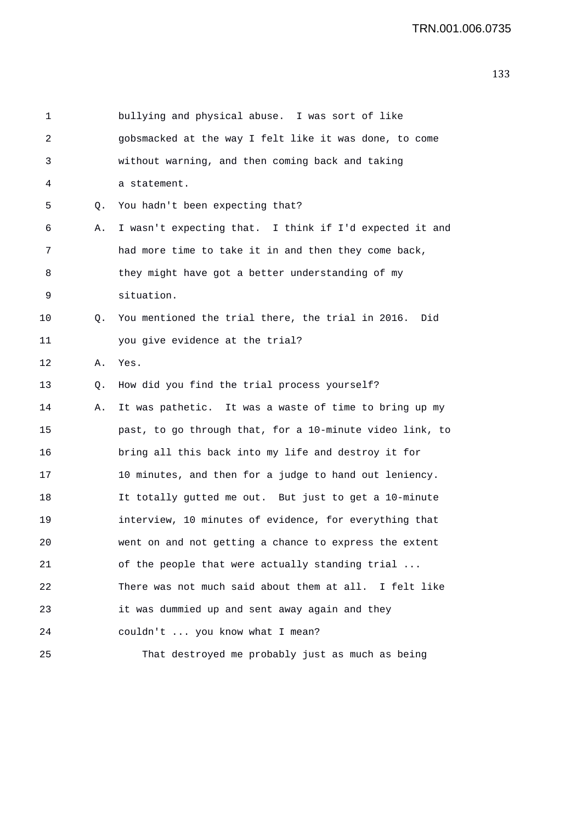| 1  |    | bullying and physical abuse. I was sort of like          |
|----|----|----------------------------------------------------------|
| 2  |    | gobsmacked at the way I felt like it was done, to come   |
| 3  |    | without warning, and then coming back and taking         |
| 4  |    | a statement.                                             |
| 5  | Q. | You hadn't been expecting that?                          |
| 6  | Α. | I wasn't expecting that. I think if I'd expected it and  |
| 7  |    | had more time to take it in and then they come back,     |
| 8  |    | they might have got a better understanding of my         |
| 9  |    | situation.                                               |
| 10 | Q. | You mentioned the trial there, the trial in 2016. Did    |
| 11 |    | you give evidence at the trial?                          |
| 12 | Α. | Yes.                                                     |
| 13 | Q. | How did you find the trial process yourself?             |
| 14 | Α. | It was pathetic. It was a waste of time to bring up my   |
| 15 |    | past, to go through that, for a 10-minute video link, to |
| 16 |    | bring all this back into my life and destroy it for      |
| 17 |    | 10 minutes, and then for a judge to hand out leniency.   |
| 18 |    | It totally gutted me out. But just to get a 10-minute    |
| 19 |    | interview, 10 minutes of evidence, for everything that   |
| 20 |    | went on and not getting a chance to express the extent   |
| 21 |    | of the people that were actually standing trial          |
| 22 |    | There was not much said about them at all. I felt like   |
| 23 |    | it was dummied up and sent away again and they           |
| 24 |    | couldn't  you know what I mean?                          |
| 25 |    | That destroyed me probably just as much as being         |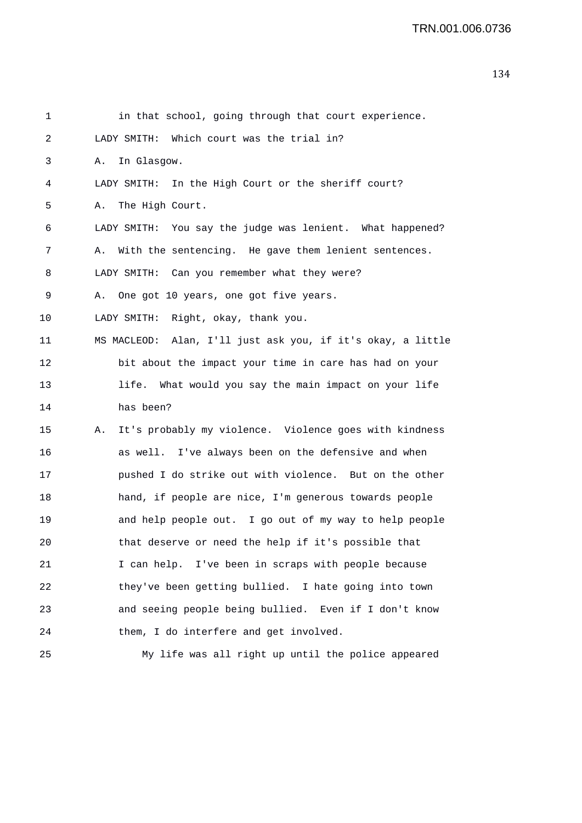| 1  | in that school, going through that court experience.         |
|----|--------------------------------------------------------------|
| 2  | LADY SMITH: Which court was the trial in?                    |
| 3  | In Glasgow.<br>А.                                            |
| 4  | LADY SMITH: In the High Court or the sheriff court?          |
| 5  | Α.<br>The High Court.                                        |
| 6  | LADY SMITH: You say the judge was lenient. What happened?    |
| 7  | With the sentencing. He gave them lenient sentences.<br>А.   |
| 8  | LADY SMITH: Can you remember what they were?                 |
| 9  | A. One got 10 years, one got five years.                     |
| 10 | LADY SMITH: Right, okay, thank you.                          |
| 11 | MS MACLEOD: Alan, I'll just ask you, if it's okay, a little  |
| 12 | bit about the impact your time in care has had on your       |
| 13 | life. What would you say the main impact on your life        |
| 14 | has been?                                                    |
| 15 | It's probably my violence. Violence goes with kindness<br>Α. |
| 16 | as well. I've always been on the defensive and when          |
| 17 | pushed I do strike out with violence. But on the other       |
| 18 | hand, if people are nice, I'm generous towards people        |
| 19 | and help people out. I go out of my way to help people       |
| 20 | that deserve or need the help if it's possible that          |
| 21 | I can help. I've been in scraps with people because          |
| 22 | they've been getting bullied. I hate going into town         |
| 23 | and seeing people being bullied. Even if I don't know        |
| 24 | them, I do interfere and get involved.                       |
| 25 | My life was all right up until the police appeared           |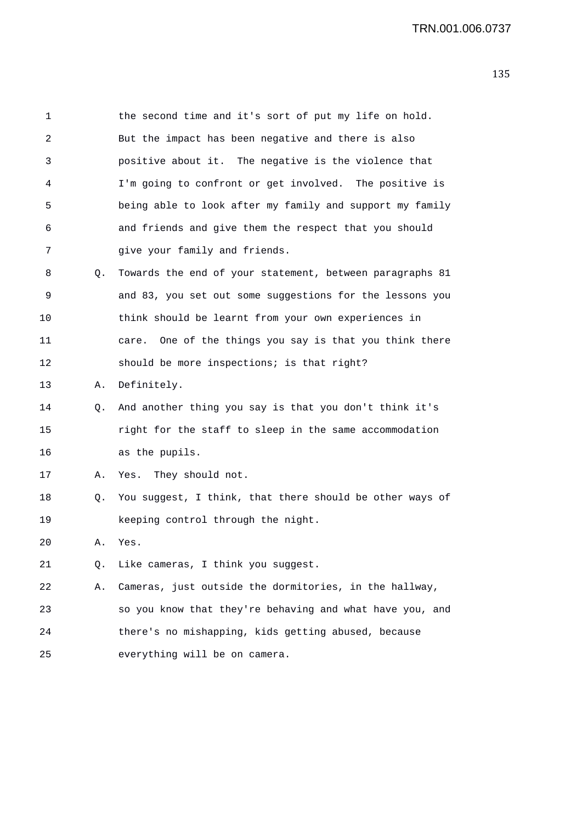| 1  |    | the second time and it's sort of put my life on hold.      |
|----|----|------------------------------------------------------------|
| 2  |    | But the impact has been negative and there is also         |
| 3  |    | positive about it. The negative is the violence that       |
| 4  |    | I'm going to confront or get involved. The positive is     |
| 5  |    | being able to look after my family and support my family   |
| 6  |    | and friends and give them the respect that you should      |
| 7  |    | give your family and friends.                              |
| 8  | Q. | Towards the end of your statement, between paragraphs 81   |
| 9  |    | and 83, you set out some suggestions for the lessons you   |
| 10 |    | think should be learnt from your own experiences in        |
| 11 |    | One of the things you say is that you think there<br>care. |
| 12 |    | should be more inspections; is that right?                 |
| 13 | Α. | Definitely.                                                |
| 14 | Q. | And another thing you say is that you don't think it's     |
| 15 |    | right for the staff to sleep in the same accommodation     |
| 16 |    | as the pupils.                                             |
| 17 | Α. | Yes. They should not.                                      |
| 18 | Q. | You suggest, I think, that there should be other ways of   |
| 19 |    | keeping control through the night.                         |
| 20 | Α. | Yes.                                                       |
| 21 | Q. | Like cameras, I think you suggest.                         |
| 22 | Α. | Cameras, just outside the dormitories, in the hallway,     |
| 23 |    | so you know that they're behaving and what have you, and   |
| 24 |    | there's no mishapping, kids getting abused, because        |
| 25 |    | everything will be on camera.                              |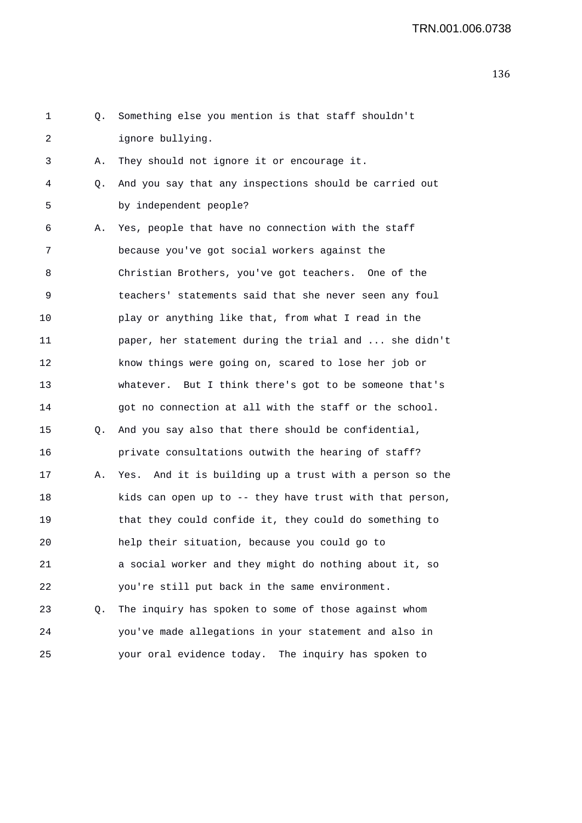| 1  | Q. | Something else you mention is that staff shouldn't         |
|----|----|------------------------------------------------------------|
| 2  |    | ignore bullying.                                           |
| 3  | Α. | They should not ignore it or encourage it.                 |
| 4  | Q. | And you say that any inspections should be carried out     |
| 5  |    | by independent people?                                     |
| 6  | Α. | Yes, people that have no connection with the staff         |
| 7  |    | because you've got social workers against the              |
| 8  |    | Christian Brothers, you've got teachers. One of the        |
| 9  |    | teachers' statements said that she never seen any foul     |
| 10 |    | play or anything like that, from what I read in the        |
| 11 |    | paper, her statement during the trial and  she didn't      |
| 12 |    | know things were going on, scared to lose her job or       |
| 13 |    | whatever. But I think there's got to be someone that's     |
| 14 |    | got no connection at all with the staff or the school.     |
| 15 | Q. | And you say also that there should be confidential,        |
| 16 |    | private consultations outwith the hearing of staff?        |
| 17 | Α. | And it is building up a trust with a person so the<br>Yes. |
| 18 |    | kids can open up to -- they have trust with that person,   |
| 19 |    | that they could confide it, they could do something to     |
| 20 |    | help their situation, because you could go to              |
| 21 |    | a social worker and they might do nothing about it, so     |
| 22 |    | you're still put back in the same environment.             |
| 23 | Q. | The inquiry has spoken to some of those against whom       |
| 24 |    | you've made allegations in your statement and also in      |
| 25 |    | your oral evidence today. The inquiry has spoken to        |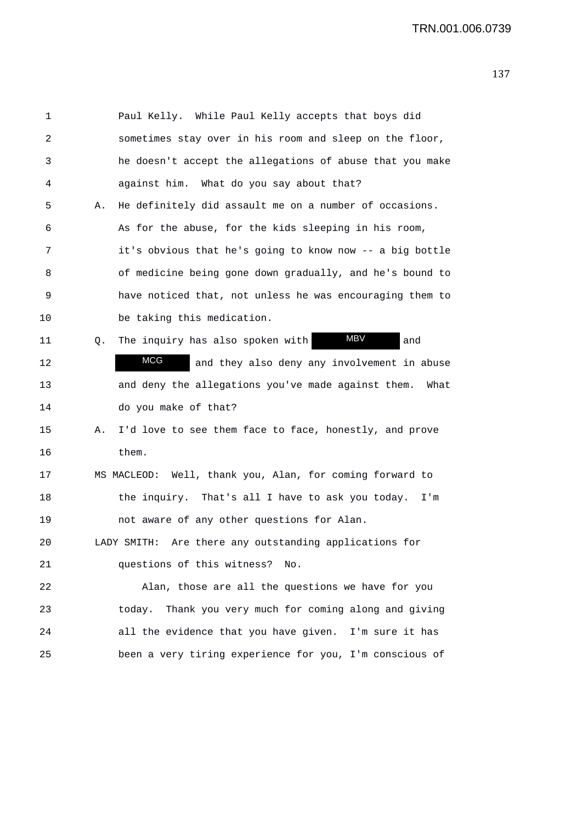| 1  |    | Paul Kelly. While Paul Kelly accepts that boys did         |
|----|----|------------------------------------------------------------|
| 2  |    | sometimes stay over in his room and sleep on the floor,    |
| 3  |    | he doesn't accept the allegations of abuse that you make   |
| 4  |    | against him. What do you say about that?                   |
| 5  | Α. | He definitely did assault me on a number of occasions.     |
| 6  |    | As for the abuse, for the kids sleeping in his room,       |
| 7  |    | it's obvious that he's going to know now -- a big bottle   |
| 8  |    | of medicine being gone down gradually, and he's bound to   |
| 9  |    | have noticed that, not unless he was encouraging them to   |
| 10 |    | be taking this medication.                                 |
| 11 | Q. | <b>MBV</b><br>The inquiry has also spoken with<br>and      |
| 12 |    | MCG<br>and they also deny any involvement in abuse         |
| 13 |    | and deny the allegations you've made against them.<br>What |
| 14 |    | do you make of that?                                       |
| 15 | Α. | I'd love to see them face to face, honestly, and prove     |
| 16 |    | them.                                                      |
| 17 |    | MS MACLEOD: Well, thank you, Alan, for coming forward to   |
| 18 |    | the inquiry. That's all I have to ask you today.<br>I'm    |
| 19 |    | not aware of any other questions for Alan.                 |
| 20 |    | Are there any outstanding applications for<br>LADY SMITH:  |
| 21 |    | questions of this witness? No.                             |
| 22 |    | Alan, those are all the questions we have for you          |
| 23 |    | today. Thank you very much for coming along and giving     |
| 24 |    | all the evidence that you have given. I'm sure it has      |
| 25 |    | been a very tiring experience for you, I'm conscious of    |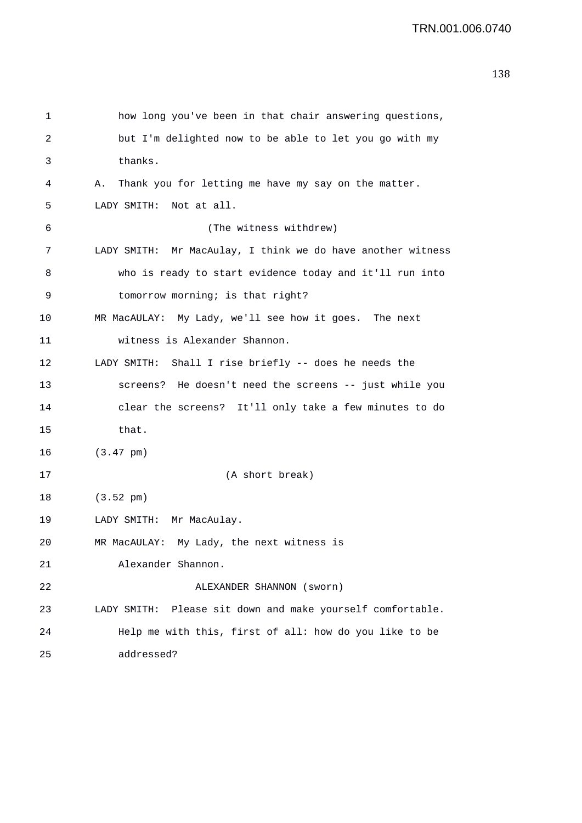```
1 how long you've been in that chair answering questions, 
2 but I'm delighted now to be able to let you go with my 
3 thanks. 
4 A. Thank you for letting me have my say on the matter. 
5 LADY SMITH: Not at all. 
6 (The witness withdrew) 
7 LADY SMITH: Mr MacAulay, I think we do have another witness 
8 who is ready to start evidence today and it'll run into 
9 tomorrow morning; is that right? 
10 MR MacAULAY: My Lady, we'll see how it goes. The next 
11 witness is Alexander Shannon. 
12 LADY SMITH: Shall I rise briefly -- does he needs the 
13 screens? He doesn't need the screens -- just while you 
14 clear the screens? It'll only take a few minutes to do 
15 that.
16 (3.47 pm) 
17 (A short break) 
18 (3.52 pm) 
19 LADY SMITH: Mr MacAulay. 
20 MR MacAULAY: My Lady, the next witness is 
21 Alexander Shannon. 
22 ALEXANDER SHANNON (sworn) 
23 LADY SMITH: Please sit down and make yourself comfortable. 
24 Help me with this, first of all: how do you like to be 
25 addressed?
```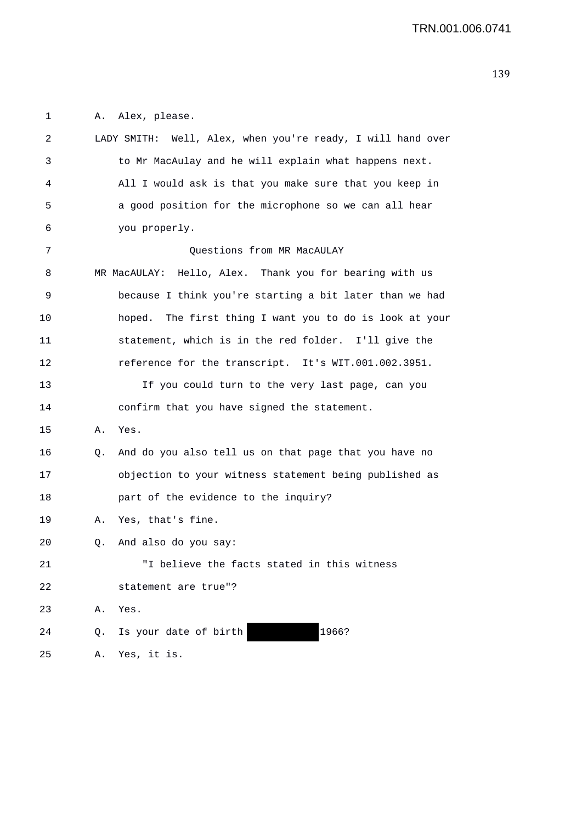1 A. Alex, please.

| 2  |    | LADY SMITH: Well, Alex, when you're ready, I will hand over |
|----|----|-------------------------------------------------------------|
| 3  |    | to Mr MacAulay and he will explain what happens next.       |
| 4  |    | All I would ask is that you make sure that you keep in      |
| 5  |    | a good position for the microphone so we can all hear       |
| 6  |    | you properly.                                               |
| 7  |    | Questions from MR MacAULAY                                  |
| 8  |    | MR MacAULAY: Hello, Alex. Thank you for bearing with us     |
| 9  |    | because I think you're starting a bit later than we had     |
| 10 |    | hoped. The first thing I want you to do is look at your     |
| 11 |    | statement, which is in the red folder. I'll give the        |
| 12 |    | reference for the transcript. It's WIT.001.002.3951.        |
| 13 |    | If you could turn to the very last page, can you            |
| 14 |    | confirm that you have signed the statement.                 |
| 15 | Α. | Yes.                                                        |
| 16 | Q. | And do you also tell us on that page that you have no       |
| 17 |    | objection to your witness statement being published as      |
| 18 |    | part of the evidence to the inquiry?                        |
| 19 | А. | Yes, that's fine.                                           |
| 20 | Q. | And also do you say:                                        |
| 21 |    | "I believe the facts stated in this witness                 |
| 22 |    | statement are true"?                                        |
| 23 | Α. | Yes.                                                        |
| 24 | Q. | 1966?<br>Is your date of birth                              |
| 25 | Α. | Yes, it is.                                                 |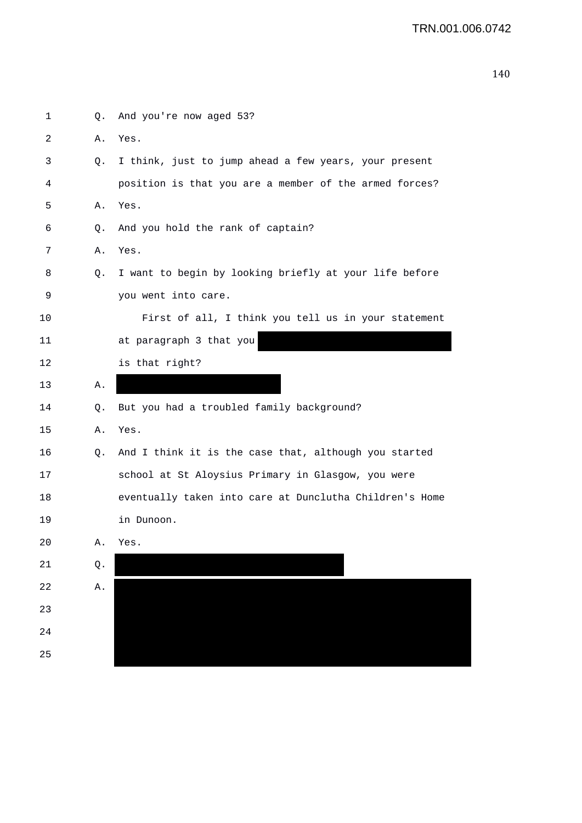| $\mathbf{1}$ | Q.          | And you're now aged 53?                                 |
|--------------|-------------|---------------------------------------------------------|
| 2            | Α.          | Yes.                                                    |
| 3            | Q.          | I think, just to jump ahead a few years, your present   |
| 4            |             | position is that you are a member of the armed forces?  |
| 5            | Α.          | Yes.                                                    |
| 6            | Q.          | And you hold the rank of captain?                       |
| 7            | Α.          | Yes.                                                    |
| 8            | Q.          | I want to begin by looking briefly at your life before  |
| 9            |             | you went into care.                                     |
| 10           |             | First of all, I think you tell us in your statement     |
| 11           |             | at paragraph 3 that you                                 |
| 12           |             | is that right?                                          |
| 13           | Α.          |                                                         |
| 14           | Q.          | But you had a troubled family background?               |
| 15           | Α.          | Yes.                                                    |
| 16           | Q.          | And I think it is the case that, although you started   |
| 17           |             | school at St Aloysius Primary in Glasgow, you were      |
| 18           |             | eventually taken into care at Dunclutha Children's Home |
| 19           |             | in Dunoon.                                              |
| 20           | Α.          | Yes.                                                    |
| 21           | Q.          |                                                         |
| 22           | ${\tt A}$ . |                                                         |
| 23           |             |                                                         |
| 24           |             |                                                         |
| 25           |             |                                                         |
|              |             |                                                         |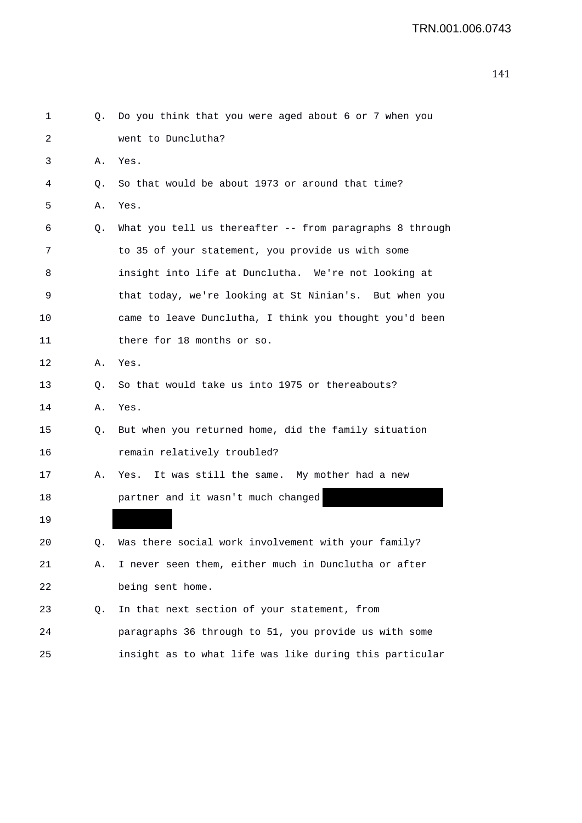| 1  | Q. | Do you think that you were aged about 6 or 7 when you    |
|----|----|----------------------------------------------------------|
| 2  |    | went to Dunclutha?                                       |
| 3  | Α. | Yes.                                                     |
| 4  | Q. | So that would be about 1973 or around that time?         |
| 5  | Α. | Yes.                                                     |
| 6  | Q. | What you tell us thereafter -- from paragraphs 8 through |
| 7  |    | to 35 of your statement, you provide us with some        |
| 8  |    | insight into life at Dunclutha. We're not looking at     |
| 9  |    | that today, we're looking at St Ninian's. But when you   |
| 10 |    | came to leave Dunclutha, I think you thought you'd been  |
| 11 |    | there for 18 months or so.                               |
| 12 | Α. | Yes.                                                     |
| 13 | Q. | So that would take us into 1975 or thereabouts?          |
| 14 | Α. | Yes.                                                     |
| 15 | Q. | But when you returned home, did the family situation     |
| 16 |    | remain relatively troubled?                              |
| 17 | Α. | It was still the same. My mother had a new<br>Yes.       |
| 18 |    | partner and it wasn't much changed                       |
| 19 |    |                                                          |
| 20 |    | Was there social work involvement with your family?      |
| 21 | Α. | I never seen them, either much in Dunclutha or after     |
| 22 |    | being sent home.                                         |
| 23 | Q. | In that next section of your statement, from             |
| 24 |    | paragraphs 36 through to 51, you provide us with some    |
| 25 |    | insight as to what life was like during this particular  |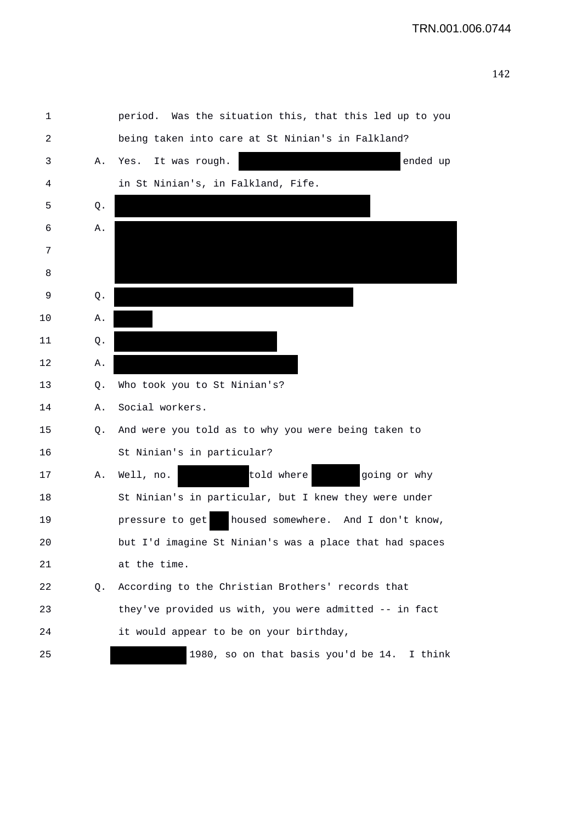| 1  |    | period. Was the situation this, that this led up to you |
|----|----|---------------------------------------------------------|
| 2  |    | being taken into care at St Ninian's in Falkland?       |
| 3  | Α. | It was rough.<br>ended up<br>Yes.                       |
| 4  |    | in St Ninian's, in Falkland, Fife.                      |
| 5  | Q. |                                                         |
| 6  | Α. |                                                         |
| 7  |    |                                                         |
| 8  |    |                                                         |
| 9  | Q. |                                                         |
| 10 | Α. |                                                         |
| 11 | Q. |                                                         |
| 12 | Α. |                                                         |
| 13 | Q. | Who took you to St Ninian's?                            |
| 14 | Α. | Social workers.                                         |
| 15 | Q. | And were you told as to why you were being taken to     |
| 16 |    | St Ninian's in particular?                              |
| 17 | Α. | told where<br>going or why<br>Well, no.                 |
| 18 |    | St Ninian's in particular, but I knew they were under   |
| 19 |    | housed somewhere. And I don't know,<br>pressure to get  |
| 20 |    | but I'd imagine St Ninian's was a place that had spaces |
| 21 |    | at the time.                                            |
| 22 | Q. | According to the Christian Brothers' records that       |
| 23 |    | they've provided us with, you were admitted -- in fact  |
| 24 |    | it would appear to be on your birthday,                 |
| 25 |    | 1980, so on that basis you'd be 14. I think             |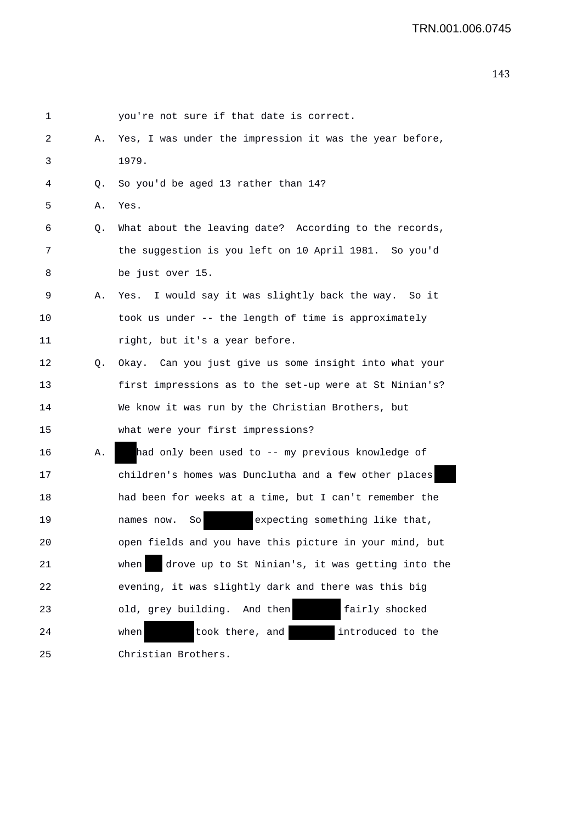```
1 you're not sure if that date is correct. 
2 A. Yes, I was under the impression it was the year before, 
3 1979. 
4 Q. So you'd be aged 13 rather than 14? 
5 A. Yes. 
6 Q. What about the leaving date? According to the records, 
7 the suggestion is you left on 10 April 1981. So you'd 
8 be just over 15. 
9 A. Yes. I would say it was slightly back the way. So it 
10 took us under -- the length of time is approximately 
11 right, but it's a year before.
12 Q. Okay. Can you just give us some insight into what your 
13 first impressions as to the set-up were at St Ninian's? 
14 We know it was run by the Christian Brothers, but 
15 what were your first impressions? 
16 A. had only been used to -- my previous knowledge of 
17 children's homes was Dunclutha and a few other places
18 had been for weeks at a time, but I can't remember the 
19 names now. So expecting something like that,
20 open fields and you have this picture in your mind, but 
21 when drove up to St Ninian's, it was getting into the 
22 evening, it was slightly dark and there was this big 
23 old, grey building. And then fairly shocked 
24 when took there, and introduced to the 
25 Christian Brothers.
```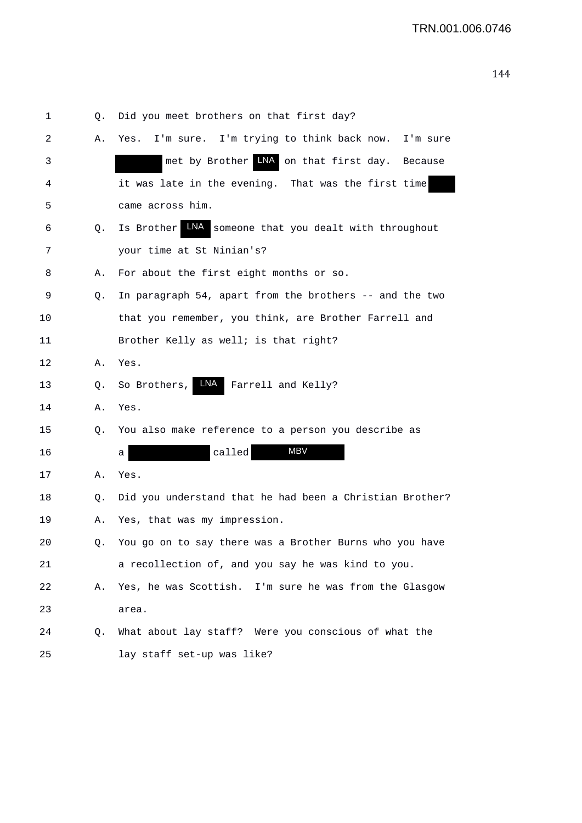| 1  | Q. | Did you meet brothers on that first day?                 |
|----|----|----------------------------------------------------------|
| 2  | Α. | I'm sure. I'm trying to think back now. I'm sure<br>Yes. |
| 3  |    | met by Brother LNA on that first day. Because            |
| 4  |    | it was late in the evening. That was the first time      |
| 5  |    | came across him.                                         |
| 6  | Q. | Is Brother LNA<br>someone that you dealt with throughout |
| 7  |    | your time at St Ninian's?                                |
| 8  | Α. | For about the first eight months or so.                  |
| 9  | Q. | In paragraph 54, apart from the brothers -- and the two  |
| 10 |    | that you remember, you think, are Brother Farrell and    |
| 11 |    | Brother Kelly as well; is that right?                    |
| 12 | Α. | Yes.                                                     |
| 13 | Q. | LNA<br>Farrell and Kelly?<br>So Brothers,                |
| 14 | Α. | Yes.                                                     |
| 15 | Q. | You also make reference to a person you describe as      |
| 16 |    | MBV<br>called<br>а                                       |
| 17 | А. | Yes.                                                     |
| 18 | Q. | Did you understand that he had been a Christian Brother? |
| 19 | А. | Yes, that was my impression.                             |
| 20 |    | You go on to say there was a Brother Burns who you have  |
| 21 |    | a recollection of, and you say he was kind to you.       |
| 22 | А. | Yes, he was Scottish. I'm sure he was from the Glasgow   |
| 23 |    | area.                                                    |
| 24 | Q. | What about lay staff? Were you conscious of what the     |
| 25 |    | lay staff set-up was like?                               |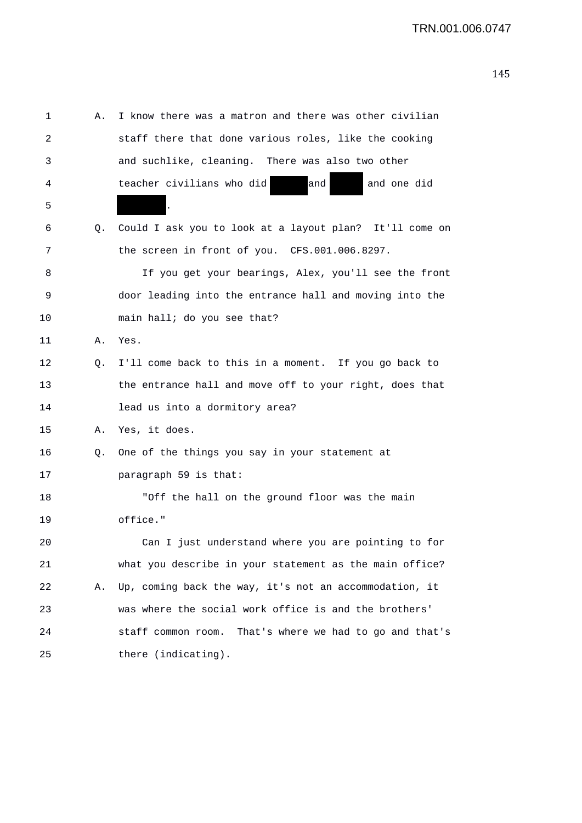| 1  | Α. | I know there was a matron and there was other civilian  |
|----|----|---------------------------------------------------------|
| 2  |    | staff there that done various roles, like the cooking   |
| 3  |    | and suchlike, cleaning. There was also two other        |
| 4  |    | teacher civilians who did<br>and<br>and one did         |
| 5  |    | $\ddot{\phantom{0}}$                                    |
| 6  | Q. | Could I ask you to look at a layout plan? It'll come on |
| 7  |    | the screen in front of you. CFS.001.006.8297.           |
| 8  |    | If you get your bearings, Alex, you'll see the front    |
| 9  |    | door leading into the entrance hall and moving into the |
| 10 |    | main hall; do you see that?                             |
| 11 | Α. | Yes.                                                    |
| 12 | 0. | I'll come back to this in a moment. If you go back to   |
| 13 |    | the entrance hall and move off to your right, does that |
| 14 |    | lead us into a dormitory area?                          |
| 15 | Α. | Yes, it does.                                           |
| 16 | Q. | One of the things you say in your statement at          |
| 17 |    | paragraph 59 is that:                                   |
| 18 |    | "Off the hall on the ground floor was the main          |
| 19 |    | office."                                                |
| 20 |    | Can I just understand where you are pointing to for     |
| 21 |    | what you describe in your statement as the main office? |
| 22 | Α. | Up, coming back the way, it's not an accommodation, it  |
| 23 |    | was where the social work office is and the brothers'   |
| 24 |    | staff common room. That's where we had to go and that's |
| 25 |    | there (indicating).                                     |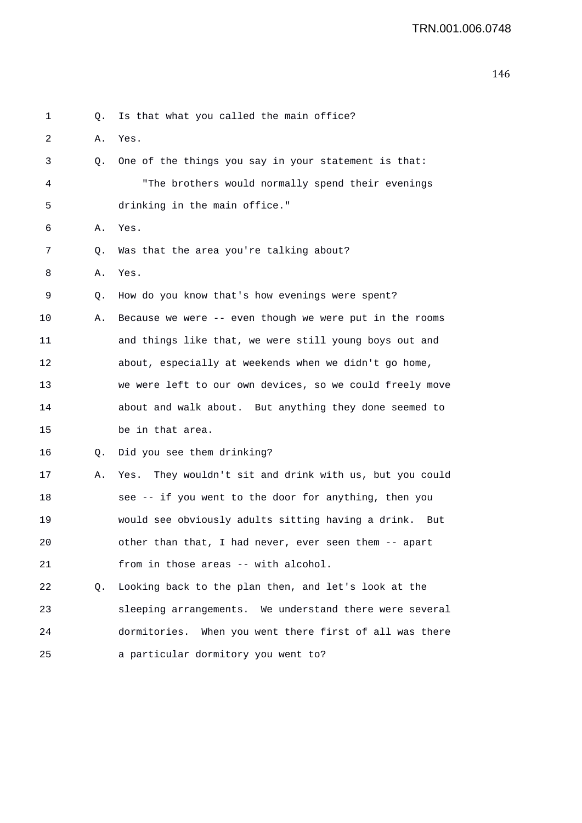```
1 Q. Is that what you called the main office? 
2 A. Yes. 
3 Q. One of the things you say in your statement is that: 
4 "The brothers would normally spend their evenings 
5 drinking in the main office." 
6 A. Yes. 
7 Q. Was that the area you're talking about? 
8 A. Yes. 
9 Q. How do you know that's how evenings were spent? 
10 A. Because we were -- even though we were put in the rooms 
11 and things like that, we were still young boys out and 
12 about, especially at weekends when we didn't go home, 
13 we were left to our own devices, so we could freely move 
14 about and walk about. But anything they done seemed to 
15 be in that area. 
16 Q. Did you see them drinking? 
17 A. Yes. They wouldn't sit and drink with us, but you could 
18 see -- if you went to the door for anything, then you 
19 would see obviously adults sitting having a drink. But 
20 other than that, I had never, ever seen them -- apart 
21 from in those areas -- with alcohol. 
22 Q. Looking back to the plan then, and let's look at the 
23 sleeping arrangements. We understand there were several 
24 dormitories. When you went there first of all was there 
25 a particular dormitory you went to?
```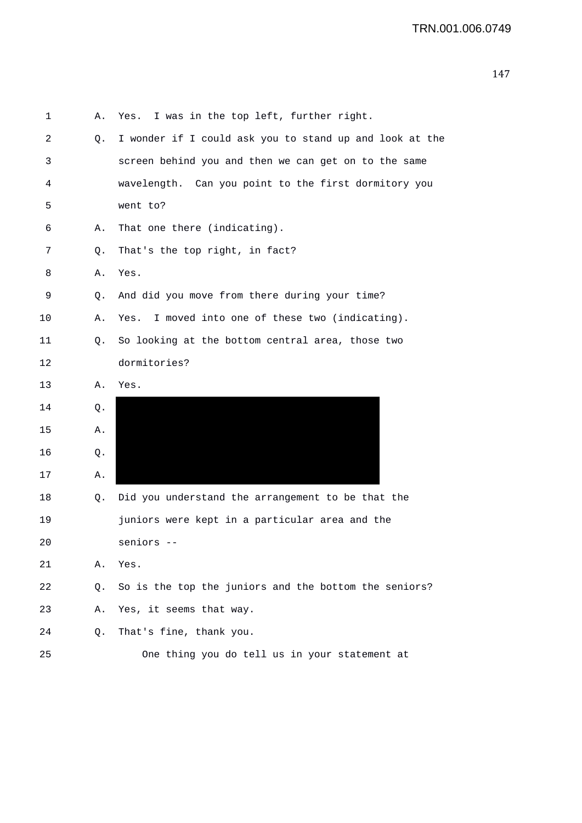| 1  | Α. | Yes. I was in the top left, further right.              |
|----|----|---------------------------------------------------------|
| 2  | Q. | I wonder if I could ask you to stand up and look at the |
| 3  |    | screen behind you and then we can get on to the same    |
| 4  |    | wavelength. Can you point to the first dormitory you    |
| 5  |    | went to?                                                |
| 6  | Α. | That one there (indicating).                            |
| 7  | Q. | That's the top right, in fact?                          |
| 8  | Α. | Yes.                                                    |
| 9  | Q. | And did you move from there during your time?           |
| 10 | Α. | I moved into one of these two (indicating).<br>Yes.     |
| 11 | Q. | So looking at the bottom central area, those two        |
| 12 |    | dormitories?                                            |
| 13 | Α. | Yes.                                                    |
| 14 | Q. |                                                         |
| 15 | Α. |                                                         |
| 16 | Q. |                                                         |
| 17 | Α. |                                                         |
| 18 | Q. | Did you understand the arrangement to be that the       |
| 19 |    | juniors were kept in a particular area and the          |
| 20 |    | seniors --                                              |
| 21 | Α. | Yes.                                                    |
| 22 | Q. | So is the top the juniors and the bottom the seniors?   |
| 23 | Α. | Yes, it seems that way.                                 |
| 24 | Q. | That's fine, thank you.                                 |
| 25 |    | One thing you do tell us in your statement at           |
|    |    |                                                         |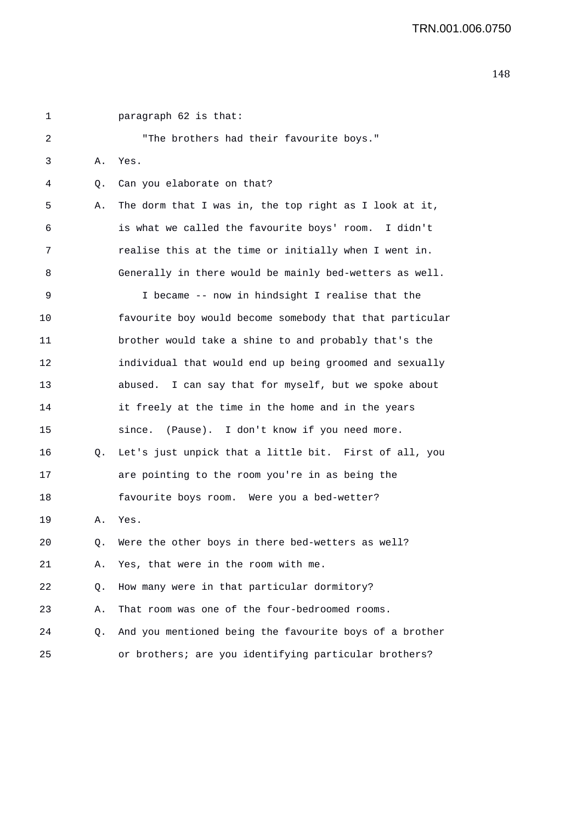1 paragraph 62 is that: 2 "The brothers had their favourite boys." 3 A. Yes. 4 Q. Can you elaborate on that? 5 A. The dorm that I was in, the top right as I look at it, 6 is what we called the favourite boys' room. I didn't 7 realise this at the time or initially when I went in. 8 Generally in there would be mainly bed-wetters as well. 9 I became -- now in hindsight I realise that the 10 favourite boy would become somebody that that particular 11 brother would take a shine to and probably that's the 12 individual that would end up being groomed and sexually 13 abused. I can say that for myself, but we spoke about 14 it freely at the time in the home and in the years 15 since. (Pause). I don't know if you need more. 16 Q. Let's just unpick that a little bit. First of all, you 17 are pointing to the room you're in as being the 18 favourite boys room. Were you a bed-wetter? 19 A. Yes. 20 Q. Were the other boys in there bed-wetters as well? 21 A. Yes, that were in the room with me. 22 Q. How many were in that particular dormitory? 23 A. That room was one of the four-bedroomed rooms. 24 Q. And you mentioned being the favourite boys of a brother 25 or brothers; are you identifying particular brothers?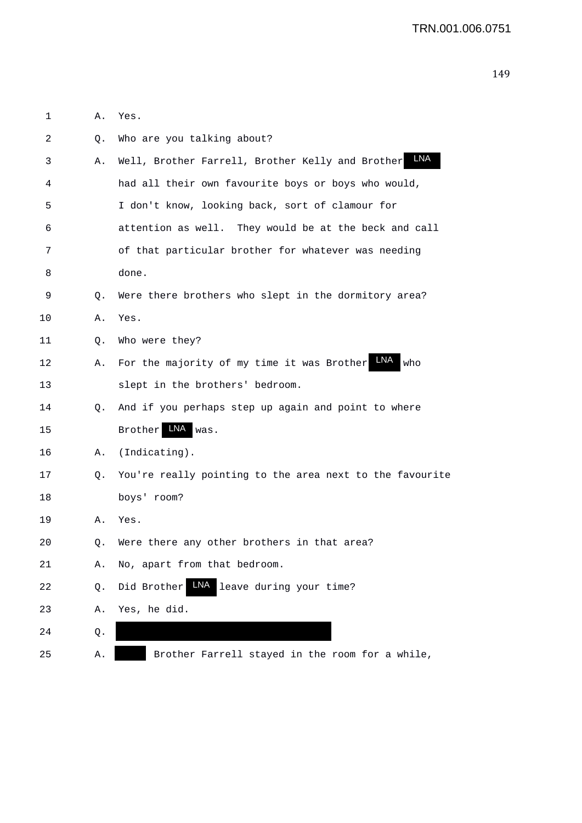| 1  | Α. | Yes.                                                            |
|----|----|-----------------------------------------------------------------|
| 2  | Q. | Who are you talking about?                                      |
| 3  | Α. | LNA<br>Well, Brother Farrell, Brother Kelly and Brother         |
| 4  |    | had all their own favourite boys or boys who would,             |
| 5  |    | I don't know, looking back, sort of clamour for                 |
| 6  |    | attention as well. They would be at the beck and call           |
| 7  |    | of that particular brother for whatever was needing             |
| 8  |    | done.                                                           |
| 9  | Q. | Were there brothers who slept in the dormitory area?            |
| 10 | Α. | Yes.                                                            |
| 11 | Q. | Who were they?                                                  |
| 12 | Α. | <b>LNA</b><br>For the majority of my time it was Brother<br>who |
| 13 |    | slept in the brothers' bedroom.                                 |
| 14 | Q. | And if you perhaps step up again and point to where             |
| 15 |    | LNA<br><b>Brother</b><br>was.                                   |
| 16 | Α. | (Indicating).                                                   |
| 17 | Q. | You're really pointing to the area next to the favourite        |
| 18 |    | boys' room?                                                     |
| 19 | Α. | Yes.                                                            |
| 20 | Q. | Were there any other brothers in that area?                     |
| 21 | Α. | No, apart from that bedroom.                                    |
| 22 | Q. | LNA<br>Did Brother<br>leave during your time?                   |
| 23 | Α. | Yes, he did.                                                    |
| 24 | Q. |                                                                 |
| 25 | Α. | Brother Farrell stayed in the room for a while,                 |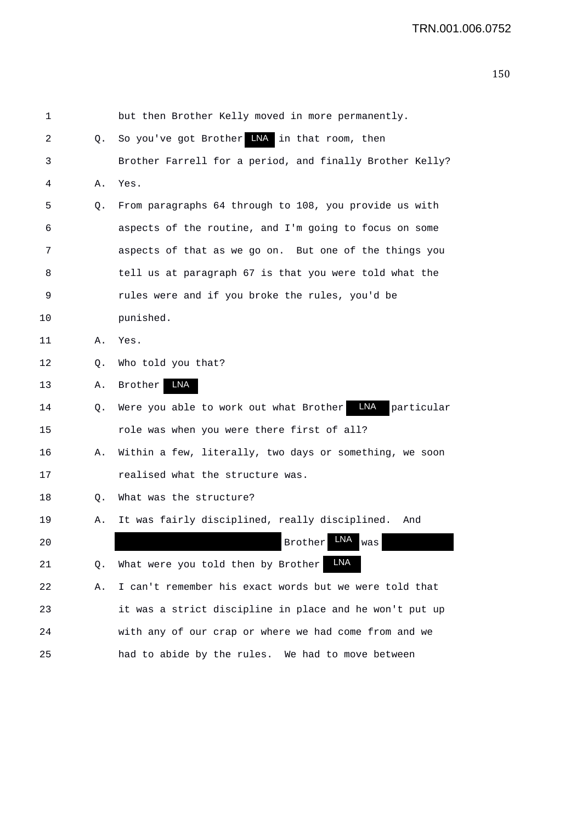| 1  |    | but then Brother Kelly moved in more permanently.                  |
|----|----|--------------------------------------------------------------------|
| 2  | Q. | So you've got Brother INA in that room, then                       |
| 3  |    | Brother Farrell for a period, and finally Brother Kelly?           |
| 4  | Α. | Yes.                                                               |
| 5  | Q. | From paragraphs 64 through to 108, you provide us with             |
| 6  |    | aspects of the routine, and I'm going to focus on some             |
| 7  |    | aspects of that as we go on. But one of the things you             |
| 8  |    | tell us at paragraph 67 is that you were told what the             |
| 9  |    | rules were and if you broke the rules, you'd be                    |
| 10 |    | punished.                                                          |
| 11 | Α. | Yes.                                                               |
| 12 | Q. | Who told you that?                                                 |
| 13 | Α. | LNA<br>Brother                                                     |
| 14 | Q. | <b>LNA</b><br>Were you able to work out what Brother<br>particular |
| 15 |    | role was when you were there first of all?                         |
| 16 | Α. | Within a few, literally, two days or something, we soon            |
| 17 |    | realised what the structure was.                                   |
| 18 | Q. | What was the structure?                                            |
| 19 | Α. | It was fairly disciplined, really disciplined.<br>And              |
| 20 |    | LNA<br><b>Brother</b><br>was                                       |
| 21 | Q. | <b>LNA</b><br>What were you told then by Brother                   |
| 22 | Α. | I can't remember his exact words but we were told that             |
| 23 |    | it was a strict discipline in place and he won't put up            |
| 24 |    | with any of our crap or where we had come from and we              |
| 25 |    | had to abide by the rules. We had to move between                  |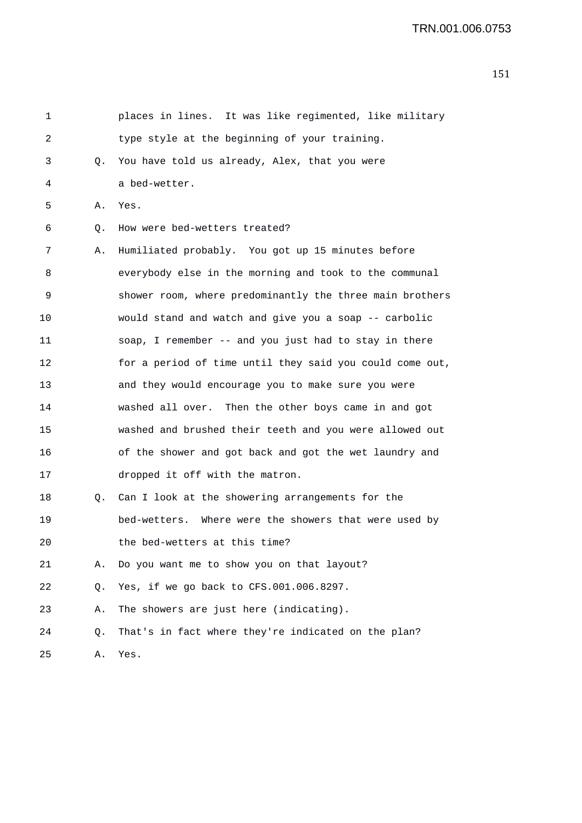| 1  |    | places in lines. It was like regimented, like military   |
|----|----|----------------------------------------------------------|
| 2  |    | type style at the beginning of your training.            |
| 3  | Q. | You have told us already, Alex, that you were            |
| 4  |    | a bed-wetter.                                            |
| 5  | Α. | Yes.                                                     |
| 6  | Q. | How were bed-wetters treated?                            |
| 7  | Α. | Humiliated probably. You got up 15 minutes before        |
| 8  |    | everybody else in the morning and took to the communal   |
| 9  |    | shower room, where predominantly the three main brothers |
| 10 |    | would stand and watch and give you a soap -- carbolic    |
| 11 |    | soap, I remember -- and you just had to stay in there    |
| 12 |    | for a period of time until they said you could come out, |
| 13 |    | and they would encourage you to make sure you were       |
| 14 |    | washed all over. Then the other boys came in and got     |
| 15 |    | washed and brushed their teeth and you were allowed out  |
| 16 |    | of the shower and got back and got the wet laundry and   |
| 17 |    | dropped it off with the matron.                          |
| 18 | Q. | Can I look at the showering arrangements for the         |
| 19 |    | bed-wetters. Where were the showers that were used by    |
| 20 |    | the bed-wetters at this time?                            |
| 21 | Α. | Do you want me to show you on that layout?               |
| 22 | Q. | Yes, if we go back to CFS.001.006.8297.                  |
| 23 | Α. | The showers are just here (indicating).                  |
| 24 | Q. | That's in fact where they're indicated on the plan?      |
| 25 | Α. | Yes.                                                     |
|    |    |                                                          |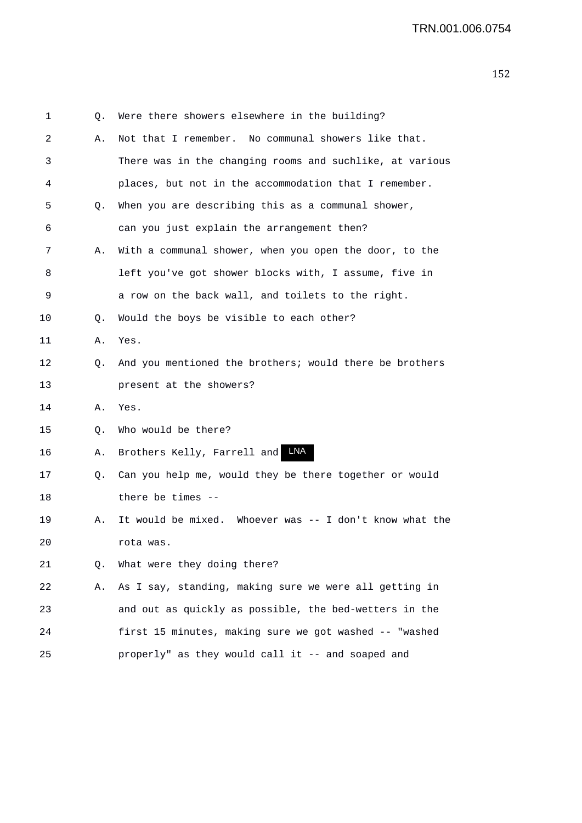| 1  | Q. | Were there showers elsewhere in the building?            |
|----|----|----------------------------------------------------------|
| 2  | Α. | Not that I remember. No communal showers like that.      |
| 3  |    | There was in the changing rooms and suchlike, at various |
| 4  |    | places, but not in the accommodation that I remember.    |
| 5  | Q. | When you are describing this as a communal shower,       |
| 6  |    | can you just explain the arrangement then?               |
| 7  | Α. | With a communal shower, when you open the door, to the   |
| 8  |    | left you've got shower blocks with, I assume, five in    |
| 9  |    | a row on the back wall, and toilets to the right.        |
| 10 | Q. | Would the boys be visible to each other?                 |
| 11 | Α. | Yes.                                                     |
| 12 | Q. | And you mentioned the brothers; would there be brothers  |
| 13 |    | present at the showers?                                  |
| 14 | Α. | Yes.                                                     |
| 15 | О. | Who would be there?                                      |
| 16 | Α. | LNA<br>Brothers Kelly, Farrell and                       |
| 17 | Q. | Can you help me, would they be there together or would   |
| 18 |    | there be times --                                        |
| 19 | Α. | It would be mixed. Whoever was -- I don't know what the  |
| 20 |    | rota was.                                                |
| 21 | Q. | What were they doing there?                              |
| 22 | Α. | As I say, standing, making sure we were all getting in   |
| 23 |    | and out as quickly as possible, the bed-wetters in the   |
| 24 |    | first 15 minutes, making sure we got washed -- "washed   |
| 25 |    | properly" as they would call it -- and soaped and        |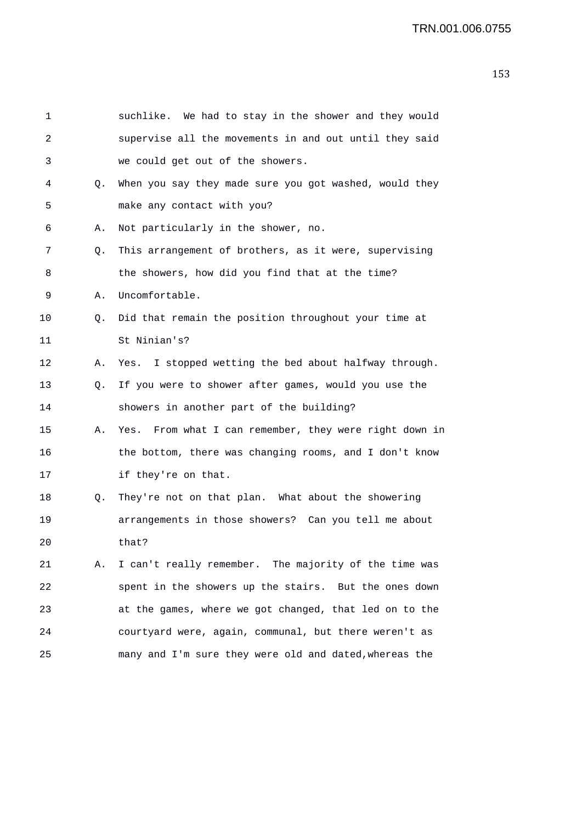| 1  |    | suchlike. We had to stay in the shower and they would  |
|----|----|--------------------------------------------------------|
| 2  |    | supervise all the movements in and out until they said |
| 3  |    | we could get out of the showers.                       |
| 4  | Q. | When you say they made sure you got washed, would they |
| 5  |    | make any contact with you?                             |
| 6  | Α. | Not particularly in the shower, no.                    |
| 7  | Q. | This arrangement of brothers, as it were, supervising  |
| 8  |    | the showers, how did you find that at the time?        |
| 9  | Α. | Uncomfortable.                                         |
| 10 | Q. | Did that remain the position throughout your time at   |
| 11 |    | St Ninian's?                                           |
| 12 | Α. | Yes. I stopped wetting the bed about halfway through.  |
| 13 | Q. | If you were to shower after games, would you use the   |
| 14 |    | showers in another part of the building?               |
| 15 | Α. | Yes. From what I can remember, they were right down in |
| 16 |    | the bottom, there was changing rooms, and I don't know |
| 17 |    | if they're on that.                                    |
| 18 | Q. | They're not on that plan. What about the showering     |
| 19 |    | arrangements in those showers? Can you tell me about   |
| 20 |    | that?                                                  |
| 21 | Α. | I can't really remember. The majority of the time was  |
| 22 |    | spent in the showers up the stairs. But the ones down  |
| 23 |    | at the games, where we got changed, that led on to the |
| 24 |    | courtyard were, again, communal, but there weren't as  |
| 25 |    | many and I'm sure they were old and dated, whereas the |
|    |    |                                                        |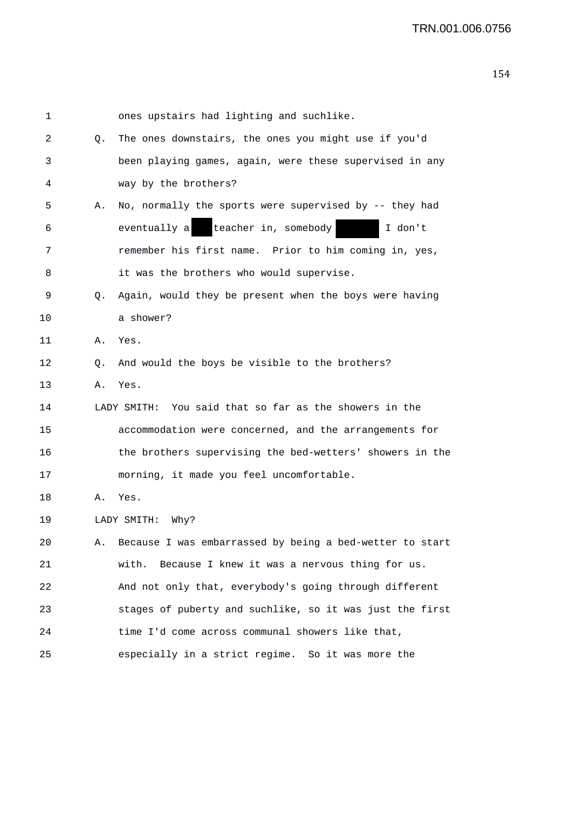| 1  |    | ones upstairs had lighting and suchlike.                    |
|----|----|-------------------------------------------------------------|
| 2  | Q. | The ones downstairs, the ones you might use if you'd        |
| 3  |    | been playing games, again, were these supervised in any     |
| 4  |    | way by the brothers?                                        |
| 5  | Α. | No, normally the sports were supervised by -- they had      |
| 6  |    | teacher in, somebody<br>eventually a<br>I don't             |
| 7  |    | remember his first name. Prior to him coming in, yes,       |
| 8  |    | it was the brothers who would supervise.                    |
| 9  | Q. | Again, would they be present when the boys were having      |
| 10 |    | a shower?                                                   |
| 11 | Α. | Yes.                                                        |
| 12 | Q. | And would the boys be visible to the brothers?              |
| 13 | Α. | Yes.                                                        |
| 14 |    | LADY SMITH: You said that so far as the showers in the      |
| 15 |    | accommodation were concerned, and the arrangements for      |
| 16 |    | the brothers supervising the bed-wetters' showers in the    |
| 17 |    | morning, it made you feel uncomfortable.                    |
| 18 | Α. | Yes.                                                        |
| 19 |    | LADY SMITH:<br>Why?                                         |
| 20 |    | A. Because I was embarrassed by being a bed-wetter to start |
| 21 |    | with. Because I knew it was a nervous thing for us.         |
| 22 |    | And not only that, everybody's going through different      |
| 23 |    | stages of puberty and suchlike, so it was just the first    |
| 24 |    | time I'd come across communal showers like that,            |
| 25 |    | especially in a strict regime. So it was more the           |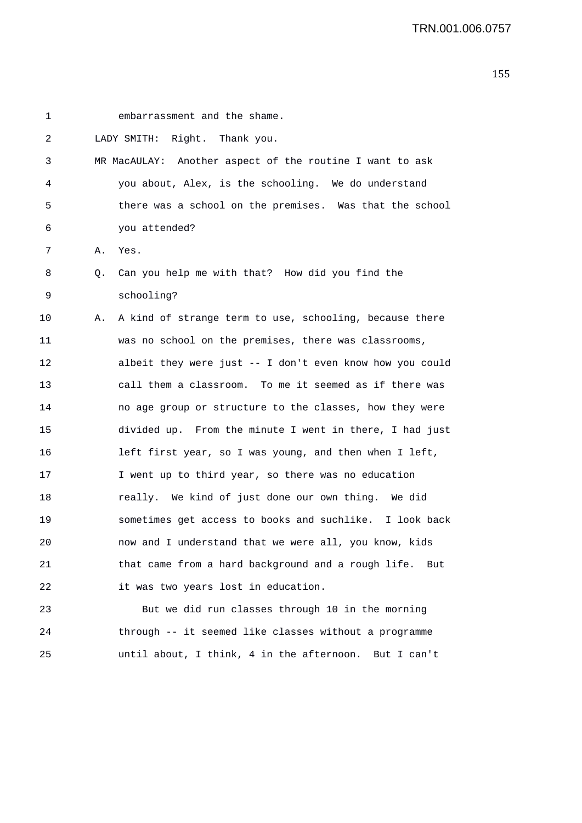| 1  |    | embarrassment and the shame.                              |
|----|----|-----------------------------------------------------------|
| 2  |    | LADY SMITH: Right. Thank you.                             |
| 3  |    | MR MacAULAY: Another aspect of the routine I want to ask  |
| 4  |    | you about, Alex, is the schooling. We do understand       |
| 5  |    | there was a school on the premises. Was that the school   |
| 6  |    | you attended?                                             |
| 7  | Α. | Yes.                                                      |
| 8  | Q. | Can you help me with that? How did you find the           |
| 9  |    | schooling?                                                |
| 10 | Α. | A kind of strange term to use, schooling, because there   |
| 11 |    | was no school on the premises, there was classrooms,      |
| 12 |    | albeit they were just -- I don't even know how you could  |
| 13 |    | call them a classroom. To me it seemed as if there was    |
| 14 |    | no age group or structure to the classes, how they were   |
| 15 |    | divided up. From the minute I went in there, I had just   |
| 16 |    | left first year, so I was young, and then when I left,    |
| 17 |    | I went up to third year, so there was no education        |
| 18 |    | really. We kind of just done our own thing. We did        |
| 19 |    | sometimes get access to books and suchlike. I look back   |
| 20 |    | now and I understand that we were all, you know, kids     |
| 21 |    | that came from a hard background and a rough life.<br>But |
| 22 |    | it was two years lost in education.                       |
| 23 |    | But we did run classes through 10 in the morning          |
|    |    |                                                           |

24 through -- it seemed like classes without a programme

25 until about, I think, 4 in the afternoon. But I can't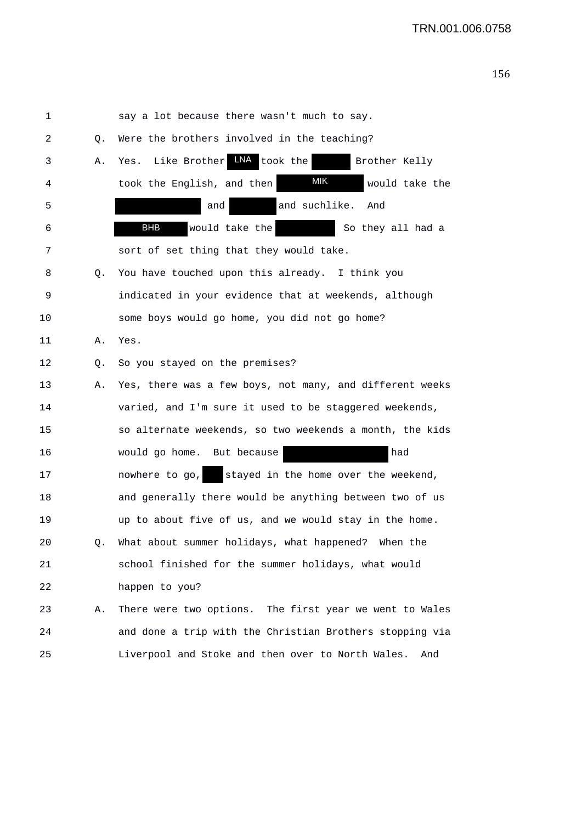| 1  |    | say a lot because there wasn't much to say.              |
|----|----|----------------------------------------------------------|
| 2  | Q. | Were the brothers involved in the teaching?              |
| 3  | Α. | Yes. Like Brother LNA took the<br>Brother Kelly          |
| 4  |    | MIK<br>took the English, and then<br>would take the      |
| 5  |    | and suchlike.<br>And<br>and                              |
| 6  |    | <b>BHB</b><br>would take the<br>So they all had a        |
| 7  |    | sort of set thing that they would take.                  |
| 8  | Q. | You have touched upon this already. I think you          |
| 9  |    | indicated in your evidence that at weekends, although    |
| 10 |    | some boys would go home, you did not go home?            |
| 11 | Α. | Yes.                                                     |
| 12 | Q. | So you stayed on the premises?                           |
| 13 | Α. | Yes, there was a few boys, not many, and different weeks |
| 14 |    | varied, and I'm sure it used to be staggered weekends,   |
| 15 |    | so alternate weekends, so two weekends a month, the kids |
| 16 |    | had<br>would go home. But because                        |
| 17 |    | stayed in the home over the weekend,<br>nowhere to go,   |
| 18 |    | and generally there would be anything between two of us  |
| 19 |    | up to about five of us, and we would stay in the home.   |
| 20 | Q. | What about summer holidays, what happened? When the      |
| 21 |    | school finished for the summer holidays, what would      |
| 22 |    | happen to you?                                           |
| 23 | Α. | There were two options. The first year we went to Wales  |
| 24 |    | and done a trip with the Christian Brothers stopping via |
| 25 |    | Liverpool and Stoke and then over to North Wales.<br>And |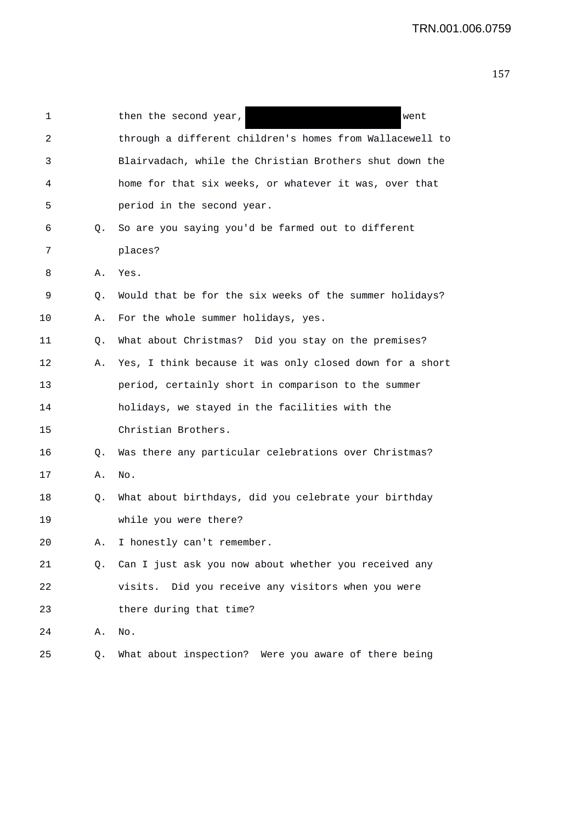| 1  |    | then the second year,<br>went                            |
|----|----|----------------------------------------------------------|
|    |    |                                                          |
| 2  |    | through a different children's homes from Wallacewell to |
| 3  |    | Blairvadach, while the Christian Brothers shut down the  |
| 4  |    | home for that six weeks, or whatever it was, over that   |
| 5  |    | period in the second year.                               |
| 6  | Q. | So are you saying you'd be farmed out to different       |
| 7  |    | places?                                                  |
| 8  | Α. | Yes.                                                     |
| 9  | Q. | Would that be for the six weeks of the summer holidays?  |
| 10 | Α. | For the whole summer holidays, yes.                      |
| 11 | Q. | What about Christmas? Did you stay on the premises?      |
| 12 | Α. | Yes, I think because it was only closed down for a short |
| 13 |    | period, certainly short in comparison to the summer      |
| 14 |    | holidays, we stayed in the facilities with the           |
| 15 |    | Christian Brothers.                                      |
| 16 | Q. | Was there any particular celebrations over Christmas?    |
| 17 | Α. | No.                                                      |
| 18 | Q. | What about birthdays, did you celebrate your birthday    |
| 19 |    | while you were there?                                    |
| 20 |    | I honestly can't remember.                               |
| 21 | Q. | Can I just ask you now about whether you received any    |
| 22 |    | Did you receive any visitors when you were<br>visits.    |
| 23 |    | there during that time?                                  |
| 24 | Α. | No.                                                      |
| 25 | Q. | What about inspection? Were you aware of there being     |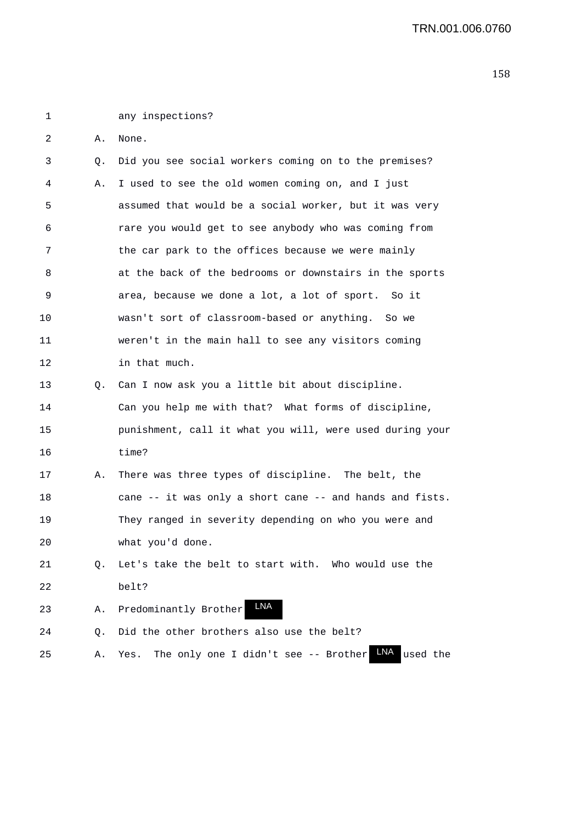1 any inspections?

2 A. None.

| 3  | Q.        | Did you see social workers coming on to the premises?           |
|----|-----------|-----------------------------------------------------------------|
| 4  | Α.        | I used to see the old women coming on, and I just               |
| 5  |           | assumed that would be a social worker, but it was very          |
| 6  |           | rare you would get to see anybody who was coming from           |
| 7  |           | the car park to the offices because we were mainly              |
| 8  |           | at the back of the bedrooms or downstairs in the sports         |
| 9  |           | area, because we done a lot, a lot of sport. So it              |
| 10 |           | wasn't sort of classroom-based or anything. So we               |
| 11 |           | weren't in the main hall to see any visitors coming             |
| 12 |           | in that much.                                                   |
| 13 | Q.        | Can I now ask you a little bit about discipline.                |
| 14 |           | Can you help me with that? What forms of discipline,            |
| 15 |           | punishment, call it what you will, were used during your        |
| 16 |           | time?                                                           |
| 17 | Α.        | There was three types of discipline. The belt, the              |
| 18 |           | cane -- it was only a short cane -- and hands and fists.        |
| 19 |           | They ranged in severity depending on who you were and           |
| 20 |           | what you'd done.                                                |
| 21 | Q.        | Let's take the belt to start with. Who would use the            |
| 22 |           | belt?                                                           |
| 23 | Α.        | <b>LNA</b><br>Predominantly Brother                             |
| 24 | $\circ$ . | Did the other brothers also use the belt?                       |
| 25 | Α.        | LNA<br>The only one I didn't see -- Brother<br>used the<br>Yes. |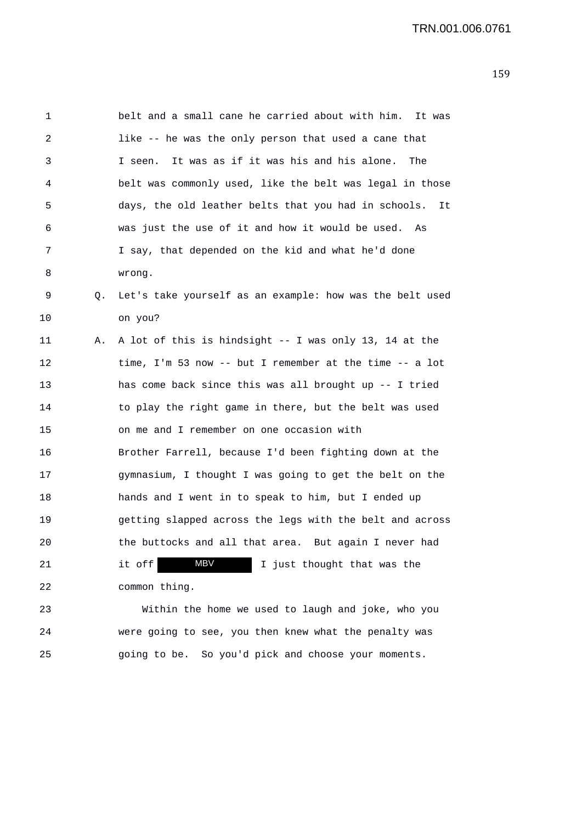| 1  |    | belt and a small cane he carried about with him.<br>It was |
|----|----|------------------------------------------------------------|
| 2  |    | like -- he was the only person that used a cane that       |
| 3  |    | It was as if it was his and his alone.<br>The<br>I seen.   |
| 4  |    | belt was commonly used, like the belt was legal in those   |
| 5  |    | days, the old leather belts that you had in schools.<br>It |
| 6  |    | was just the use of it and how it would be used. As        |
| 7  |    | I say, that depended on the kid and what he'd done         |
| 8  |    | wrong.                                                     |
| 9  | Q. | Let's take yourself as an example: how was the belt used   |
| 10 |    | on you?                                                    |
| 11 | Α. | A lot of this is hindsight -- I was only 13, 14 at the     |
| 12 |    | time, I'm 53 now -- but I remember at the time -- a lot    |
| 13 |    | has come back since this was all brought up -- I tried     |
| 14 |    | to play the right game in there, but the belt was used     |
| 15 |    | on me and I remember on one occasion with                  |
| 16 |    | Brother Farrell, because I'd been fighting down at the     |
| 17 |    | gymnasium, I thought I was going to get the belt on the    |
| 18 |    | hands and I went in to speak to him, but I ended up        |
| 19 |    | getting slapped across the legs with the belt and across   |
| 20 |    | the buttocks and all that area. But again I never had      |
| 21 |    | <b>MBV</b><br>it off<br>I just thought that was the        |
| 22 |    | common thing.                                              |
| 23 |    | Within the home we used to laugh and joke, who you         |
|    |    |                                                            |

24 were going to see, you then knew what the penalty was 25 going to be. So you'd pick and choose your moments.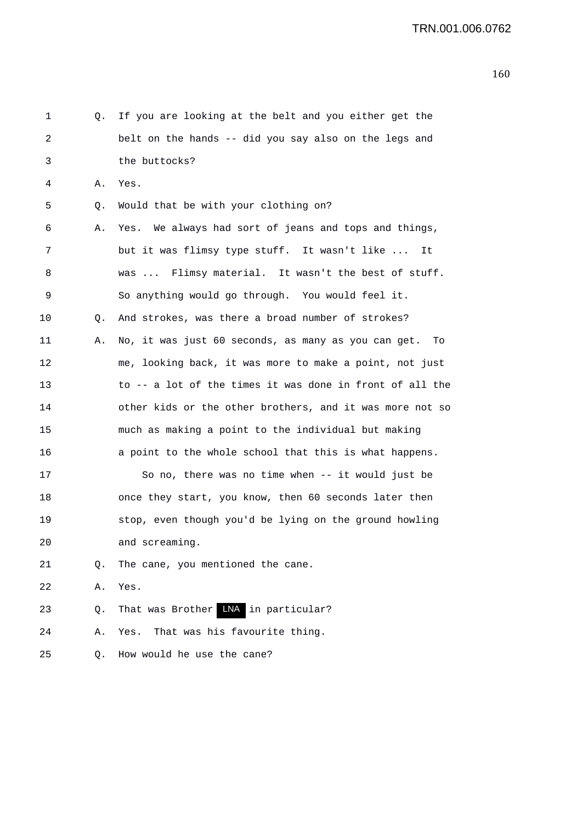| 1    | Q. | If you are looking at the belt and you either get the     |
|------|----|-----------------------------------------------------------|
| 2    |    | belt on the hands -- did you say also on the legs and     |
| 3    |    | the buttocks?                                             |
| 4    | Α. | Yes.                                                      |
| 5    | Q. | Would that be with your clothing on?                      |
| 6    | Α. | Yes. We always had sort of jeans and tops and things,     |
| 7    |    | but it was flimsy type stuff. It wasn't like<br>It        |
| 8    |    | was  Flimsy material. It wasn't the best of stuff.        |
| 9    |    | So anything would go through. You would feel it.          |
| 10   | Q. | And strokes, was there a broad number of strokes?         |
| 11   | Α. | No, it was just 60 seconds, as many as you can get.<br>To |
| 12   |    | me, looking back, it was more to make a point, not just   |
| 13   |    | to -- a lot of the times it was done in front of all the  |
| 14   |    | other kids or the other brothers, and it was more not so  |
| 15   |    | much as making a point to the individual but making       |
| 16   |    | a point to the whole school that this is what happens.    |
| 17   |    | So no, there was no time when -- it would just be         |
| 18   |    | once they start, you know, then 60 seconds later then     |
| 19   |    | stop, even though you'd be lying on the ground howling    |
| $20$ |    | and screaming.                                            |
| 21   | Q. | The cane, you mentioned the cane.                         |
| 22   | Α. | Yes.                                                      |
| 23   | Q. | That was Brother LNA in particular?                       |
| 24   | Α. | That was his favourite thing.<br>Yes.                     |
| 25   | Q. | How would he use the cane?                                |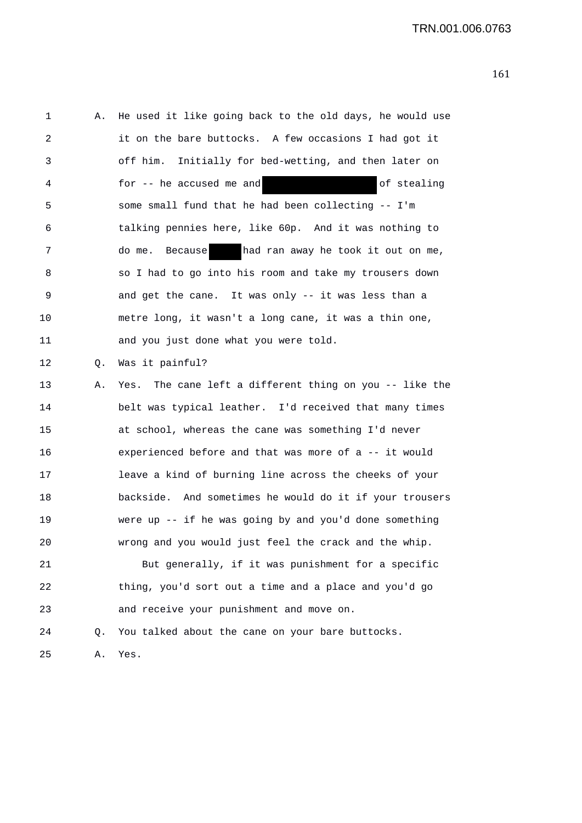| 1  | Α. | He used it like going back to the old days, he would use |
|----|----|----------------------------------------------------------|
| 2  |    | it on the bare buttocks. A few occasions I had got it    |
| 3  |    | off him. Initially for bed-wetting, and then later on    |
| 4  |    | for -- he accused me and<br>of stealing                  |
| 5  |    | some small fund that he had been collecting -- I'm       |
| 6  |    | talking pennies here, like 60p. And it was nothing to    |
| 7  |    | had ran away he took it out on me,<br>do me. Because     |
| 8  |    | so I had to go into his room and take my trousers down   |
| 9  |    | and get the cane. It was only -- it was less than a      |
| 10 |    | metre long, it wasn't a long cane, it was a thin one,    |
| 11 |    | and you just done what you were told.                    |
| 12 | Q. | Was it painful?                                          |
| 13 | Α. | Yes. The cane left a different thing on you -- like the  |
| 14 |    | belt was typical leather. I'd received that many times   |
| 15 |    | at school, whereas the cane was something I'd never      |
| 16 |    | experienced before and that was more of a -- it would    |
| 17 |    | leave a kind of burning line across the cheeks of your   |
| 18 |    | backside. And sometimes he would do it if your trousers  |
| 19 |    | were up $-$ if he was going by and you'd done something  |
| 20 |    | wrong and you would just feel the crack and the whip.    |
| 21 |    | But generally, if it was punishment for a specific       |
| 22 |    | thing, you'd sort out a time and a place and you'd go    |
| 23 |    | and receive your punishment and move on.                 |
| 24 | Q. | You talked about the cane on your bare buttocks.         |
| 25 | Α. | Yes.                                                     |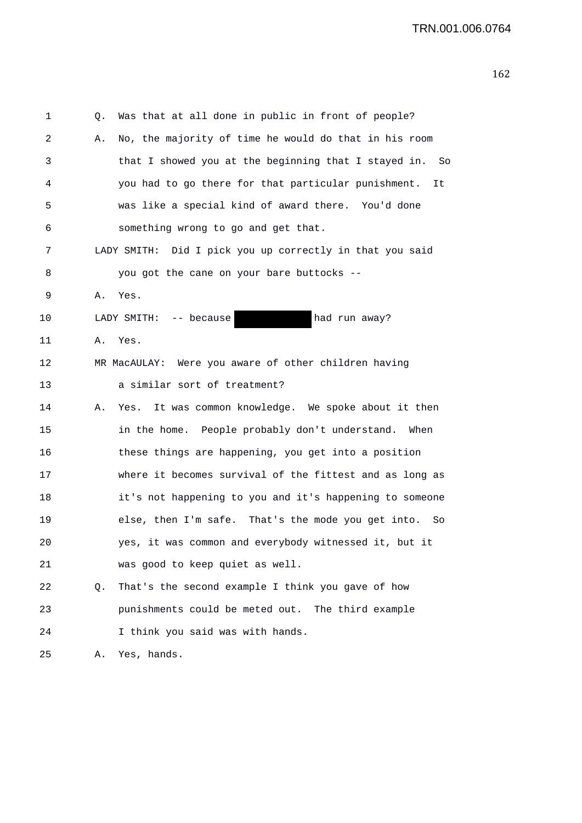| 1  | Q. | Was that at all done in public in front of people?         |
|----|----|------------------------------------------------------------|
| 2  | Α. | No, the majority of time he would do that in his room      |
| 3  |    | that I showed you at the beginning that I stayed in.<br>So |
| 4  |    | you had to go there for that particular punishment.<br>It  |
| 5  |    | was like a special kind of award there. You'd done         |
| 6  |    | something wrong to go and get that.                        |
| 7  |    | LADY SMITH: Did I pick you up correctly in that you said   |
| 8  |    | you got the cane on your bare buttocks --                  |
| 9  | Α. | Yes.                                                       |
| 10 |    | had run away?<br>LADY SMITH: -- because                    |
| 11 | Α. | Yes.                                                       |
| 12 |    | MR MacAULAY: Were you aware of other children having       |
| 13 |    | a similar sort of treatment?                               |
| 14 | Α. | It was common knowledge. We spoke about it then<br>Yes.    |
| 15 |    | in the home. People probably don't understand. When        |
| 16 |    | these things are happening, you get into a position        |
| 17 |    | where it becomes survival of the fittest and as long as    |
| 18 |    | it's not happening to you and it's happening to someone    |
| 19 |    | else, then I'm safe. That's the mode you get into. So      |
| 20 |    | yes, it was common and everybody witnessed it, but it      |
| 21 |    | was good to keep quiet as well.                            |
| 22 | Q. | That's the second example I think you gave of how          |
| 23 |    | punishments could be meted out. The third example          |
| 24 |    | I think you said was with hands.                           |
| 25 | Α. | Yes, hands.                                                |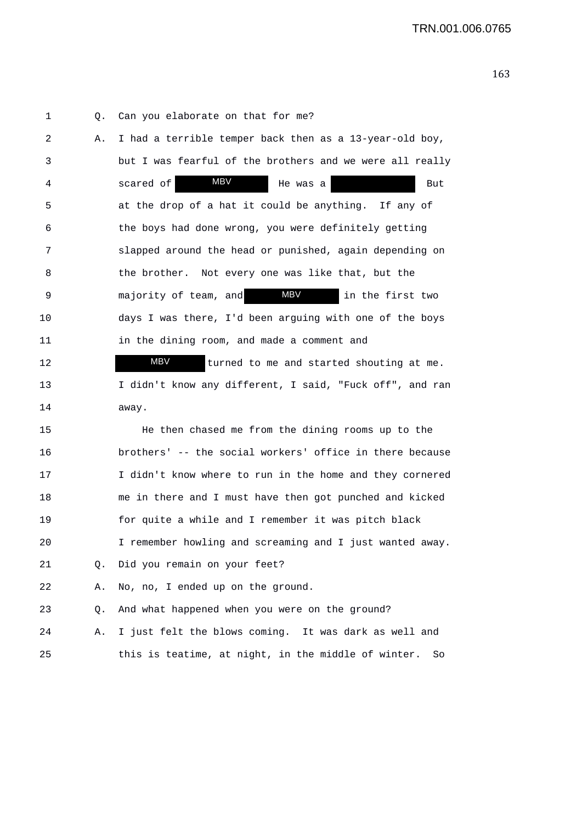1 Q. Can you elaborate on that for me? 2 A. I had a terrible temper back then as a 13-year-old boy, 3 but I was fearful of the brothers and we were all really 4 scared of MBV He was a But 5 at the drop of a hat it could be anything. If any of 6 the boys had done wrong, you were definitely getting 7 slapped around the head or punished, again depending on 8 the brother. Not every one was like that, but the 9 majority of team, and **MBV** in the first two 10 days I was there, I'd been arguing with one of the boys 11 in the dining room, and made a comment and 12 **MBV** turned to me and started shouting at me. 13 I didn't know any different, I said, "Fuck off", and ran 14 away. 15 He then chased me from the dining rooms up to the MBV MBV MBV

16 brothers' -- the social workers' office in there because 17 I didn't know where to run in the home and they cornered 18 me in there and I must have then got punched and kicked 19 for quite a while and I remember it was pitch black 20 I remember howling and screaming and I just wanted away. 21 Q. Did you remain on your feet? 22 A. No, no, I ended up on the ground. 23 Q. And what happened when you were on the ground?

24 A. I just felt the blows coming. It was dark as well and 25 this is teatime, at night, in the middle of winter. So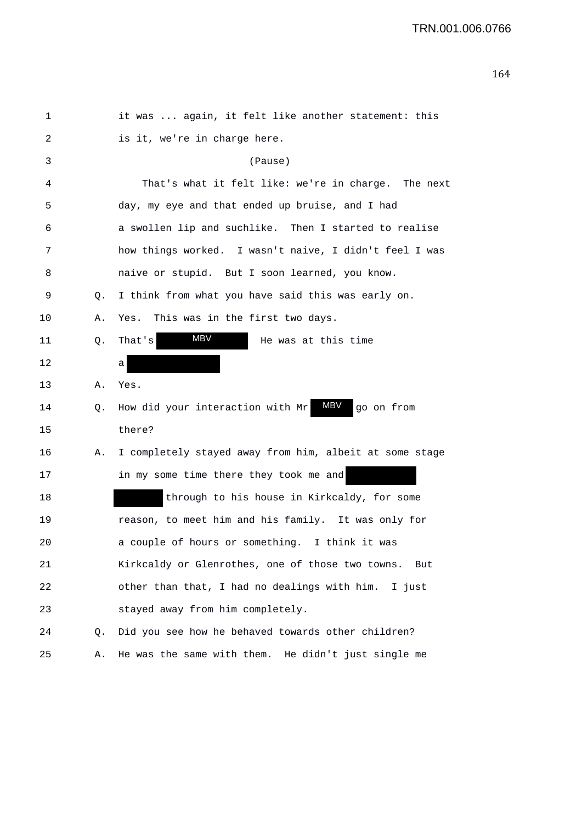| 1  |    | it was  again, it felt like another statement: this          |
|----|----|--------------------------------------------------------------|
| 2  |    | is it, we're in charge here.                                 |
| 3  |    | (Pause)                                                      |
| 4  |    | That's what it felt like: we're in charge. The next          |
| 5  |    | day, my eye and that ended up bruise, and I had              |
| 6  |    | a swollen lip and suchlike. Then I started to realise        |
| 7  |    | how things worked. I wasn't naive, I didn't feel I was       |
| 8  |    | naive or stupid. But I soon learned, you know.               |
| 9  | Q. | I think from what you have said this was early on.           |
| 10 | Α. | This was in the first two days.<br>Yes.                      |
| 11 | Q. | MBV<br>He was at this time<br>That's                         |
| 12 |    | а                                                            |
| 13 | Α. | Yes.                                                         |
| 14 | Q. | <b>MBV</b><br>How did your interaction with Mr<br>go on from |
| 15 |    | there?                                                       |
| 16 | Α. | I completely stayed away from him, albeit at some stage      |
| 17 |    | in my some time there they took me and                       |
| 18 |    | through to his house in Kirkcaldy, for some                  |
| 19 |    | reason, to meet him and his family. It was only for          |
| 20 |    | a couple of hours or something. I think it was               |
| 21 |    | Kirkcaldy or Glenrothes, one of those two towns.<br>But      |
| 22 |    | other than that, I had no dealings with him. I just          |
| 23 |    | stayed away from him completely.                             |
| 24 | Q. | Did you see how he behaved towards other children?           |
| 25 | Α. | He was the same with them. He didn't just single me          |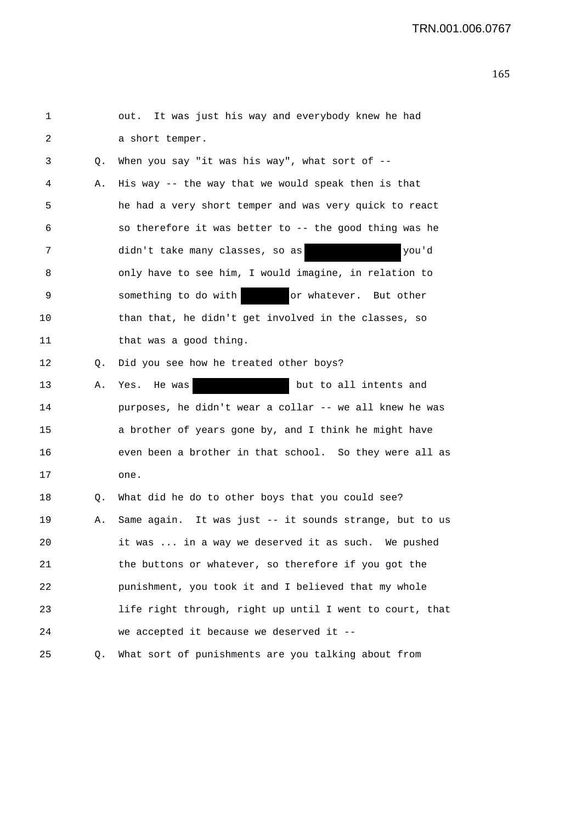| 1  |    | out. It was just his way and everybody knew he had       |
|----|----|----------------------------------------------------------|
| 2  |    | a short temper.                                          |
| 3  | Q. | When you say "it was his way", what sort of $-$ -        |
| 4  | Α. | His way -- the way that we would speak then is that      |
| 5  |    | he had a very short temper and was very quick to react   |
| 6  |    | so therefore it was better to -- the good thing was he   |
| 7  |    | didn't take many classes, so as<br>you'd                 |
| 8  |    | only have to see him, I would imagine, in relation to    |
| 9  |    | or whatever. But other<br>something to do with           |
| 10 |    | than that, he didn't get involved in the classes, so     |
| 11 |    | that was a good thing.                                   |
| 12 | Q. | Did you see how he treated other boys?                   |
| 13 | Α. | Yes. He was<br>but to all intents and                    |
| 14 |    | purposes, he didn't wear a collar -- we all knew he was  |
| 15 |    | a brother of years gone by, and I think he might have    |
| 16 |    | even been a brother in that school. So they were all as  |
| 17 |    | one.                                                     |
| 18 | Q. | What did he do to other boys that you could see?         |
| 19 | Α. | Same again. It was just -- it sounds strange, but to us  |
| 20 |    | it was  in a way we deserved it as such. We pushed       |
| 21 |    | the buttons or whatever, so therefore if you got the     |
| 22 |    | punishment, you took it and I believed that my whole     |
| 23 |    | life right through, right up until I went to court, that |
| 24 |    | we accepted it because we deserved it --                 |
| 25 | Q. | What sort of punishments are you talking about from      |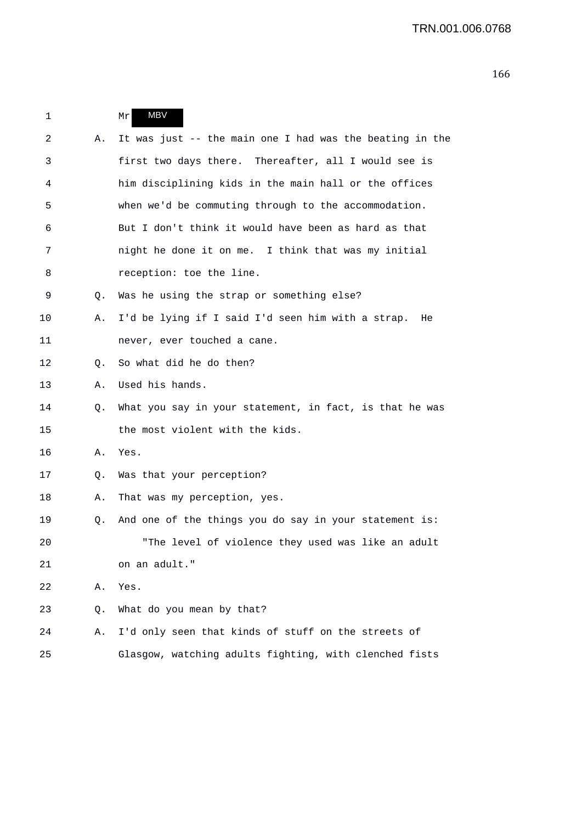```
1 Mr
2 A. It was just -- the main one I had was the beating in the 
3 first two days there. Thereafter, all I would see is 
4 him disciplining kids in the main hall or the offices 
5 when we'd be commuting through to the accommodation. 
6 But I don't think it would have been as hard as that 
7 night he done it on me. I think that was my initial 
8 reception: toe the line.
9 Q. Was he using the strap or something else? 
10 A. I'd be lying if I said I'd seen him with a strap. He 
11 never, ever touched a cane. 
12 0. So what did he do then?
13 A. Used his hands. 
14 Q. What you say in your statement, in fact, is that he was 
15 the most violent with the kids. 
16 A. Yes. 
17 Q. Was that your perception? 
18 A. That was my perception, yes. 
19 Q. And one of the things you do say in your statement is: 
20 "The level of violence they used was like an adult 
21 on an adult." 
22 A. Yes. 
23 Q. What do you mean by that? 
24 A. I'd only seen that kinds of stuff on the streets of 
25 Glasgow, watching adults fighting, with clenched fists 
               MBV
```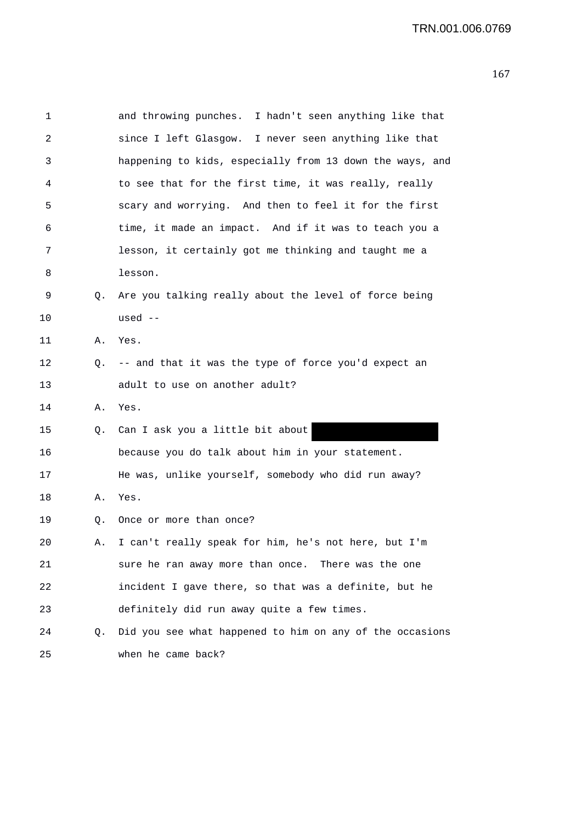| 1  |    | and throwing punches. I hadn't seen anything like that   |
|----|----|----------------------------------------------------------|
| 2  |    | since I left Glasgow. I never seen anything like that    |
| 3  |    | happening to kids, especially from 13 down the ways, and |
| 4  |    | to see that for the first time, it was really, really    |
| 5  |    | scary and worrying. And then to feel it for the first    |
| 6  |    | time, it made an impact. And if it was to teach you a    |
| 7  |    | lesson, it certainly got me thinking and taught me a     |
| 8  |    | lesson.                                                  |
| 9  | Q. | Are you talking really about the level of force being    |
| 10 |    | used --                                                  |
| 11 | Α. | Yes.                                                     |
| 12 | Q. | -- and that it was the type of force you'd expect an     |
| 13 |    | adult to use on another adult?                           |
| 14 | Α. | Yes.                                                     |
| 15 | Q. | Can I ask you a little bit about                         |
| 16 |    | because you do talk about him in your statement.         |
| 17 |    | He was, unlike yourself, somebody who did run away?      |
| 18 | Α. | Yes.                                                     |
| 19 | Q. | Once or more than once?                                  |
| 20 | Α. | I can't really speak for him, he's not here, but I'm     |
| 21 |    | sure he ran away more than once. There was the one       |
| 22 |    | incident I gave there, so that was a definite, but he    |
| 23 |    | definitely did run away quite a few times.               |
| 24 | Q. | Did you see what happened to him on any of the occasions |
| 25 |    | when he came back?                                       |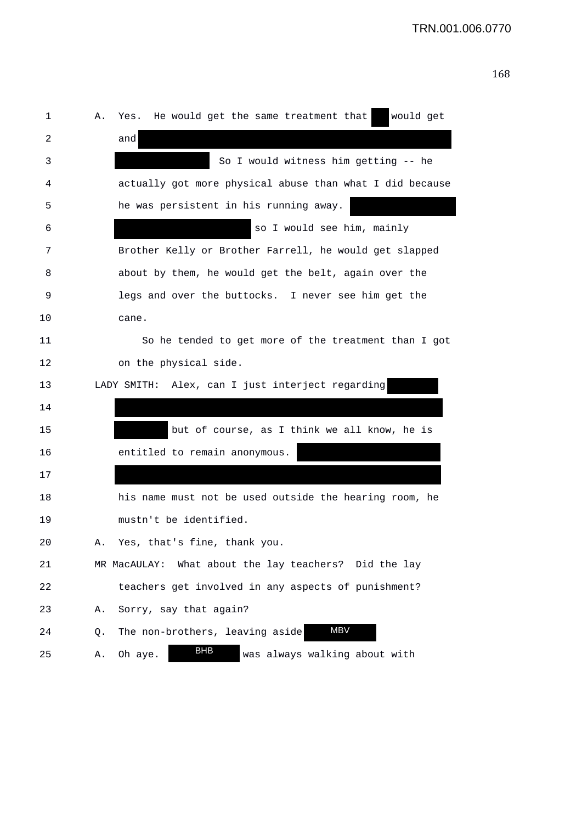| 1  | Yes. He would get the same treatment that<br>would get<br>Α. |
|----|--------------------------------------------------------------|
| 2  | and                                                          |
| 3  | So I would witness him getting -- he                         |
| 4  | actually got more physical abuse than what I did because     |
| 5  | he was persistent in his running away.                       |
| 6  | so I would see him, mainly                                   |
| 7  | Brother Kelly or Brother Farrell, he would get slapped       |
| 8  | about by them, he would get the belt, again over the         |
| 9  | legs and over the buttocks. I never see him get the          |
| 10 | cane.                                                        |
| 11 | So he tended to get more of the treatment than I got         |
| 12 | on the physical side.                                        |
| 13 | LADY SMITH: Alex, can I just interject regarding             |
| 14 |                                                              |
| 15 | but of course, as I think we all know, he is                 |
| 16 | entitled to remain anonymous.                                |
| 17 |                                                              |
| 18 | his name must not be used outside the hearing room, he       |
| 19 | mustn't be identified.                                       |
| 20 | Yes, that's fine, thank you<br>Α.                            |
| 21 | MR MacAULAY: What about the lay teachers? Did the lay        |
| 22 | teachers get involved in any aspects of punishment?          |
| 23 | Sorry, say that again?<br>Α.                                 |
| 24 | <b>MBV</b><br>The non-brothers, leaving aside<br>Q.          |
| 25 | BHB<br>Oh aye.<br>was always walking about with<br>Α.        |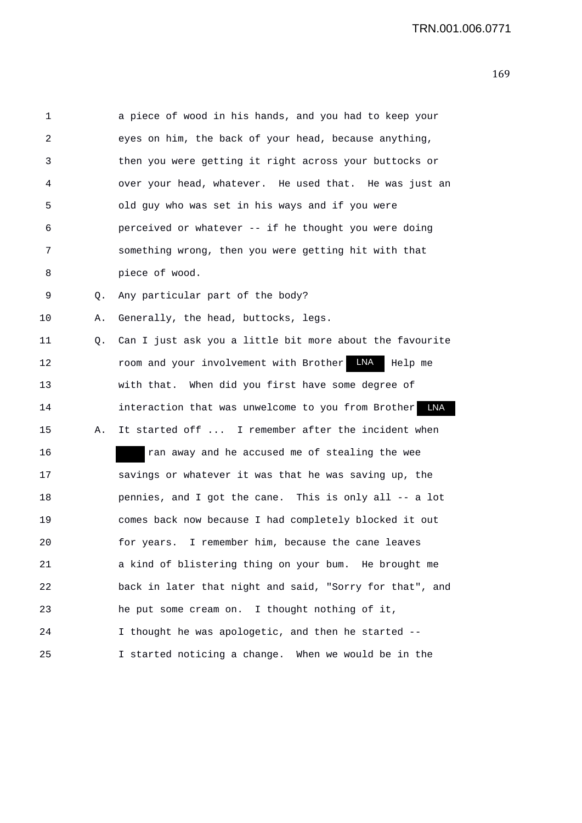| 1  |    | a piece of wood in his hands, and you had to keep your   |
|----|----|----------------------------------------------------------|
| 2  |    | eyes on him, the back of your head, because anything,    |
| 3  |    | then you were getting it right across your buttocks or   |
| 4  |    | over your head, whatever. He used that. He was just an   |
| 5  |    | old guy who was set in his ways and if you were          |
| 6  |    | perceived or whatever -- if he thought you were doing    |
| 7  |    | something wrong, then you were getting hit with that     |
| 8  |    | piece of wood.                                           |
| 9  | Q. | Any particular part of the body?                         |
| 10 | Α. | Generally, the head, buttocks, legs.                     |
| 11 | Q. | Can I just ask you a little bit more about the favourite |
| 12 |    | room and your involvement with Brother LNA<br>Help me    |
| 13 |    | with that. When did you first have some degree of        |
| 14 |    | interaction that was unwelcome to you from Brother LNA   |
| 15 | Α. | It started off  I remember after the incident when       |
| 16 |    | ran away and he accused me of stealing the wee           |
| 17 |    | savings or whatever it was that he was saving up, the    |
| 18 |    | pennies, and I got the cane. This is only all -- a lot   |
| 19 |    | comes back now because I had completely blocked it out   |
| 20 |    | I remember him, because the cane leaves<br>for years.    |
| 21 |    | a kind of blistering thing on your bum. He brought me    |
| 22 |    | back in later that night and said, "Sorry for that", and |
| 23 |    | he put some cream on. I thought nothing of it,           |
| 24 |    | I thought he was apologetic, and then he started --      |
| 25 |    | I started noticing a change. When we would be in the     |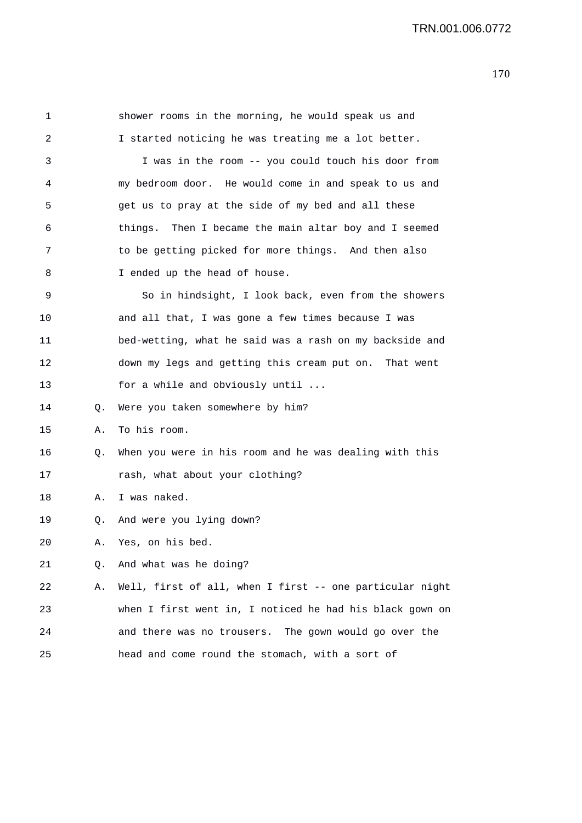| 1  |    | shower rooms in the morning, he would speak us and       |
|----|----|----------------------------------------------------------|
| 2  |    | I started noticing he was treating me a lot better.      |
| 3  |    | I was in the room -- you could touch his door from       |
| 4  |    | my bedroom door. He would come in and speak to us and    |
| 5  |    | get us to pray at the side of my bed and all these       |
| 6  |    | things. Then I became the main altar boy and I seemed    |
| 7  |    | to be getting picked for more things. And then also      |
| 8  |    | I ended up the head of house.                            |
| 9  |    | So in hindsight, I look back, even from the showers      |
| 10 |    | and all that, I was gone a few times because I was       |
| 11 |    | bed-wetting, what he said was a rash on my backside and  |
| 12 |    | down my legs and getting this cream put on. That went    |
| 13 |    | for a while and obviously until                          |
| 14 | Q. | Were you taken somewhere by him?                         |
| 15 | Α. | To his room.                                             |
| 16 | Q. | When you were in his room and he was dealing with this   |
| 17 |    | rash, what about your clothing?                          |
| 18 | Α. | I was naked.                                             |
| 19 | Q. | And were you lying down?                                 |
| 20 |    | A. Yes, on his bed.                                      |
| 21 | Q. | And what was he doing?                                   |
| 22 | Α. | Well, first of all, when I first -- one particular night |
| 23 |    | when I first went in, I noticed he had his black gown on |
| 24 |    | and there was no trousers. The gown would go over the    |
| 25 |    | head and come round the stomach, with a sort of          |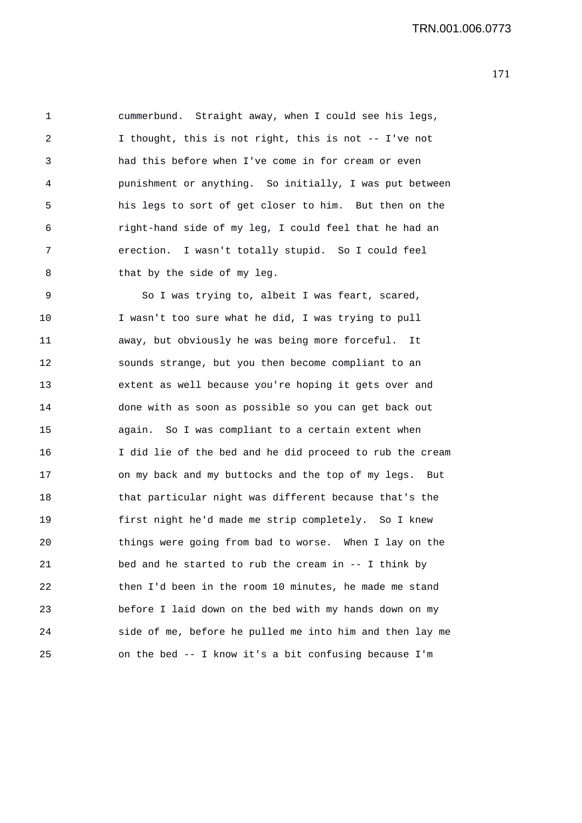1 cummerbund. Straight away, when I could see his legs, 2 I thought, this is not right, this is not -- I've not 3 had this before when I've come in for cream or even 4 punishment or anything. So initially, I was put between 5 his legs to sort of get closer to him. But then on the 6 right-hand side of my leg, I could feel that he had an 7 erection. I wasn't totally stupid. So I could feel 8 that by the side of my leg.

9 So I was trying to, albeit I was feart, scared, 10 I wasn't too sure what he did, I was trying to pull 11 away, but obviously he was being more forceful. It 12 sounds strange, but you then become compliant to an 13 extent as well because you're hoping it gets over and 14 done with as soon as possible so you can get back out 15 again. So I was compliant to a certain extent when 16 I did lie of the bed and he did proceed to rub the cream 17 on my back and my buttocks and the top of my legs. But 18 that particular night was different because that's the 19 first night he'd made me strip completely. So I knew 20 things were going from bad to worse. When I lay on the 21 bed and he started to rub the cream in -- I think by 22 then I'd been in the room 10 minutes, he made me stand 23 before I laid down on the bed with my hands down on my 24 side of me, before he pulled me into him and then lay me 25 on the bed -- I know it's a bit confusing because I'm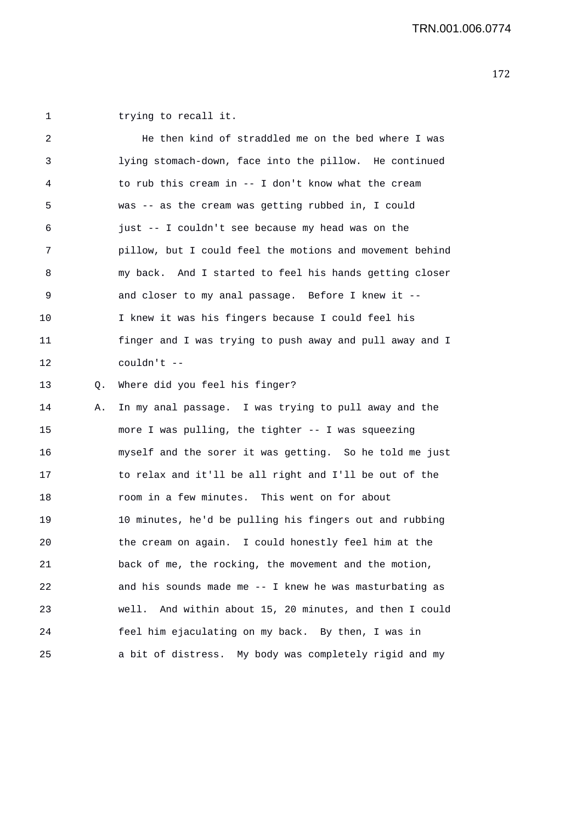1 trying to recall it.

| 2  |    | He then kind of straddled me on the bed where I was        |
|----|----|------------------------------------------------------------|
| 3  |    | lying stomach-down, face into the pillow. He continued     |
| 4  |    | to rub this cream in -- I don't know what the cream        |
| 5  |    | was -- as the cream was getting rubbed in, I could         |
| 6  |    | just -- I couldn't see because my head was on the          |
| 7  |    | pillow, but I could feel the motions and movement behind   |
| 8  |    | my back. And I started to feel his hands getting closer    |
| 9  |    | and closer to my anal passage. Before I knew it --         |
| 10 |    | I knew it was his fingers because I could feel his         |
| 11 |    | finger and I was trying to push away and pull away and I   |
| 12 |    | couldn't $--$                                              |
| 13 | Q. | Where did you feel his finger?                             |
| 14 | Α. | In my anal passage. I was trying to pull away and the      |
| 15 |    | more I was pulling, the tighter -- I was squeezing         |
| 16 |    | myself and the sorer it was getting. So he told me just    |
| 17 |    | to relax and it'll be all right and I'll be out of the     |
| 18 |    | room in a few minutes. This went on for about              |
| 19 |    | 10 minutes, he'd be pulling his fingers out and rubbing    |
| 20 |    | the cream on again. I could honestly feel him at the       |
| 21 |    | back of me, the rocking, the movement and the motion,      |
| 22 |    | and his sounds made me $-$ I knew he was masturbating as   |
| 23 |    | And within about 15, 20 minutes, and then I could<br>well. |
| 24 |    | feel him ejaculating on my back. By then, I was in         |
| 25 |    | a bit of distress. My body was completely rigid and my     |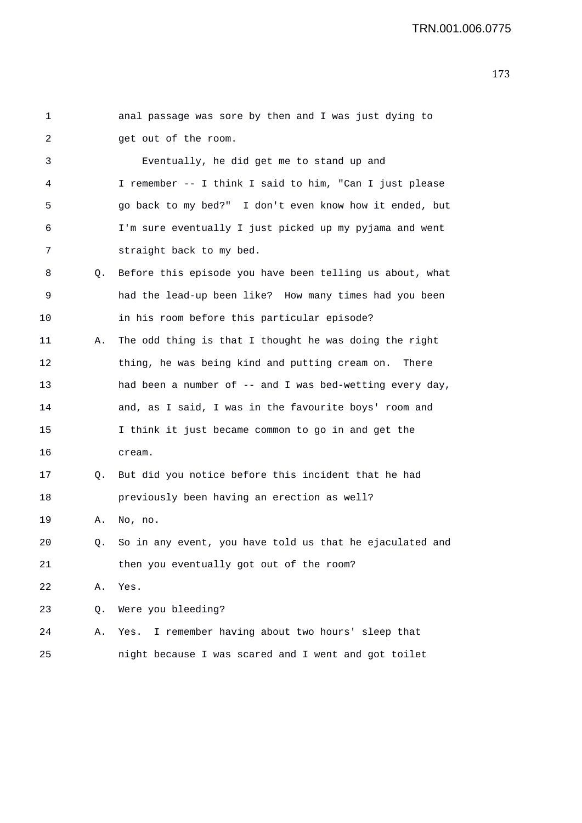| 1  |    | anal passage was sore by then and I was just dying to       |
|----|----|-------------------------------------------------------------|
| 2  |    | get out of the room.                                        |
| 3  |    | Eventually, he did get me to stand up and                   |
| 4  |    | I remember -- I think I said to him, "Can I just please     |
| 5  |    | go back to my bed?" I don't even know how it ended, but     |
| 6  |    | I'm sure eventually I just picked up my pyjama and went     |
| 7  |    | straight back to my bed.                                    |
| 8  | Q. | Before this episode you have been telling us about, what    |
| 9  |    | had the lead-up been like? How many times had you been      |
| 10 |    | in his room before this particular episode?                 |
| 11 | Α. | The odd thing is that I thought he was doing the right      |
| 12 |    | thing, he was being kind and putting cream on. There        |
| 13 |    | had been a number of -- and I was bed-wetting every day,    |
| 14 |    | and, as I said, I was in the favourite boys' room and       |
| 15 |    | I think it just became common to go in and get the          |
| 16 |    | cream.                                                      |
| 17 | Q. | But did you notice before this incident that he had         |
| 18 |    | previously been having an erection as well?                 |
| 19 | Α. | No, no.                                                     |
| 20 |    | Q. So in any event, you have told us that he ejaculated and |
| 21 |    | then you eventually got out of the room?                    |
| 22 | Α. | Yes.                                                        |
| 23 | Q. | Were you bleeding?                                          |
| 24 | Α. | I remember having about two hours' sleep that<br>Yes.       |
| 25 |    | night because I was scared and I went and got toilet        |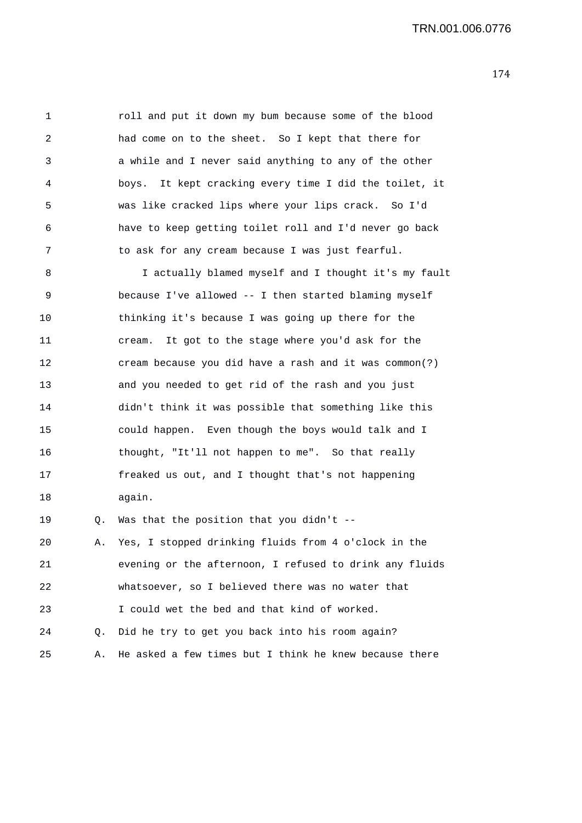TRN.001.006.0776

1 roll and put it down my bum because some of the blood 2 had come on to the sheet. So I kept that there for 3 a while and I never said anything to any of the other 4 boys. It kept cracking every time I did the toilet, it 5 was like cracked lips where your lips crack. So I'd 6 have to keep getting toilet roll and I'd never go back 7 to ask for any cream because I was just fearful.

8 I actually blamed myself and I thought it's my fault 9 because I've allowed -- I then started blaming myself 10 thinking it's because I was going up there for the 11 cream. It got to the stage where you'd ask for the 12 cream because you did have a rash and it was common(?) 13 and you needed to get rid of the rash and you just 14 didn't think it was possible that something like this 15 could happen. Even though the boys would talk and I 16 thought, "It'll not happen to me". So that really 17 freaked us out, and I thought that's not happening 18 again. 19 Q. Was that the position that you didn't --

20 A. Yes, I stopped drinking fluids from 4 o'clock in the 21 evening or the afternoon, I refused to drink any fluids 22 whatsoever, so I believed there was no water that 23 I could wet the bed and that kind of worked. 24 Q. Did he try to get you back into his room again? 25 A. He asked a few times but I think he knew because there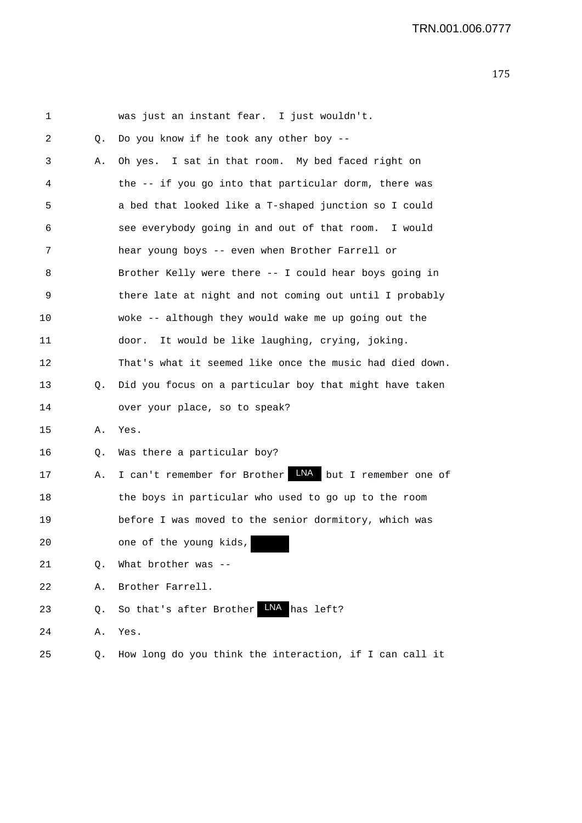| 1  |    | was just an instant fear. I just wouldn't.                    |
|----|----|---------------------------------------------------------------|
| 2  | Q. | Do you know if he took any other boy --                       |
| 3  | Α. | Oh yes. I sat in that room. My bed faced right on             |
| 4  |    | the -- if you go into that particular dorm, there was         |
| 5  |    | a bed that looked like a T-shaped junction so I could         |
| 6  |    | see everybody going in and out of that room. I would          |
| 7  |    | hear young boys -- even when Brother Farrell or               |
| 8  |    | Brother Kelly were there -- I could hear boys going in        |
| 9  |    | there late at night and not coming out until I probably       |
| 10 |    | woke -- although they would wake me up going out the          |
| 11 |    | It would be like laughing, crying, joking.<br>door.           |
| 12 |    | That's what it seemed like once the music had died down.      |
| 13 | Q. | Did you focus on a particular boy that might have taken       |
| 14 |    | over your place, so to speak?                                 |
| 15 | Α. | Yes.                                                          |
| 16 | Q. | Was there a particular boy?                                   |
| 17 | Α. | I can't remember for Brother <b>INA</b> but I remember one of |
| 18 |    | the boys in particular who used to go up to the room          |
| 19 |    | before I was moved to the senior dormitory, which was         |
| 20 |    | one of the young kids,                                        |
| 21 | Q. | What brother was --                                           |
| 22 | Α. | Brother Farrell.                                              |
| 23 | Q. | So that's after Brother LNA has left?                         |
| 24 | Α. | Yes.                                                          |
| 25 | Q. | How long do you think the interaction, if I can call it       |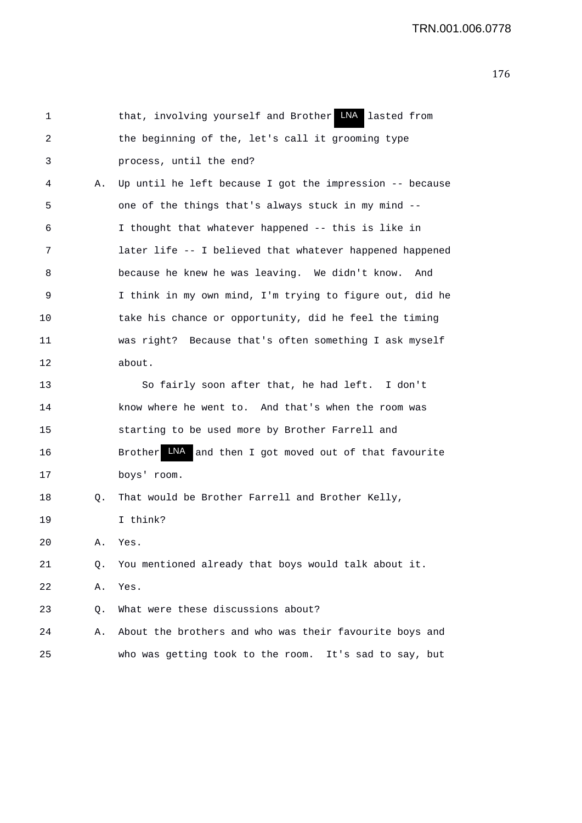| 1  |    | that, involving yourself and Brother LNA<br>lasted from      |
|----|----|--------------------------------------------------------------|
| 2  |    | the beginning of the, let's call it grooming type            |
| 3  |    | process, until the end?                                      |
| 4  | Α. | Up until he left because I got the impression -- because     |
| 5. |    | one of the things that's always stuck in my mind --          |
| 6  |    | I thought that whatever happened -- this is like in          |
| 7  |    | later life -- I believed that whatever happened happened     |
| 8  |    | because he knew he was leaving. We didn't know.<br>And       |
| 9  |    | I think in my own mind, I'm trying to figure out, did he     |
| 10 |    | take his chance or opportunity, did he feel the timing       |
| 11 |    | was right? Because that's often something I ask myself       |
| 12 |    | about.                                                       |
| 13 |    | So fairly soon after that, he had left. I don't              |
| 14 |    | know where he went to. And that's when the room was          |
| 15 |    | starting to be used more by Brother Farrell and              |
| 16 |    | LNA<br>Brother<br>and then I got moved out of that favourite |
| 17 |    | boys' room.                                                  |
| 18 | Q. | That would be Brother Farrell and Brother Kelly,             |
| 19 |    | I think?                                                     |
| 20 | Α. | Yes.                                                         |
| 21 | Q. | You mentioned already that boys would talk about it.         |
| 22 | Α. | Yes.                                                         |
| 23 | Q. | What were these discussions about?                           |
| 24 | Α. | About the brothers and who was their favourite boys and      |
| 25 |    | who was getting took to the room. It's sad to say, but       |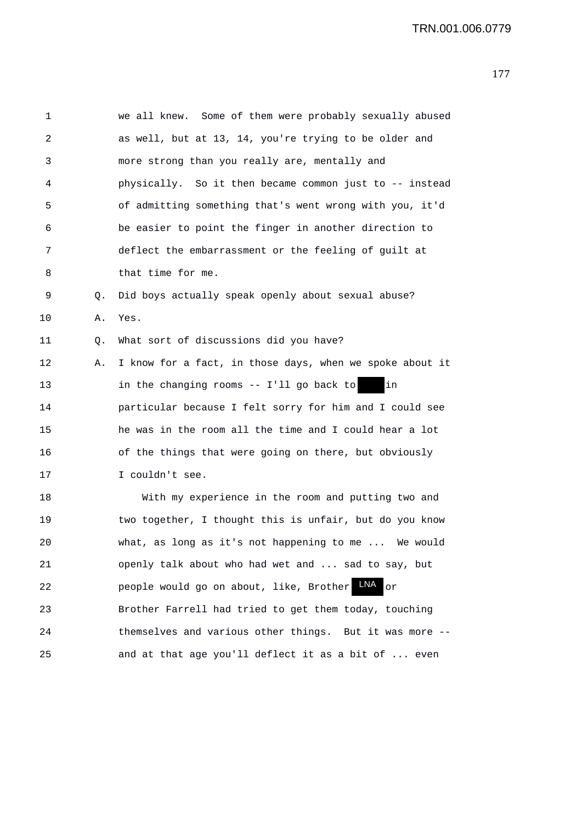| 1  |    | we all knew. Some of them were probably sexually abused  |
|----|----|----------------------------------------------------------|
| 2  |    | as well, but at 13, 14, you're trying to be older and    |
| 3  |    | more strong than you really are, mentally and            |
| 4  |    | physically. So it then became common just to -- instead  |
| 5  |    | of admitting something that's went wrong with you, it'd  |
| 6  |    | be easier to point the finger in another direction to    |
| 7  |    | deflect the embarrassment or the feeling of guilt at     |
| 8  |    | that time for me.                                        |
| 9  | Q. | Did boys actually speak openly about sexual abuse?       |
| 10 | Α. | Yes.                                                     |
| 11 | Q. | What sort of discussions did you have?                   |
| 12 | Α. | I know for a fact, in those days, when we spoke about it |
| 13 |    | in the changing rooms -- I'll go back to<br>in           |
| 14 |    | particular because I felt sorry for him and I could see  |
| 15 |    | he was in the room all the time and I could hear a lot   |
| 16 |    | of the things that were going on there, but obviously    |
| 17 |    | I couldn't see.                                          |
| 18 |    | With my experience in the room and putting two and       |
| 19 |    | two together, I thought this is unfair, but do you know  |
| 20 |    | what, as long as it's not happening to me  We would      |
| 21 |    | openly talk about who had wet and  sad to say, but       |
| 22 |    | LNA<br>people would go on about, like, Brother<br>or     |
| 23 |    | Brother Farrell had tried to get them today, touching    |
| 24 |    | themselves and various other things. But it was more --  |
| 25 |    | and at that age you'll deflect it as a bit of  even      |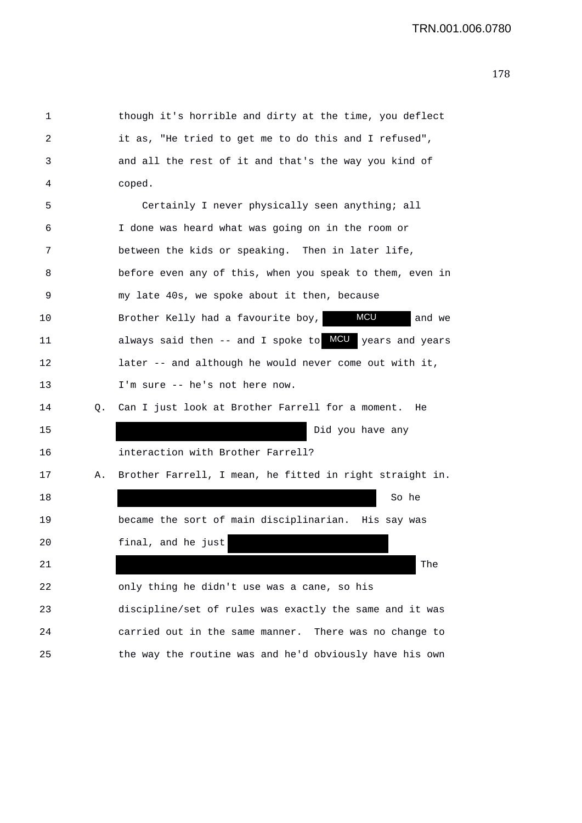| 1  |    | though it's horrible and dirty at the time, you deflect    |
|----|----|------------------------------------------------------------|
| 2  |    | it as, "He tried to get me to do this and I refused",      |
| 3  |    | and all the rest of it and that's the way you kind of      |
| 4  |    | coped.                                                     |
| 5  |    | Certainly I never physically seen anything; all            |
| 6  |    | I done was heard what was going on in the room or          |
| 7  |    | between the kids or speaking. Then in later life,          |
| 8  |    | before even any of this, when you speak to them, even in   |
| 9  |    | my late 40s, we spoke about it then, because               |
| 10 |    | <b>MCU</b><br>Brother Kelly had a favourite boy,<br>and we |
| 11 |    | always said then -- and I spoke to MCU years and years     |
| 12 |    | later -- and although he would never come out with it,     |
| 13 |    | I'm sure -- he's not here now.                             |
| 14 | Q. | Can I just look at Brother Farrell for a moment. He        |
| 15 |    | Did you have any                                           |
| 16 |    | interaction with Brother Farrell?                          |
| 17 | Α. | Brother Farrell, I mean, he fitted in right straight in.   |
| 18 |    | So he                                                      |
| 19 |    | became the sort of main disciplinarian. His say was        |
| 20 |    | final, and he just                                         |
| 21 |    | The                                                        |
| 22 |    | only thing he didn't use was a cane, so his                |
| 23 |    | discipline/set of rules was exactly the same and it was    |
| 24 |    | carried out in the same manner. There was no change to     |
| 25 |    | the way the routine was and he'd obviously have his own    |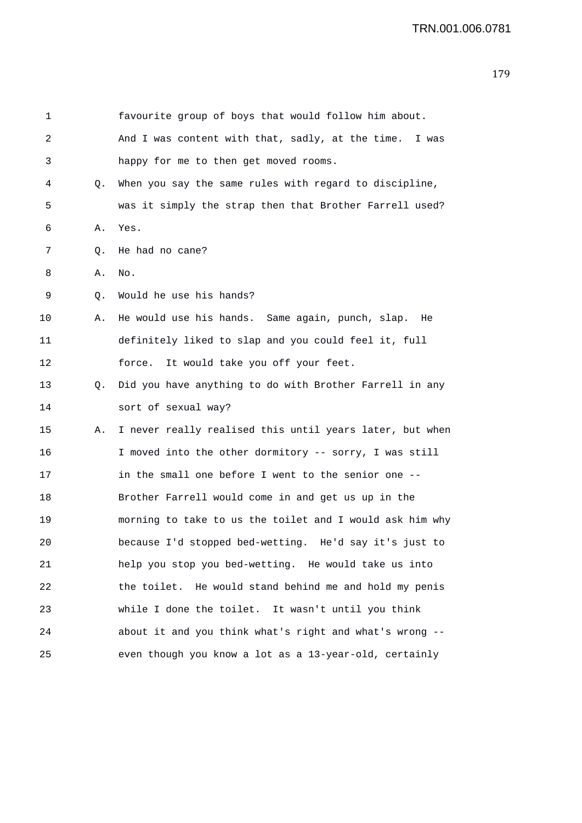| 1  |    | favourite group of boys that would follow him about.      |
|----|----|-----------------------------------------------------------|
| 2  |    | And I was content with that, sadly, at the time.<br>I was |
| 3  |    | happy for me to then get moved rooms.                     |
| 4  | Q. | When you say the same rules with regard to discipline,    |
| 5  |    | was it simply the strap then that Brother Farrell used?   |
| 6  | Α. | Yes.                                                      |
| 7  | Q. | He had no cane?                                           |
| 8  | Α. | No.                                                       |
| 9  | Q. | Would he use his hands?                                   |
| 10 | Α. | He would use his hands. Same again, punch, slap. He       |
| 11 |    | definitely liked to slap and you could feel it, full      |
| 12 |    | force.<br>It would take you off your feet.                |
| 13 | Q. | Did you have anything to do with Brother Farrell in any   |
| 14 |    | sort of sexual way?                                       |
| 15 | Α. | I never really realised this until years later, but when  |
| 16 |    | I moved into the other dormitory -- sorry, I was still    |
| 17 |    | in the small one before I went to the senior one --       |
| 18 |    | Brother Farrell would come in and get us up in the        |
| 19 |    | morning to take to us the toilet and I would ask him why  |
| 20 |    | because I'd stopped bed-wetting. He'd say it's just to    |
| 21 |    | help you stop you bed-wetting. He would take us into      |
| 22 |    | the toilet. He would stand behind me and hold my penis    |
| 23 |    | while I done the toilet. It wasn't until you think        |
| 24 |    | about it and you think what's right and what's wrong --   |
| 25 |    | even though you know a lot as a 13-year-old, certainly    |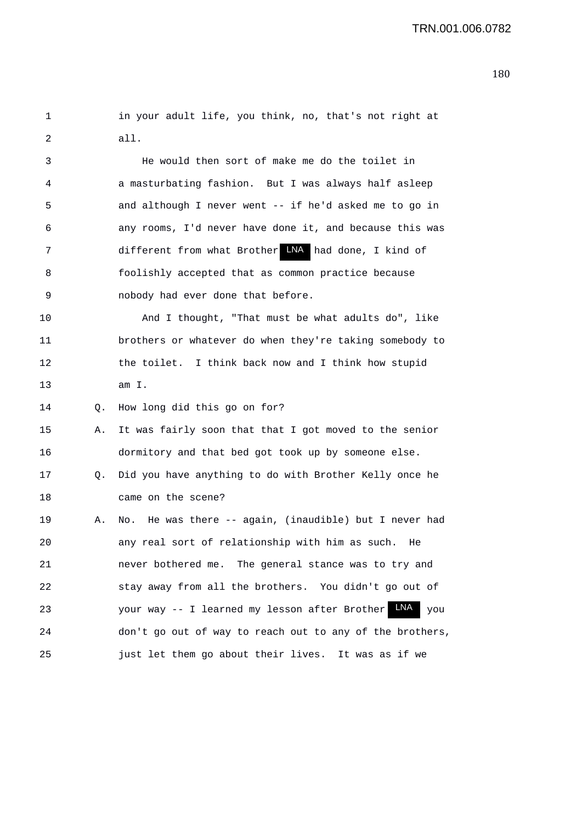| in your adult life, you think, no, that's not right at |  |  |  |  |  |
|--------------------------------------------------------|--|--|--|--|--|
| all.                                                   |  |  |  |  |  |

3 He would then sort of make me do the toilet in 4 a masturbating fashion. But I was always half asleep 5 and although I never went -- if he'd asked me to go in 6 any rooms, I'd never have done it, and because this was 7 different from what Brother LNA had done, I kind of 8 foolishly accepted that as common practice because 9 nobody had ever done that before.

10 And I thought, "That must be what adults do", like 11 brothers or whatever do when they're taking somebody to 12 the toilet. I think back now and I think how stupid 13 am I.

14 Q. How long did this go on for?

15 A. It was fairly soon that that I got moved to the senior 16 dormitory and that bed got took up by someone else.

17 Q. Did you have anything to do with Brother Kelly once he 18 came on the scene?

19 A. No. He was there -- again, (inaudible) but I never had 20 any real sort of relationship with him as such. He 21 never bothered me. The general stance was to try and 22 stay away from all the brothers. You didn't go out of 23 Your way -- I learned my lesson after Brother LNA you 24 don't go out of way to reach out to any of the brothers, 25 just let them go about their lives. It was as if we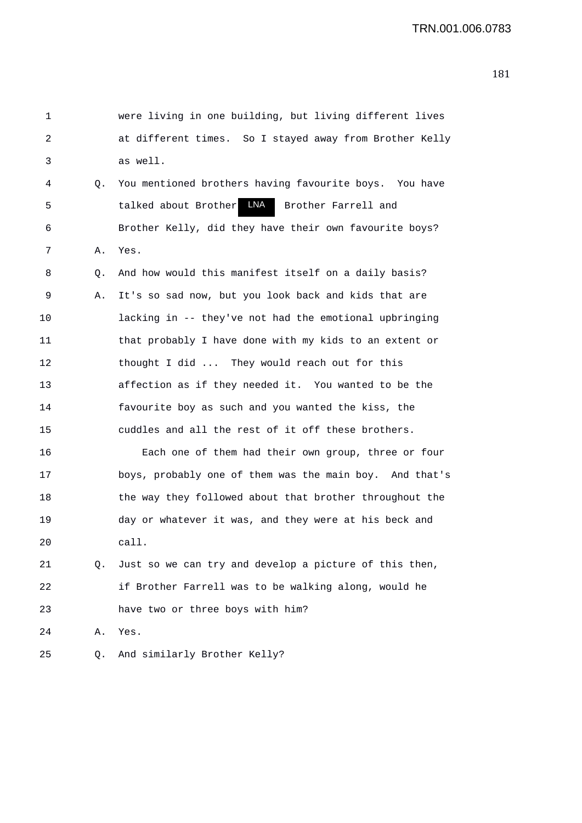| 1  |    | were living in one building, but living different lives |
|----|----|---------------------------------------------------------|
| 2  |    | at different times. So I stayed away from Brother Kelly |
| 3  |    | as well.                                                |
| 4  | Q. | You mentioned brothers having favourite boys. You have  |
| 5  |    | talked about Brother LNA<br>Brother Farrell and         |
| 6  |    | Brother Kelly, did they have their own favourite boys?  |
| 7  | Α. | Yes.                                                    |
| 8  | Q. | And how would this manifest itself on a daily basis?    |
| 9  | Α. | It's so sad now, but you look back and kids that are    |
| 10 |    | lacking in -- they've not had the emotional upbringing  |
| 11 |    | that probably I have done with my kids to an extent or  |
| 12 |    | thought I did  They would reach out for this            |
| 13 |    | affection as if they needed it. You wanted to be the    |
| 14 |    | favourite boy as such and you wanted the kiss, the      |
| 15 |    | cuddles and all the rest of it off these brothers.      |
| 16 |    | Each one of them had their own group, three or four     |
| 17 |    | boys, probably one of them was the main boy. And that's |
| 18 |    | the way they followed about that brother throughout the |
| 19 |    | day or whatever it was, and they were at his beck and   |
| 20 |    | call.                                                   |
| 21 | Q. | Just so we can try and develop a picture of this then,  |
| 22 |    | if Brother Farrell was to be walking along, would he    |
| 23 |    | have two or three boys with him?                        |
| 24 | Α. | Yes.                                                    |
| 25 | Q. | And similarly Brother Kelly?                            |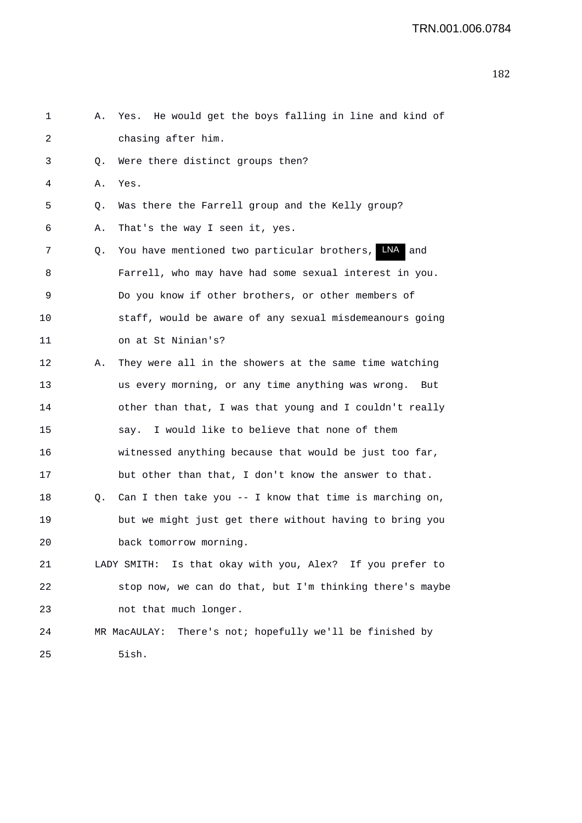| 1  | Α. | Yes. He would get the boys falling in line and kind of      |
|----|----|-------------------------------------------------------------|
| 2  |    | chasing after him.                                          |
| 3  | Q. | Were there distinct groups then?                            |
| 4  | Α. | Yes.                                                        |
| 5  | Q. | Was there the Farrell group and the Kelly group?            |
| 6  | Α. | That's the way I seen it, yes.                              |
| 7  | Q. | LNA<br>You have mentioned two particular brothers,<br>and   |
| 8  |    | Farrell, who may have had some sexual interest in you.      |
| 9  |    | Do you know if other brothers, or other members of          |
| 10 |    | staff, would be aware of any sexual misdemeanours going     |
| 11 |    | on at St Ninian's?                                          |
| 12 | Α. | They were all in the showers at the same time watching      |
| 13 |    | us every morning, or any time anything was wrong. But       |
| 14 |    | other than that, I was that young and I couldn't really     |
| 15 |    | say. I would like to believe that none of them              |
| 16 |    | witnessed anything because that would be just too far,      |
| 17 |    | but other than that, I don't know the answer to that.       |
| 18 | Q. | Can I then take you $-$ - I know that time is marching on,  |
| 19 |    | but we might just get there without having to bring you     |
| 20 |    | back tomorrow morning.                                      |
| 21 |    | LADY SMITH: Is that okay with you, Alex? If you prefer to   |
| 22 |    | stop now, we can do that, but I'm thinking there's maybe    |
| 23 |    | not that much longer.                                       |
| 24 |    | There's not; hopefully we'll be finished by<br>MR MacAULAY: |
| 25 |    | 5ish.                                                       |
|    |    |                                                             |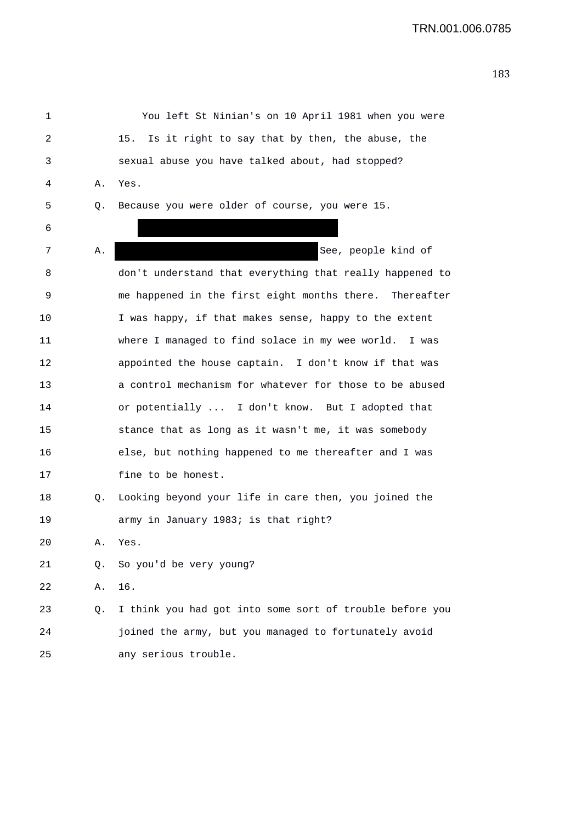1 You left St Ninian's on 10 April 1981 when you were 2 15. Is it right to say that by then, the abuse, the 3 sexual abuse you have talked about, had stopped? 4 A. Yes. 5 Q. Because you were older of course, you were 15. 6 7 A. See, people kind of 8 don't understand that everything that really happened to 9 me happened in the first eight months there. Thereafter 10 I was happy, if that makes sense, happy to the extent 11 where I managed to find solace in my wee world. I was 12 appointed the house captain. I don't know if that was 13 a control mechanism for whatever for those to be abused 14 or potentially ... I don't know. But I adopted that 15 stance that as long as it wasn't me, it was somebody 16 else, but nothing happened to me thereafter and I was 17 fine to be honest. 18 Q. Looking beyond your life in care then, you joined the 19 army in January 1983; is that right? 20 A. Yes. 21 Q. So you'd be very young? 22 A. 16. 23 Q. I think you had got into some sort of trouble before you 24 joined the army, but you managed to fortunately avoid 25 any serious trouble.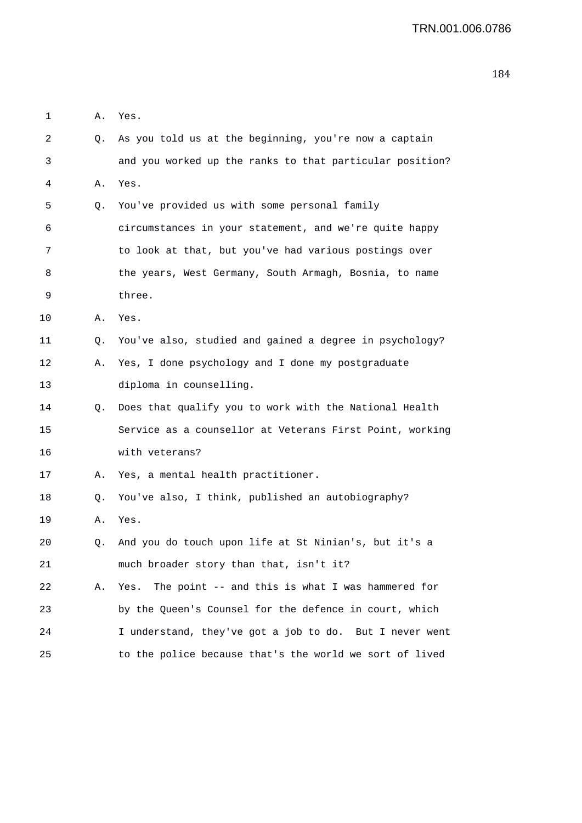| 1  | Α. | Yes.                                                     |
|----|----|----------------------------------------------------------|
| 2  | Q. | As you told us at the beginning, you're now a captain    |
| 3  |    | and you worked up the ranks to that particular position? |
| 4  | Α. | Yes.                                                     |
| 5  | Q. | You've provided us with some personal family             |
| 6  |    | circumstances in your statement, and we're quite happy   |
| 7  |    | to look at that, but you've had various postings over    |
| 8  |    | the years, West Germany, South Armagh, Bosnia, to name   |
| 9  |    | three.                                                   |
| 10 | Α. | Yes.                                                     |
| 11 | Q. | You've also, studied and gained a degree in psychology?  |
| 12 | Α. | Yes, I done psychology and I done my postgraduate        |
| 13 |    | diploma in counselling.                                  |
| 14 | Q. | Does that qualify you to work with the National Health   |
| 15 |    | Service as a counsellor at Veterans First Point, working |
| 16 |    | with veterans?                                           |
| 17 | А. | Yes, a mental health practitioner.                       |
| 18 | Q. | You've also, I think, published an autobiography?        |
| 19 | Α. | Yes.                                                     |
| 20 | Q. | And you do touch upon life at St Ninian's, but it's a    |
| 21 |    | much broader story than that, isn't it?                  |
| 22 | Α. | The point -- and this is what I was hammered for<br>Yes. |
| 23 |    | by the Queen's Counsel for the defence in court, which   |
| 24 |    | I understand, they've got a job to do. But I never went  |
| 25 |    | to the police because that's the world we sort of lived  |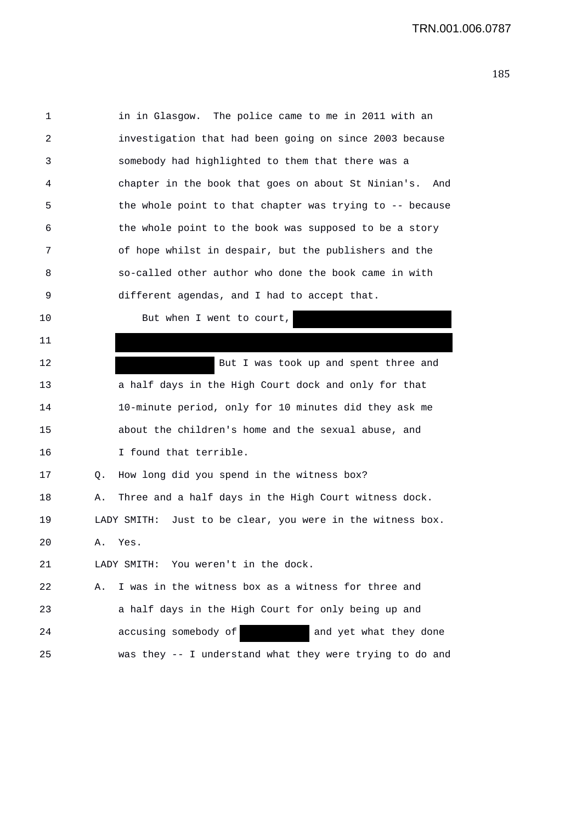| 1  |    | in in Glasgow. The police came to me in 2011 with an          |
|----|----|---------------------------------------------------------------|
| 2  |    | investigation that had been going on since 2003 because       |
| 3  |    | somebody had highlighted to them that there was a             |
| 4  |    | chapter in the book that goes on about St Ninian's.<br>And    |
| 5  |    | the whole point to that chapter was trying to -- because      |
| 6  |    | the whole point to the book was supposed to be a story        |
| 7  |    | of hope whilst in despair, but the publishers and the         |
| 8  |    | so-called other author who done the book came in with         |
| 9  |    | different agendas, and I had to accept that.                  |
| 10 |    | But when I went to court,                                     |
| 11 |    |                                                               |
| 12 |    | But I was took up and spent three and                         |
| 13 |    | a half days in the High Court dock and only for that          |
| 14 |    | 10-minute period, only for 10 minutes did they ask me         |
| 15 |    | about the children's home and the sexual abuse, and           |
| 16 |    | I found that terrible.                                        |
| 17 | Q. | How long did you spend in the witness box?                    |
| 18 | Α. | Three and a half days in the High Court witness dock.         |
| 19 |    | Just to be clear, you were in the witness box.<br>LADY SMITH: |
| 20 | А. | Yes.                                                          |
| 21 |    | You weren't in the dock.<br>LADY SMITH:                       |
| 22 | Α. | I was in the witness box as a witness for three and           |
| 23 |    | a half days in the High Court for only being up and           |
| 24 |    | accusing somebody of<br>and yet what they done                |
| 25 |    | was they -- I understand what they were trying to do and      |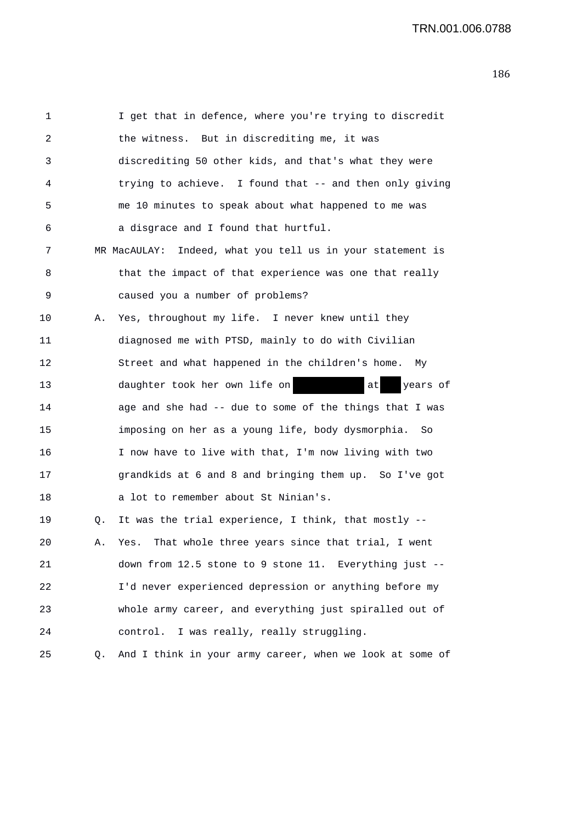| 1  |    | I get that in defence, where you're trying to discredit    |
|----|----|------------------------------------------------------------|
| 2  |    | the witness. But in discrediting me, it was                |
| 3  |    | discrediting 50 other kids, and that's what they were      |
| 4  |    | trying to achieve. I found that -- and then only giving    |
| 5  |    | me 10 minutes to speak about what happened to me was       |
| 6  |    | a disgrace and I found that hurtful.                       |
| 7  |    | MR MacAULAY: Indeed, what you tell us in your statement is |
| 8  |    | that the impact of that experience was one that really     |
| 9  |    | caused you a number of problems?                           |
| 10 | Α. | Yes, throughout my life. I never knew until they           |
| 11 |    | diagnosed me with PTSD, mainly to do with Civilian         |
| 12 |    | Street and what happened in the children's home. My        |
| 13 |    | daughter took her own life on<br>at<br>years of            |
| 14 |    | age and she had -- due to some of the things that I was    |
| 15 |    | imposing on her as a young life, body dysmorphia. So       |
| 16 |    | I now have to live with that, I'm now living with two      |
| 17 |    | grandkids at 6 and 8 and bringing them up. So I've got     |
| 18 |    | a lot to remember about St Ninian's.                       |
| 19 | Q. | It was the trial experience, I think, that mostly --       |
| 20 | Α. | That whole three years since that trial, I went<br>Yes.    |
| 21 |    | down from 12.5 stone to 9 stone 11. Everything just --     |
| 22 |    | I'd never experienced depression or anything before my     |
| 23 |    | whole army career, and everything just spiralled out of    |
| 24 |    | control. I was really, really struggling.                  |
| 25 | Q. | And I think in your army career, when we look at some of   |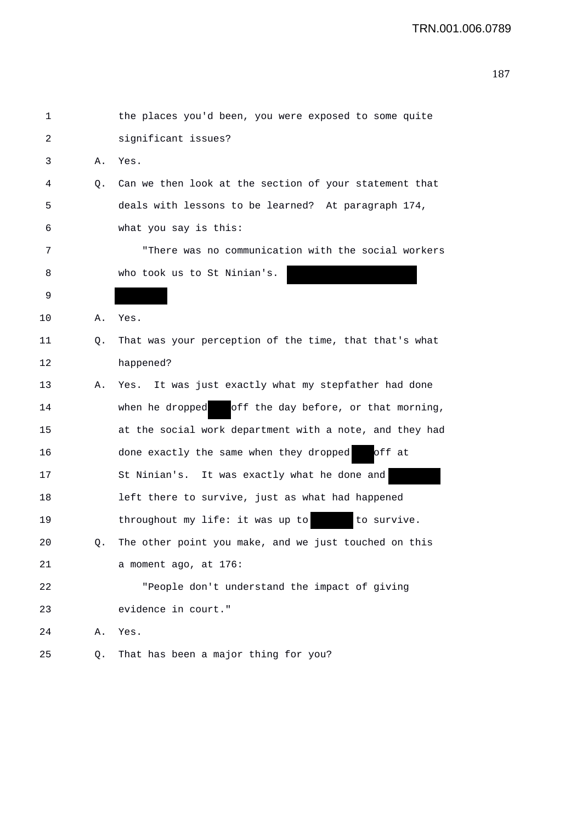| 1  |    | the places you'd been, you were exposed to some quite   |
|----|----|---------------------------------------------------------|
| 2  |    | significant issues?                                     |
| 3  | Α. | Yes.                                                    |
| 4  | Q. | Can we then look at the section of your statement that  |
| 5  |    | deals with lessons to be learned? At paragraph 174,     |
| 6  |    | what you say is this:                                   |
| 7  |    | "There was no communication with the social workers     |
| 8  |    | who took us to St Ninian's.                             |
| 9  |    |                                                         |
| 10 | Α. | Yes.                                                    |
| 11 | Q. | That was your perception of the time, that that's what  |
| 12 |    | happened?                                               |
| 13 | Α. | Yes. It was just exactly what my stepfather had done    |
| 14 |    | off the day before, or that morning,<br>when he dropped |
| 15 |    | at the social work department with a note, and they had |
| 16 |    | done exactly the same when they dropped<br>off at       |
| 17 |    | St Ninian's. It was exactly what he done and            |
| 18 |    | left there to survive, just as what had happened        |
| 19 |    | to survive.<br>throughout my life: it was up to         |
| 20 | Q. | The other point you make, and we just touched on this   |
| 21 |    | a moment ago, at 176:                                   |
| 22 |    | "People don't understand the impact of giving           |
| 23 |    | evidence in court."                                     |
| 24 | Α. | Yes.                                                    |
| 25 | Q. | That has been a major thing for you?                    |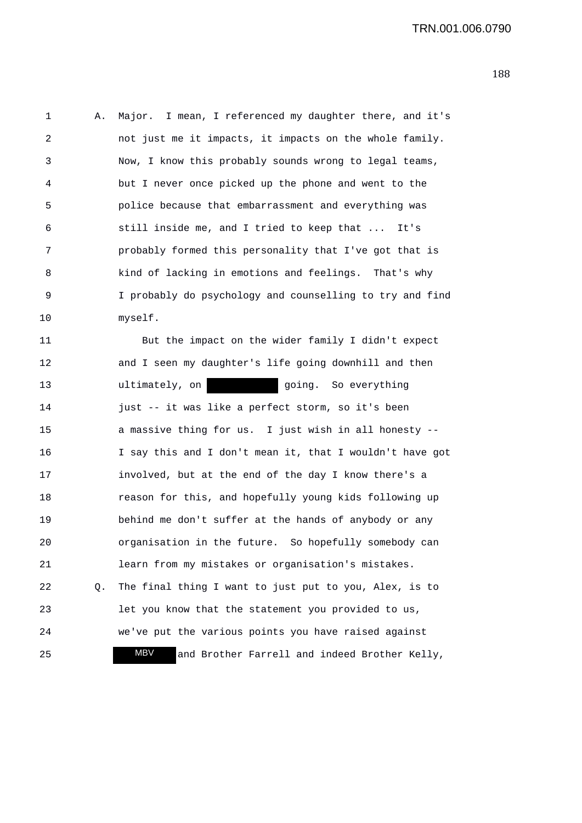1 A. Major. I mean, I referenced my daughter there, and it's 2 not just me it impacts, it impacts on the whole family. 3 Now, I know this probably sounds wrong to legal teams, 4 but I never once picked up the phone and went to the 5 police because that embarrassment and everything was 6 still inside me, and I tried to keep that ... It's 7 probably formed this personality that I've got that is 8 kind of lacking in emotions and feelings. That's why 9 I probably do psychology and counselling to try and find 10 myself.

11 But the impact on the wider family I didn't expect 12 and I seen my daughter's life going downhill and then 13 **ultimately**, on **going**. So everything 14 just -- it was like a perfect storm, so it's been 15 a massive thing for us. I just wish in all honesty -- 16 I say this and I don't mean it, that I wouldn't have got 17 involved, but at the end of the day I know there's a 18 reason for this, and hopefully young kids following up 19 behind me don't suffer at the hands of anybody or any 20 organisation in the future. So hopefully somebody can 21 learn from my mistakes or organisation's mistakes. 22 Q. The final thing I want to just put to you, Alex, is to 23 let you know that the statement you provided to us, 24 we've put the various points you have raised against 25 **MBV** and Brother Farrell and indeed Brother Kelly, MBV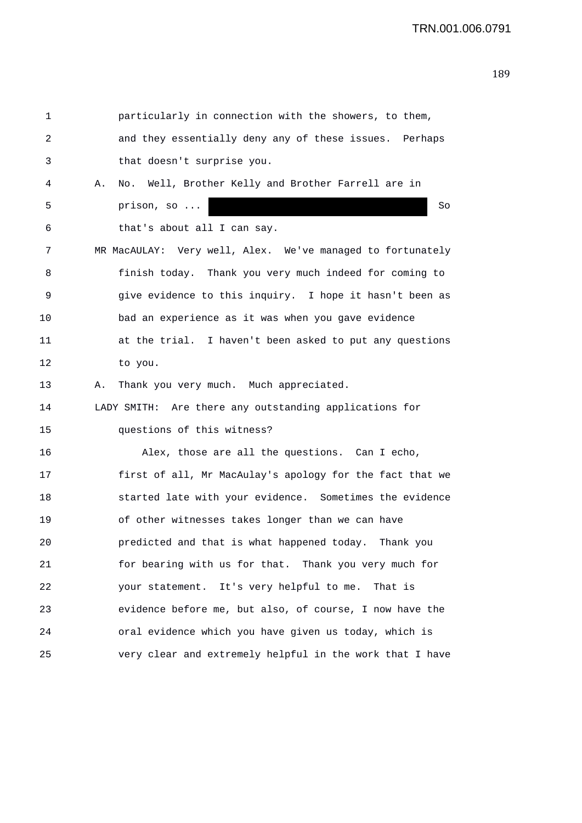```
1 particularly in connection with the showers, to them, 
2 and they essentially deny any of these issues. Perhaps 
3 that doesn't surprise you. 
4 A. No. Well, Brother Kelly and Brother Farrell are in 
5 prison, so ... So 
6 that's about all I can say. 
7 MR MacAULAY: Very well, Alex. We've managed to fortunately 
8 finish today. Thank you very much indeed for coming to 
9 give evidence to this inquiry. I hope it hasn't been as 
10 bad an experience as it was when you gave evidence 
11 at the trial. I haven't been asked to put any questions 
12 to you. 
13 A. Thank you very much. Much appreciated.
14 LADY SMITH: Are there any outstanding applications for 
15 questions of this witness? 
16 Alex, those are all the questions. Can I echo, 
17 first of all, Mr MacAulay's apology for the fact that we 
18 started late with your evidence. Sometimes the evidence 
19 of other witnesses takes longer than we can have 
20 predicted and that is what happened today. Thank you 
21 for bearing with us for that. Thank you very much for 
22 your statement. It's very helpful to me. That is 
23 evidence before me, but also, of course, I now have the 
24 oral evidence which you have given us today, which is 
25 very clear and extremely helpful in the work that I have
```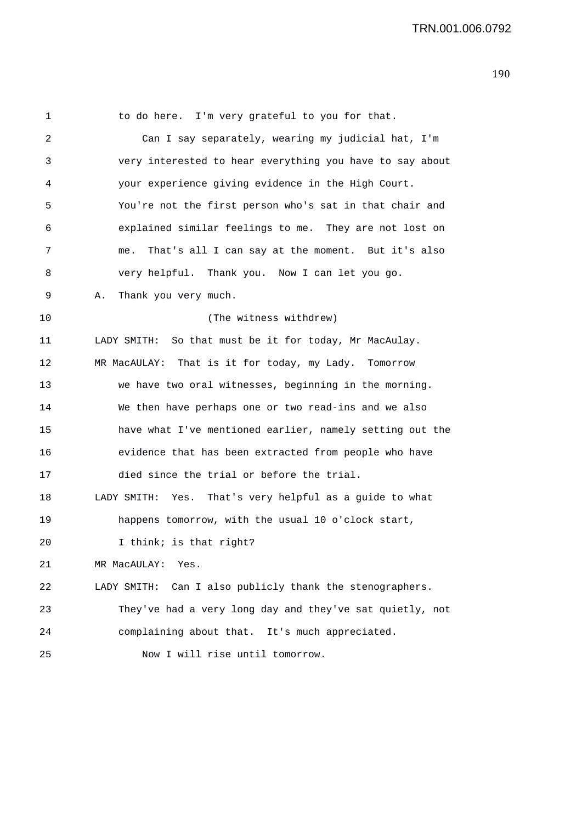1 to do here. I'm very grateful to you for that. 2 Can I say separately, wearing my judicial hat, I'm 3 very interested to hear everything you have to say about 4 your experience giving evidence in the High Court. 5 You're not the first person who's sat in that chair and 6 explained similar feelings to me. They are not lost on 7 me. That's all I can say at the moment. But it's also 8 very helpful. Thank you. Now I can let you go. 9 A. Thank you very much. 10 (The witness withdrew) 11 LADY SMITH: So that must be it for today, Mr MacAulay. 12 MR MacAULAY: That is it for today, my Lady. Tomorrow 13 we have two oral witnesses, beginning in the morning. 14 We then have perhaps one or two read-ins and we also 15 have what I've mentioned earlier, namely setting out the 16 evidence that has been extracted from people who have 17 died since the trial or before the trial. 18 LADY SMITH: Yes. That's very helpful as a guide to what 19 happens tomorrow, with the usual 10 o'clock start, 20 I think; is that right? 21 MR MacAULAY: Yes. 22 LADY SMITH: Can I also publicly thank the stenographers. 23 They've had a very long day and they've sat quietly, not 24 complaining about that. It's much appreciated. 25 Now I will rise until tomorrow.